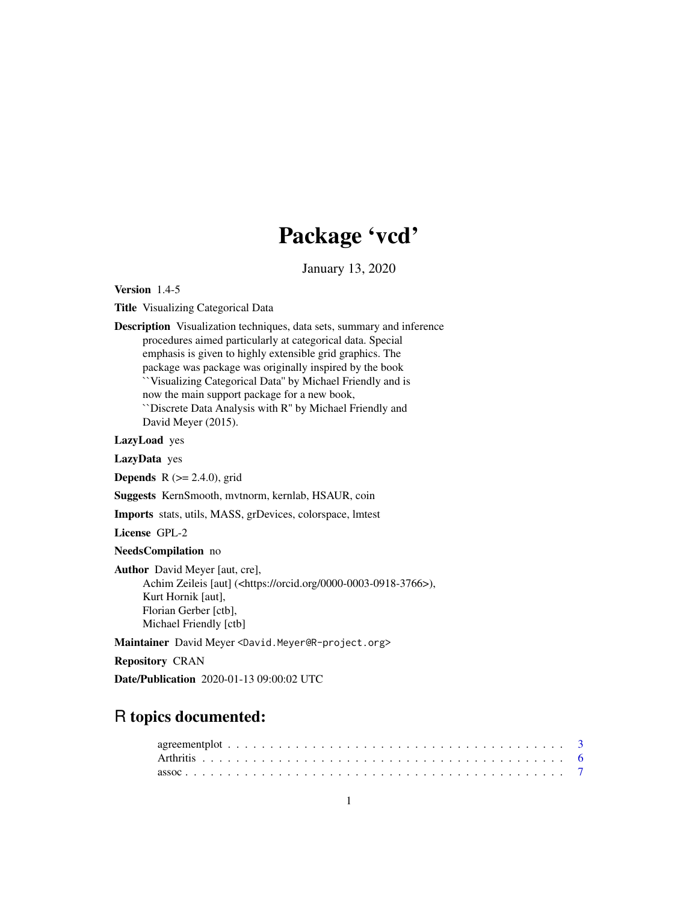# Package 'vcd'

January 13, 2020

<span id="page-0-0"></span>Version 1.4-5

Title Visualizing Categorical Data

Description Visualization techniques, data sets, summary and inference procedures aimed particularly at categorical data. Special emphasis is given to highly extensible grid graphics. The package was package was originally inspired by the book ``Visualizing Categorical Data'' by Michael Friendly and is now the main support package for a new book, ``Discrete Data Analysis with R'' by Michael Friendly and David Meyer (2015).

LazyLoad yes

LazyData yes

**Depends** R  $(>= 2.4.0)$ , grid

Suggests KernSmooth, mvtnorm, kernlab, HSAUR, coin

Imports stats, utils, MASS, grDevices, colorspace, lmtest

License GPL-2

NeedsCompilation no

Author David Meyer [aut, cre], Achim Zeileis [aut] (<https://orcid.org/0000-0003-0918-3766>), Kurt Hornik [aut], Florian Gerber [ctb], Michael Friendly [ctb]

Maintainer David Meyer <David.Meyer@R-project.org>

Repository CRAN

Date/Publication 2020-01-13 09:00:02 UTC

# R topics documented: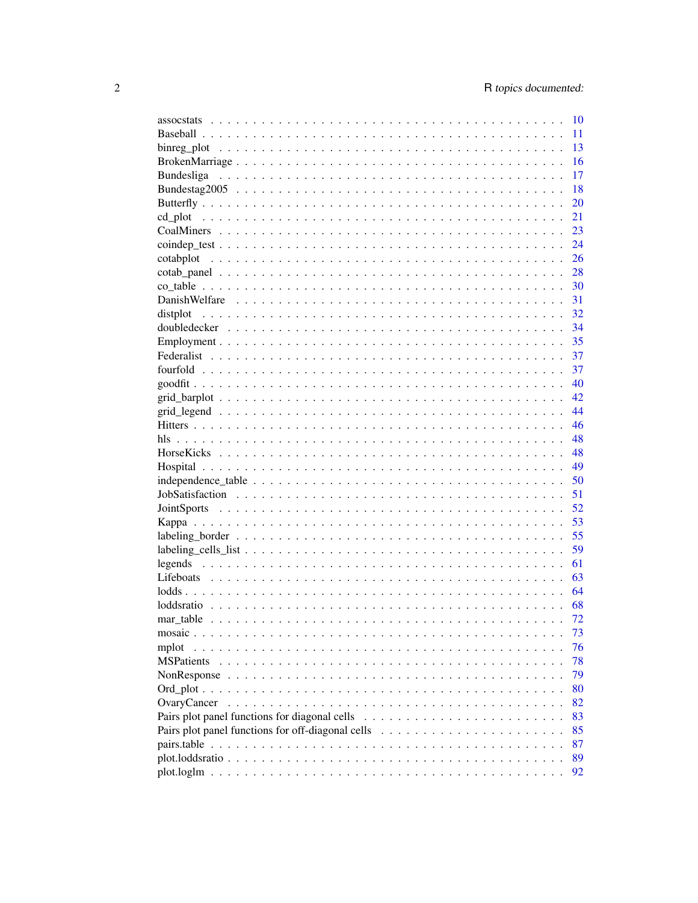|                                                                 | 10    |
|-----------------------------------------------------------------|-------|
|                                                                 | 11    |
|                                                                 | 13    |
|                                                                 | 16    |
|                                                                 | 17    |
|                                                                 | 18    |
|                                                                 | 20    |
|                                                                 | 21    |
|                                                                 | 23    |
|                                                                 | 24    |
|                                                                 | 26    |
|                                                                 | 28    |
|                                                                 | 30    |
|                                                                 | 31    |
|                                                                 | -32   |
| distplot                                                        |       |
|                                                                 | - 34  |
|                                                                 | 35    |
|                                                                 | 37    |
|                                                                 | 37    |
|                                                                 | 40    |
|                                                                 | 42    |
|                                                                 | 44    |
|                                                                 | 46    |
|                                                                 | 48    |
|                                                                 | 48    |
|                                                                 | 49    |
|                                                                 | - 50  |
|                                                                 | $-51$ |
|                                                                 | 52    |
|                                                                 | 53    |
|                                                                 | -55   |
|                                                                 | 59    |
|                                                                 | 61    |
|                                                                 | 63    |
|                                                                 | 64    |
|                                                                 | 68    |
|                                                                 | 72    |
|                                                                 |       |
|                                                                 | 73    |
| mplot                                                           | 76    |
| <b>MSPatients</b><br>$\mathbf{1}$ . $\mathbf{1}$ . $\mathbf{1}$ | 78    |
|                                                                 | 79    |
| Ord plot $\ldots$ .                                             | 80    |
| OvaryCancer                                                     | 82    |
|                                                                 | 83    |
| Pairs plot panel functions for off-diagonal cells               | 85    |
|                                                                 | 87    |
|                                                                 | 89    |
|                                                                 | 92    |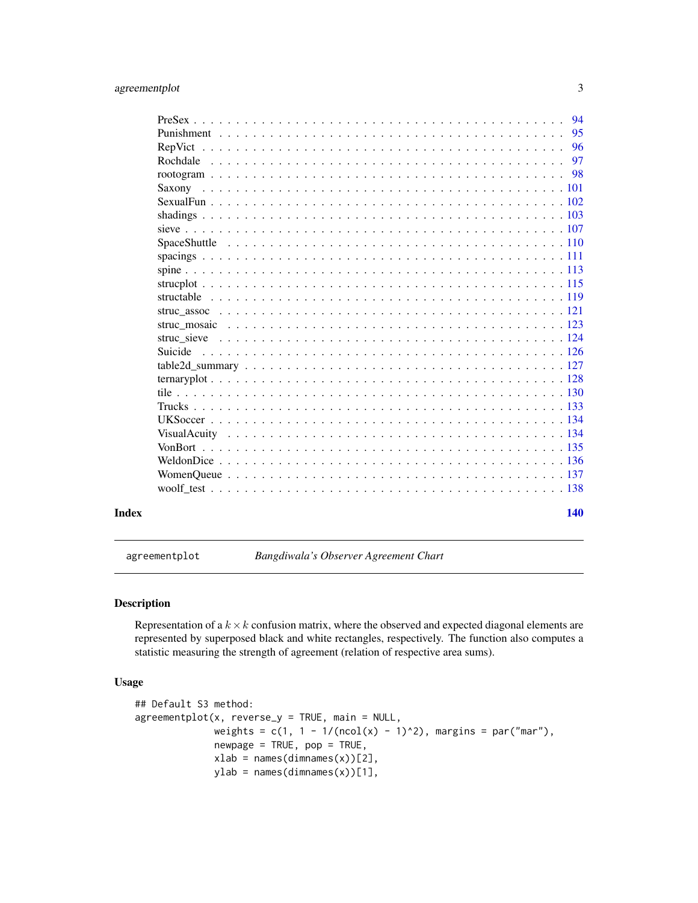<span id="page-2-0"></span>

|       |  | 94  |
|-------|--|-----|
|       |  | 95  |
|       |  | 96  |
|       |  | 97  |
|       |  | 98  |
|       |  |     |
|       |  |     |
|       |  |     |
|       |  |     |
|       |  |     |
|       |  |     |
|       |  |     |
|       |  |     |
|       |  |     |
|       |  |     |
|       |  |     |
|       |  |     |
|       |  |     |
|       |  |     |
|       |  |     |
|       |  |     |
|       |  |     |
|       |  |     |
|       |  |     |
|       |  |     |
|       |  |     |
|       |  |     |
|       |  |     |
| Index |  | 140 |

agreementplot *Bangdiwala's Observer Agreement Chart*

# Description

Representation of a  $k \times k$  confusion matrix, where the observed and expected diagonal elements are represented by superposed black and white rectangles, respectively. The function also computes a statistic measuring the strength of agreement (relation of respective area sums).

# Usage

```
## Default S3 method:
agreementplot(x, reverse_y = TRUE, main = NULL,
              weights = c(1, 1 - 1/(ncol(x) - 1)^2), margins = par("mar"),
              newpage = TRUE, pop = TRUE,xlab = names(dimnames(x))[2],
              ylab = names(dimnames(x))[1],
```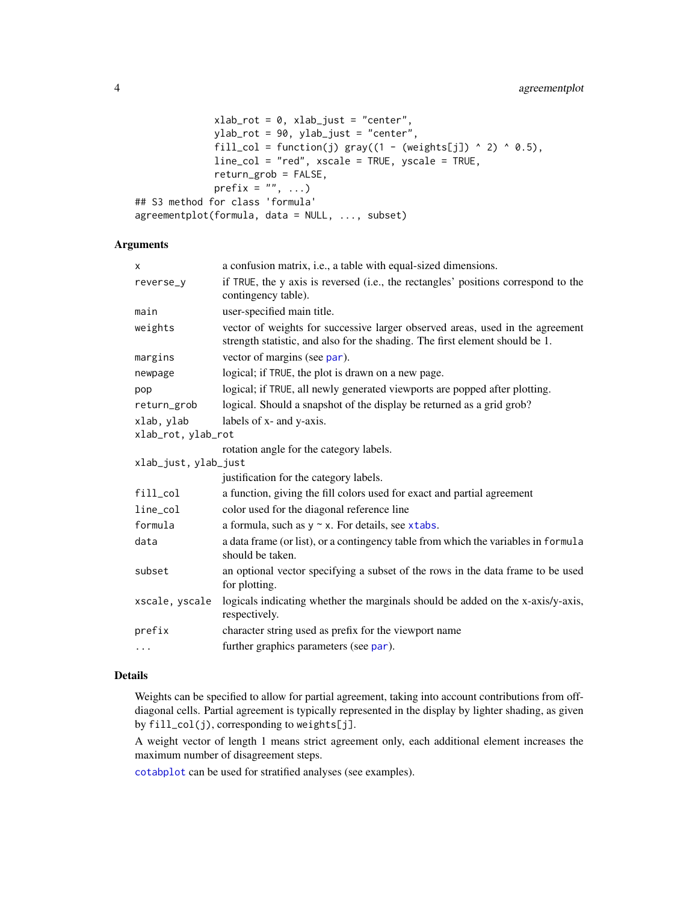```
xlab_{rot} = 0, xlab_{just} = "center",ylab_rot = 90, ylab_just = "center",
              fill_col = function(j) gray((1 - (weights[j]) \land 2) \land 0.5),
              line_col = "red", xscale = TRUE, yscale = TRUE,
              return_grob = FALSE,
              prefix = ", ...)
## S3 method for class 'formula'
agreementplot(formula, data = NULL, ..., subset)
```
# Arguments

| x                    | a confusion matrix, <i>i.e.</i> , a table with equal-sized dimensions.                                                                                        |
|----------------------|---------------------------------------------------------------------------------------------------------------------------------------------------------------|
| reverse_y            | if TRUE, the y axis is reversed (i.e., the rectangles' positions correspond to the<br>contingency table).                                                     |
| main                 | user-specified main title.                                                                                                                                    |
| weights              | vector of weights for successive larger observed areas, used in the agreement<br>strength statistic, and also for the shading. The first element should be 1. |
| margins              | vector of margins (see par).                                                                                                                                  |
| newpage              | logical; if TRUE, the plot is drawn on a new page.                                                                                                            |
| pop                  | logical; if TRUE, all newly generated viewports are popped after plotting.                                                                                    |
| return_grob          | logical. Should a snapshot of the display be returned as a grid grob?                                                                                         |
| xlab, ylab           | labels of x- and y-axis.                                                                                                                                      |
| xlab_rot, ylab_rot   |                                                                                                                                                               |
|                      | rotation angle for the category labels.                                                                                                                       |
| xlab_just, ylab_just |                                                                                                                                                               |
|                      | justification for the category labels.                                                                                                                        |
| fill_col             | a function, giving the fill colors used for exact and partial agreement                                                                                       |
| line_col             | color used for the diagonal reference line                                                                                                                    |
| formula              | a formula, such as $y \sim x$ . For details, see xtabs.                                                                                                       |
| data                 | a data frame (or list), or a contingency table from which the variables in formula<br>should be taken.                                                        |
| subset               | an optional vector specifying a subset of the rows in the data frame to be used<br>for plotting.                                                              |
| xscale, yscale       | logicals indicating whether the marginals should be added on the x-axis/y-axis,<br>respectively.                                                              |
| prefix               | character string used as prefix for the viewport name                                                                                                         |
| $\ldots$             | further graphics parameters (see par).                                                                                                                        |
|                      |                                                                                                                                                               |

# Details

Weights can be specified to allow for partial agreement, taking into account contributions from offdiagonal cells. Partial agreement is typically represented in the display by lighter shading, as given by fill\_col(j), corresponding to weights[j].

A weight vector of length 1 means strict agreement only, each additional element increases the maximum number of disagreement steps.

[cotabplot](#page-25-1) can be used for stratified analyses (see examples).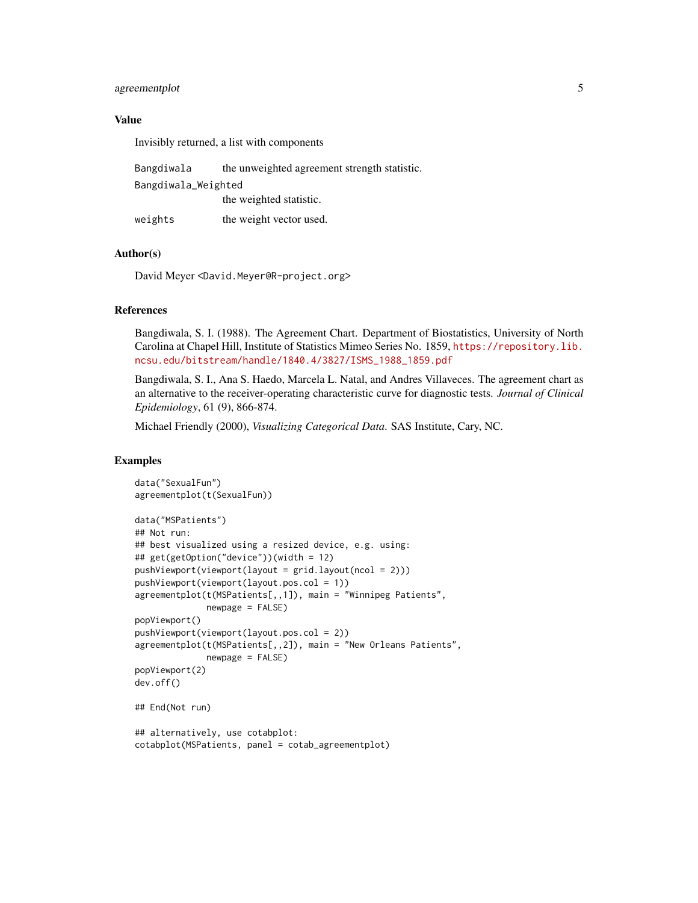# agreementplot 5

# Value

Invisibly returned, a list with components

| Bangdiwala          | the unweighted agreement strength statistic. |
|---------------------|----------------------------------------------|
| Bangdiwala_Weighted |                                              |
|                     | the weighted statistic.                      |
| weights             | the weight vector used.                      |

#### Author(s)

David Meyer <David.Meyer@R-project.org>

#### References

Bangdiwala, S. I. (1988). The Agreement Chart. Department of Biostatistics, University of North Carolina at Chapel Hill, Institute of Statistics Mimeo Series No. 1859, [https://repository.lib.](https://repository.lib.ncsu.edu/bitstream/handle/1840.4/3827/ISMS_1988_1859.pdf) [ncsu.edu/bitstream/handle/1840.4/3827/ISMS\\_1988\\_1859.pdf](https://repository.lib.ncsu.edu/bitstream/handle/1840.4/3827/ISMS_1988_1859.pdf)

Bangdiwala, S. I., Ana S. Haedo, Marcela L. Natal, and Andres Villaveces. The agreement chart as an alternative to the receiver-operating characteristic curve for diagnostic tests. *Journal of Clinical Epidemiology*, 61 (9), 866-874.

Michael Friendly (2000), *Visualizing Categorical Data*. SAS Institute, Cary, NC.

```
data("SexualFun")
agreementplot(t(SexualFun))
data("MSPatients")
## Not run:
## best visualized using a resized device, e.g. using:
## get(getOption("device"))(width = 12)
pushViewport(viewport(layout = grid.layout(ncol = 2)))
pushViewport(viewport(layout.pos.col = 1))
agreementplot(t(MSPatients[,,1]), main = "Winnipeg Patients",
              newpage = FALSE)
popViewport()
pushViewport(viewport(layout.pos.col = 2))
agreementplot(t(MSPatients[,,2]), main = "New Orleans Patients",
              newpage = FALSE)
popViewport(2)
dev.off()
## End(Not run)
## alternatively, use cotabplot:
cotabplot(MSPatients, panel = cotab_agreementplot)
```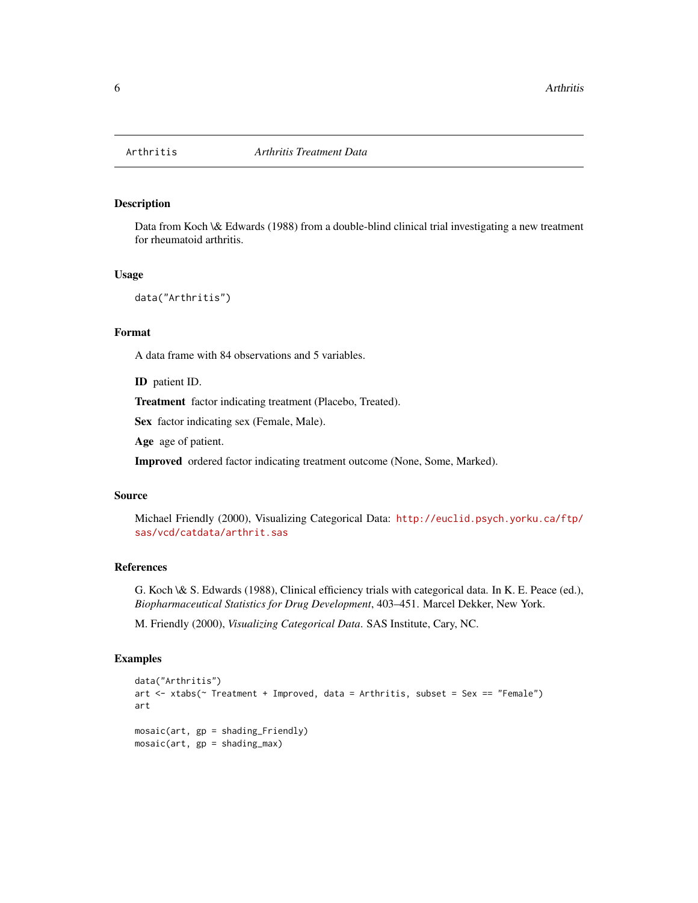<span id="page-5-0"></span>

# Description

Data from Koch \& Edwards (1988) from a double-blind clinical trial investigating a new treatment for rheumatoid arthritis.

### Usage

```
data("Arthritis")
```
# Format

A data frame with 84 observations and 5 variables.

ID patient ID.

Treatment factor indicating treatment (Placebo, Treated).

Sex factor indicating sex (Female, Male).

Age age of patient.

Improved ordered factor indicating treatment outcome (None, Some, Marked).

#### Source

Michael Friendly (2000), Visualizing Categorical Data: [http://euclid.psych.yorku.ca/ftp/](http://euclid.psych.yorku.ca/ftp/sas/vcd/catdata/arthrit.sas) [sas/vcd/catdata/arthrit.sas](http://euclid.psych.yorku.ca/ftp/sas/vcd/catdata/arthrit.sas)

# References

G. Koch \& S. Edwards (1988), Clinical efficiency trials with categorical data. In K. E. Peace (ed.), *Biopharmaceutical Statistics for Drug Development*, 403–451. Marcel Dekker, New York.

M. Friendly (2000), *Visualizing Categorical Data*. SAS Institute, Cary, NC.

```
data("Arthritis")
art <- xtabs(~ Treatment + Improved, data = Arthritis, subset = Sex == "Female")
art
mosaic(art, gp = shading_Friendly)
mosaic(art, gp = shading_max)
```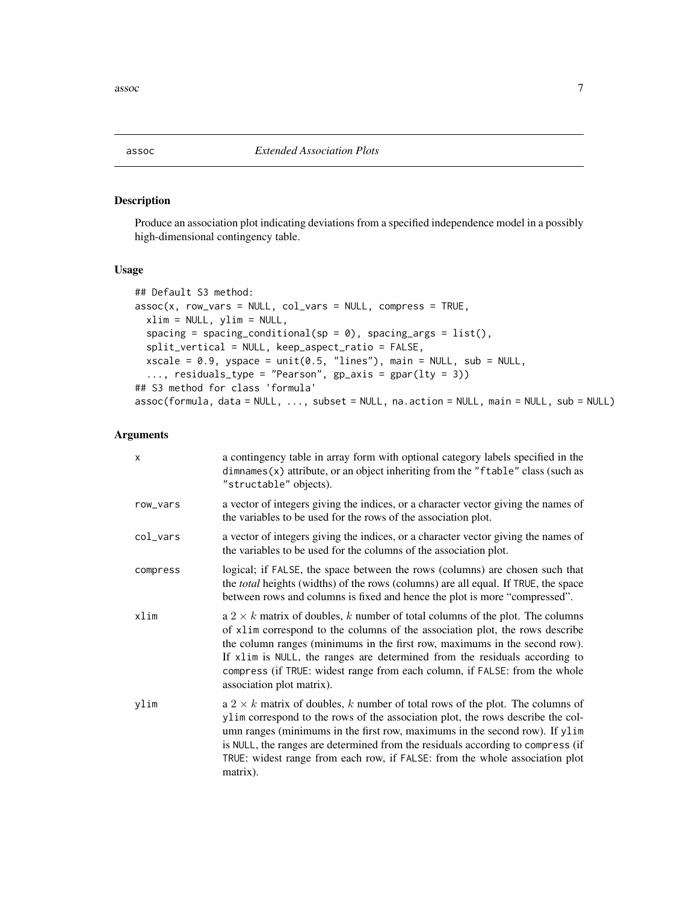<span id="page-6-1"></span><span id="page-6-0"></span> $\alpha$ ssoc $\alpha$ 

# Description

Produce an association plot indicating deviations from a specified independence model in a possibly high-dimensional contingency table.

#### Usage

```
## Default S3 method:
assoc(x, row_vars = NULL, col_vars = NULL, compress = TRUE,xlim = NULL, ylim = NULL,
  spacing = spacing_conditional(sp = 0), spacing_args = list(),
  split_vertical = NULL, keep_aspect_ratio = FALSE,
  xscale = 0.9, yspace = unit(0.5, 'lines''), main = NULL, sub = NULL,
  ..., residuals_type = "Pearson", gp_axis = gpar(lty = 3))
## S3 method for class 'formula'
assoc(formula, data = NULL, ..., subset = NULL, na.action = NULL, main = NULL, sub = NULL)
```

| x        | a contingency table in array form with optional category labels specified in the<br>$dimnames(x)$ attribute, or an object inheriting from the "ftable" class (such as<br>"structable" objects).                                                                                                                                                                                                                                             |
|----------|---------------------------------------------------------------------------------------------------------------------------------------------------------------------------------------------------------------------------------------------------------------------------------------------------------------------------------------------------------------------------------------------------------------------------------------------|
| row_vars | a vector of integers giving the indices, or a character vector giving the names of<br>the variables to be used for the rows of the association plot.                                                                                                                                                                                                                                                                                        |
| col_vars | a vector of integers giving the indices, or a character vector giving the names of<br>the variables to be used for the columns of the association plot.                                                                                                                                                                                                                                                                                     |
| compress | logical; if FALSE, the space between the rows (columns) are chosen such that<br>the total heights (widths) of the rows (columns) are all equal. If TRUE, the space<br>between rows and columns is fixed and hence the plot is more "compressed".                                                                                                                                                                                            |
| xlim     | a $2 \times k$ matrix of doubles, k number of total columns of the plot. The columns<br>of x1im correspond to the columns of the association plot, the rows describe<br>the column ranges (minimums in the first row, maximums in the second row).<br>If x1im is NULL, the ranges are determined from the residuals according to<br>compress (if TRUE: widest range from each column, if FALSE: from the whole<br>association plot matrix). |
| ylim     | a 2 $\times$ k matrix of doubles, k number of total rows of the plot. The columns of<br>ylim correspond to the rows of the association plot, the rows describe the col-<br>umn ranges (minimums in the first row, maximums in the second row). If ylim<br>is NULL, the ranges are determined from the residuals according to compress (if<br>TRUE: widest range from each row, if FALSE: from the whole association plot<br>matrix).        |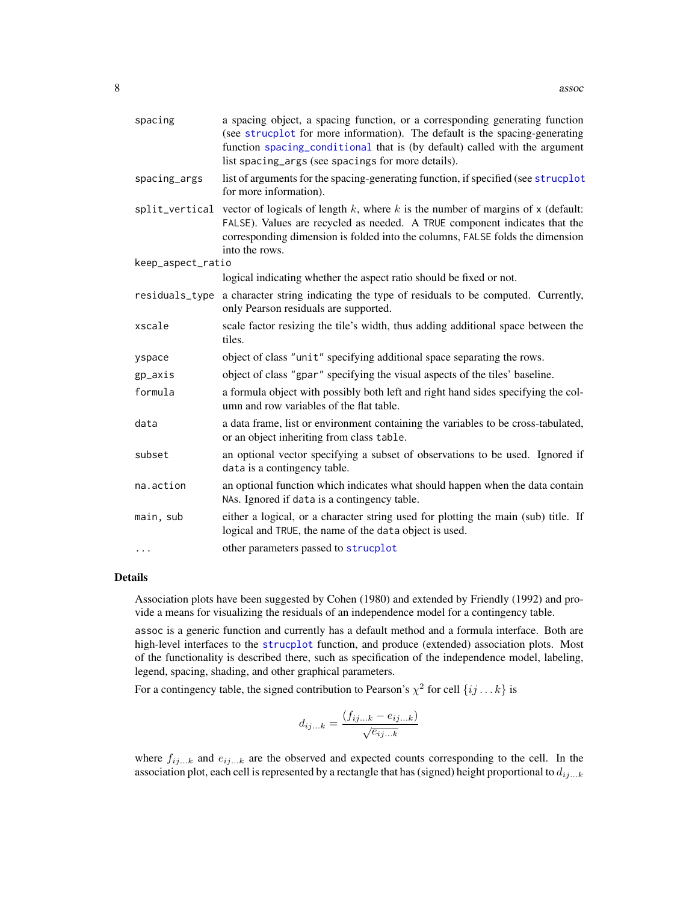| spacing           | a spacing object, a spacing function, or a corresponding generating function<br>(see strucplot for more information). The default is the spacing-generating<br>function spacing_conditional that is (by default) called with the argument<br>list spacing_args (see spacings for more details). |  |  |  |  |
|-------------------|-------------------------------------------------------------------------------------------------------------------------------------------------------------------------------------------------------------------------------------------------------------------------------------------------|--|--|--|--|
| spacing_args      | list of arguments for the spacing-generating function, if specified (see strucplot<br>for more information).                                                                                                                                                                                    |  |  |  |  |
|                   | split_vertical vector of logicals of length $k$ , where $k$ is the number of margins of $x$ (default:<br>FALSE). Values are recycled as needed. A TRUE component indicates that the<br>corresponding dimension is folded into the columns, FALSE folds the dimension<br>into the rows.          |  |  |  |  |
| keep_aspect_ratio |                                                                                                                                                                                                                                                                                                 |  |  |  |  |
|                   | logical indicating whether the aspect ratio should be fixed or not.                                                                                                                                                                                                                             |  |  |  |  |
| residuals_type    | a character string indicating the type of residuals to be computed. Currently,<br>only Pearson residuals are supported.                                                                                                                                                                         |  |  |  |  |
| xscale            | scale factor resizing the tile's width, thus adding additional space between the<br>tiles.                                                                                                                                                                                                      |  |  |  |  |
| yspace            | object of class "unit" specifying additional space separating the rows.                                                                                                                                                                                                                         |  |  |  |  |
| gp_axis           | object of class "gpar" specifying the visual aspects of the tiles' baseline.                                                                                                                                                                                                                    |  |  |  |  |
| formula           | a formula object with possibly both left and right hand sides specifying the col-<br>umn and row variables of the flat table.                                                                                                                                                                   |  |  |  |  |
| data              | a data frame, list or environment containing the variables to be cross-tabulated,<br>or an object inheriting from class table.                                                                                                                                                                  |  |  |  |  |
| subset            | an optional vector specifying a subset of observations to be used. Ignored if<br>data is a contingency table.                                                                                                                                                                                   |  |  |  |  |
| na.action         | an optional function which indicates what should happen when the data contain<br>NAs. Ignored if data is a contingency table.                                                                                                                                                                   |  |  |  |  |
| main, sub         | either a logical, or a character string used for plotting the main (sub) title. If<br>logical and TRUE, the name of the data object is used.                                                                                                                                                    |  |  |  |  |
| $\cdots$          | other parameters passed to strucplot                                                                                                                                                                                                                                                            |  |  |  |  |

#### Details

Association plots have been suggested by Cohen (1980) and extended by Friendly (1992) and provide a means for visualizing the residuals of an independence model for a contingency table.

assoc is a generic function and currently has a default method and a formula interface. Both are high-level interfaces to the [strucplot](#page-114-1) function, and produce (extended) association plots. Most of the functionality is described there, such as specification of the independence model, labeling, legend, spacing, shading, and other graphical parameters.

For a contingency table, the signed contribution to Pearson's  $\chi^2$  for cell  $\{ij...k\}$  is

$$
d_{ij...k} = \frac{(f_{ij...k} - e_{ij...k})}{\sqrt{e_{ij...k}}}
$$

where  $f_{ij...k}$  and  $e_{ij...k}$  are the observed and expected counts corresponding to the cell. In the association plot, each cell is represented by a rectangle that has (signed) height proportional to  $d_{ij...k}$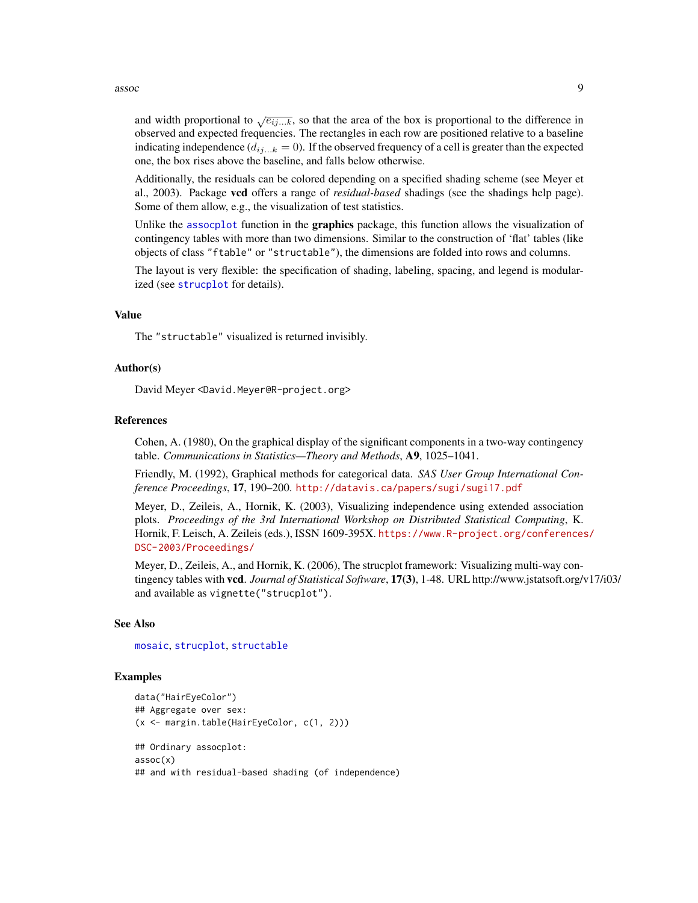and width proportional to  $\sqrt{e_{ij...k}}$ , so that the area of the box is proportional to the difference in observed and expected frequencies. The rectangles in each row are positioned relative to a baseline indicating independence  $(d_{ij...k} = 0)$ . If the observed frequency of a cell is greater than the expected one, the box rises above the baseline, and falls below otherwise.

Additionally, the residuals can be colored depending on a specified shading scheme (see Meyer et al., 2003). Package vcd offers a range of *residual-based* shadings (see the shadings help page). Some of them allow, e.g., the visualization of test statistics.

Unlike the [assocplot](#page-0-0) function in the **graphics** package, this function allows the visualization of contingency tables with more than two dimensions. Similar to the construction of 'flat' tables (like objects of class "ftable" or "structable"), the dimensions are folded into rows and columns.

The layout is very flexible: the specification of shading, labeling, spacing, and legend is modularized (see [strucplot](#page-114-1) for details).

#### Value

The "structable" visualized is returned invisibly.

#### Author(s)

David Meyer <David.Meyer@R-project.org>

#### References

Cohen, A. (1980), On the graphical display of the significant components in a two-way contingency table. *Communications in Statistics—Theory and Methods*, A9, 1025–1041.

Friendly, M. (1992), Graphical methods for categorical data. *SAS User Group International Conference Proceedings*, 17, 190–200. <http://datavis.ca/papers/sugi/sugi17.pdf>

Meyer, D., Zeileis, A., Hornik, K. (2003), Visualizing independence using extended association plots. *Proceedings of the 3rd International Workshop on Distributed Statistical Computing*, K. Hornik, F. Leisch, A. Zeileis (eds.), ISSN 1609-395X. [https://www.R-project.org/conferences](https://www.R-project.org/conferences/DSC-2003/Proceedings/)/ [DSC-2003/Proceedings/](https://www.R-project.org/conferences/DSC-2003/Proceedings/)

Meyer, D., Zeileis, A., and Hornik, K. (2006), The strucplot framework: Visualizing multi-way contingency tables with vcd. *Journal of Statistical Software*, 17(3), 1-48. URL http://www.jstatsoft.org/v17/i03/ and available as vignette("strucplot").

#### See Also

[mosaic](#page-72-1), [strucplot](#page-114-1), [structable](#page-118-1)

```
data("HairEyeColor")
## Aggregate over sex:
(x <- margin.table(HairEyeColor, c(1, 2)))
## Ordinary assocplot:
assoc(x)
## and with residual-based shading (of independence)
```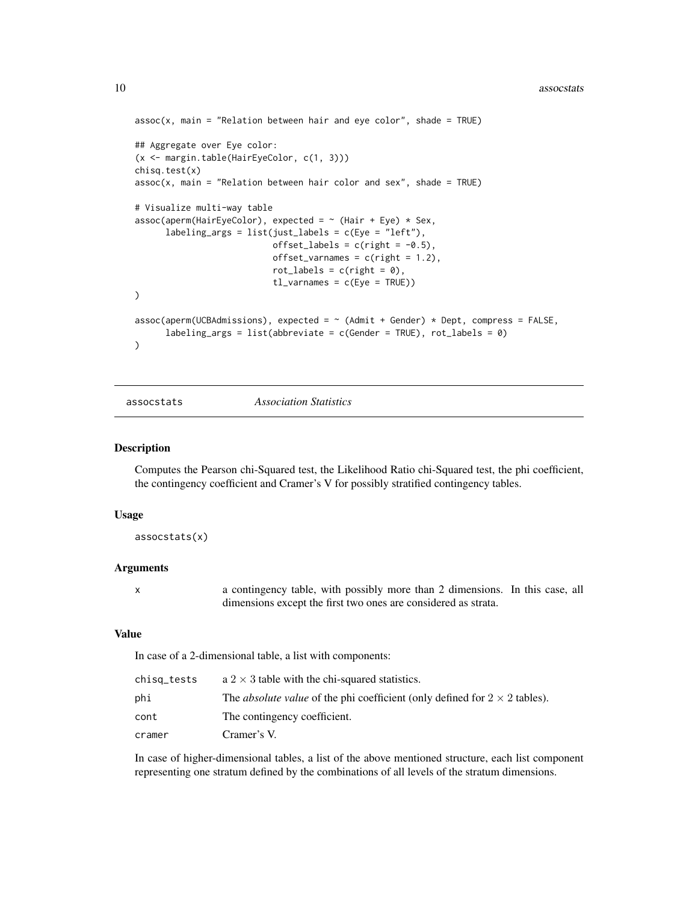```
assoc(x, main = "Relation between hair and eye color", shade = TRUE)## Aggregate over Eye color:
(x <- margin.table(HairEyeColor, c(1, 3)))
chisq.test(x)
assoc(x, main = "Relation between hair color and sex", shade = TRUE)# Visualize multi-way table
assoc(aperm(HairEyeColor), expected = ~ (Hair + Eye) * Sex,labeling_args = list(just_labels = c(Eye = "left",offset_labels = c(right = -0.5),
                           offset\_varnames = c(right = 1.2),
                            rot\_labels = c(right = 0),
                            tl\_varnames = c(Eye = TRUE)\mathcal{L}assoc(aperm(UCBAdmissions), expected = \sim (Admit + Gender) * Dept, compress = FALSE,
      labeling_args = list(abbreviate = c(Gender = TRUE), rot\_labels = 0)
\lambda
```
assocstats *Association Statistics*

#### Description

Computes the Pearson chi-Squared test, the Likelihood Ratio chi-Squared test, the phi coefficient, the contingency coefficient and Cramer's V for possibly stratified contingency tables.

#### Usage

assocstats(x)

#### Arguments

x a contingency table, with possibly more than 2 dimensions. In this case, all dimensions except the first two ones are considered as strata.

#### Value

In case of a 2-dimensional table, a list with components:

| chisq_tests | $a$ 2 $\times$ 3 table with the chi-squared statistics.                                  |
|-------------|------------------------------------------------------------------------------------------|
| phi         | The <i>absolute value</i> of the phi coefficient (only defined for $2 \times 2$ tables). |
| cont        | The contingency coefficient.                                                             |
| cramer      | Cramer's V.                                                                              |

In case of higher-dimensional tables, a list of the above mentioned structure, each list component representing one stratum defined by the combinations of all levels of the stratum dimensions.

<span id="page-9-0"></span>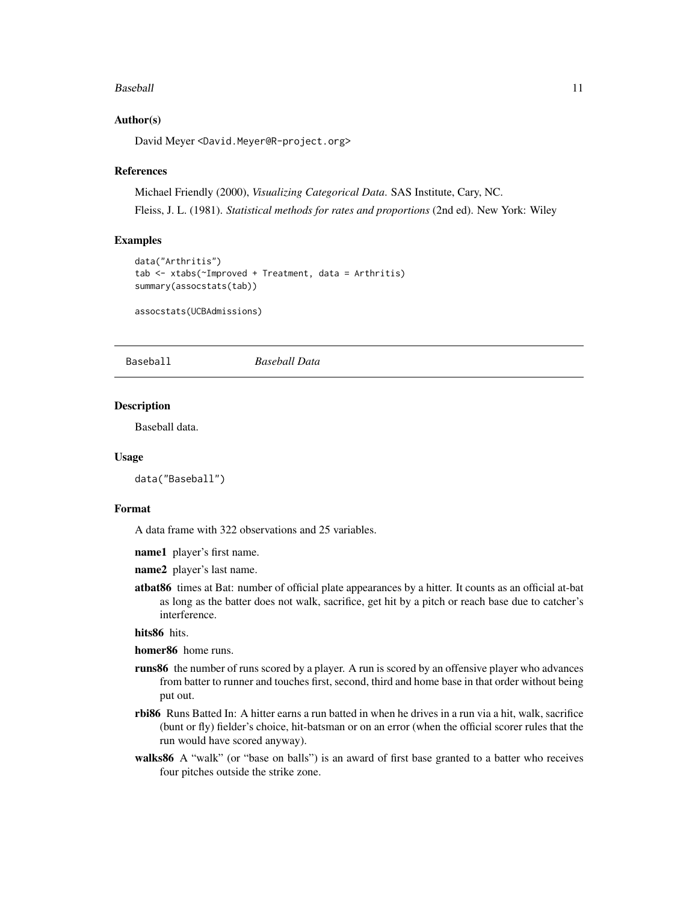#### <span id="page-10-0"></span>Baseball and the state of the state of the state of the state of the state of the state of the state of the state of the state of the state of the state of the state of the state of the state of the state of the state of t

#### Author(s)

David Meyer <David.Meyer@R-project.org>

#### References

Michael Friendly (2000), *Visualizing Categorical Data*. SAS Institute, Cary, NC. Fleiss, J. L. (1981). *Statistical methods for rates and proportions* (2nd ed). New York: Wiley

#### Examples

```
data("Arthritis")
tab <- xtabs(~Improved + Treatment, data = Arthritis)
summary(assocstats(tab))
```
assocstats(UCBAdmissions)

Baseball *Baseball Data*

#### **Description**

Baseball data.

#### Usage

data("Baseball")

#### Format

A data frame with 322 observations and 25 variables.

name1 player's first name.

- name2 player's last name.
- atbat86 times at Bat: number of official plate appearances by a hitter. It counts as an official at-bat as long as the batter does not walk, sacrifice, get hit by a pitch or reach base due to catcher's interference.

#### hits86 hits.

homer86 home runs.

- runs86 the number of runs scored by a player. A run is scored by an offensive player who advances from batter to runner and touches first, second, third and home base in that order without being put out.
- rbi86 Runs Batted In: A hitter earns a run batted in when he drives in a run via a hit, walk, sacrifice (bunt or fly) fielder's choice, hit-batsman or on an error (when the official scorer rules that the run would have scored anyway).
- walks86 A "walk" (or "base on balls") is an award of first base granted to a batter who receives four pitches outside the strike zone.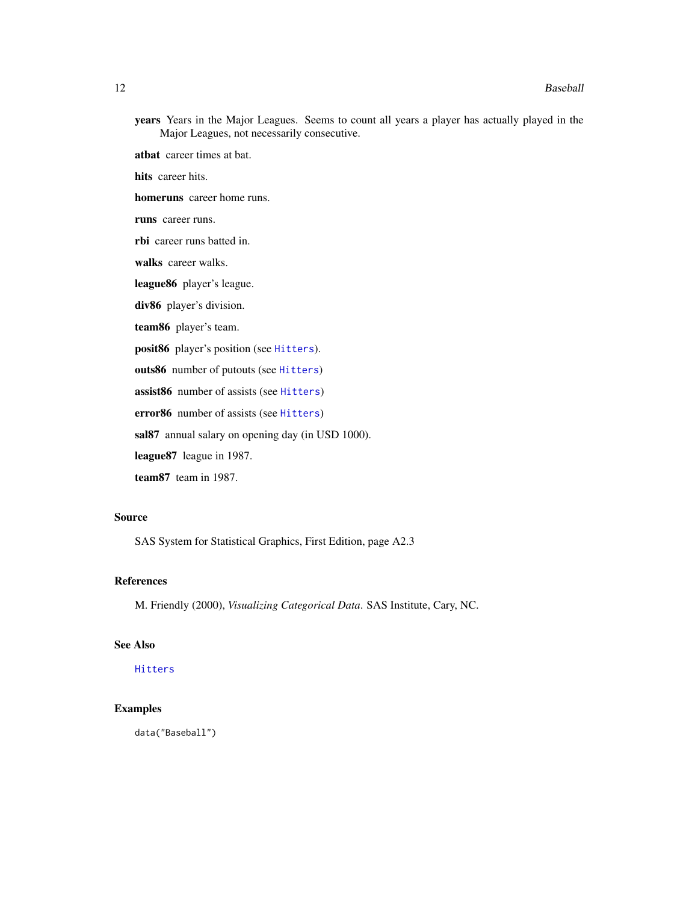years Years in the Major Leagues. Seems to count all years a player has actually played in the Major Leagues, not necessarily consecutive.

atbat career times at bat.

hits career hits.

homeruns career home runs.

runs career runs.

rbi career runs batted in.

walks career walks.

league86 player's league.

div86 player's division.

team86 player's team.

posit86 player's position (see [Hitters](#page-45-1)).

outs86 number of putouts (see [Hitters](#page-45-1))

assist86 number of assists (see [Hitters](#page-45-1))

error86 number of assists (see [Hitters](#page-45-1))

sal87 annual salary on opening day (in USD 1000).

league87 league in 1987.

team87 team in 1987.

#### Source

SAS System for Statistical Graphics, First Edition, page A2.3

#### References

M. Friendly (2000), *Visualizing Categorical Data*. SAS Institute, Cary, NC.

#### See Also

[Hitters](#page-45-1)

# Examples

data("Baseball")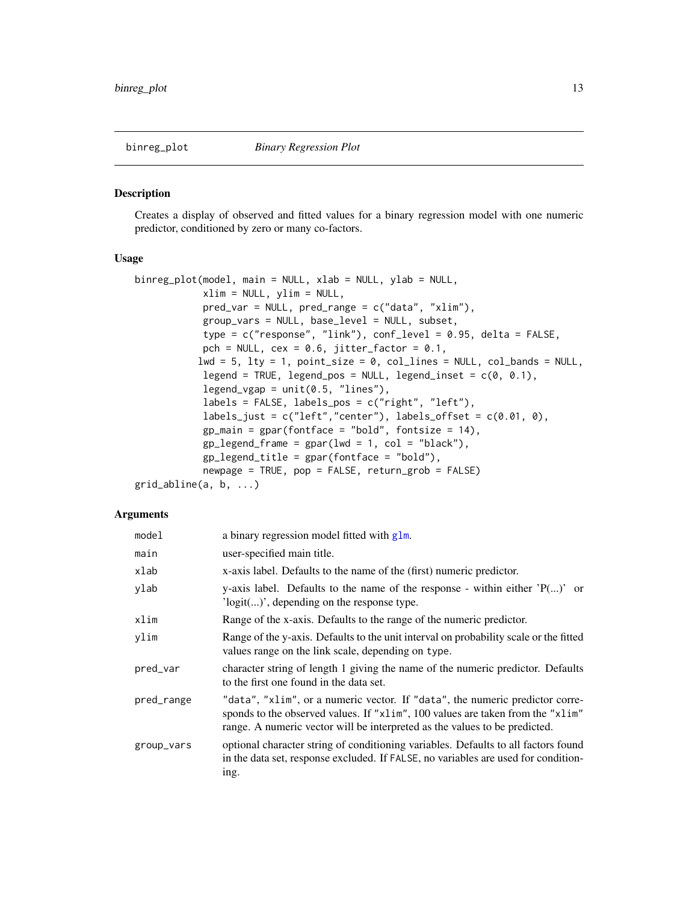#### <span id="page-12-0"></span>Description

Creates a display of observed and fitted values for a binary regression model with one numeric predictor, conditioned by zero or many co-factors.

#### Usage

```
binreg_plot(model, main = NULL, xlab = NULL, ylab = NULL,
            xlim = NULL, ylim = NULL,
            pred_var = NULL, pred_range = c("data", "xlim"),
            group_vars = NULL, base_level = NULL, subset,
            type = c("response", "link"), conf_level = 0.95, delta = FALSE,
            pch = NULL, cex = 0.6, jitter_factor = 0.1,
           lwd = 5, lty = 1, point\_size = 0, col\_lines = NULL, col\_bands = NULL,
            legend = TRUE, legend_pos = NULL, legend_inset = c(\theta, \theta.1),
            legend_vgap = unit(0.5, "lines"),labels = FALSE, labels_pos = c("right", "left"),
            labels_just = c("left","center"), labels_offset = c(0.01, 0),
            gp\_main = gpar(fontface = "bold", fontsize = 14),gp\_legend\_frame = gpar(lwd = 1, col = "black"),gp legend_title = gpar(fonfface = "bold"),
            newpage = TRUE, pop = FALSE, return_grob = FALSE)
grid_abline(a, b, ...)
```

| model      | a binary regression model fitted with glm.                                                                                                                                                                                                   |
|------------|----------------------------------------------------------------------------------------------------------------------------------------------------------------------------------------------------------------------------------------------|
| main       | user-specified main title.                                                                                                                                                                                                                   |
| xlab       | x-axis label. Defaults to the name of the (first) numeric predictor.                                                                                                                                                                         |
| ylab       | y-axis label. Defaults to the name of the response - within either $'P()$ or<br>$'logit()'$ , depending on the response type.                                                                                                                |
| xlim       | Range of the x-axis. Defaults to the range of the numeric predictor.                                                                                                                                                                         |
| ylim       | Range of the y-axis. Defaults to the unit interval on probability scale or the fitted<br>values range on the link scale, depending on type.                                                                                                  |
| pred_var   | character string of length 1 giving the name of the numeric predictor. Defaults<br>to the first one found in the data set.                                                                                                                   |
| pred_range | "data", "xlim", or a numeric vector. If "data", the numeric predictor corre-<br>sponds to the observed values. If "xlim", 100 values are taken from the "xlim"<br>range. A numeric vector will be interpreted as the values to be predicted. |
| group_vars | optional character string of conditioning variables. Defaults to all factors found<br>in the data set, response excluded. If FALSE, no variables are used for condition-<br>ing.                                                             |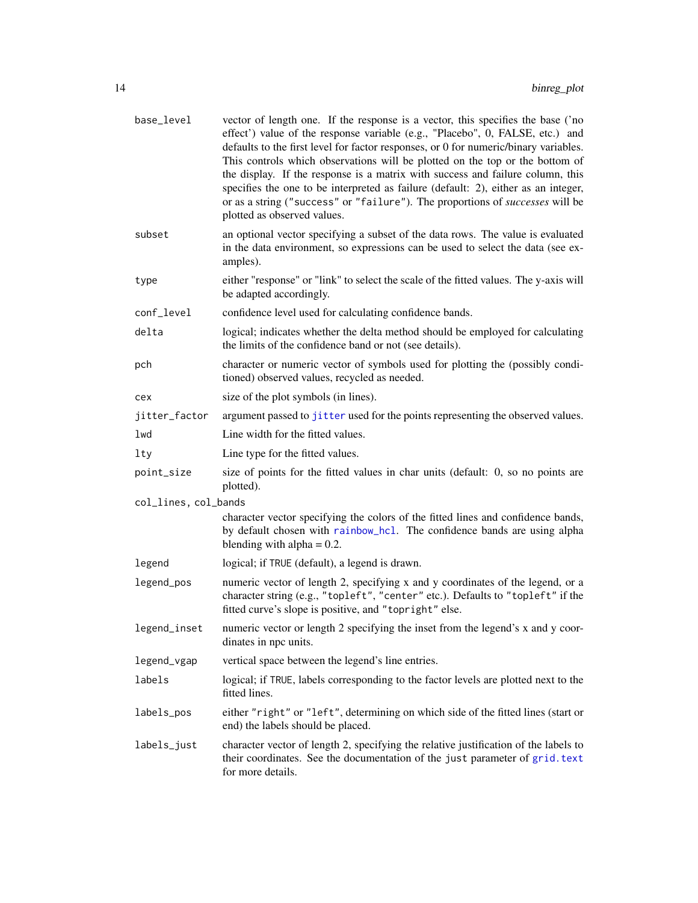| base_level           | vector of length one. If the response is a vector, this specifies the base ('no<br>effect') value of the response variable (e.g., "Placebo", 0, FALSE, etc.) and<br>defaults to the first level for factor responses, or 0 for numeric/binary variables.<br>This controls which observations will be plotted on the top or the bottom of<br>the display. If the response is a matrix with success and failure column, this<br>specifies the one to be interpreted as failure (default: 2), either as an integer,<br>or as a string ("success" or "failure"). The proportions of successes will be<br>plotted as observed values. |  |  |  |
|----------------------|----------------------------------------------------------------------------------------------------------------------------------------------------------------------------------------------------------------------------------------------------------------------------------------------------------------------------------------------------------------------------------------------------------------------------------------------------------------------------------------------------------------------------------------------------------------------------------------------------------------------------------|--|--|--|
| subset               | an optional vector specifying a subset of the data rows. The value is evaluated<br>in the data environment, so expressions can be used to select the data (see ex-<br>amples).                                                                                                                                                                                                                                                                                                                                                                                                                                                   |  |  |  |
| type                 | either "response" or "link" to select the scale of the fitted values. The y-axis will<br>be adapted accordingly.                                                                                                                                                                                                                                                                                                                                                                                                                                                                                                                 |  |  |  |
| conf_level           | confidence level used for calculating confidence bands.                                                                                                                                                                                                                                                                                                                                                                                                                                                                                                                                                                          |  |  |  |
| delta                | logical; indicates whether the delta method should be employed for calculating<br>the limits of the confidence band or not (see details).                                                                                                                                                                                                                                                                                                                                                                                                                                                                                        |  |  |  |
| pch                  | character or numeric vector of symbols used for plotting the (possibly condi-<br>tioned) observed values, recycled as needed.                                                                                                                                                                                                                                                                                                                                                                                                                                                                                                    |  |  |  |
| cex                  | size of the plot symbols (in lines).                                                                                                                                                                                                                                                                                                                                                                                                                                                                                                                                                                                             |  |  |  |
| jitter_factor        | argument passed to jitter used for the points representing the observed values.                                                                                                                                                                                                                                                                                                                                                                                                                                                                                                                                                  |  |  |  |
| lwd                  | Line width for the fitted values.                                                                                                                                                                                                                                                                                                                                                                                                                                                                                                                                                                                                |  |  |  |
| lty                  | Line type for the fitted values.                                                                                                                                                                                                                                                                                                                                                                                                                                                                                                                                                                                                 |  |  |  |
| point_size           | size of points for the fitted values in char units (default: 0, so no points are<br>plotted).                                                                                                                                                                                                                                                                                                                                                                                                                                                                                                                                    |  |  |  |
| col_lines, col_bands |                                                                                                                                                                                                                                                                                                                                                                                                                                                                                                                                                                                                                                  |  |  |  |
|                      | character vector specifying the colors of the fitted lines and confidence bands,<br>by default chosen with rainbow_hcl. The confidence bands are using alpha<br>blending with alpha $= 0.2$ .                                                                                                                                                                                                                                                                                                                                                                                                                                    |  |  |  |
| legend               | logical; if TRUE (default), a legend is drawn.                                                                                                                                                                                                                                                                                                                                                                                                                                                                                                                                                                                   |  |  |  |
| legend_pos           | numeric vector of length 2, specifying x and y coordinates of the legend, or a<br>character string (e.g., "topleft", "center" etc.). Defaults to "topleft" if the<br>fitted curve's slope is positive, and "topright" else.                                                                                                                                                                                                                                                                                                                                                                                                      |  |  |  |
| legend_inset         | numeric vector or length 2 specifying the inset from the legend's x and y coor-<br>dinates in npc units.                                                                                                                                                                                                                                                                                                                                                                                                                                                                                                                         |  |  |  |
| legend_vgap          | vertical space between the legend's line entries.                                                                                                                                                                                                                                                                                                                                                                                                                                                                                                                                                                                |  |  |  |
| labels               | logical; if TRUE, labels corresponding to the factor levels are plotted next to the<br>fitted lines.                                                                                                                                                                                                                                                                                                                                                                                                                                                                                                                             |  |  |  |
| labels_pos           | either "right" or "left", determining on which side of the fitted lines (start or<br>end) the labels should be placed.                                                                                                                                                                                                                                                                                                                                                                                                                                                                                                           |  |  |  |
| labels_just          | character vector of length 2, specifying the relative justification of the labels to<br>their coordinates. See the documentation of the just parameter of grid. text<br>for more details.                                                                                                                                                                                                                                                                                                                                                                                                                                        |  |  |  |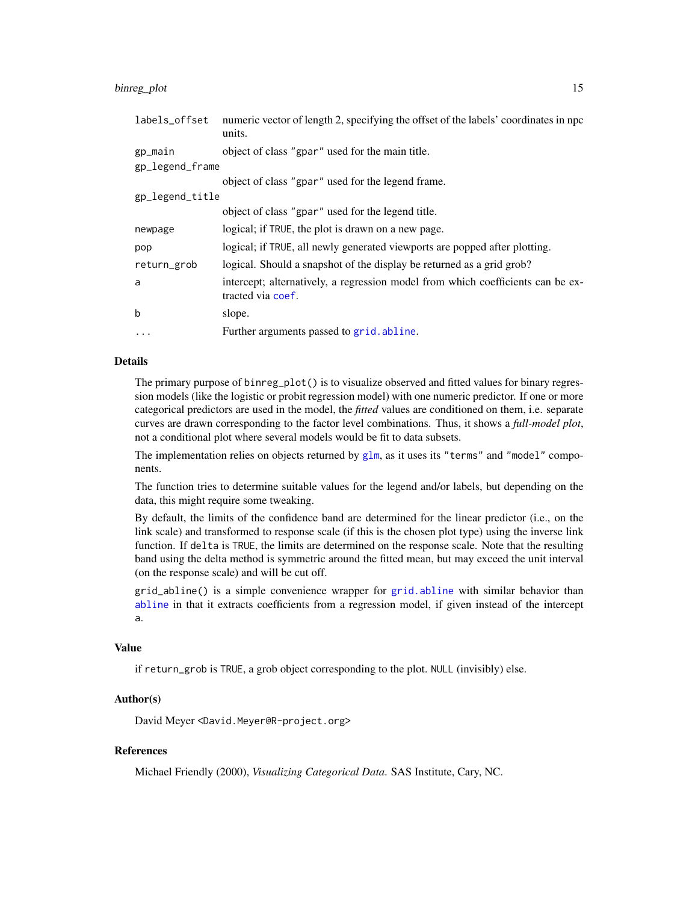#### binreg\_plot 15

| labels_offset   | numeric vector of length 2, specifying the offset of the labels' coordinates in npc<br>units.        |
|-----------------|------------------------------------------------------------------------------------------------------|
| gp_main         | object of class "gpar" used for the main title.                                                      |
| gp_legend_frame |                                                                                                      |
|                 | object of class "gpar" used for the legend frame.                                                    |
| gp_legend_title |                                                                                                      |
|                 | object of class "gpar" used for the legend title.                                                    |
| newpage         | logical; if TRUE, the plot is drawn on a new page.                                                   |
| pop             | logical; if TRUE, all newly generated viewports are popped after plotting.                           |
| return_grob     | logical. Should a snapshot of the display be returned as a grid grob?                                |
| a               | intercept; alternatively, a regression model from which coefficients can be ex-<br>tracted via coef. |
| $\mathbf b$     | slope.                                                                                               |
| $\cdot$         | Further arguments passed to grid. abline.                                                            |

### Details

The primary purpose of binreg\_plot() is to visualize observed and fitted values for binary regression models (like the logistic or probit regression model) with one numeric predictor. If one or more categorical predictors are used in the model, the *fitted* values are conditioned on them, i.e. separate curves are drawn corresponding to the factor level combinations. Thus, it shows a *full-model plot*, not a conditional plot where several models would be fit to data subsets.

The implementation relies on objects returned by  $g1m$ , as it uses its "terms" and "model" components.

The function tries to determine suitable values for the legend and/or labels, but depending on the data, this might require some tweaking.

By default, the limits of the confidence band are determined for the linear predictor (i.e., on the link scale) and transformed to response scale (if this is the chosen plot type) using the inverse link function. If delta is TRUE, the limits are determined on the response scale. Note that the resulting band using the delta method is symmetric around the fitted mean, but may exceed the unit interval (on the response scale) and will be cut off.

grid\_abline() is a simple convenience wrapper for [grid.abline](#page-0-0) with similar behavior than [abline](#page-0-0) in that it extracts coefficients from a regression model, if given instead of the intercept a.

#### Value

if return\_grob is TRUE, a grob object corresponding to the plot. NULL (invisibly) else.

#### Author(s)

David Meyer <David.Meyer@R-project.org>

#### References

Michael Friendly (2000), *Visualizing Categorical Data*. SAS Institute, Cary, NC.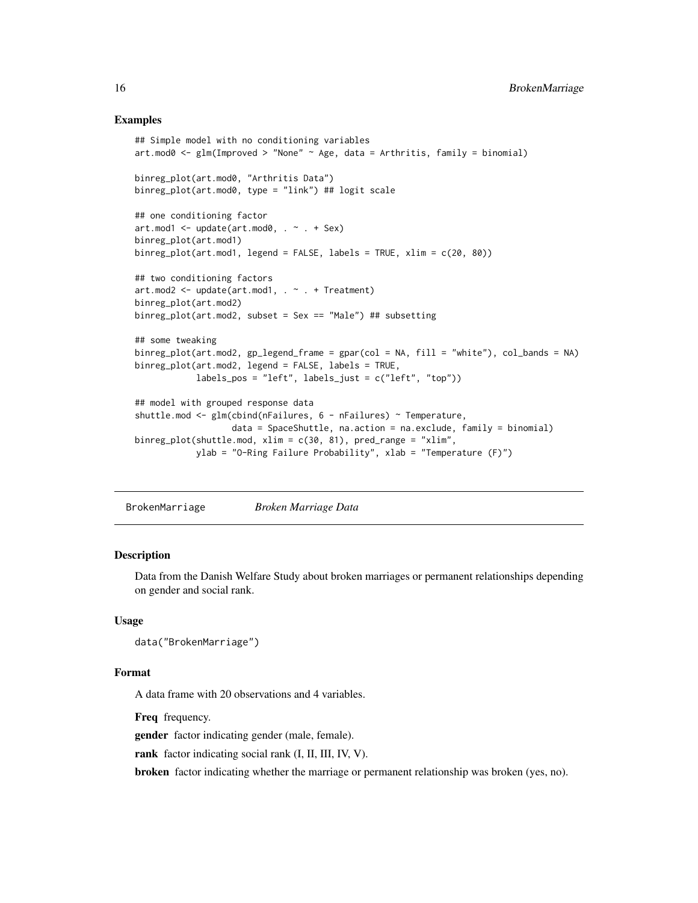#### Examples

```
## Simple model with no conditioning variables
art.mod0 <- glm(Improved > "None" \sim Age, data = Arthritis, family = binomial)
binreg_plot(art.mod0, "Arthritis Data")
binreg_plot(art.mod0, type = "link") ## logit scale
## one conditioning factor
art.mod1 \leq - update(art.mod0, . - . + Sex)binreg_plot(art.mod1)
binreg_plot(art.mod1, legend = FALSE, labels = TRUE, xlim = c(20, 80))
## two conditioning factors
art.mod2 \leq - update(art.mod1, . - . + Treatment)binreg_plot(art.mod2)
binreg_plot(art.mod2, subset = Sex == "Male") ## subsetting
## some tweaking
binreg_plot(art.mod2, gp_legend_frame = gpar(col = NA, fill = "white"), col_bands = NA)
binreg_plot(art.mod2, legend = FALSE, labels = TRUE,
            labels_pos = "left", labels_just = c("left", "top"))
## model with grouped response data
shuttle.mod <- glm(cbind(nFailures, 6 - nFailures) ~ Temperature,
                   data = SpaceShuttle, na.action = na.exclude, family = binomial)
binreg_plot(shuttle.mod, xlim = c(30, 81), pred_range = "xlim",
            ylab = "O-Ring Failure Probability", xlab = "Temperature (F)")
```
BrokenMarriage *Broken Marriage Data*

#### Description

Data from the Danish Welfare Study about broken marriages or permanent relationships depending on gender and social rank.

### Usage

```
data("BrokenMarriage")
```
#### Format

A data frame with 20 observations and 4 variables.

Freq frequency.

gender factor indicating gender (male, female).

rank factor indicating social rank (I, II, III, IV, V).

broken factor indicating whether the marriage or permanent relationship was broken (yes, no).

<span id="page-15-0"></span>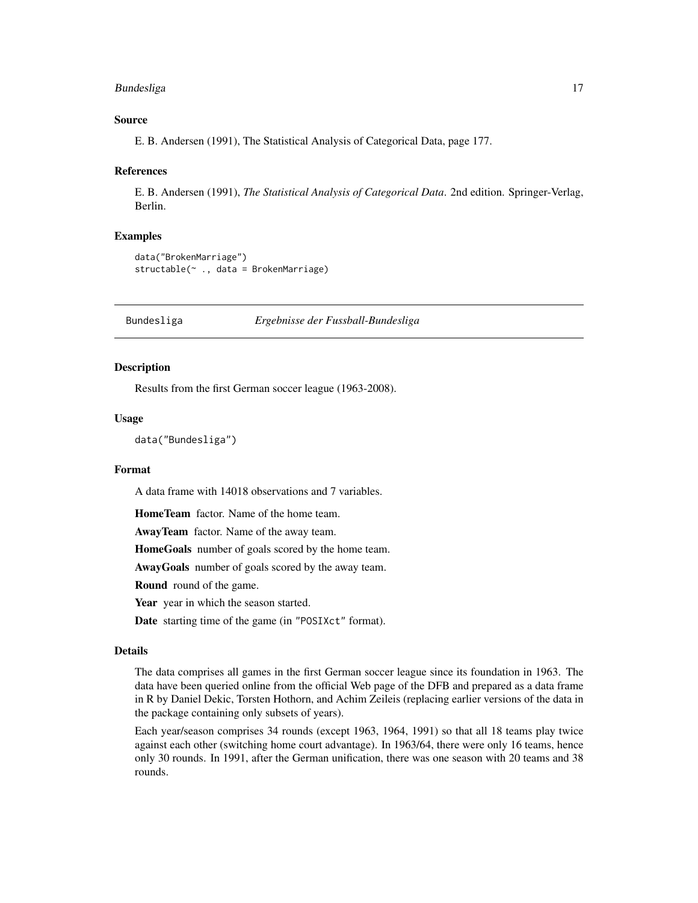# <span id="page-16-0"></span>Bundesliga 17

#### Source

E. B. Andersen (1991), The Statistical Analysis of Categorical Data, page 177.

#### References

E. B. Andersen (1991), *The Statistical Analysis of Categorical Data*. 2nd edition. Springer-Verlag, Berlin.

#### Examples

```
data("BrokenMarriage")
structable(~ ., data = BrokenMarriage)
```
Bundesliga *Ergebnisse der Fussball-Bundesliga*

#### Description

Results from the first German soccer league (1963-2008).

#### Usage

```
data("Bundesliga")
```
# Format

A data frame with 14018 observations and 7 variables.

HomeTeam factor. Name of the home team.

AwayTeam factor. Name of the away team.

HomeGoals number of goals scored by the home team.

AwayGoals number of goals scored by the away team.

Round round of the game.

Year year in which the season started.

Date starting time of the game (in "POSIXct" format).

#### Details

The data comprises all games in the first German soccer league since its foundation in 1963. The data have been queried online from the official Web page of the DFB and prepared as a data frame in R by Daniel Dekic, Torsten Hothorn, and Achim Zeileis (replacing earlier versions of the data in the package containing only subsets of years).

Each year/season comprises 34 rounds (except 1963, 1964, 1991) so that all 18 teams play twice against each other (switching home court advantage). In 1963/64, there were only 16 teams, hence only 30 rounds. In 1991, after the German unification, there was one season with 20 teams and 38 rounds.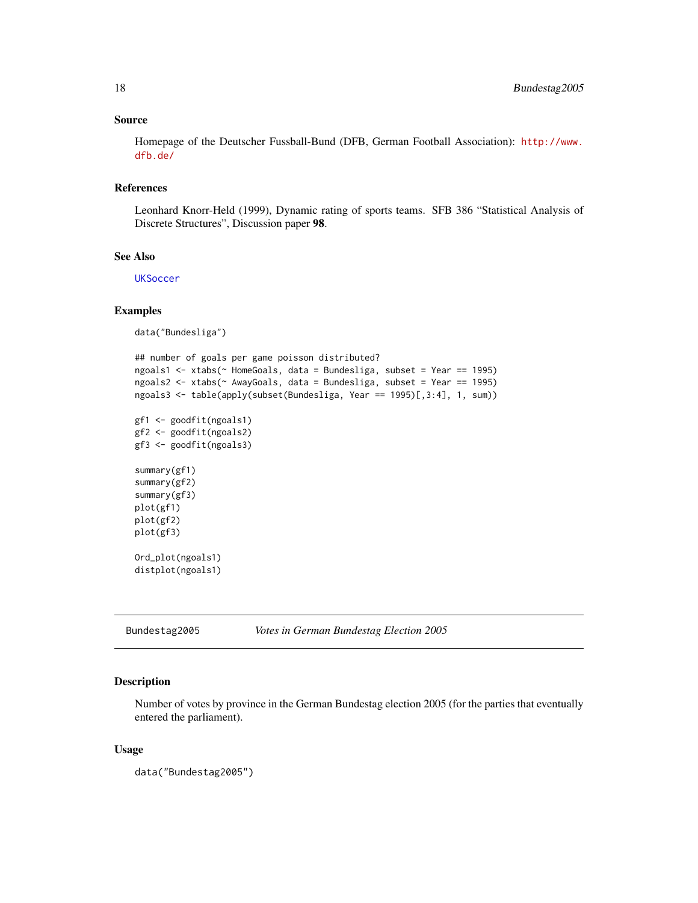#### <span id="page-17-0"></span>Source

Homepage of the Deutscher Fussball-Bund (DFB, German Football Association): [http://www.](http://www.dfb.de/) [dfb.de/](http://www.dfb.de/)

# References

Leonhard Knorr-Held (1999), Dynamic rating of sports teams. SFB 386 "Statistical Analysis of Discrete Structures", Discussion paper 98.

#### See Also

**[UKSoccer](#page-133-1)** 

#### Examples

data("Bundesliga")

```
## number of goals per game poisson distributed?
ngoals1 <- xtabs(~ HomeGoals, data = Bundesliga, subset = Year == 1995)
ngoals2 <- xtabs(~ AwayGoals, data = Bundesliga, subset = Year == 1995)
ngoals3 <- table(apply(subset(Bundesliga, Year == 1995)[,3:4], 1, sum))
gf1 <- goodfit(ngoals1)
gf2 <- goodfit(ngoals2)
gf3 <- goodfit(ngoals3)
summary(gf1)
summary(gf2)
summary(gf3)
plot(gf1)
plot(gf2)
plot(gf3)
Ord_plot(ngoals1)
distplot(ngoals1)
```
Bundestag2005 *Votes in German Bundestag Election 2005*

# Description

Number of votes by province in the German Bundestag election 2005 (for the parties that eventually entered the parliament).

#### Usage

data("Bundestag2005")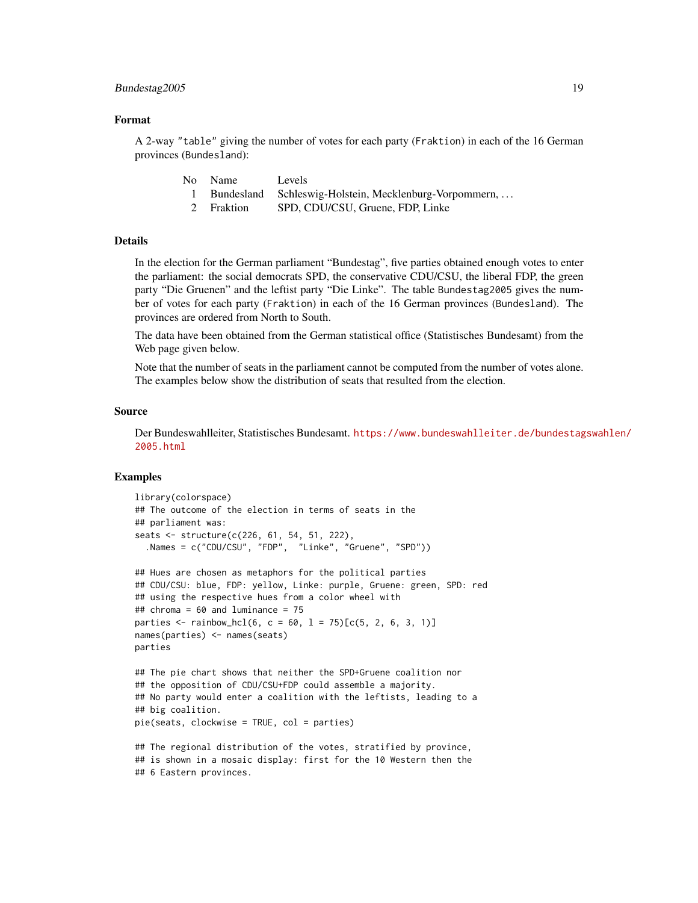#### Bundestag2005 19

#### Format

A 2-way "table" giving the number of votes for each party (Fraktion) in each of the 16 German provinces (Bundesland):

| No Name    | Levels                                                 |
|------------|--------------------------------------------------------|
|            | Bundesland Schleswig-Holstein, Mecklenburg-Vorpommern, |
| 2 Fraktion | SPD. CDU/CSU. Gruene. FDP. Linke                       |

#### Details

In the election for the German parliament "Bundestag", five parties obtained enough votes to enter the parliament: the social democrats SPD, the conservative CDU/CSU, the liberal FDP, the green party "Die Gruenen" and the leftist party "Die Linke". The table Bundestag2005 gives the number of votes for each party (Fraktion) in each of the 16 German provinces (Bundesland). The provinces are ordered from North to South.

The data have been obtained from the German statistical office (Statistisches Bundesamt) from the Web page given below.

Note that the number of seats in the parliament cannot be computed from the number of votes alone. The examples below show the distribution of seats that resulted from the election.

#### Source

Der Bundeswahlleiter, Statistisches Bundesamt. [https://www.bundeswahlleiter.de/bundestag](https://www.bundeswahlleiter.de/bundestagswahlen/2005.html)swahlen/ [2005.html](https://www.bundeswahlleiter.de/bundestagswahlen/2005.html)

```
library(colorspace)
## The outcome of the election in terms of seats in the
## parliament was:
seats <- structure(c(226, 61, 54, 51, 222),
  .Names = c("CDU/CSU", "FDP", "Linke", "Gruene", "SPD"))
```

```
## Hues are chosen as metaphors for the political parties
## CDU/CSU: blue, FDP: yellow, Linke: purple, Gruene: green, SPD: red
## using the respective hues from a color wheel with
## chroma = 60 and luminance = 75
parties \le rainbow_hcl(6, c = 60, l = 75)[c(5, 2, 6, 3, 1)]
names(parties) <- names(seats)
parties
```

```
## The pie chart shows that neither the SPD+Gruene coalition nor
## the opposition of CDU/CSU+FDP could assemble a majority.
## No party would enter a coalition with the leftists, leading to a
## big coalition.
pie(seats, clockwise = TRUE, col = parties)
```

```
## The regional distribution of the votes, stratified by province,
## is shown in a mosaic display: first for the 10 Western then the
## 6 Eastern provinces.
```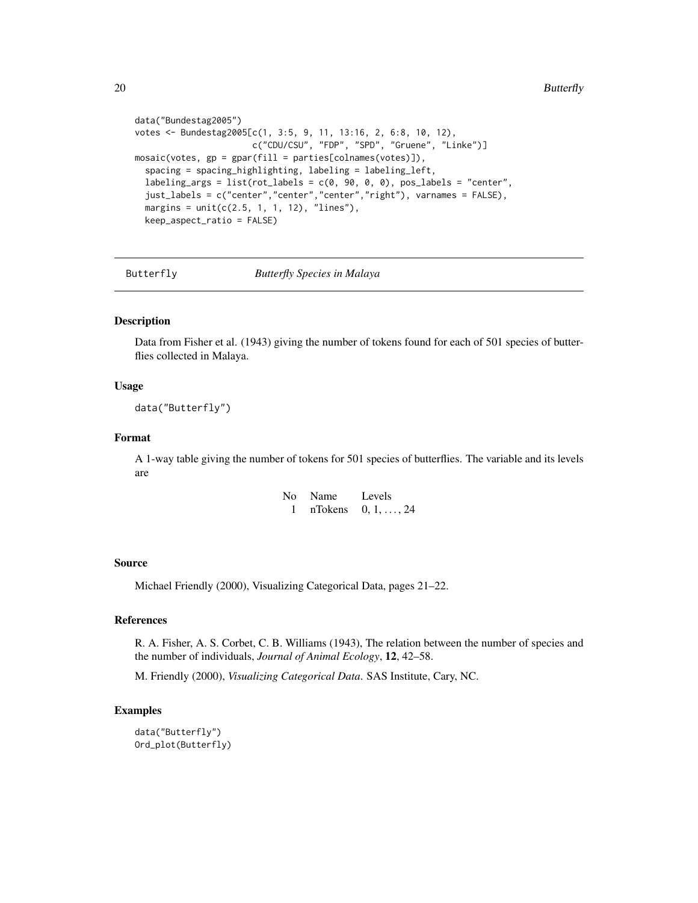```
data("Bundestag2005")
votes <- Bundestag2005[c(1, 3:5, 9, 11, 13:16, 2, 6:8, 10, 12),
                       c("CDU/CSU", "FDP", "SPD", "Gruene", "Linke")]
mosaic(votes, gp = gpar(fill = parties[colnames(votes)]),
 spacing = spacing_highlighting, labeling = labeling_left,
 labeling_args = list(rot_labels = c(0, 90, 0, 0), pos_labels = "center",
 just_labels = c("center","center","center","right"), varnames = FALSE),
 margins = unit(c(2.5, 1, 1, 12), "lines"),
 keep_aspect_ratio = FALSE)
```
Butterfly *Butterfly Species in Malaya*

# Description

Data from Fisher et al. (1943) giving the number of tokens found for each of 501 species of butterflies collected in Malaya.

#### Usage

data("Butterfly")

# Format

A 1-way table giving the number of tokens for 501 species of butterflies. The variable and its levels are

| No | Name    | Levels             |
|----|---------|--------------------|
|    | nTokens | $0, 1, \ldots, 24$ |

#### Source

Michael Friendly (2000), Visualizing Categorical Data, pages 21–22.

# References

R. A. Fisher, A. S. Corbet, C. B. Williams (1943), The relation between the number of species and the number of individuals, *Journal of Animal Ecology*, 12, 42–58.

M. Friendly (2000), *Visualizing Categorical Data*. SAS Institute, Cary, NC.

```
data("Butterfly")
Ord_plot(Butterfly)
```
<span id="page-19-0"></span>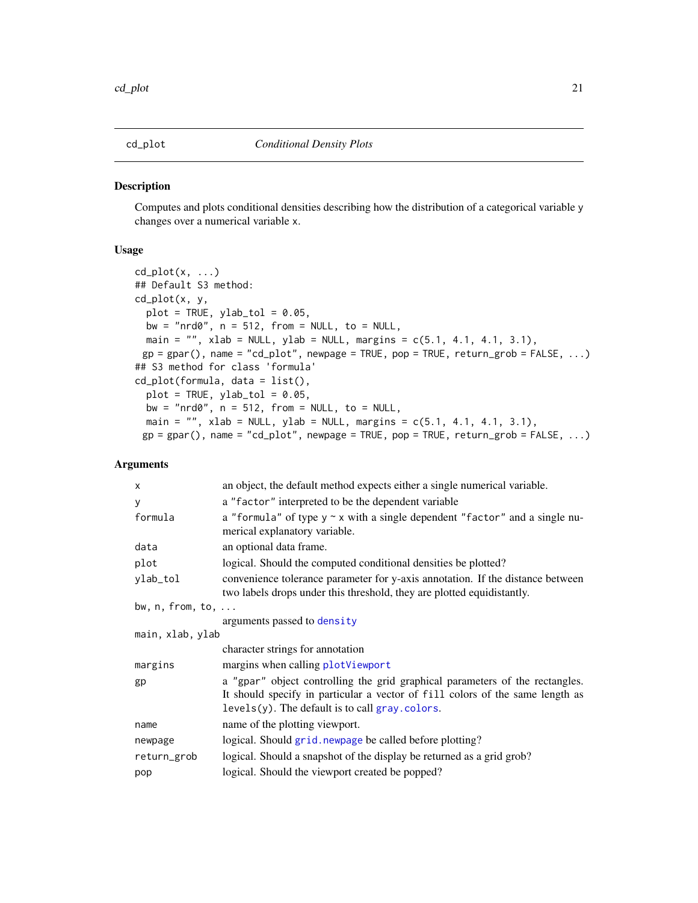<span id="page-20-0"></span>

#### Description

Computes and plots conditional densities describing how the distribution of a categorical variable y changes over a numerical variable x.

# Usage

```
cd\_plot(x, \ldots)## Default S3 method:
cd_plot(x, y,
  plot = TRUE, ylab_tol = 0.05,
 bw = "nrd0", n = 512, from = NULL, to = NULL,
 main = "", xlab = NULL, ylab = NULL, margins = c(5.1, 4.1, 4.1, 3.1),
 gp = gpar(), name = "cd_plot", newpage = TRUE, pop = TRUE, return_grob = FALSE, ...)
## S3 method for class 'formula'
cd_plot(formula, data = list(),
  plot = TRUE, ylab\_tol = 0.05,bw = "nrd0", n = 512, from = NULL, to = NULL,
  main = ", xlab = NULL, ylab = NULL, margins = c(5.1, 4.1, 4.1, 3.1),
 gp = gpar(), name = "cd_plot", newpage = TRUE, pop = TRUE, return_grob = FALSE, ...)
```

| X                          | an object, the default method expects either a single numerical variable.                                                                                                                                           |
|----------------------------|---------------------------------------------------------------------------------------------------------------------------------------------------------------------------------------------------------------------|
| У                          | a "factor" interpreted to be the dependent variable                                                                                                                                                                 |
| formula                    | a "formula" of type $y \sim x$ with a single dependent "factor" and a single nu-<br>merical explanatory variable.                                                                                                   |
| data                       | an optional data frame.                                                                                                                                                                                             |
| plot                       | logical. Should the computed conditional densities be plotted?                                                                                                                                                      |
| ylab_tol                   | convenience tolerance parameter for y-axis annotation. If the distance between<br>two labels drops under this threshold, they are plotted equidistantly.                                                            |
| bw, $n,$ from, to, $\dots$ |                                                                                                                                                                                                                     |
|                            | arguments passed to density                                                                                                                                                                                         |
| main, xlab, ylab           |                                                                                                                                                                                                                     |
|                            | character strings for annotation                                                                                                                                                                                    |
| margins                    | margins when calling plotViewport                                                                                                                                                                                   |
| gp                         | a "gpar" object controlling the grid graphical parameters of the rectangles.<br>It should specify in particular a vector of fill colors of the same length as<br>$levels(y)$ . The default is to call gray. colors. |
| name                       | name of the plotting viewport.                                                                                                                                                                                      |
| newpage                    | logical. Should grid. newpage be called before plotting?                                                                                                                                                            |
| return_grob                | logical. Should a snapshot of the display be returned as a grid grob?                                                                                                                                               |
| pop                        | logical. Should the viewport created be popped?                                                                                                                                                                     |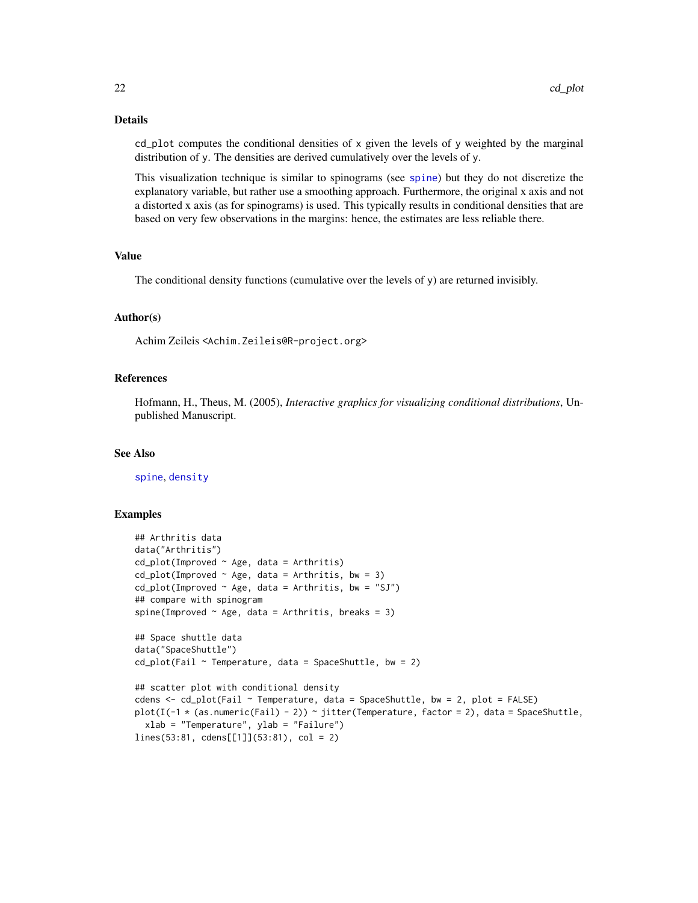#### Details

cd\_plot computes the conditional densities of x given the levels of y weighted by the marginal distribution of y. The densities are derived cumulatively over the levels of y.

This visualization technique is similar to spinograms (see [spine](#page-112-1)) but they do not discretize the explanatory variable, but rather use a smoothing approach. Furthermore, the original x axis and not a distorted x axis (as for spinograms) is used. This typically results in conditional densities that are based on very few observations in the margins: hence, the estimates are less reliable there.

### Value

The conditional density functions (cumulative over the levels of y) are returned invisibly.

#### Author(s)

Achim Zeileis <Achim.Zeileis@R-project.org>

#### References

Hofmann, H., Theus, M. (2005), *Interactive graphics for visualizing conditional distributions*, Unpublished Manuscript.

#### See Also

[spine](#page-112-1), [density](#page-0-0)

```
## Arthritis data
data("Arthritis")
cd\_plot(Improved ~ Age, data = Arthritis)cd\_plot(Imported ~ Age, data = Arthritis, bw = 3)cd\_plot(Improved \sim Age, data = Arthritis, bw = "SJ")## compare with spinogram
spine(Improved \sim Age, data = Arthritis, breaks = 3)
## Space shuttle data
data("SpaceShuttle")
cd\_plot(Fail ~ Temperature, data = SpaceShuttle, bw = 2)## scatter plot with conditional density
cdens \leq - cd_plot(Fail \sim Temperature, data = SpaceShuttle, bw = 2, plot = FALSE)
plot(I(-1 \star (as.numeric(Fail) - 2)) \sim jitter(Temperature, factor = 2), data = SpaceShuttle,
 xlab = "Temperature", ylab = "Failure")
lines(53:81, cdens[[1]](53:81), col = 2)
```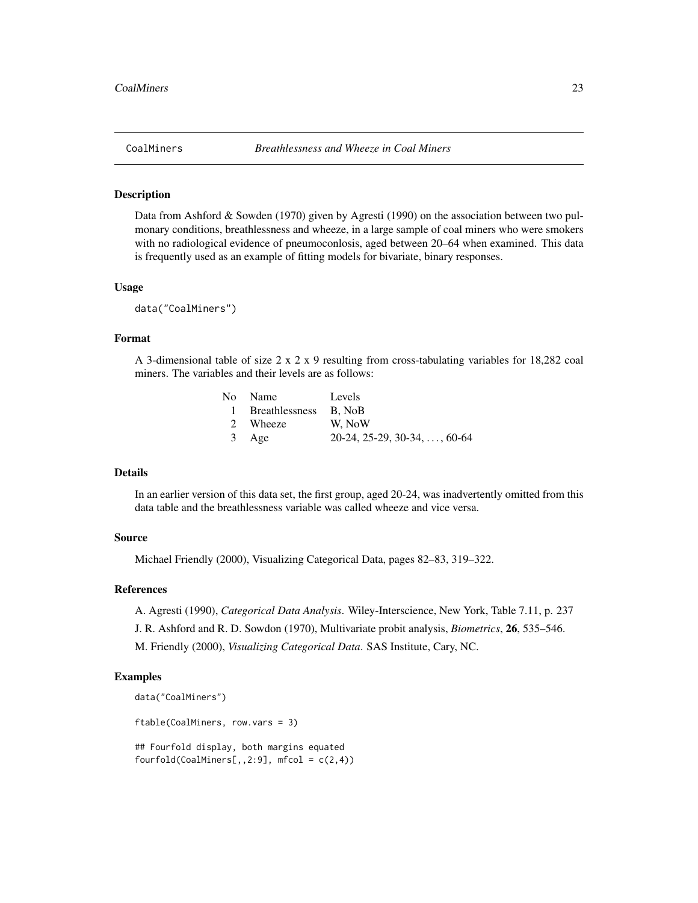<span id="page-22-0"></span>

#### Description

Data from Ashford & Sowden (1970) given by Agresti (1990) on the association between two pulmonary conditions, breathlessness and wheeze, in a large sample of coal miners who were smokers with no radiological evidence of pneumoconlosis, aged between 20–64 when examined. This data is frequently used as an example of fitting models for bivariate, binary responses.

#### Usage

data("CoalMiners")

### Format

A 3-dimensional table of size  $2 \times 2 \times 9$  resulting from cross-tabulating variables for 18,282 coal miners. The variables and their levels are as follows:

| No Name                 | Levels                               |
|-------------------------|--------------------------------------|
| 1 Breathlessness B. NoB |                                      |
| 2 Wheeze                | W. NoW                               |
| 3 Age                   | $20-24, 25-29, 30-34, \ldots, 60-64$ |

#### Details

In an earlier version of this data set, the first group, aged 20-24, was inadvertently omitted from this data table and the breathlessness variable was called wheeze and vice versa.

#### Source

Michael Friendly (2000), Visualizing Categorical Data, pages 82–83, 319–322.

#### References

A. Agresti (1990), *Categorical Data Analysis*. Wiley-Interscience, New York, Table 7.11, p. 237

J. R. Ashford and R. D. Sowdon (1970), Multivariate probit analysis, *Biometrics*, 26, 535–546.

M. Friendly (2000), *Visualizing Categorical Data*. SAS Institute, Cary, NC.

#### Examples

```
data("CoalMiners")
```
ftable(CoalMiners, row.vars = 3)

## Fourfold display, both margins equated  $fourfold(CoalMiners[, 2:9], mfcol = c(2,4))$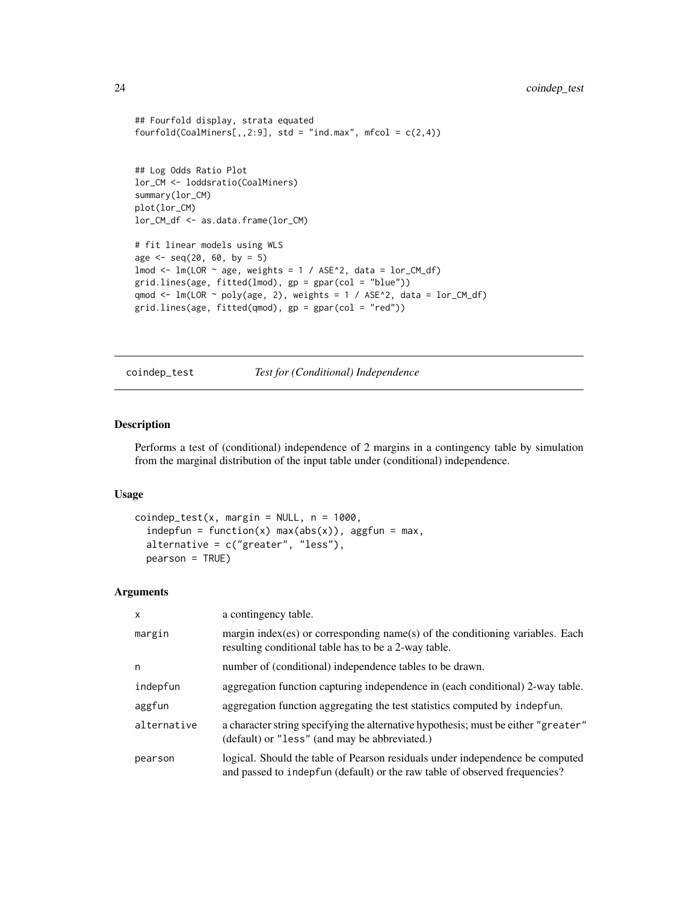```
## Fourfold display, strata equated
fourfold(CoalMiners[,,2:9], std = "ind.max", mfcol = c(2,4))
## Log Odds Ratio Plot
lor_CM <- loddsratio(CoalMiners)
summary(lor_CM)
plot(lor_CM)
lor_CM_df <- as.data.frame(lor_CM)
# fit linear models using WLS
age \leq seq(20, 60, by = 5)
lmod \leq lm(LOR \sim age, weights = 1 / ASE^{\wedge}2, data = lor_CM_df)
grid.lines(age, fitted(lmod), gp = gpar(col = "blue"))
qmod <- lm(LOR ~ poly(age, 2), weights = 1 / ASE^2, data = lor_CM_df)
grid.lines(age, fitted(qmod), gp = gpar(col = "red"))
```
<span id="page-23-1"></span>coindep\_test *Test for (Conditional) Independence*

#### Description

Performs a test of (conditional) independence of 2 margins in a contingency table by simulation from the marginal distribution of the input table under (conditional) independence.

### Usage

```
coindep\_test(x, margin = NULL, n = 1000,indepfun = function(x) max(abs(x)), aggfun = max,
  alternative = c("greater", "less"),
 pearson = TRUE)
```

| X           | a contingency table.                                                                                                                                        |
|-------------|-------------------------------------------------------------------------------------------------------------------------------------------------------------|
| margin      | margin index (es) or corresponding name(s) of the conditioning variables. Each<br>resulting conditional table has to be a 2-way table.                      |
| n           | number of (conditional) independence tables to be drawn.                                                                                                    |
| indepfun    | aggregation function capturing independence in (each conditional) 2-way table.                                                                              |
| aggfun      | aggregation function aggregating the test statistics computed by indepfun.                                                                                  |
| alternative | a character string specifying the alternative hypothesis; must be either "greater"<br>(default) or "less" (and may be abbreviated.)                         |
| pearson     | logical. Should the table of Pearson residuals under independence be computed<br>and passed to indepfun (default) or the raw table of observed frequencies? |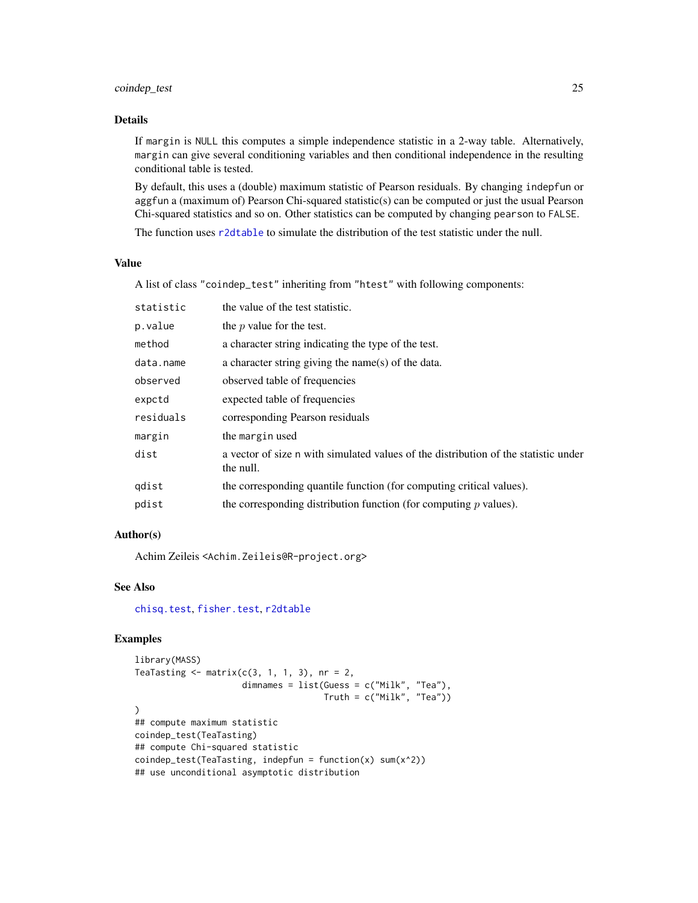# coindep\_test 25

# Details

If margin is NULL this computes a simple independence statistic in a 2-way table. Alternatively, margin can give several conditioning variables and then conditional independence in the resulting conditional table is tested.

By default, this uses a (double) maximum statistic of Pearson residuals. By changing indepfun or aggfun a (maximum of) Pearson Chi-squared statistic(s) can be computed or just the usual Pearson Chi-squared statistics and so on. Other statistics can be computed by changing pearson to FALSE.

The function uses [r2dtable](#page-0-0) to simulate the distribution of the test statistic under the null.

# Value

A list of class "coindep\_test" inheriting from "htest" with following components:

| statistic | the value of the test statistic.                                                                 |
|-----------|--------------------------------------------------------------------------------------------------|
| p.value   | the $p$ value for the test.                                                                      |
| method    | a character string indicating the type of the test.                                              |
| data.name | a character string giving the name(s) of the data.                                               |
| observed  | observed table of frequencies                                                                    |
| expctd    | expected table of frequencies                                                                    |
| residuals | corresponding Pearson residuals                                                                  |
| margin    | the margin used                                                                                  |
| dist      | a vector of size n with simulated values of the distribution of the statistic under<br>the null. |
| qdist     | the corresponding quantile function (for computing critical values).                             |
| pdist     | the corresponding distribution function (for computing $p$ values).                              |
|           |                                                                                                  |

# Author(s)

Achim Zeileis <Achim.Zeileis@R-project.org>

#### See Also

[chisq.test](#page-0-0), [fisher.test](#page-0-0), [r2dtable](#page-0-0)

```
library(MASS)
TeaTasting \leq matrix(c(3, 1, 1, 3), nr = 2,
                    dimnames = list(Guess = c("Milk", "Tea"),
                                     Truth = c("Milk", "Tea"))
## compute maximum statistic
coindep_test(TeaTasting)
## compute Chi-squared statistic
coindep\_test(TeaTasting, indepfun = function(x) sum(x^2))## use unconditional asymptotic distribution
```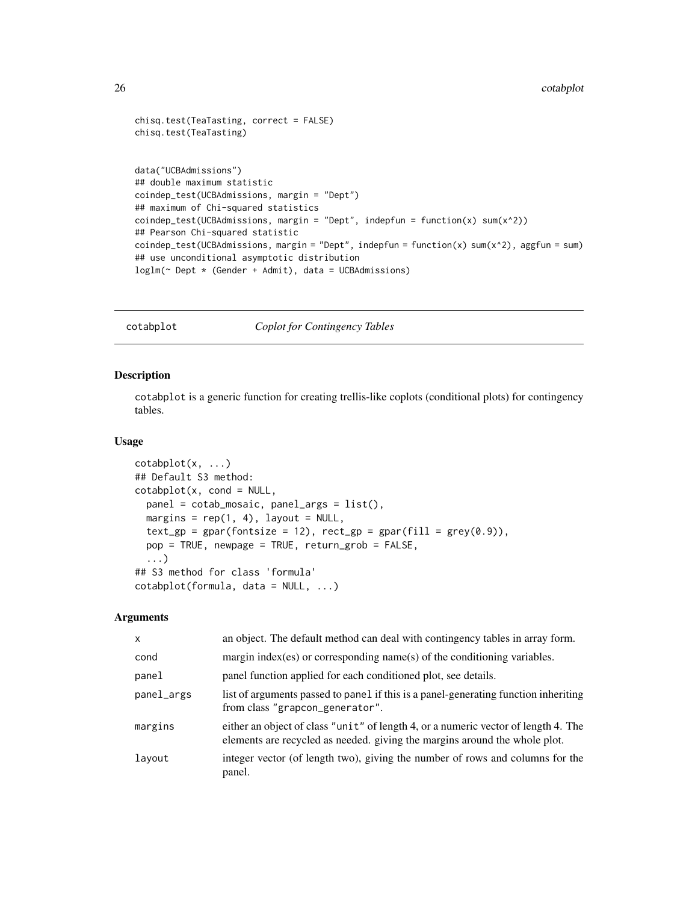```
chisq.test(TeaTasting, correct = FALSE)
chisq.test(TeaTasting)
data("UCBAdmissions")
## double maximum statistic
coindep_test(UCBAdmissions, margin = "Dept")
## maximum of Chi-squared statistics
coindep\_test(UCBAdmissions, margin = "Depth", indepfun = function(x) sum(x^2))## Pearson Chi-squared statistic
coindep_test(UCBAdmissions, margin = "Dept", indepfun = function(x) sum(x^2), aggfun = sum)
## use unconditional asymptotic distribution
loglm(~ Dept * (Gender + Admit), data = UCBAdmissions)
```
<span id="page-25-1"></span>cotabplot *Coplot for Contingency Tables*

# Description

cotabplot is a generic function for creating trellis-like coplots (conditional plots) for contingency tables.

#### Usage

```
cotabplot(x, ...)
## Default S3 method:
cotabplot(x, cond = NULL,panel = cotab_mosaic, panel_args = list(),
  margins = rep(1, 4), layout = NULL,
  text\_gp = gpar(fontsize = 12), rect\_gp = gpar(fill = grey(0.9)),
 pop = TRUE, newpage = TRUE, return_grob = FALSE,
  ...)
## S3 method for class 'formula'
cotabplot(formula, data = NULL, ...)
```

| $\mathsf{x}$ | an object. The default method can deal with contingency tables in array form.                                                                                    |
|--------------|------------------------------------------------------------------------------------------------------------------------------------------------------------------|
| cond         | margin index (es) or corresponding name(s) of the conditioning variables.                                                                                        |
| panel        | panel function applied for each conditioned plot, see details.                                                                                                   |
| panel_args   | list of arguments passed to panel if this is a panel-generating function inheriting<br>from class "grapcon_generator".                                           |
| margins      | either an object of class "unit" of length 4, or a numeric vector of length 4. The<br>elements are recycled as needed, giving the margins around the whole plot. |
| layout       | integer vector (of length two), giving the number of rows and columns for the<br>panel.                                                                          |

<span id="page-25-0"></span>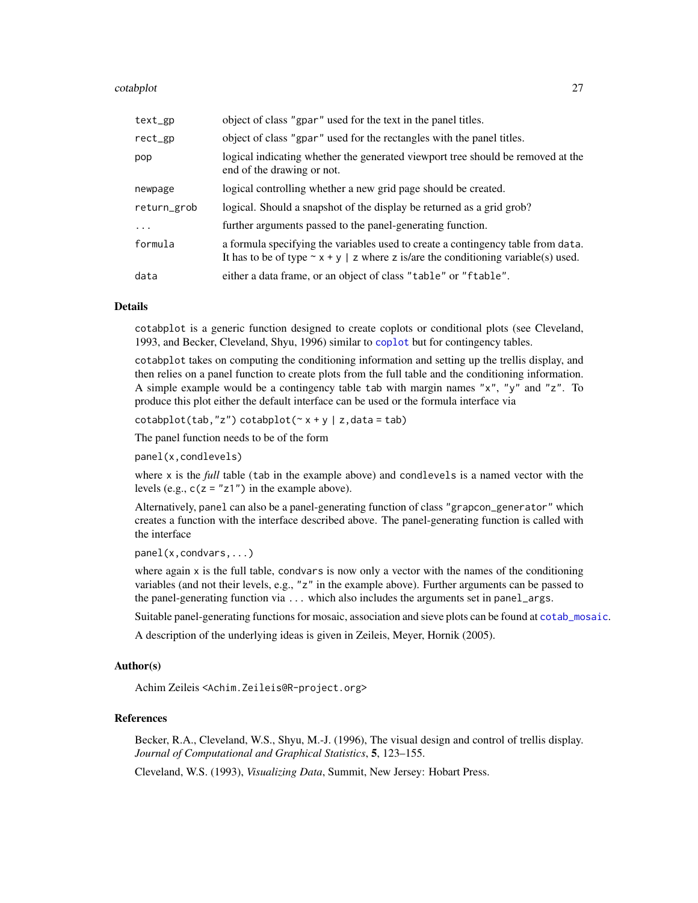#### cotabplot 27

| text_gp     | object of class "gpar" used for the text in the panel titles.                                                                                                               |
|-------------|-----------------------------------------------------------------------------------------------------------------------------------------------------------------------------|
| rect_gp     | object of class "gpar" used for the rectangles with the panel titles.                                                                                                       |
| pop         | logical indicating whether the generated viewport tree should be removed at the<br>end of the drawing or not.                                                               |
| newpage     | logical controlling whether a new grid page should be created.                                                                                                              |
| return_grob | logical. Should a snapshot of the display be returned as a grid grob?                                                                                                       |
| $\ddotsc$   | further arguments passed to the panel-generating function.                                                                                                                  |
| formula     | a formula specifying the variables used to create a contingency table from data.<br>It has to be of type $\sim x + y$   z where z is/are the conditioning variable(s) used. |
| data        | either a data frame, or an object of class "table" or "f table".                                                                                                            |

#### Details

cotabplot is a generic function designed to create coplots or conditional plots (see Cleveland, 1993, and Becker, Cleveland, Shyu, 1996) similar to [coplot](#page-0-0) but for contingency tables.

cotabplot takes on computing the conditioning information and setting up the trellis display, and then relies on a panel function to create plots from the full table and the conditioning information. A simple example would be a contingency table tab with margin names "x", "y" and "z". To produce this plot either the default interface can be used or the formula interface via

 $\cotabplot(tab, "z") \cotabplot(\sim x + y \mid z, data = tab)$ 

The panel function needs to be of the form

panel(x,condlevels)

where x is the *full* table (tab in the example above) and condlevels is a named vector with the levels (e.g.,  $c(z = "z1")$  in the example above).

Alternatively, panel can also be a panel-generating function of class "grapcon\_generator" which creates a function with the interface described above. The panel-generating function is called with the interface

```
panel(x,condvars,...)
```
where again  $x$  is the full table, condvars is now only a vector with the names of the conditioning variables (and not their levels, e.g., "z" in the example above). Further arguments can be passed to the panel-generating function via ... which also includes the arguments set in panel\_args.

Suitable panel-generating functions for mosaic, association and sieve plots can be found at [cotab\\_mosaic](#page-27-1).

A description of the underlying ideas is given in Zeileis, Meyer, Hornik (2005).

# Author(s)

Achim Zeileis <Achim.Zeileis@R-project.org>

#### References

Becker, R.A., Cleveland, W.S., Shyu, M.-J. (1996), The visual design and control of trellis display. *Journal of Computational and Graphical Statistics*, 5, 123–155.

Cleveland, W.S. (1993), *Visualizing Data*, Summit, New Jersey: Hobart Press.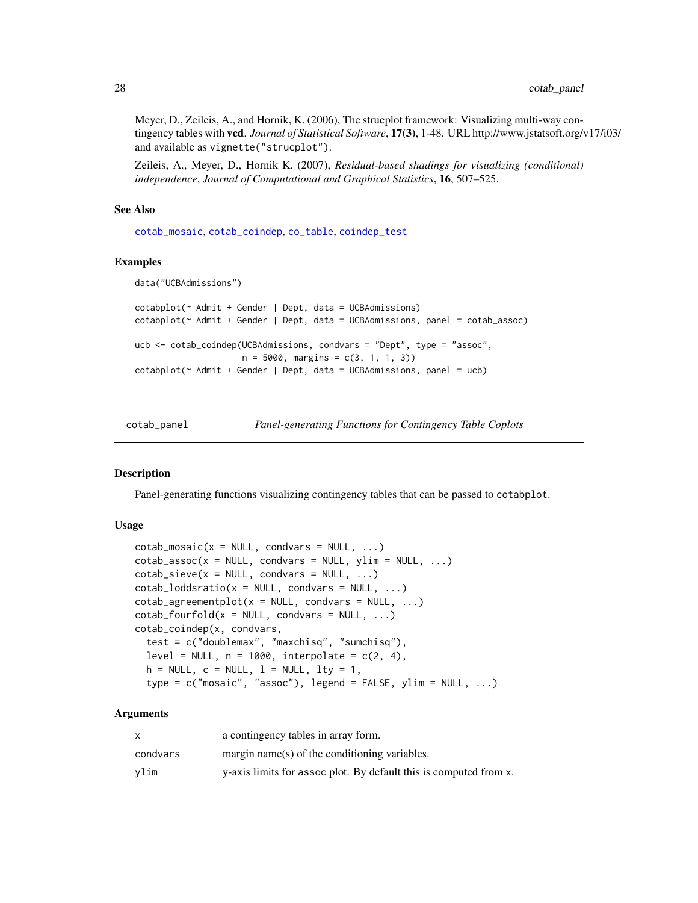Meyer, D., Zeileis, A., and Hornik, K. (2006), The strucplot framework: Visualizing multi-way contingency tables with vcd. *Journal of Statistical Software*, 17(3), 1-48. URL http://www.jstatsoft.org/v17/i03/ and available as vignette("strucplot").

Zeileis, A., Meyer, D., Hornik K. (2007), *Residual-based shadings for visualizing (conditional) independence*, *Journal of Computational and Graphical Statistics*, 16, 507–525.

#### See Also

[cotab\\_mosaic](#page-27-1), [cotab\\_coindep](#page-27-1), [co\\_table](#page-29-1), [coindep\\_test](#page-23-1)

#### Examples

```
data("UCBAdmissions")
cotabplot(~ Admit + Gender | Dept, data = UCBAdmissions)
cotabplot(~ Admit + Gender | Dept, data = UCBAdmissions, panel = cotab_assoc)
ucb <- cotab_coindep(UCBAdmissions, condvars = "Dept", type = "assoc",
                    n = 5000, margins = c(3, 1, 1, 3)cotabplot(~ Admit + Gender | Dept, data = UCBAdmissions, panel = ucb)
```
cotab\_panel *Panel-generating Functions for Contingency Table Coplots*

#### <span id="page-27-1"></span>Description

Panel-generating functions visualizing contingency tables that can be passed to cotabplot.

#### Usage

```
\cotab_mosaic(x = NULL, condvars = NULL, ...)\cotab\_\,assoc(x = \text{NULL}, \text{condvars} = \text{NULL}, \text{ylim} = \text{NULL}, \dots)\cotab\_size(x = NULL, condvars = NULL, ...)
\cotab\_loddsratio(x = NULL, condvars = NULL, ...)\cotab\_\{agreementplot(x = NULL, condvars = NULL, ...)}
\cotab_{f}ourfold(x = NULL, condvars = NULL, ...)
cotab_coindep(x, condvars,
  test = c("doublemax", "maxchisq", "sumchisq"),
  level = NULL, n = 1000, interpolate = c(2, 4),
  h = NULL, c = NULL, l = NULL, lty = 1,
  type = c("mosaic", "assoc"), legend = FALSE, ylim = NULL, ...)
```

| x        | a contingency tables in array form.                               |
|----------|-------------------------------------------------------------------|
| condvars | $margin name(s)$ of the conditioning variables.                   |
| vlim     | y-axis limits for assoc plot. By default this is computed from x. |

<span id="page-27-0"></span>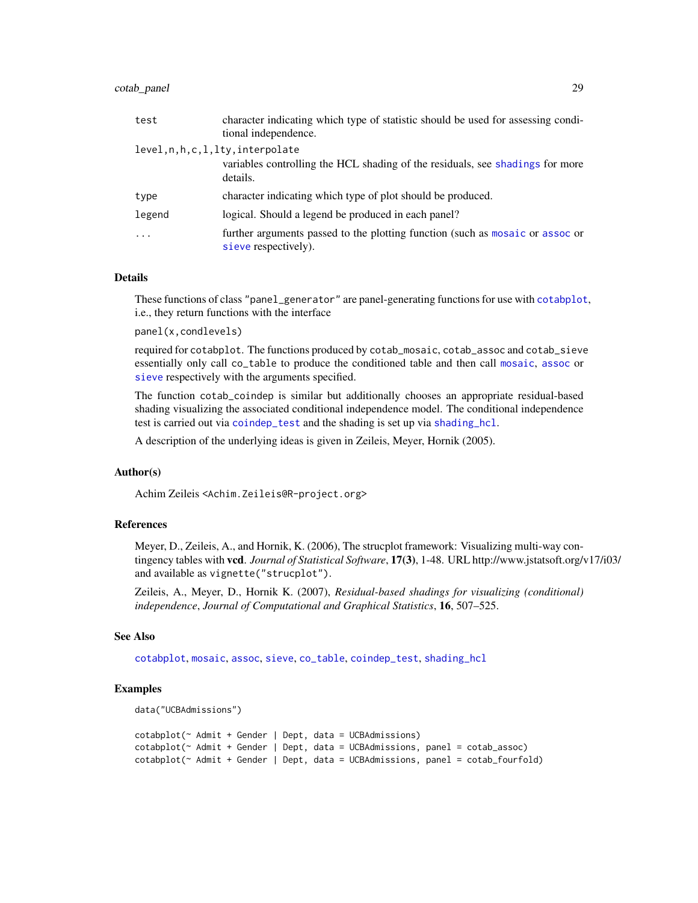# cotab\_panel 29

| test   | character indicating which type of statistic should be used for assessing condi-<br>tional independence. |
|--------|----------------------------------------------------------------------------------------------------------|
|        | level,n,h,c,l,lty,interpolate                                                                            |
|        | variables controlling the HCL shading of the residuals, see shadings for more<br>details.                |
| type   | character indicating which type of plot should be produced.                                              |
| legend | logical. Should a legend be produced in each panel?                                                      |
| .      | further arguments passed to the plotting function (such as mosaic or assoc or<br>sieve respectively).    |

### Details

These functions of class "panel\_generator" are panel-generating functions for use with [cotabplot](#page-25-1), i.e., they return functions with the interface

panel(x,condlevels)

required for cotabplot. The functions produced by cotab\_mosaic, cotab\_assoc and cotab\_sieve essentially only call co\_table to produce the conditioned table and then call [mosaic](#page-72-1), [assoc](#page-6-1) or [sieve](#page-106-1) respectively with the arguments specified.

The function cotab\_coindep is similar but additionally chooses an appropriate residual-based shading visualizing the associated conditional independence model. The conditional independence test is carried out via [coindep\\_test](#page-23-1) and the shading is set up via [shading\\_hcl](#page-102-2).

A description of the underlying ideas is given in Zeileis, Meyer, Hornik (2005).

#### Author(s)

Achim Zeileis <Achim.Zeileis@R-project.org>

# References

Meyer, D., Zeileis, A., and Hornik, K. (2006), The strucplot framework: Visualizing multi-way contingency tables with vcd. *Journal of Statistical Software*, 17(3), 1-48. URL http://www.jstatsoft.org/v17/i03/ and available as vignette("strucplot").

Zeileis, A., Meyer, D., Hornik K. (2007), *Residual-based shadings for visualizing (conditional) independence*, *Journal of Computational and Graphical Statistics*, 16, 507–525.

# See Also

[cotabplot](#page-25-1), [mosaic](#page-72-1), [assoc](#page-6-1), [sieve](#page-106-1), [co\\_table](#page-29-1), [coindep\\_test](#page-23-1), [shading\\_hcl](#page-102-2)

```
data("UCBAdmissions")
```

```
cotabplot(~ Admit + Gender | Dept, data = UCBAdmissions)
cotabplot(~ Admit + Gender | Dept, data = UCBAdmissions, panel = cotab_assoc)
cotabplot(~ Admit + Gender | Dept, data = UCBAdmissions, panel = cotab_fourfold)
```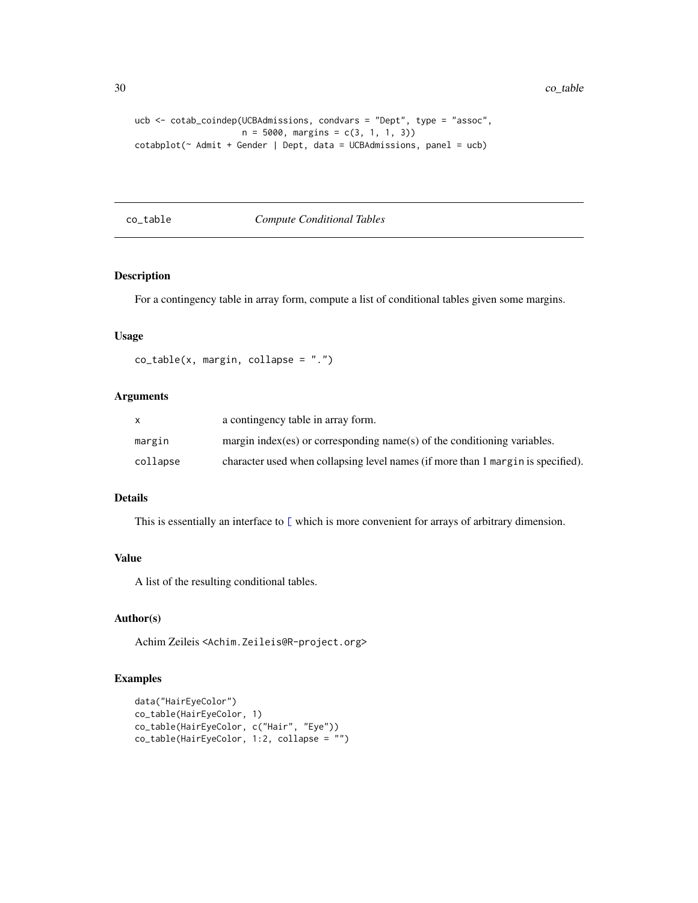```
ucb <- cotab_coindep(UCBAdmissions, condvars = "Dept", type = "assoc",
                    n = 5000, margins = c(3, 1, 1, 3)cotabplot(~ Admit + Gender | Dept, data = UCBAdmissions, panel = ucb)
```
<span id="page-29-1"></span>co\_table *Compute Conditional Tables*

# Description

For a contingency table in array form, compute a list of conditional tables given some margins.

#### Usage

```
co_table(x, margin, collapse = ".")
```
# Arguments

|          | a contingency table in array form.                                               |
|----------|----------------------------------------------------------------------------------|
| margin   | margin index (es) or corresponding name (s) of the conditioning variables.       |
| collapse | character used when collapsing level names (if more than 1 margin is specified). |

# Details

This is essentially an interface to [\[](#page-0-0) which is more convenient for arrays of arbitrary dimension.

# Value

A list of the resulting conditional tables.

# Author(s)

Achim Zeileis <Achim.Zeileis@R-project.org>

```
data("HairEyeColor")
co_table(HairEyeColor, 1)
co_table(HairEyeColor, c("Hair", "Eye"))
co_table(HairEyeColor, 1:2, collapse = "")
```
<span id="page-29-0"></span>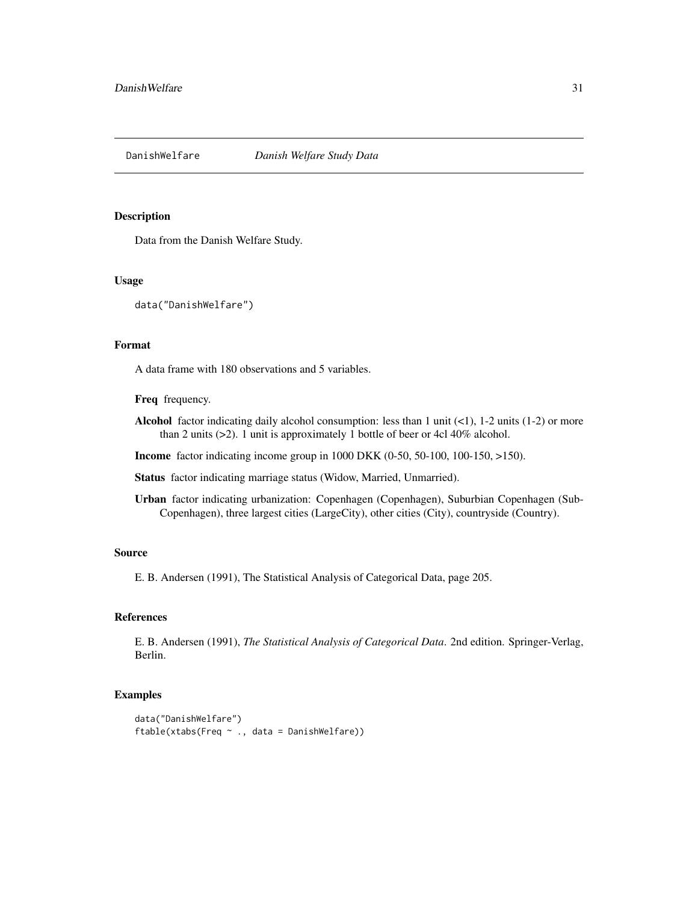<span id="page-30-0"></span>DanishWelfare *Danish Welfare Study Data*

#### Description

Data from the Danish Welfare Study.

#### Usage

```
data("DanishWelfare")
```
# Format

A data frame with 180 observations and 5 variables.

Freq frequency.

- Alcohol factor indicating daily alcohol consumption: less than 1 unit  $(\langle 1 \rangle, 1\text{-}2 \text{ units } (1\text{-}2)$  or more than 2 units (>2). 1 unit is approximately 1 bottle of beer or 4cl 40% alcohol.
- Income factor indicating income group in 1000 DKK (0-50, 50-100, 100-150, >150).

Status factor indicating marriage status (Widow, Married, Unmarried).

Urban factor indicating urbanization: Copenhagen (Copenhagen), Suburbian Copenhagen (Sub-Copenhagen), three largest cities (LargeCity), other cities (City), countryside (Country).

#### Source

E. B. Andersen (1991), The Statistical Analysis of Categorical Data, page 205.

#### References

E. B. Andersen (1991), *The Statistical Analysis of Categorical Data*. 2nd edition. Springer-Verlag, Berlin.

```
data("DanishWelfare")
ftable(xtabs(Freq ~ ., data = DanishWelfare))
```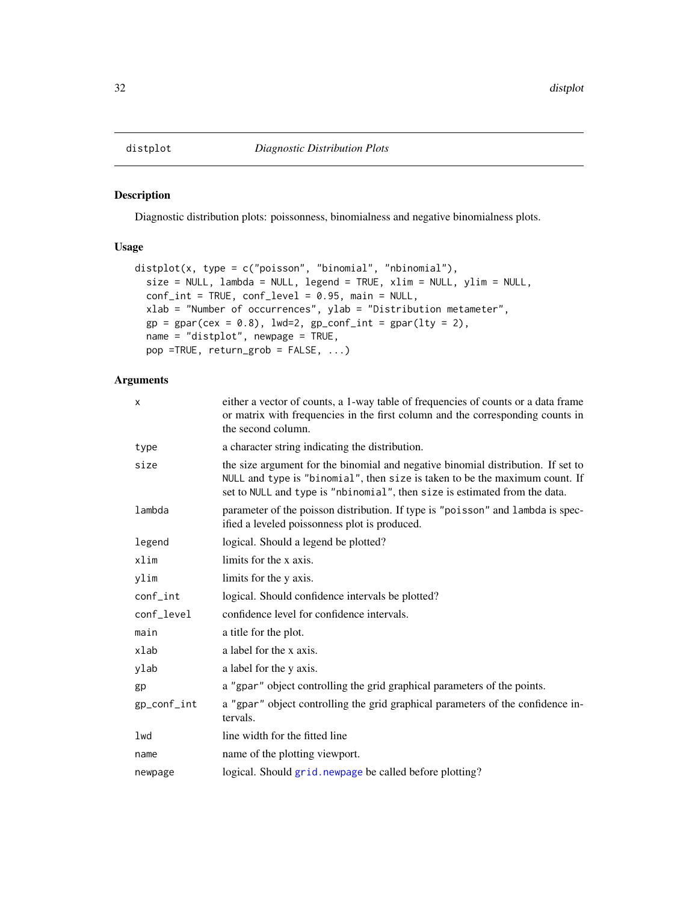### <span id="page-31-0"></span>Description

Diagnostic distribution plots: poissonness, binomialness and negative binomialness plots.

# Usage

```
distplot(x, type = c("poisson", "binomial", "nbinomial"),
 size = NULL, lambda = NULL, legend = TRUE, xlim = NULL, ylim = NULL,
 conf_int = TRUE, conf_level = 0.95, main = NULL,
 xlab = "Number of occurrences", ylab = "Distribution metameter",
 gp = gpar(cex = 0.8), lwd=2, gp\_conf\_int = gpar(lty = 2),
 name = "distplot", newpage = TRUE,
 pop =TRUE, return_grob = FALSE, ...)
```

| x           | either a vector of counts, a 1-way table of frequencies of counts or a data frame<br>or matrix with frequencies in the first column and the corresponding counts in<br>the second column.                                                     |
|-------------|-----------------------------------------------------------------------------------------------------------------------------------------------------------------------------------------------------------------------------------------------|
| type        | a character string indicating the distribution.                                                                                                                                                                                               |
| size        | the size argument for the binomial and negative binomial distribution. If set to<br>NULL and type is "binomial", then size is taken to be the maximum count. If<br>set to NULL and type is "nbinomial", then size is estimated from the data. |
| lambda      | parameter of the poisson distribution. If type is "poisson" and lambda is spec-<br>ified a leveled poissonness plot is produced.                                                                                                              |
| legend      | logical. Should a legend be plotted?                                                                                                                                                                                                          |
| xlim        | limits for the x axis.                                                                                                                                                                                                                        |
| ylim        | limits for the y axis.                                                                                                                                                                                                                        |
| $conf_$ int | logical. Should confidence intervals be plotted?                                                                                                                                                                                              |
| conf_level  | confidence level for confidence intervals.                                                                                                                                                                                                    |
| main        | a title for the plot.                                                                                                                                                                                                                         |
| xlab        | a label for the x axis.                                                                                                                                                                                                                       |
| ylab        | a label for the y axis.                                                                                                                                                                                                                       |
| gp          | a "gpar" object controlling the grid graphical parameters of the points.                                                                                                                                                                      |
| gp_conf_int | a "gpar" object controlling the grid graphical parameters of the confidence in-<br>tervals.                                                                                                                                                   |
| lwd         | line width for the fitted line                                                                                                                                                                                                                |
| name        | name of the plotting viewport.                                                                                                                                                                                                                |
| newpage     | logical. Should grid. newpage be called before plotting?                                                                                                                                                                                      |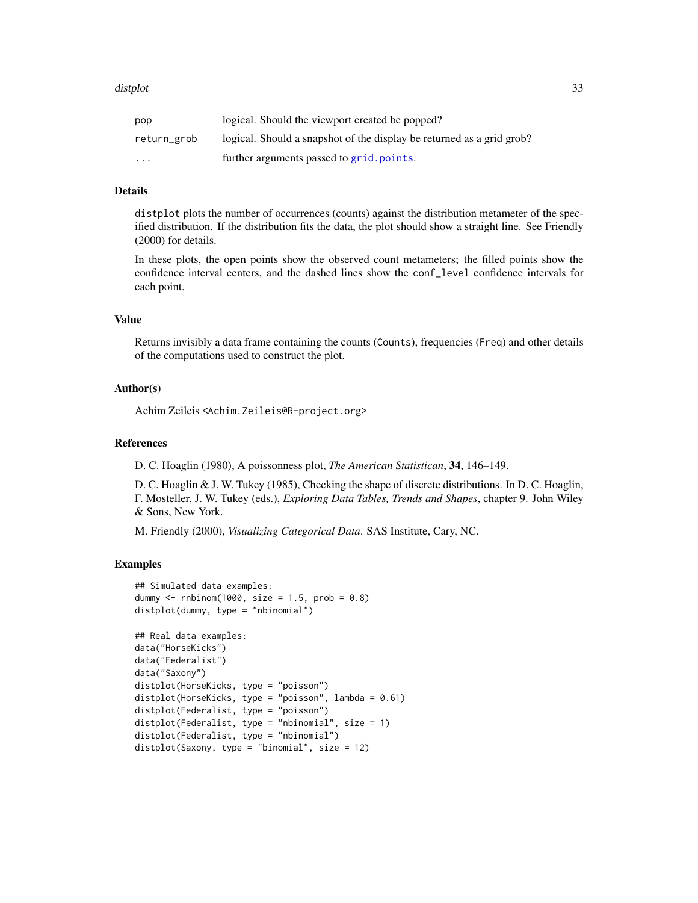#### distplot 33

| pop         | logical. Should the viewport created be popped?                       |
|-------------|-----------------------------------------------------------------------|
| return_grob | logical. Should a snapshot of the display be returned as a grid grob? |
| $\cdots$    | further arguments passed to grid.points.                              |

#### Details

distplot plots the number of occurrences (counts) against the distribution metameter of the specified distribution. If the distribution fits the data, the plot should show a straight line. See Friendly (2000) for details.

In these plots, the open points show the observed count metameters; the filled points show the confidence interval centers, and the dashed lines show the conf\_level confidence intervals for each point.

# Value

Returns invisibly a data frame containing the counts (Counts), frequencies (Freq) and other details of the computations used to construct the plot.

#### Author(s)

Achim Zeileis <Achim.Zeileis@R-project.org>

#### References

D. C. Hoaglin (1980), A poissonness plot, *The American Statistican*, 34, 146–149.

D. C. Hoaglin & J. W. Tukey (1985), Checking the shape of discrete distributions. In D. C. Hoaglin, F. Mosteller, J. W. Tukey (eds.), *Exploring Data Tables, Trends and Shapes*, chapter 9. John Wiley & Sons, New York.

M. Friendly (2000), *Visualizing Categorical Data*. SAS Institute, Cary, NC.

```
## Simulated data examples:
dummy \le rnbinom(1000, size = 1.5, prob = 0.8)
distplot(dummy, type = "nbinomial")
```

```
## Real data examples:
data("HorseKicks")
data("Federalist")
data("Saxony")
distplot(HorseKicks, type = "poisson")
distplot(HorseKicks, type = "poisson", lambda = 0.61)
distplot(Federalist, type = "poisson")
distplot(Federalist, type = "nbinomial", size = 1)
distplot(Federalist, type = "nbinomial")
distplot(Saxony, type = "binomial", size = 12)
```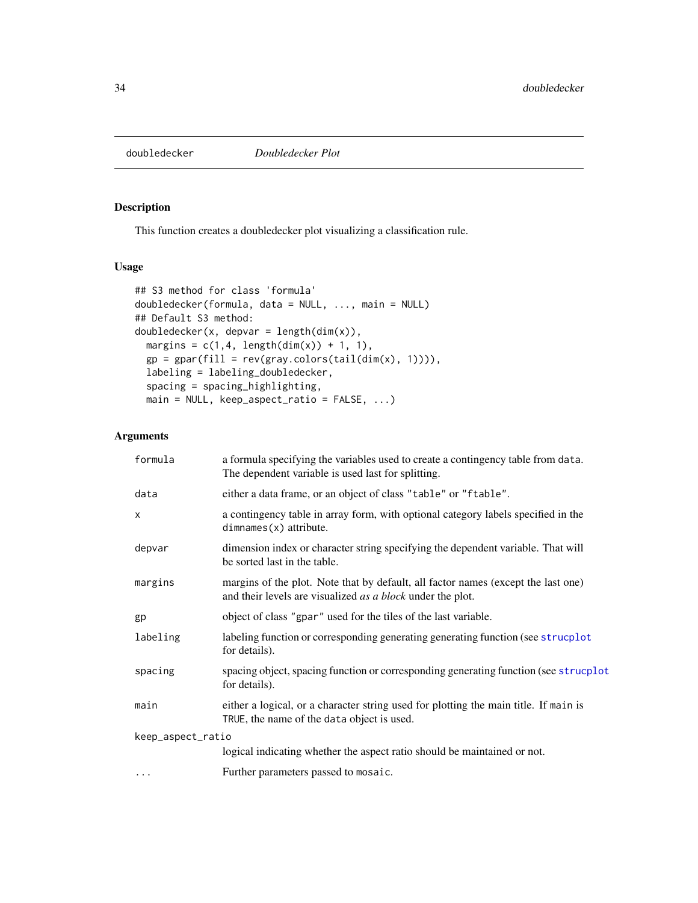<span id="page-33-0"></span>

# Description

This function creates a doubledecker plot visualizing a classification rule.

### Usage

```
## S3 method for class 'formula'
doubledecker(formula, data = NULL, ..., main = NULL)
## Default S3 method:
doubledecker(x, depvar = length(dim(x)),
 margins = c(1,4, length(dim(x)) + 1, 1),gp = gpar(fill = rev(gray.colors(tail(dim(x), 1)))),
 labeling = labeling_doubledecker,
 spacing = spacing_highlighting,
 main = NULL, keep_aspect_ratio = FALSE, ...)
```

| formula           | a formula specifying the variables used to create a contingency table from data.<br>The dependent variable is used last for splitting.          |  |
|-------------------|-------------------------------------------------------------------------------------------------------------------------------------------------|--|
| data              | either a data frame, or an object of class "table" or "ftable".                                                                                 |  |
| $\mathsf{x}$      | a contingency table in array form, with optional category labels specified in the<br>$dimnames(x)$ attribute.                                   |  |
| depvar            | dimension index or character string specifying the dependent variable. That will<br>be sorted last in the table.                                |  |
| margins           | margins of the plot. Note that by default, all factor names (except the last one)<br>and their levels are visualized as a block under the plot. |  |
| gp                | object of class "gpar" used for the tiles of the last variable.                                                                                 |  |
| labeling          | labeling function or corresponding generating generating function (see strucplot<br>for details).                                               |  |
| spacing           | spacing object, spacing function or corresponding generating function (see strucplot<br>for details).                                           |  |
| main              | either a logical, or a character string used for plotting the main title. If main is<br>TRUE, the name of the data object is used.              |  |
| keep_aspect_ratio |                                                                                                                                                 |  |
|                   | logical indicating whether the aspect ratio should be maintained or not.                                                                        |  |
| $\cdots$          | Further parameters passed to mosaic.                                                                                                            |  |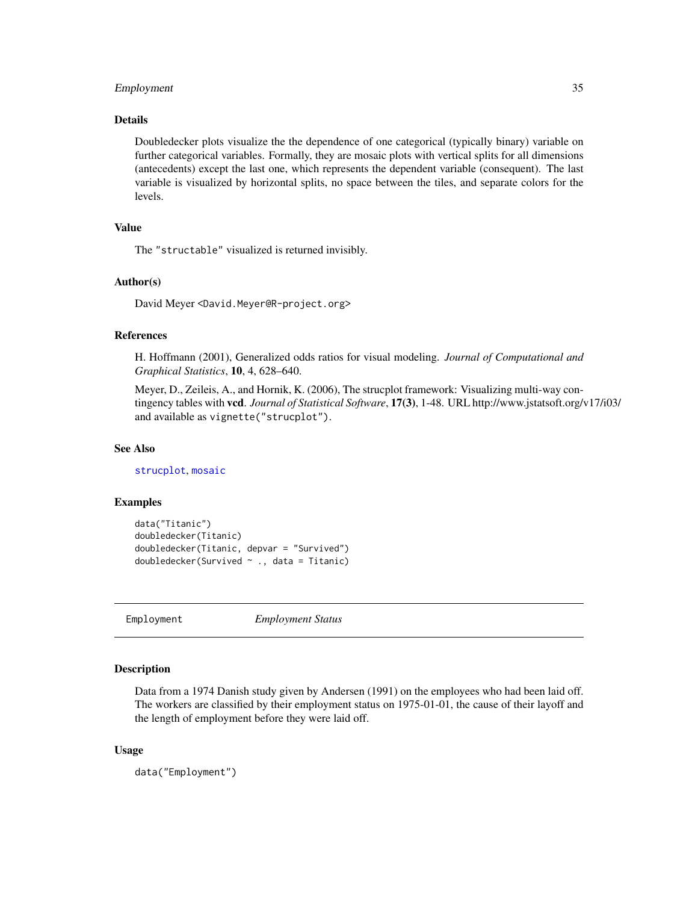#### <span id="page-34-0"></span>Employment 35

# Details

Doubledecker plots visualize the the dependence of one categorical (typically binary) variable on further categorical variables. Formally, they are mosaic plots with vertical splits for all dimensions (antecedents) except the last one, which represents the dependent variable (consequent). The last variable is visualized by horizontal splits, no space between the tiles, and separate colors for the levels.

# Value

The "structable" visualized is returned invisibly.

#### Author(s)

David Meyer <David.Meyer@R-project.org>

# References

H. Hoffmann (2001), Generalized odds ratios for visual modeling. *Journal of Computational and Graphical Statistics*, 10, 4, 628–640.

Meyer, D., Zeileis, A., and Hornik, K. (2006), The strucplot framework: Visualizing multi-way contingency tables with vcd. *Journal of Statistical Software*, 17(3), 1-48. URL http://www.jstatsoft.org/v17/i03/ and available as vignette("strucplot").

#### See Also

[strucplot](#page-114-1), [mosaic](#page-72-1)

#### Examples

```
data("Titanic")
doubledecker(Titanic)
doubledecker(Titanic, depvar = "Survived")
doubledecker(Survived ~ ., data = Titanic)
```
Employment *Employment Status*

# Description

Data from a 1974 Danish study given by Andersen (1991) on the employees who had been laid off. The workers are classified by their employment status on 1975-01-01, the cause of their layoff and the length of employment before they were laid off.

#### Usage

data("Employment")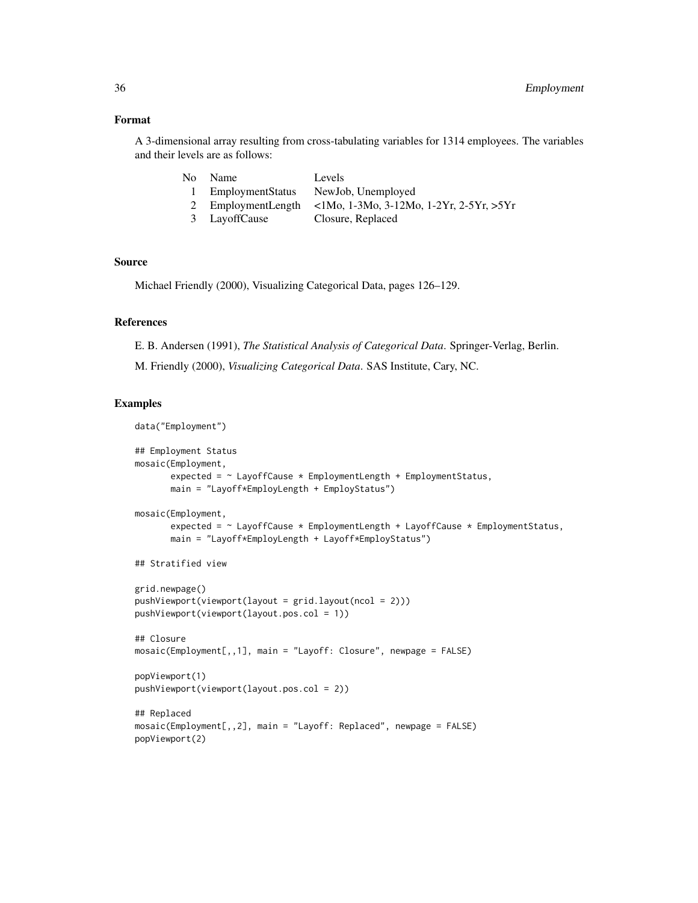# Format

A 3-dimensional array resulting from cross-tabulating variables for 1314 employees. The variables and their levels are as follows:

| No Name            | Levels                                                       |
|--------------------|--------------------------------------------------------------|
| 1 EmploymentStatus | NewJob, Unemployed                                           |
|                    | 2 EmploymentLength <1Mo, 1-3Mo, 3-12Mo, 1-2Yr, 2-5Yr, $>5Yr$ |
| 3 LayoffCause      | Closure, Replaced                                            |

# Source

Michael Friendly (2000), Visualizing Categorical Data, pages 126–129.

# References

E. B. Andersen (1991), *The Statistical Analysis of Categorical Data*. Springer-Verlag, Berlin.

M. Friendly (2000), *Visualizing Categorical Data*. SAS Institute, Cary, NC.

```
data("Employment")
## Employment Status
mosaic(Employment,
       expected = ~ LayoffCause * EmploymentLength + EmploymentStatus,
       main = "Layoff*EmployLength + EmployStatus")
mosaic(Employment,
       expected = \sim LayoffCause * EmploymentLength + LayoffCause * EmploymentStatus,
       main = "Layoff*EmployLength + Layoff*EmployStatus")
## Stratified view
grid.newpage()
pushViewport(viewport(layout = grid.layout(ncol = 2)))
pushViewport(viewport(layout.pos.col = 1))
## Closure
mosaic(Employment[,,1], main = "Layoff: Closure", newpage = FALSE)
popViewport(1)
pushViewport(viewport(layout.pos.col = 2))
## Replaced
mosaic(Employment[,,2], main = "Layoff: Replaced", newpage = FALSE)
popViewport(2)
```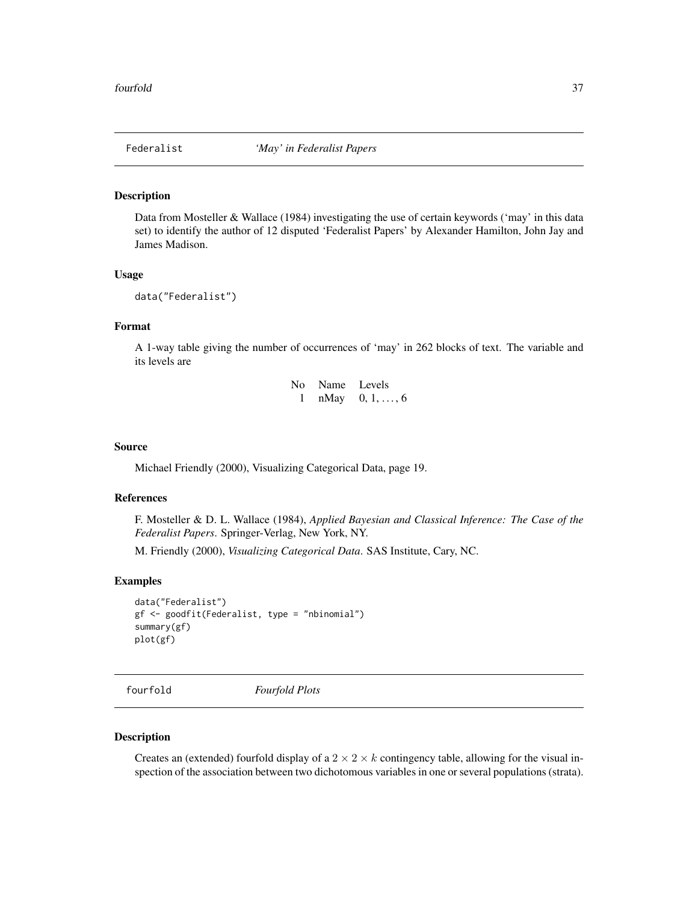## Description

Data from Mosteller & Wallace (1984) investigating the use of certain keywords ('may' in this data set) to identify the author of 12 disputed 'Federalist Papers' by Alexander Hamilton, John Jay and James Madison.

## Usage

```
data("Federalist")
```
# Format

A 1-way table giving the number of occurrences of 'may' in 262 blocks of text. The variable and its levels are

| No. |      | Name Levels       |
|-----|------|-------------------|
|     | nMay | $0, 1, \ldots, 6$ |

# Source

Michael Friendly (2000), Visualizing Categorical Data, page 19.

## References

F. Mosteller & D. L. Wallace (1984), *Applied Bayesian and Classical Inference: The Case of the Federalist Papers*. Springer-Verlag, New York, NY.

M. Friendly (2000), *Visualizing Categorical Data*. SAS Institute, Cary, NC.

## Examples

```
data("Federalist")
gf <- goodfit(Federalist, type = "nbinomial")
summary(gf)
plot(gf)
```
fourfold *Fourfold Plots*

#### Description

Creates an (extended) fourfold display of a  $2 \times 2 \times k$  contingency table, allowing for the visual inspection of the association between two dichotomous variables in one or several populations (strata).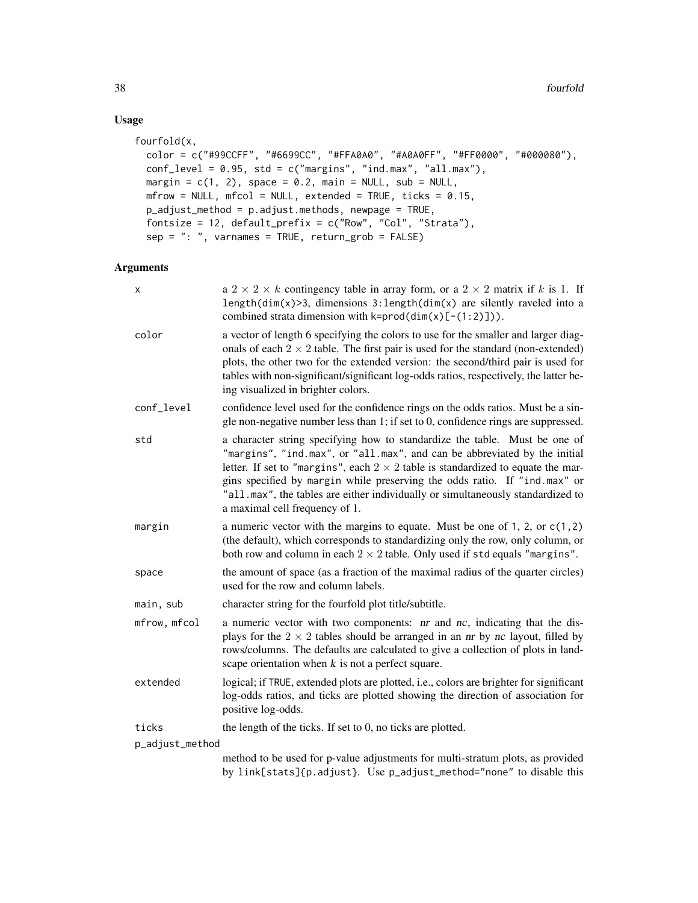# Usage

```
fourfold(x,
 color = c("#99CCFF", "#6699CC", "#FFA0A0", "#A0A0FF", "#FF0000", "#000080"),
 conf_level = 0.95, std = c("margins", "ind.max", "all.max"),
 margin = c(1, 2), space = 0.2, main = NULL, sub = NULL,
 m Frow = NULL, m Fcol = NULL, extended = TRUE, ticks = 0.15,
 p_adjust_method = p.adjust.methods, newpage = TRUE,
  fontsize = 12, default_prefix = c("Row", "Col", "Strata"),
  sep = ": ", varnames = TRUE, return_grob = FALSE)
```

| X               | a $2 \times 2 \times k$ contingency table in array form, or a $2 \times 2$ matrix if k is 1. If<br>length( $dim(x)$ >3, dimensions 3:length( $dim(x)$ are silently raveled into a<br>combined strata dimension with $k = prod(dim(x)[-(1:2)]$ ).                                                                                                                                                                                                     |  |
|-----------------|------------------------------------------------------------------------------------------------------------------------------------------------------------------------------------------------------------------------------------------------------------------------------------------------------------------------------------------------------------------------------------------------------------------------------------------------------|--|
| color           | a vector of length 6 specifying the colors to use for the smaller and larger diag-<br>onals of each $2 \times 2$ table. The first pair is used for the standard (non-extended)<br>plots, the other two for the extended version: the second/third pair is used for<br>tables with non-significant/significant log-odds ratios, respectively, the latter be-<br>ing visualized in brighter colors.                                                    |  |
| conf_level      | confidence level used for the confidence rings on the odds ratios. Must be a sin-<br>gle non-negative number less than 1; if set to 0, confidence rings are suppressed.                                                                                                                                                                                                                                                                              |  |
| std             | a character string specifying how to standardize the table. Must be one of<br>"margins", "ind.max", or "all.max", and can be abbreviated by the initial<br>letter. If set to "margins", each $2 \times 2$ table is standardized to equate the mar-<br>gins specified by margin while preserving the odds ratio. If "ind.max" or<br>"all.max", the tables are either individually or simultaneously standardized to<br>a maximal cell frequency of 1. |  |
| margin          | a numeric vector with the margins to equate. Must be one of 1, 2, or $c(1, 2)$<br>(the default), which corresponds to standardizing only the row, only column, or<br>both row and column in each $2 \times 2$ table. Only used if std equals "margins".                                                                                                                                                                                              |  |
| space           | the amount of space (as a fraction of the maximal radius of the quarter circles)<br>used for the row and column labels.                                                                                                                                                                                                                                                                                                                              |  |
| main, sub       | character string for the fourfold plot title/subtitle.                                                                                                                                                                                                                                                                                                                                                                                               |  |
| mfrow, mfcol    | a numeric vector with two components: <i>nr</i> and <i>nc</i> , indicating that the dis-<br>plays for the $2 \times 2$ tables should be arranged in an <i>nr</i> by <i>nc</i> layout, filled by<br>rows/columns. The defaults are calculated to give a collection of plots in land-<br>scape orientation when $k$ is not a perfect square.                                                                                                           |  |
| extended        | logical; if TRUE, extended plots are plotted, i.e., colors are brighter for significant<br>log-odds ratios, and ticks are plotted showing the direction of association for<br>positive log-odds.                                                                                                                                                                                                                                                     |  |
| ticks           | the length of the ticks. If set to 0, no ticks are plotted.                                                                                                                                                                                                                                                                                                                                                                                          |  |
| p_adjust_method |                                                                                                                                                                                                                                                                                                                                                                                                                                                      |  |
|                 | method to be used for p-value adjustments for multi-stratum plots, as provided<br>by link[stats]{p.adjust}. Use p_adjust_method="none" to disable this                                                                                                                                                                                                                                                                                               |  |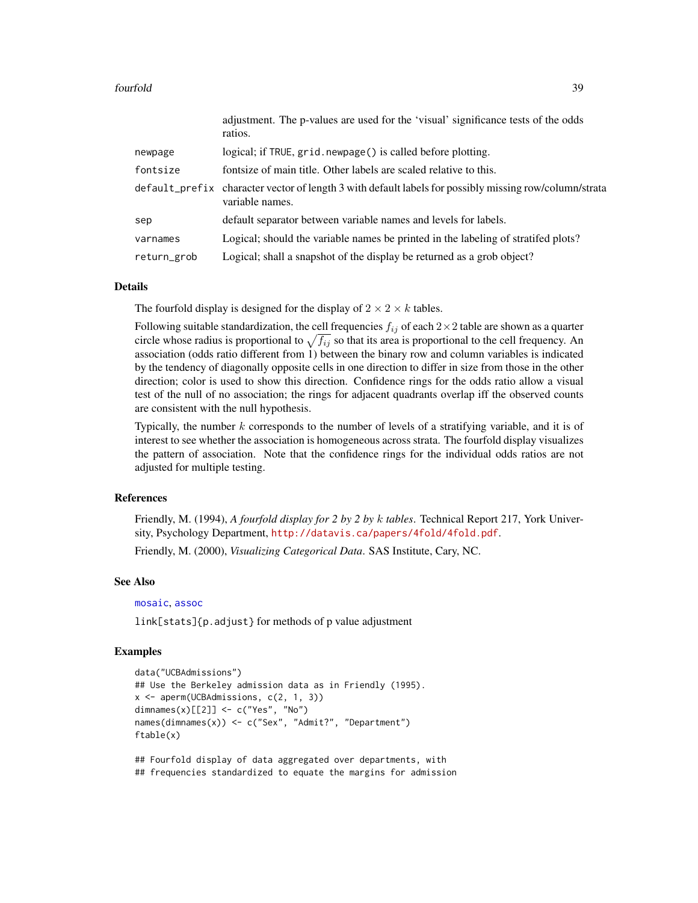|             | adjustment. The p-values are used for the visual significance lests of the odus<br>ratios.                                |
|-------------|---------------------------------------------------------------------------------------------------------------------------|
| newpage     | logical; if TRUE, grid. newpage() is called before plotting.                                                              |
| fontsize    | fontsize of main title. Other labels are scaled relative to this.                                                         |
|             | default_prefix character vector of length 3 with default labels for possibly missing row/column/strata<br>variable names. |
| sep         | default separator between variable names and levels for labels.                                                           |
| varnames    | Logical; should the variable names be printed in the labeling of stratifed plots?                                         |
| return_grob | Logical; shall a snapshot of the display be returned as a grob object?                                                    |

adjustment. The p-values are used for the 'visual' significance tests of the odds

#### Details

The fourfold display is designed for the display of  $2 \times 2 \times k$  tables.

Following suitable standardization, the cell frequencies  $f_{ij}$  of each  $2\times 2$  table are shown as a quarter circle whose radius is proportional to  $\sqrt{f_{ij}}$  so that its area is proportional to the cell frequency. An association (odds ratio different from 1) between the binary row and column variables is indicated by the tendency of diagonally opposite cells in one direction to differ in size from those in the other direction; color is used to show this direction. Confidence rings for the odds ratio allow a visual test of the null of no association; the rings for adjacent quadrants overlap iff the observed counts are consistent with the null hypothesis.

Typically, the number  $k$  corresponds to the number of levels of a stratifying variable, and it is of interest to see whether the association is homogeneous across strata. The fourfold display visualizes the pattern of association. Note that the confidence rings for the individual odds ratios are not adjusted for multiple testing.

#### References

Friendly, M. (1994), *A fourfold display for 2 by 2 by* k *tables*. Technical Report 217, York University, Psychology Department, <http://datavis.ca/papers/4fold/4fold.pdf>.

Friendly, M. (2000), *Visualizing Categorical Data*. SAS Institute, Cary, NC.

# See Also

```
mosaic, assoc
```
link[stats]{p.adjust} for methods of p value adjustment

#### Examples

```
data("UCBAdmissions")
## Use the Berkeley admission data as in Friendly (1995).
x <- aperm(UCBAdmissions, c(2, 1, 3))
dimnames(x)[[2]] <- c("Yes", "No")
names(dimnames(x)) <- c("Sex", "Admit?", "Department")
ftable(x)
```
## Fourfold display of data aggregated over departments, with ## frequencies standardized to equate the margins for admission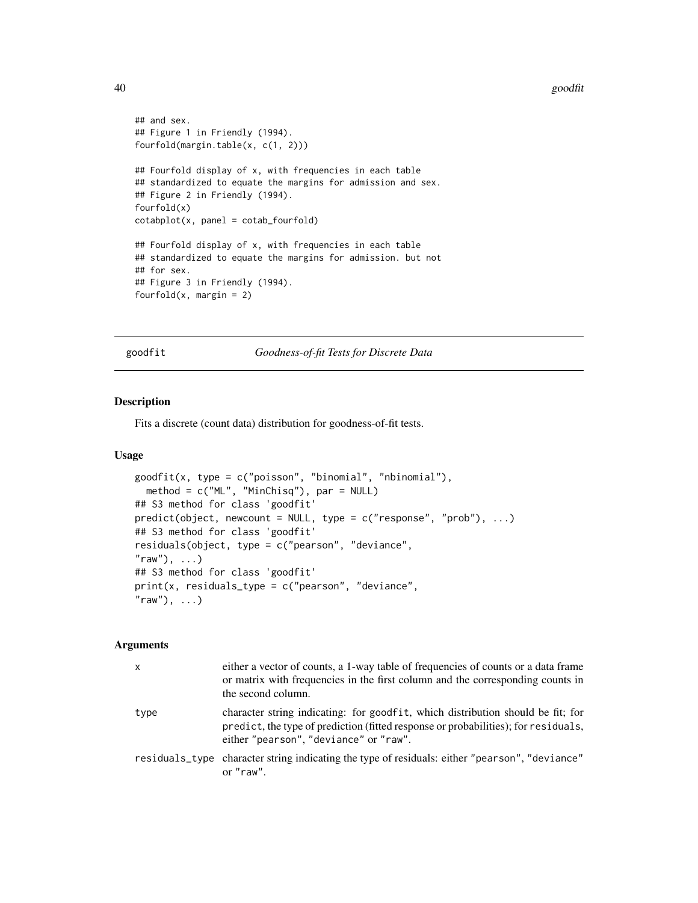#### 40 goodfit

```
## and sex.
## Figure 1 in Friendly (1994).
fourfold(margin.table(x, c(1, 2)))
## Fourfold display of x, with frequencies in each table
## standardized to equate the margins for admission and sex.
## Figure 2 in Friendly (1994).
fourfold(x)
cotabplot(x, panel = cotab_fourfold)
## Fourfold display of x, with frequencies in each table
## standardized to equate the margins for admission. but not
## for sex.
## Figure 3 in Friendly (1994).
fourfold(x, \text{margin} = 2)
```
goodfit *Goodness-of-fit Tests for Discrete Data*

# Description

Fits a discrete (count data) distribution for goodness-of-fit tests.

#### Usage

```
goodfit(x, type = c("poisson", "binomial", "nbinomial"),
 method = c("ML", "MinChisq"), par = NULL)## S3 method for class 'goodfit'
predict(object, newcount = NULL, type = c("response", "prob"), ...)## S3 method for class 'goodfit'
residuals(object, type = c("pearson", "deviance",
"raw"), ...)
## S3 method for class 'goodfit'
print(x, residuals_type = c("pearson", "deviance","raw"), ...)
```

| $\mathsf{x}$ | either a vector of counts, a 1-way table of frequencies of counts or a data frame<br>or matrix with frequencies in the first column and the corresponding counts in<br>the second column.                       |
|--------------|-----------------------------------------------------------------------------------------------------------------------------------------------------------------------------------------------------------------|
| type         | character string indicating: for goodfit, which distribution should be fit; for<br>predict, the type of prediction (fitted response or probabilities); for residuals,<br>either "pearson", "deviance" or "raw". |
|              | residuals_type character string indicating the type of residuals: either "pearson", "deviance"<br>or $"raw"$ .                                                                                                  |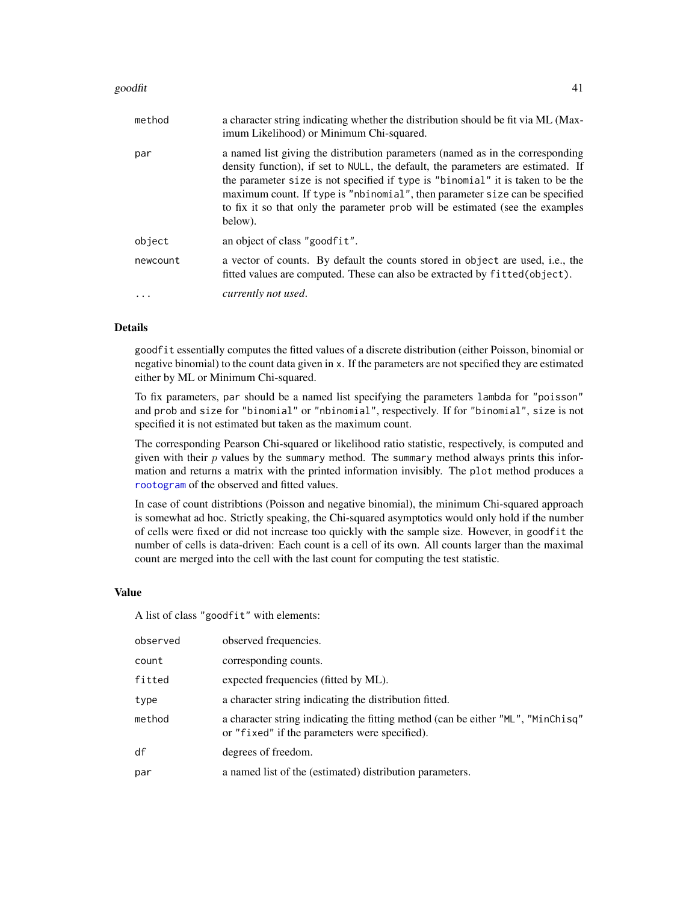#### goodfit the set of the set of the set of the set of the set of the set of the set of the set of the set of the set of the set of the set of the set of the set of the set of the set of the set of the set of the set of the s

| method   | a character string indicating whether the distribution should be fit via ML (Max-<br>imum Likelihood) or Minimum Chi-squared.                                                                                                                                                                                                                                                                                                    |
|----------|----------------------------------------------------------------------------------------------------------------------------------------------------------------------------------------------------------------------------------------------------------------------------------------------------------------------------------------------------------------------------------------------------------------------------------|
| par      | a named list giving the distribution parameters (named as in the corresponding<br>density function), if set to NULL, the default, the parameters are estimated. If<br>the parameter size is not specified if type is "binomial" it is taken to be the<br>maximum count. If type is "nbinomial", then parameter size can be specified<br>to fix it so that only the parameter prob will be estimated (see the examples<br>below). |
| object   | an object of class "goodfit".                                                                                                                                                                                                                                                                                                                                                                                                    |
| newcount | a vector of counts. By default the counts stored in object are used, i.e., the<br>fitted values are computed. These can also be extracted by fitted (object).                                                                                                                                                                                                                                                                    |
| $\cdot$  | currently not used.                                                                                                                                                                                                                                                                                                                                                                                                              |

# Details

goodfit essentially computes the fitted values of a discrete distribution (either Poisson, binomial or negative binomial) to the count data given in x. If the parameters are not specified they are estimated either by ML or Minimum Chi-squared.

To fix parameters, par should be a named list specifying the parameters lambda for "poisson" and prob and size for "binomial" or "nbinomial", respectively. If for "binomial", size is not specified it is not estimated but taken as the maximum count.

The corresponding Pearson Chi-squared or likelihood ratio statistic, respectively, is computed and given with their  $p$  values by the summary method. The summary method always prints this information and returns a matrix with the printed information invisibly. The plot method produces a [rootogram](#page-97-0) of the observed and fitted values.

In case of count distribtions (Poisson and negative binomial), the minimum Chi-squared approach is somewhat ad hoc. Strictly speaking, the Chi-squared asymptotics would only hold if the number of cells were fixed or did not increase too quickly with the sample size. However, in goodfit the number of cells is data-driven: Each count is a cell of its own. All counts larger than the maximal count are merged into the cell with the last count for computing the test statistic.

#### Value

A list of class "goodfit" with elements:

| observed | observed frequencies.                                                                                                             |
|----------|-----------------------------------------------------------------------------------------------------------------------------------|
| count    | corresponding counts.                                                                                                             |
| fitted   | expected frequencies (fitted by ML).                                                                                              |
| type     | a character string indicating the distribution fitted.                                                                            |
| method   | a character string indicating the fitting method (can be either "ML", "MinChisq"<br>or "fixed" if the parameters were specified). |
| df       | degrees of freedom.                                                                                                               |
| par      | a named list of the (estimated) distribution parameters.                                                                          |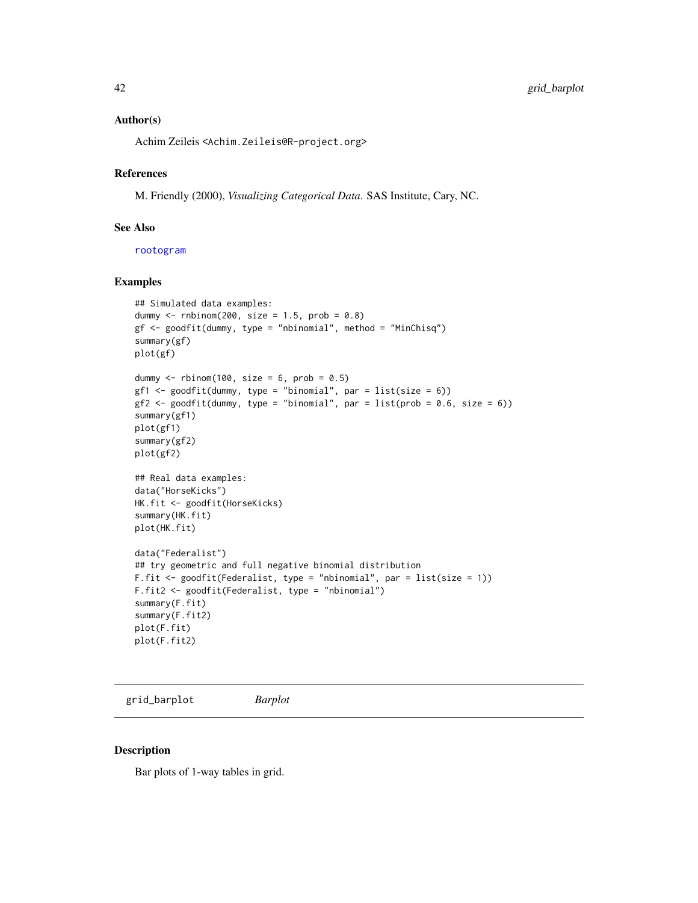## Author(s)

Achim Zeileis <Achim.Zeileis@R-project.org>

## References

M. Friendly (2000), *Visualizing Categorical Data*. SAS Institute, Cary, NC.

#### See Also

[rootogram](#page-97-0)

## Examples

```
## Simulated data examples:
dummy \le - rnbinom(200, size = 1.5, prob = 0.8)
gf \leftarrow goodfit(dummy, type = "nbinomial", method = "MinChisq")summary(gf)
plot(gf)
dummy \le rbinom(100, size = 6, prob = 0.5)
gf1 <- goodfit(dummy, type = "binomial", par = list(size = 6))
gf2 \leq-goodfit(dummy, type = "binomial", par = list(prob = 0.6, size = 6))summary(gf1)
plot(gf1)
summary(gf2)
plot(gf2)
## Real data examples:
data("HorseKicks")
HK.fit <- goodfit(HorseKicks)
summary(HK.fit)
plot(HK.fit)
data("Federalist")
## try geometric and full negative binomial distribution
F.fit <- goodfit(Federalist, type = "nbinomial", par = list(size = 1))
F.fit2 <- goodfit(Federalist, type = "nbinomial")
summary(F.fit)
summary(F.fit2)
plot(F.fit)
plot(F.fit2)
```

```
grid_barplot Barplot
```
#### Description

Bar plots of 1-way tables in grid.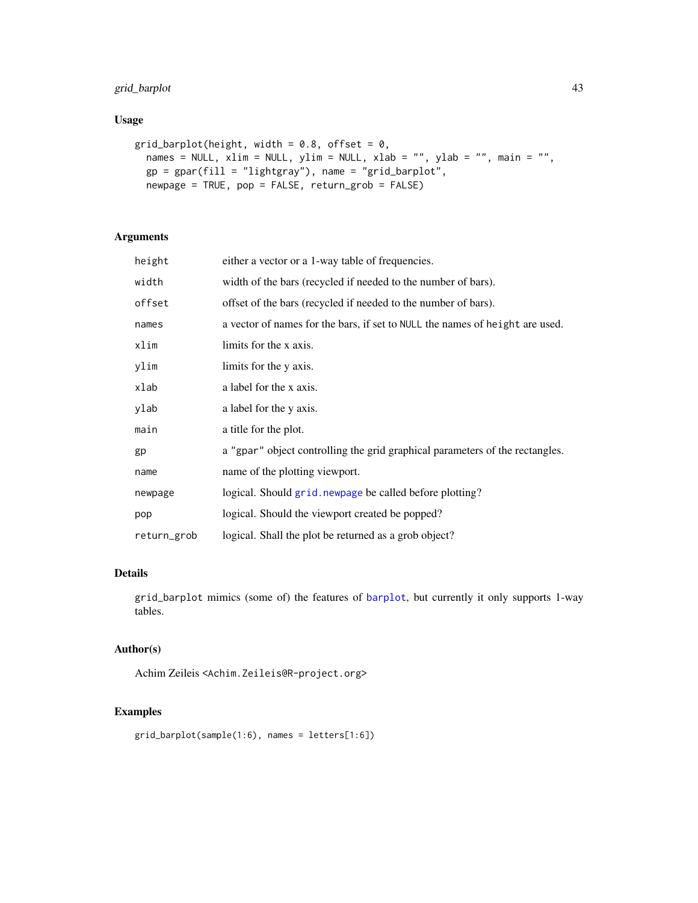# grid\_barplot 43

# Usage

```
grid_barplot(height, width = 0.8, offset = 0,
 names = NULL, xlim = NULL, ylim = NULL, xlab = "", ylab = "", main = "",
 gp = gpar(fill = "lightgray"), name = "grid_barplot",
 newpage = TRUE, pop = FALSE, return_grob = FALSE)
```
# Arguments

| height      | either a vector or a 1-way table of frequencies.                             |  |
|-------------|------------------------------------------------------------------------------|--|
| width       | width of the bars (recycled if needed to the number of bars).                |  |
| offset      | offset of the bars (recycled if needed to the number of bars).               |  |
| names       | a vector of names for the bars, if set to NULL the names of height are used. |  |
| xlim        | limits for the x axis.                                                       |  |
| ylim        | limits for the y axis.                                                       |  |
| xlab        | a label for the x axis.                                                      |  |
| ylab        | a label for the y axis.                                                      |  |
| main        | a title for the plot.                                                        |  |
| gp          | a "gpar" object controlling the grid graphical parameters of the rectangles. |  |
| name        | name of the plotting viewport.                                               |  |
| newpage     | logical. Should grid. newpage be called before plotting?                     |  |
| pop         | logical. Should the viewport created be popped?                              |  |
| return_grob | logical. Shall the plot be returned as a grob object?                        |  |

# Details

grid\_barplot mimics (some of) the features of [barplot](#page-0-0), but currently it only supports 1-way tables.

## Author(s)

Achim Zeileis <Achim.Zeileis@R-project.org>

```
grid_barplot(sample(1:6), names = letters[1:6])
```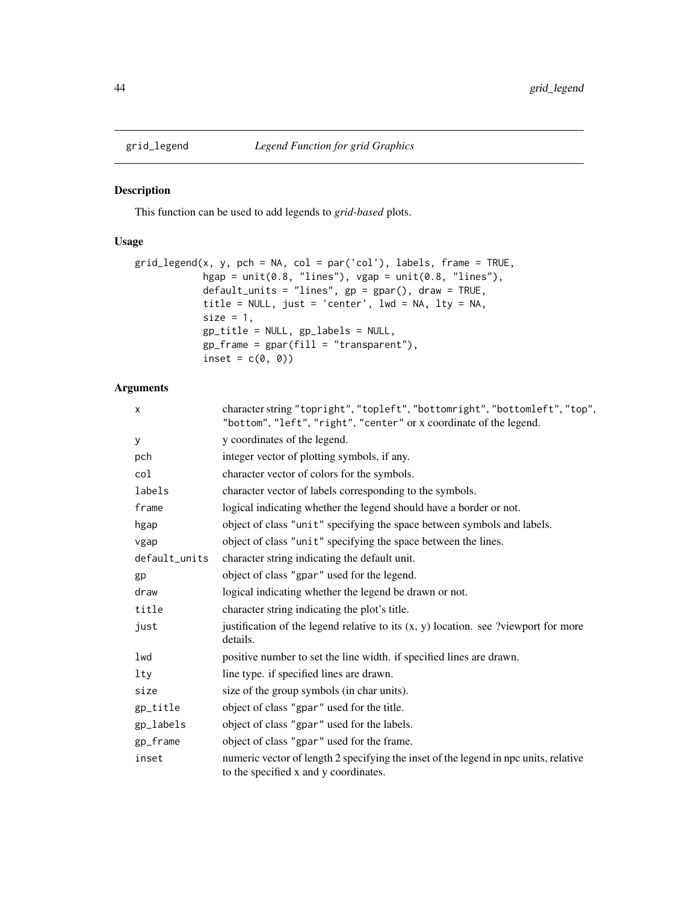## Description

This function can be used to add legends to *grid-based* plots.

# Usage

```
grid_legend(x, y, pch = NA, col = par('col'), labels, frame = TRUE,
            hgap = unit(0.8, 'lines''), vgap = unit(0.8, 'lines''),
            default_units = "lines", gp = gpar(), draw = TRUE,
            title = NULL, just = 'center', lwd = NA, lty = NA,
            size = 1,
            gp_title = NULL, gp_labels = NULL,
            gp_frame = gpar(fill = "transparent"),
            inset = c(\emptyset, \emptyset)
```

| X             | character string "topright", "topleft", "bottomright", "bottomleft", "top",<br>"bottom", "left", "right", "center" or x coordinate of the legend. |  |
|---------------|---------------------------------------------------------------------------------------------------------------------------------------------------|--|
| У             | y coordinates of the legend.                                                                                                                      |  |
| pch           | integer vector of plotting symbols, if any.                                                                                                       |  |
| col           | character vector of colors for the symbols.                                                                                                       |  |
| labels        | character vector of labels corresponding to the symbols.                                                                                          |  |
| frame         | logical indicating whether the legend should have a border or not.                                                                                |  |
| hgap          | object of class "unit" specifying the space between symbols and labels.                                                                           |  |
| vgap          | object of class "unit" specifying the space between the lines.                                                                                    |  |
| default_units | character string indicating the default unit.                                                                                                     |  |
| gp            | object of class "gpar" used for the legend.                                                                                                       |  |
| draw          | logical indicating whether the legend be drawn or not.                                                                                            |  |
| title         | character string indicating the plot's title.                                                                                                     |  |
| just          | justification of the legend relative to its $(x, y)$ location. see ?viewport for more<br>details.                                                 |  |
| lwd           | positive number to set the line width. if specified lines are drawn.                                                                              |  |
| lty           | line type. if specified lines are drawn.                                                                                                          |  |
| size          | size of the group symbols (in char units).                                                                                                        |  |
| gp_title      | object of class "gpar" used for the title.                                                                                                        |  |
| gp_labels     | object of class "gpar" used for the labels.                                                                                                       |  |
| gp_frame      | object of class "gpar" used for the frame.                                                                                                        |  |
| inset         | numeric vector of length 2 specifying the inset of the legend in npc units, relative<br>to the specified x and y coordinates.                     |  |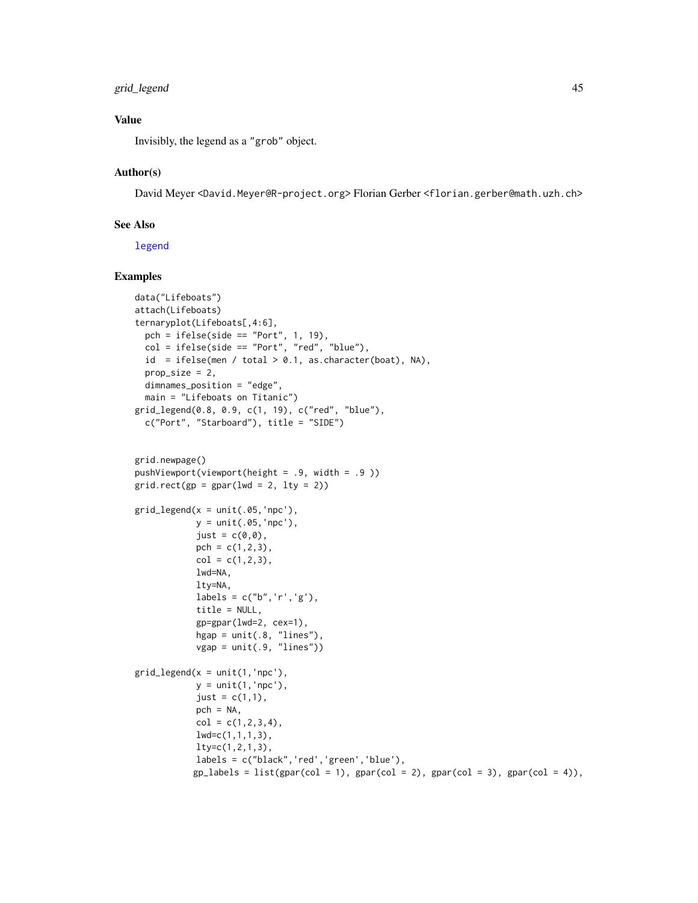# grid\_legend 45

# Value

Invisibly, the legend as a "grob" object.

## Author(s)

David Meyer <David.Meyer@R-project.org> Florian Gerber <florian.gerber@math.uzh.ch>

# See Also

[legend](#page-0-0)

```
data("Lifeboats")
attach(Lifeboats)
ternaryplot(Lifeboats[,4:6],
  pch = ifelse(side == "Port", 1, 19),
  col = ifelse(side == "Port", "red", "blue"),
  id = ifelse(men / total > 0.1, as-character(boat), NA),prop\_size = 2,
  dimnames_position = "edge",
  main = "Lifeboats on Titanic")
grid_legend(0.8, 0.9, c(1, 19), c("red", "blue"),
  c("Port", "Starboard"), title = "SIDE")
grid.newpage()
pushViewport(viewport(height = .9, width = .9 ))
grid.rect(gp = gpar(lwd = 2, lty = 2))grid\_legend(x = unit(.05, 'npc'),y = unit(.05,'npc'),
            just = c(\emptyset, \emptyset),
            pch = c(1, 2, 3),
            col = c(1, 2, 3),lwd=NA,
            lty=NA,
            labels = c("b", 'r', 'g'),title = NULL,
            gp=gpar(lwd=2, cex=1),
            hgap = unit(.8, 'lines''),
            vgap = unit(.9, 'lines'))grid\_legend(x = unit(1, 'npc'),y = unit(1,'npc'),just = c(1,1),pch = NA,
            col = c(1, 2, 3, 4),lwd=c(1,1,1,3),
            lty=c(1,2,1,3),
            labels = c("black",'red','green','blue'),
            gp_labels = list(gpar(col = 1), gpar(col = 2), gpar(col = 3), gpar(col = 4)),
```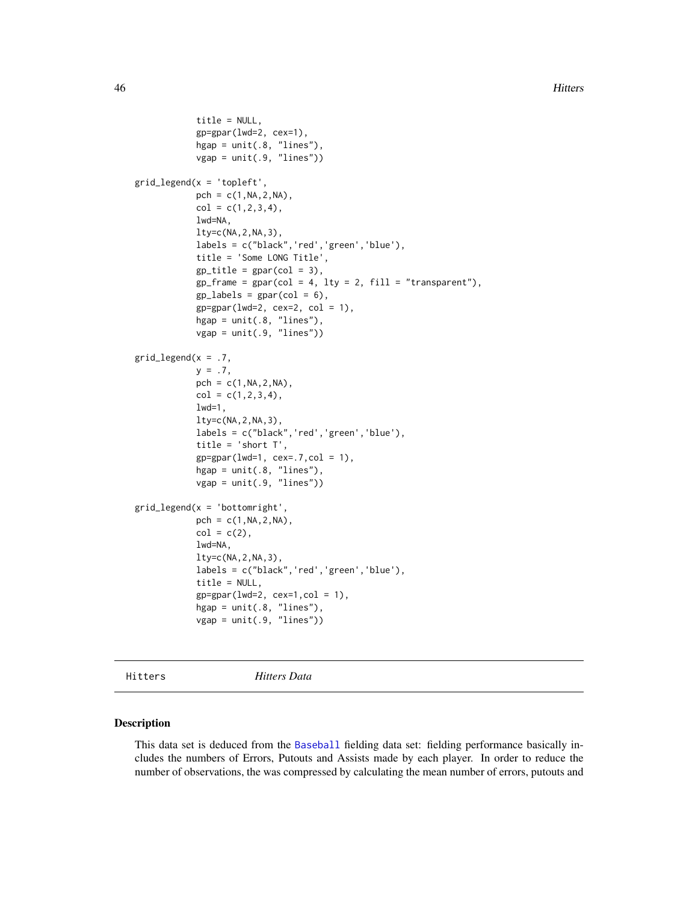```
title = NULL,
            gp=gpar(lwd=2, cex=1),
            hgap = unit(.8, "lines"),
            vgap = unit(.9, 'lines')
grid_legend(x = 'topleft',
            pch = c(1, NA, 2, NA),
            col = c(1, 2, 3, 4),lwd=NA,
            lty=c(NA,2,NA,3),
            labels = c("black",'red','green','blue'),
            title = 'Some LONG Title',
            gp_{\text{title}} = gpar(\text{col} = 3),gp_frame = gpar(col = 4, lty = 2, fill = "transport"),gp\_labels = gpar(col = 6),
            gp = gpar(lwd=2, cex=2, col = 1),hgap = unit(.8, 'lines''),
            vgap = unit(.9, "lines"))
grid\_legend(x = .7,y = .7,
            pch = c(1, NA, 2, NA),
            col = c(1, 2, 3, 4),1wd=1,
            lty=c(NA,2,NA,3),
            labels = c("black",'red','green','blue'),
            title = 'short T',
            gp=gpar(lwd=1, cex=.7,col = 1),
            hgap = unit(.8, "lines"),
            vgap = unit(.9, "lines"))
grid\_legend(x = 'bottomright',pch = c(1, NA, 2, NA),
            col = c(2),
            lwd=NA,
            lty=c(NA,2,NA,3),
            labels = c("black",'red','green','blue'),
            title = NULL,
            gp = gpar(lwd=2, cex=1, col = 1),hgap = unit(.8, 'lines'),
            vgap = unit(.9, "lines"))
```
Hitters *Hitters Data*

## Description

This data set is deduced from the [Baseball](#page-10-0) fielding data set: fielding performance basically includes the numbers of Errors, Putouts and Assists made by each player. In order to reduce the number of observations, the was compressed by calculating the mean number of errors, putouts and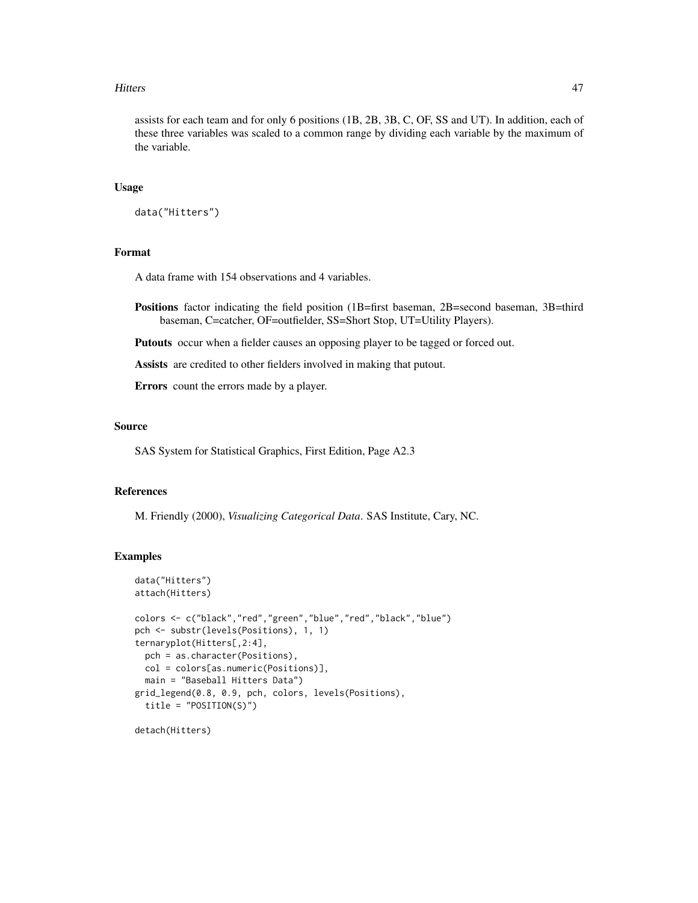#### Hitters 47

assists for each team and for only 6 positions (1B, 2B, 3B, C, OF, SS and UT). In addition, each of these three variables was scaled to a common range by dividing each variable by the maximum of the variable.

# Usage

```
data("Hitters")
```
# Format

A data frame with 154 observations and 4 variables.

Positions factor indicating the field position (1B=first baseman, 2B=second baseman, 3B=third baseman, C=catcher, OF=outfielder, SS=Short Stop, UT=Utility Players).

Putouts occur when a fielder causes an opposing player to be tagged or forced out.

Assists are credited to other fielders involved in making that putout.

Errors count the errors made by a player.

#### Source

SAS System for Statistical Graphics, First Edition, Page A2.3

## References

M. Friendly (2000), *Visualizing Categorical Data*. SAS Institute, Cary, NC.

```
data("Hitters")
attach(Hitters)
colors <- c("black","red","green","blue","red","black","blue")
pch <- substr(levels(Positions), 1, 1)
ternaryplot(Hitters[,2:4],
 pch = as.character(Positions),
 col = colors[as.numeric(Positions)],
 main = "Baseball Hitters Data")
grid_legend(0.8, 0.9, pch, colors, levels(Positions),
 title = "POSITION(S)")
detach(Hitters)
```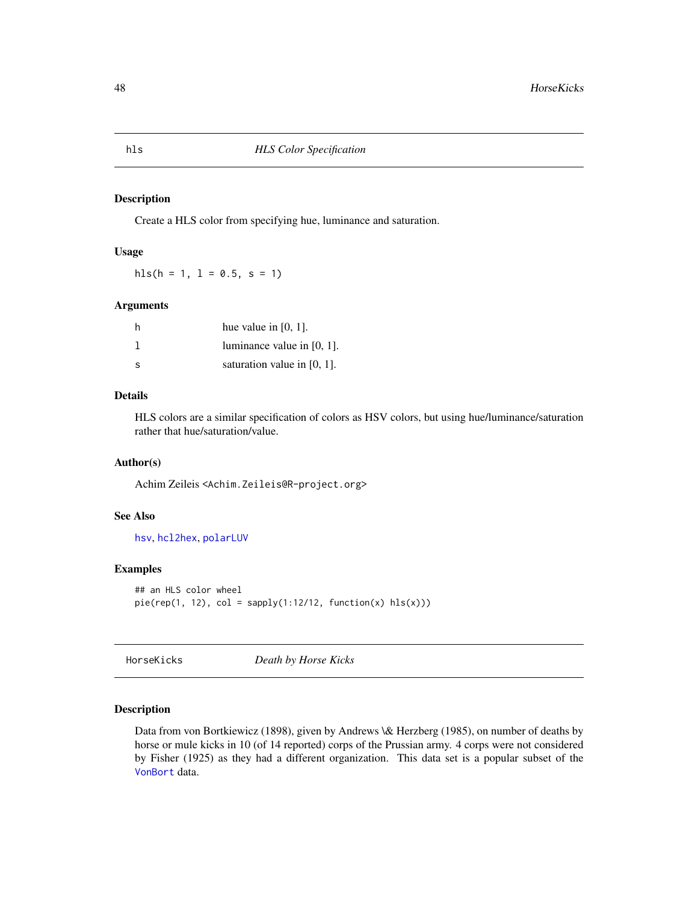#### Description

Create a HLS color from specifying hue, luminance and saturation.

# Usage

hls( $h = 1$ ,  $l = 0.5$ ,  $s = 1$ )

#### Arguments

| h  | hue value in $[0, 1]$ .        |
|----|--------------------------------|
|    | luminance value in $[0, 1]$ .  |
| -S | saturation value in $[0, 1]$ . |

# Details

HLS colors are a similar specification of colors as HSV colors, but using hue/luminance/saturation rather that hue/saturation/value.

## Author(s)

Achim Zeileis <Achim.Zeileis@R-project.org>

# See Also

[hsv](#page-0-0), [hcl2hex](#page-102-0), [polarLUV](#page-0-0)

#### Examples

```
## an HLS color wheel
pie(rep(1, 12), col = sapply(1:12/12, function(x) hls(x)))
```
HorseKicks *Death by Horse Kicks*

## Description

Data from von Bortkiewicz (1898), given by Andrews \& Herzberg (1985), on number of deaths by horse or mule kicks in 10 (of 14 reported) corps of the Prussian army. 4 corps were not considered by Fisher (1925) as they had a different organization. This data set is a popular subset of the [VonBort](#page-134-0) data.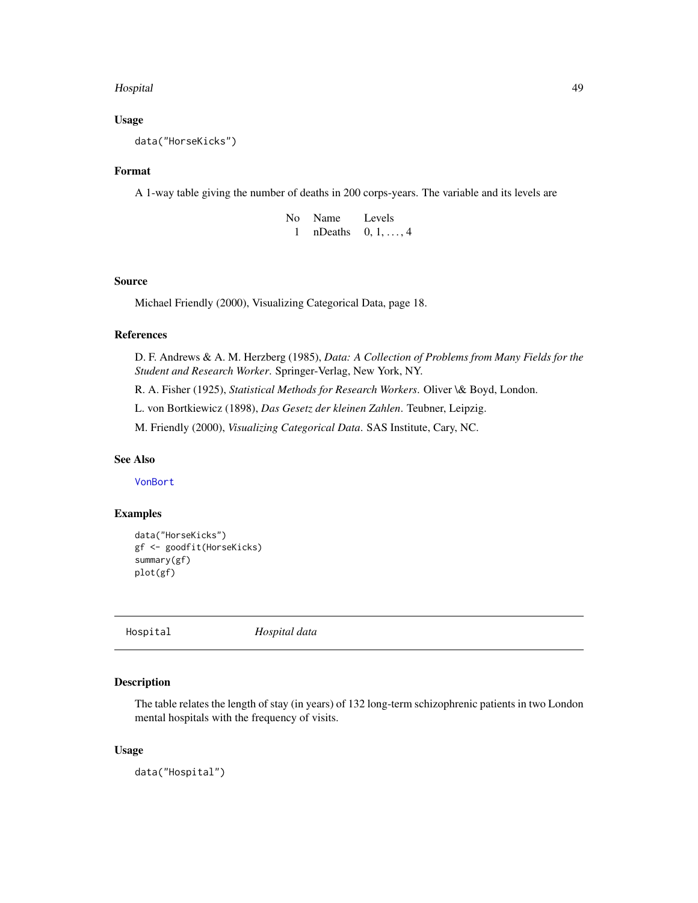## Hospital 49

## Usage

data("HorseKicks")

### Format

A 1-way table giving the number of deaths in 200 corps-years. The variable and its levels are

| No - | Name    | Levels            |
|------|---------|-------------------|
|      | nDeaths | $0, 1, \ldots, 4$ |

# Source

Michael Friendly (2000), Visualizing Categorical Data, page 18.

# References

D. F. Andrews & A. M. Herzberg (1985), *Data: A Collection of Problems from Many Fields for the Student and Research Worker*. Springer-Verlag, New York, NY.

R. A. Fisher (1925), *Statistical Methods for Research Workers*. Oliver \& Boyd, London.

L. von Bortkiewicz (1898), *Das Gesetz der kleinen Zahlen*. Teubner, Leipzig.

M. Friendly (2000), *Visualizing Categorical Data*. SAS Institute, Cary, NC.

#### See Also

[VonBort](#page-134-0)

# Examples

```
data("HorseKicks")
gf <- goodfit(HorseKicks)
summary(gf)
plot(gf)
```
Hospital *Hospital data*

## Description

The table relates the length of stay (in years) of 132 long-term schizophrenic patients in two London mental hospitals with the frequency of visits.

## Usage

data("Hospital")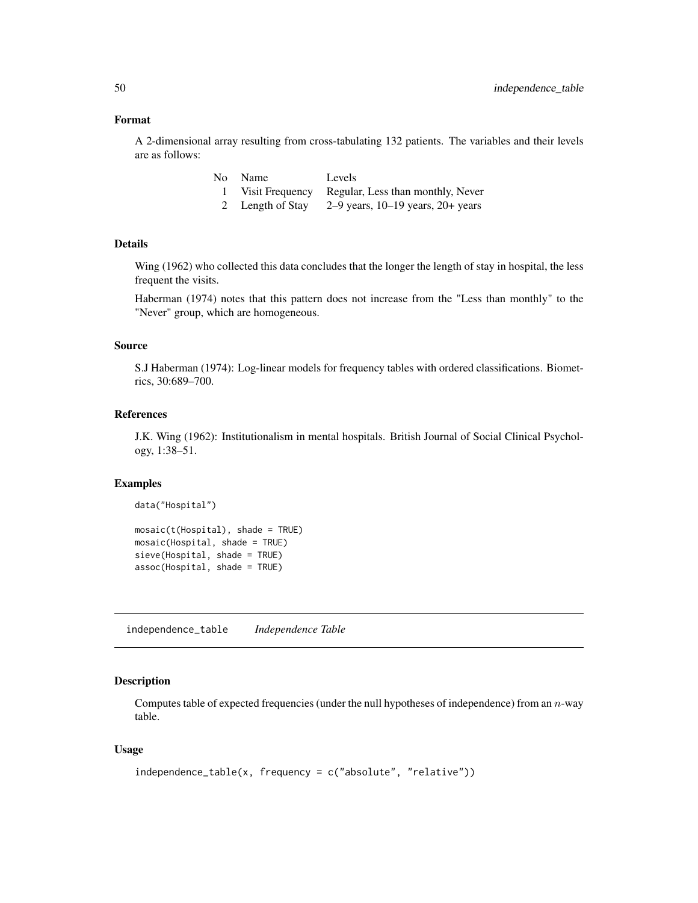#### Format

A 2-dimensional array resulting from cross-tabulating 132 patients. The variables and their levels are as follows:

| No- | Name             | Levels                                            |
|-----|------------------|---------------------------------------------------|
|     |                  | Visit Frequency Regular, Less than monthly, Never |
|     | 2 Length of Stay | 2–9 years, $10-19$ years, $20+$ years             |

# Details

Wing (1962) who collected this data concludes that the longer the length of stay in hospital, the less frequent the visits.

Haberman (1974) notes that this pattern does not increase from the "Less than monthly" to the "Never" group, which are homogeneous.

## Source

S.J Haberman (1974): Log-linear models for frequency tables with ordered classifications. Biometrics, 30:689–700.

#### References

J.K. Wing (1962): Institutionalism in mental hospitals. British Journal of Social Clinical Psychology, 1:38–51.

## Examples

```
data("Hospital")
```

```
mosaic(t(Hospital), shade = TRUE)
mosaic(Hospital, shade = TRUE)
sieve(Hospital, shade = TRUE)
assoc(Hospital, shade = TRUE)
```
independence\_table *Independence Table*

# Description

Computes table of expected frequencies (under the null hypotheses of independence) from an  $n$ -way table.

## Usage

```
independence_table(x, frequency = c("absolute", "relative"))
```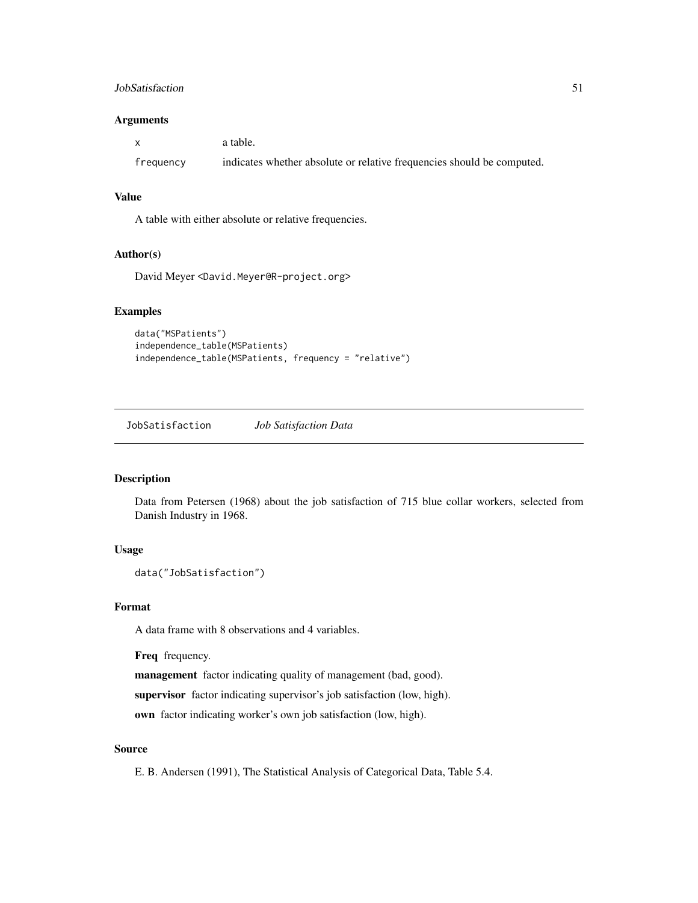## JobSatisfaction 51

## Arguments

|           | a table.                                                               |
|-----------|------------------------------------------------------------------------|
| frequency | indicates whether absolute or relative frequencies should be computed. |

## Value

A table with either absolute or relative frequencies.

## Author(s)

David Meyer <David.Meyer@R-project.org>

# Examples

```
data("MSPatients")
independence_table(MSPatients)
independence_table(MSPatients, frequency = "relative")
```
JobSatisfaction *Job Satisfaction Data*

# Description

Data from Petersen (1968) about the job satisfaction of 715 blue collar workers, selected from Danish Industry in 1968.

## Usage

```
data("JobSatisfaction")
```
## Format

A data frame with 8 observations and 4 variables.

Freq frequency.

management factor indicating quality of management (bad, good).

supervisor factor indicating supervisor's job satisfaction (low, high).

own factor indicating worker's own job satisfaction (low, high).

## Source

E. B. Andersen (1991), The Statistical Analysis of Categorical Data, Table 5.4.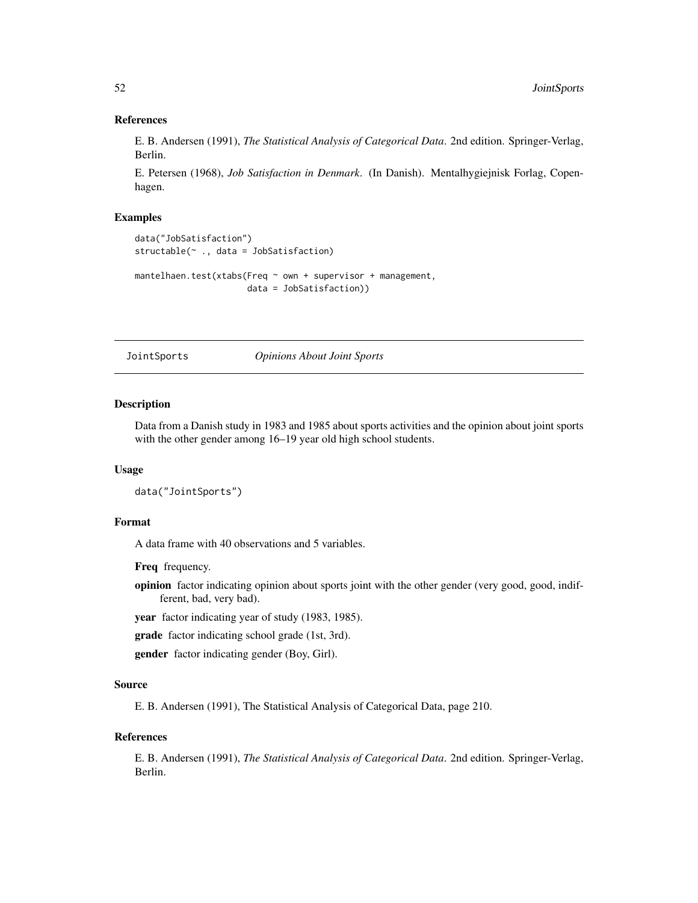## References

E. B. Andersen (1991), *The Statistical Analysis of Categorical Data*. 2nd edition. Springer-Verlag, Berlin.

E. Petersen (1968), *Job Satisfaction in Denmark*. (In Danish). Mentalhygiejnisk Forlag, Copenhagen.

## Examples

```
data("JobSatisfaction")
structable(~ ., data = JobSatisfaction)
mantelhaen.test(xtabs(Freq ~ own + supervisor + management,
                      data = JobSatisfaction))
```
JointSports *Opinions About Joint Sports*

#### Description

Data from a Danish study in 1983 and 1985 about sports activities and the opinion about joint sports with the other gender among 16–19 year old high school students.

# Usage

```
data("JointSports")
```
## Format

A data frame with 40 observations and 5 variables.

Freq frequency.

opinion factor indicating opinion about sports joint with the other gender (very good, good, indifferent, bad, very bad).

year factor indicating year of study (1983, 1985).

grade factor indicating school grade (1st, 3rd).

gender factor indicating gender (Boy, Girl).

## Source

E. B. Andersen (1991), The Statistical Analysis of Categorical Data, page 210.

#### References

E. B. Andersen (1991), *The Statistical Analysis of Categorical Data*. 2nd edition. Springer-Verlag, Berlin.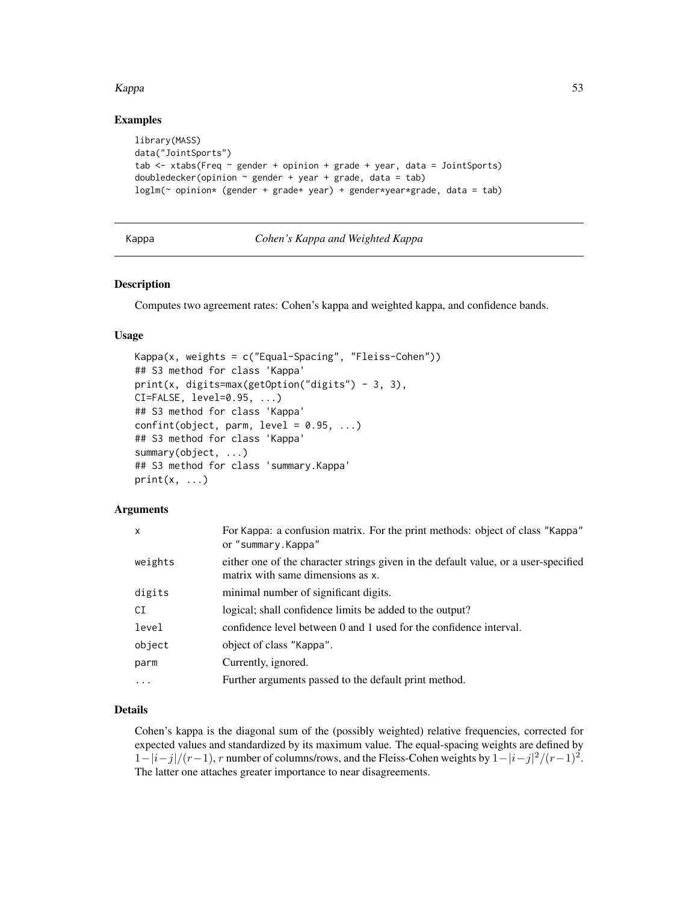#### Kappa 53 Santa Kabupatén Kabupatén Ing Kabupatén Kabupatén Ing Kabupatén Kabupatén Ing Kabupatén Kabupatén Ing K

## Examples

```
library(MASS)
data("JointSports")
tab \le xtabs(Freq \sim gender + opinion + grade + year, data = JointSports)
doubledecker(opinion \sim gender + year + grade, data = tab)
loglm(~ opinion* (gender + grade+ year) + gender*year*grade, data = tab)
```
## Kappa *Cohen's Kappa and Weighted Kappa*

#### Description

Computes two agreement rates: Cohen's kappa and weighted kappa, and confidence bands.

#### Usage

```
Kappa(x, weights = c("Equal-Spacking", "Fleiss-Chen"))## S3 method for class 'Kappa'
print(x, digits=max(getOption("digits") - 3, 3),
CI=FALSE, level=0.95, ...)
## S3 method for class 'Kappa'
confint(object, parm, level = 0.95, ...)## S3 method for class 'Kappa'
summary(object, ...)
## S3 method for class 'summary.Kappa'
print(x, \ldots)
```
## Arguments

| $\mathsf{x}$ | For Kappa: a confusion matrix. For the print methods: object of class "Kappa"<br>or "summary.Kappa"                      |
|--------------|--------------------------------------------------------------------------------------------------------------------------|
| weights      | either one of the character strings given in the default value, or a user-specified<br>matrix with same dimensions as x. |
| digits       | minimal number of significant digits.                                                                                    |
| CI           | logical; shall confidence limits be added to the output?                                                                 |
| level        | confidence level between 0 and 1 used for the confidence interval.                                                       |
| object       | object of class "Kappa".                                                                                                 |
| parm         | Currently, ignored.                                                                                                      |
| $\ddotsc$    | Further arguments passed to the default print method.                                                                    |

## Details

Cohen's kappa is the diagonal sum of the (possibly weighted) relative frequencies, corrected for expected values and standardized by its maximum value. The equal-spacing weights are defined by  $1-|i-j|/(r-1)$ , r number of columns/rows, and the Fleiss-Cohen weights by  $1-|i-j|^2/(r-1)^2$ . The latter one attaches greater importance to near disagreements.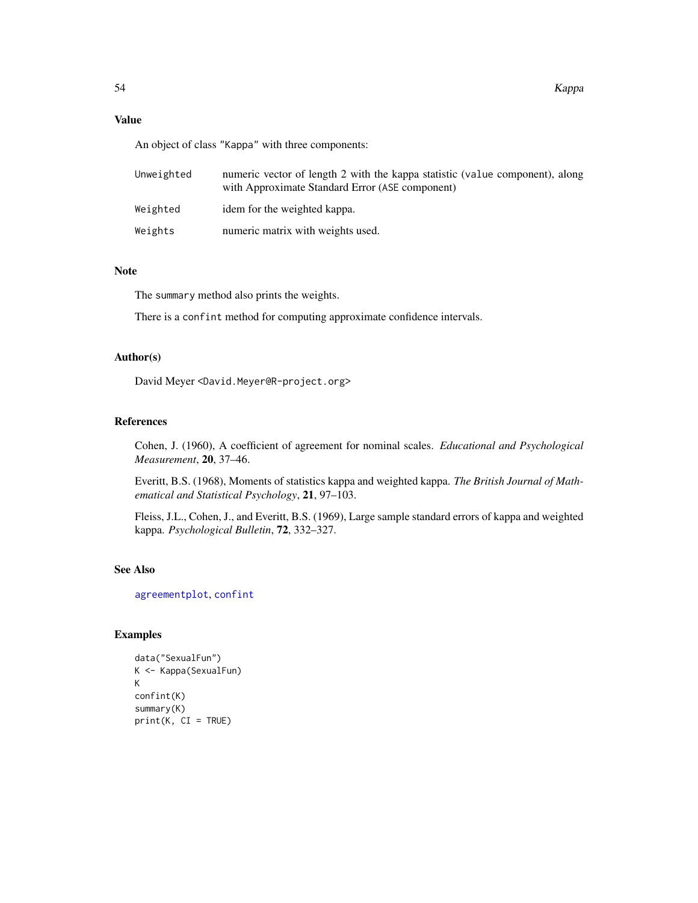# Value

An object of class "Kappa" with three components:

| Unweighted | numeric vector of length 2 with the kappa statistic (value component), along<br>with Approximate Standard Error (ASE component) |
|------------|---------------------------------------------------------------------------------------------------------------------------------|
| Weighted   | idem for the weighted kappa.                                                                                                    |
| Weights    | numeric matrix with weights used.                                                                                               |

# Note

The summary method also prints the weights.

There is a confint method for computing approximate confidence intervals.

## Author(s)

David Meyer <David.Meyer@R-project.org>

# References

Cohen, J. (1960), A coefficient of agreement for nominal scales. *Educational and Psychological Measurement*, 20, 37–46.

Everitt, B.S. (1968), Moments of statistics kappa and weighted kappa. *The British Journal of Mathematical and Statistical Psychology*, 21, 97–103.

Fleiss, J.L., Cohen, J., and Everitt, B.S. (1969), Large sample standard errors of kappa and weighted kappa. *Psychological Bulletin*, 72, 332–327.

## See Also

[agreementplot](#page-2-0), [confint](#page-0-0)

```
data("SexualFun")
K <- Kappa(SexualFun)
K
confint(K)
summary(K)
print(K, CI = TRUE)
```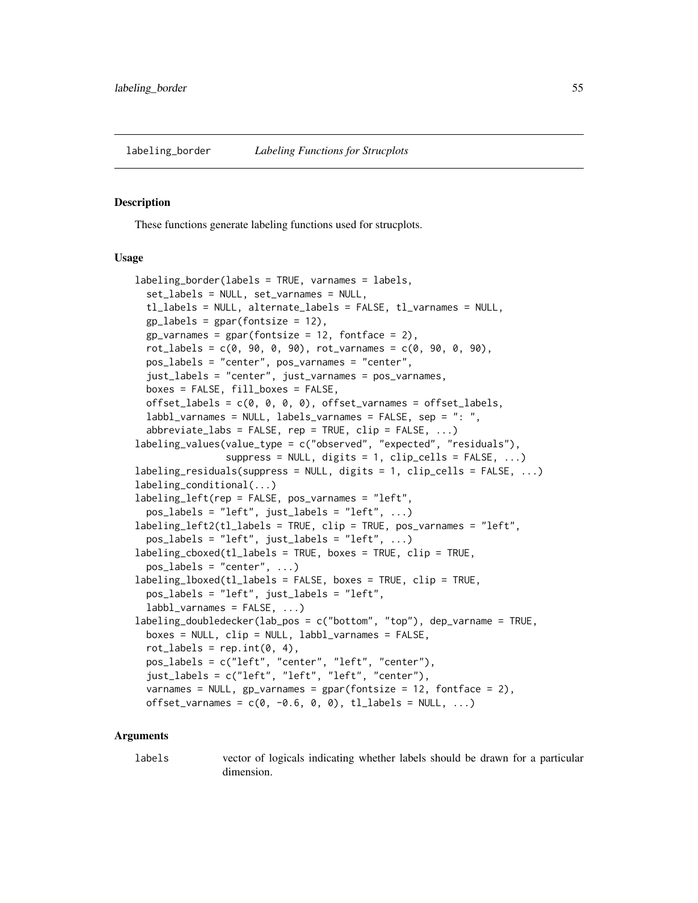<span id="page-54-0"></span>

#### **Description**

These functions generate labeling functions used for strucplots.

#### Usage

```
labeling_border(labels = TRUE, varnames = labels,
  set_labels = NULL, set_varnames = NULL,
  tl_labels = NULL, alternate_labels = FALSE, tl_varnames = NULL,
  gp abels = gpar(fontsize = 12),
  gp_{varnames} = gpar(fontsize = 12, fontface = 2),rot_{\text{labels}} = c(0, 90, 0, 90), rot_{\text{varnames}} = c(0, 90, 0, 90),
  pos_labels = "center", pos_varnames = "center",
  just_labels = "center", just_varnames = pos_varnames,
  boxes = FALSE, fill_boxes = FALSE,
  offset_labels = c(0, 0, 0, 0), offset_varnames = offset_labels,
  labbl_varnames = NULL, labels_varnames = FALSE, sep = ": ",
  abbreviate_labs = FALSE, rep = TRUE, clip = FALSE, \ldots)
labeling_values(value_type = c("observed", "expected", "residuals"),
                suppress = NULL, digits = 1, clip_cells = FALSE, ...)labeling_residuals(suppress = NULL, digits = 1, clip_cells = FALSE, ...)
labeling_conditional(...)
labeling_left(rep = FALSE, pos_varnames = "left",
  pos\_labels = "left", just\_labels = "left", ...labeling_left2(tl_labels = TRUE, clip = TRUE, pos_varnames = "left",
  pos_labels = "left", just_labels = "left", ...)
labeling_cboxed(tl_labels = TRUE, boxes = TRUE, clip = TRUE,
  pos\_labels = "center", ...)labeling_lboxed(tl_labels = FALSE, boxes = TRUE, clip = TRUE,
  pos_labels = "left", just_labels = "left",
  labbl_varnames = FALSE, ...)labeling_doubledecker(lab_pos = c("bottom", "top"), dep_varname = TRUE,
  boxes = NULL, clip = NULL, labbl_varnames = FALSE,
  rot\_labels = rep.int(0, 4),pos_labels = c("left", "center", "left", "center"),
  just_labels = c("left", "left", "left", "center"),
  varnames = NULL, gp_varnames = gpar(fontsize = 12, fontface = 2),
  offset_varnames = c(0, -0.6, 0, 0), tl_labels = NULL, ...)
```
#### Arguments

labels vector of logicals indicating whether labels should be drawn for a particular dimension.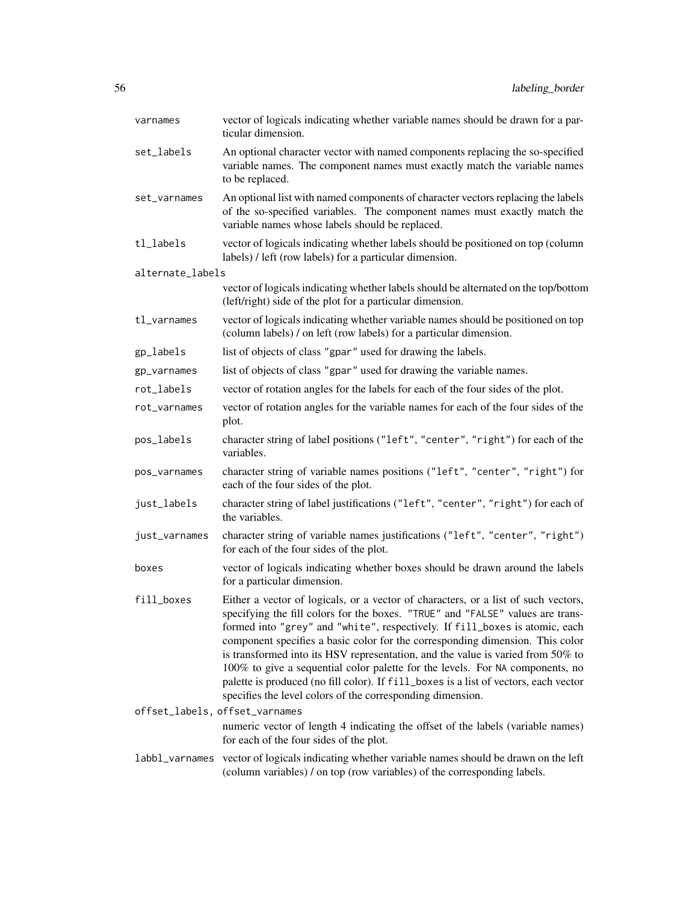| varnames         | vector of logicals indicating whether variable names should be drawn for a par-<br>ticular dimension.                                                                                                                                                                                                                                                                                                                                                                                                                                                                                                                                                          |
|------------------|----------------------------------------------------------------------------------------------------------------------------------------------------------------------------------------------------------------------------------------------------------------------------------------------------------------------------------------------------------------------------------------------------------------------------------------------------------------------------------------------------------------------------------------------------------------------------------------------------------------------------------------------------------------|
| set_labels       | An optional character vector with named components replacing the so-specified<br>variable names. The component names must exactly match the variable names<br>to be replaced.                                                                                                                                                                                                                                                                                                                                                                                                                                                                                  |
| set_varnames     | An optional list with named components of character vectors replacing the labels<br>of the so-specified variables. The component names must exactly match the<br>variable names whose labels should be replaced.                                                                                                                                                                                                                                                                                                                                                                                                                                               |
| tl_labels        | vector of logicals indicating whether labels should be positioned on top (column<br>labels) / left (row labels) for a particular dimension.                                                                                                                                                                                                                                                                                                                                                                                                                                                                                                                    |
| alternate_labels |                                                                                                                                                                                                                                                                                                                                                                                                                                                                                                                                                                                                                                                                |
|                  | vector of logicals indicating whether labels should be alternated on the top/bottom<br>(left/right) side of the plot for a particular dimension.                                                                                                                                                                                                                                                                                                                                                                                                                                                                                                               |
| tl_varnames      | vector of logicals indicating whether variable names should be positioned on top<br>(column labels) / on left (row labels) for a particular dimension.                                                                                                                                                                                                                                                                                                                                                                                                                                                                                                         |
| gp_labels        | list of objects of class "gpar" used for drawing the labels.                                                                                                                                                                                                                                                                                                                                                                                                                                                                                                                                                                                                   |
| gp_varnames      | list of objects of class "gpar" used for drawing the variable names.                                                                                                                                                                                                                                                                                                                                                                                                                                                                                                                                                                                           |
| rot_labels       | vector of rotation angles for the labels for each of the four sides of the plot.                                                                                                                                                                                                                                                                                                                                                                                                                                                                                                                                                                               |
| rot_varnames     | vector of rotation angles for the variable names for each of the four sides of the<br>plot.                                                                                                                                                                                                                                                                                                                                                                                                                                                                                                                                                                    |
| pos_labels       | character string of label positions ("left", "center", "right") for each of the<br>variables.                                                                                                                                                                                                                                                                                                                                                                                                                                                                                                                                                                  |
| pos_varnames     | character string of variable names positions ("left", "center", "right") for<br>each of the four sides of the plot.                                                                                                                                                                                                                                                                                                                                                                                                                                                                                                                                            |
| just_labels      | character string of label justifications ("left", "center", "right") for each of<br>the variables.                                                                                                                                                                                                                                                                                                                                                                                                                                                                                                                                                             |
| just_varnames    | character string of variable names justifications ("left", "center", "right")<br>for each of the four sides of the plot.                                                                                                                                                                                                                                                                                                                                                                                                                                                                                                                                       |
| boxes            | vector of logicals indicating whether boxes should be drawn around the labels<br>for a particular dimension.                                                                                                                                                                                                                                                                                                                                                                                                                                                                                                                                                   |
| fill_boxes       | Either a vector of logicals, or a vector of characters, or a list of such vectors,<br>specifying the fill colors for the boxes. "TRUE" and "FALSE" values are trans-<br>formed into "grey" and "white", respectively. If fill_boxes is atomic, each<br>component specifies a basic color for the corresponding dimension. This color<br>is transformed into its HSV representation, and the value is varied from 50% to<br>100% to give a sequential color palette for the levels. For NA components, no<br>palette is produced (no fill color). If fill_boxes is a list of vectors, each vector<br>specifies the level colors of the corresponding dimension. |
|                  | offset_labels, offset_varnames                                                                                                                                                                                                                                                                                                                                                                                                                                                                                                                                                                                                                                 |
|                  | numeric vector of length 4 indicating the offset of the labels (variable names)<br>for each of the four sides of the plot.                                                                                                                                                                                                                                                                                                                                                                                                                                                                                                                                     |
| labbl_varnames   | vector of logicals indicating whether variable names should be drawn on the left<br>(column variables) / on top (row variables) of the corresponding labels.                                                                                                                                                                                                                                                                                                                                                                                                                                                                                                   |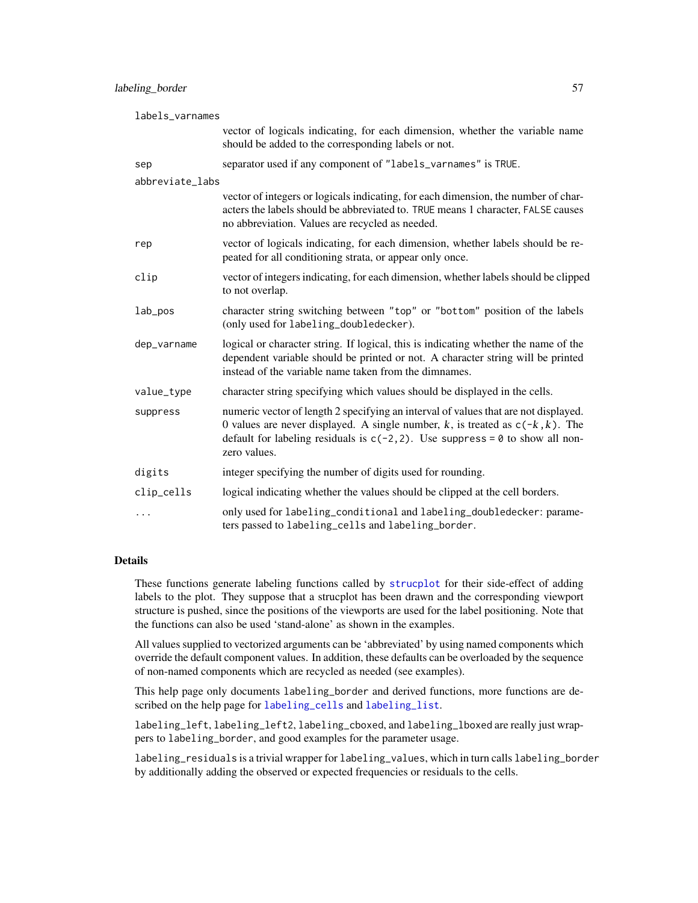## labeling\_border 57

| labels_varnames |                                                                                                                                                                                                                                                                             |  |
|-----------------|-----------------------------------------------------------------------------------------------------------------------------------------------------------------------------------------------------------------------------------------------------------------------------|--|
|                 | vector of logicals indicating, for each dimension, whether the variable name<br>should be added to the corresponding labels or not.                                                                                                                                         |  |
| sep             | separator used if any component of "labels_varnames" is TRUE.                                                                                                                                                                                                               |  |
| abbreviate_labs |                                                                                                                                                                                                                                                                             |  |
|                 | vector of integers or logicals indicating, for each dimension, the number of char-<br>acters the labels should be abbreviated to. TRUE means 1 character, FALSE causes<br>no abbreviation. Values are recycled as needed.                                                   |  |
| rep             | vector of logicals indicating, for each dimension, whether labels should be re-<br>peated for all conditioning strata, or appear only once.                                                                                                                                 |  |
| clip            | vector of integers indicating, for each dimension, whether labels should be clipped<br>to not overlap.                                                                                                                                                                      |  |
| lab_pos         | character string switching between "top" or "bottom" position of the labels<br>(only used for labeling_doubledecker).                                                                                                                                                       |  |
| dep_varname     | logical or character string. If logical, this is indicating whether the name of the<br>dependent variable should be printed or not. A character string will be printed<br>instead of the variable name taken from the dimnames.                                             |  |
| value_type      | character string specifying which values should be displayed in the cells.                                                                                                                                                                                                  |  |
| suppress        | numeric vector of length 2 specifying an interval of values that are not displayed.<br>0 values are never displayed. A single number, k, is treated as $c(-k, k)$ . The<br>default for labeling residuals is $c(-2, 2)$ . Use suppress = 0 to show all non-<br>zero values. |  |
| digits          | integer specifying the number of digits used for rounding.                                                                                                                                                                                                                  |  |
| clip_cells      | logical indicating whether the values should be clipped at the cell borders.                                                                                                                                                                                                |  |
| $\cdots$        | only used for labeling_conditional and labeling_doubledecker: parame-<br>ters passed to labeling_cells and labeling_border.                                                                                                                                                 |  |

## Details

These functions generate labeling functions called by [strucplot](#page-114-0) for their side-effect of adding labels to the plot. They suppose that a strucplot has been drawn and the corresponding viewport structure is pushed, since the positions of the viewports are used for the label positioning. Note that the functions can also be used 'stand-alone' as shown in the examples.

All values supplied to vectorized arguments can be 'abbreviated' by using named components which override the default component values. In addition, these defaults can be overloaded by the sequence of non-named components which are recycled as needed (see examples).

This help page only documents labeling\_border and derived functions, more functions are described on the help page for [labeling\\_cells](#page-58-0) and [labeling\\_list](#page-58-0).

labeling\_left, labeling\_left2, labeling\_cboxed, and labeling\_lboxed are really just wrappers to labeling\_border, and good examples for the parameter usage.

labeling\_residuals is a trivial wrapper for labeling\_values, which in turn calls labeling\_border by additionally adding the observed or expected frequencies or residuals to the cells.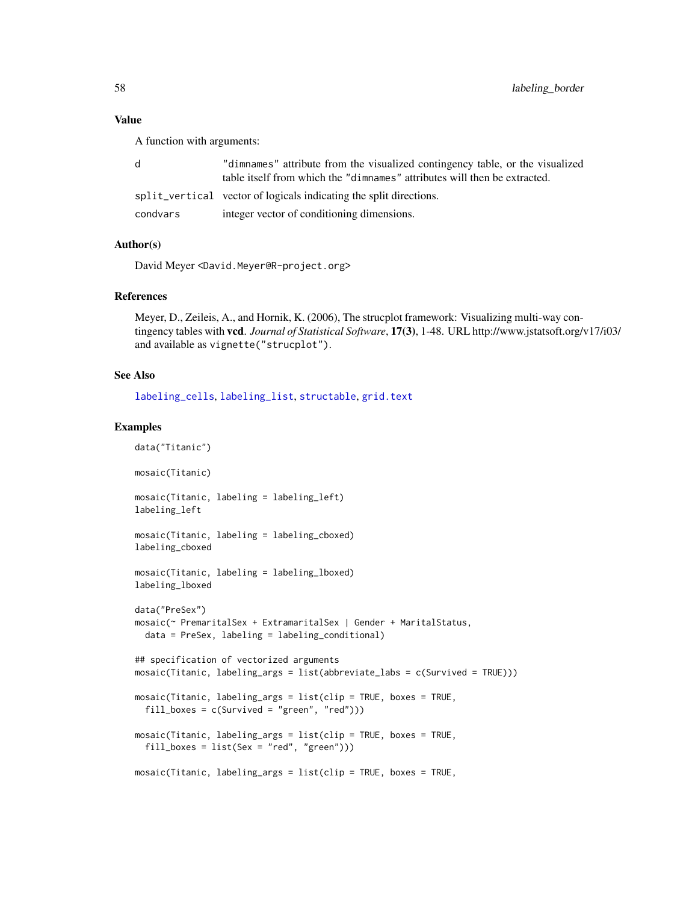# Value

A function with arguments:

|          | "dimnames" attribute from the visualized contingency table, or the visualized<br>table itself from which the "dimnames" attributes will then be extracted. |
|----------|------------------------------------------------------------------------------------------------------------------------------------------------------------|
|          | split_vertical vector of logicals indicating the split directions.                                                                                         |
| condvars | integer vector of conditioning dimensions.                                                                                                                 |

# Author(s)

David Meyer <David.Meyer@R-project.org>

# References

Meyer, D., Zeileis, A., and Hornik, K. (2006), The strucplot framework: Visualizing multi-way contingency tables with vcd. *Journal of Statistical Software*, 17(3), 1-48. URL http://www.jstatsoft.org/v17/i03/ and available as vignette("strucplot").

## See Also

[labeling\\_cells](#page-58-0), [labeling\\_list](#page-58-0), [structable](#page-118-0), [grid.text](#page-0-0)

```
data("Titanic")
mosaic(Titanic)
mosaic(Titanic, labeling = labeling_left)
labeling_left
mosaic(Titanic, labeling = labeling_cboxed)
labeling_cboxed
mosaic(Titanic, labeling = labeling_lboxed)
labeling_lboxed
data("PreSex")
mosaic(~ PremaritalSex + ExtramaritalSex | Gender + MaritalStatus,
  data = PreSex, labeling = labeling_conditional)
## specification of vectorized arguments
mosaic(Titanic, labeling_args = list(abbreviate_labs = c(Survived = TRUE)))
mosaic(Titanic, labeling_args = list(clip = TRUE, boxes = TRUE,
  fill_boxes = c(Survived = "green", "red")))
mosaic(Titanic, labeling_args = list(clip = TRUE, boxes = TRUE,
  fill_boxes = list(Sex = "red", "green")))
mosaic(Titanic, labeling_args = list(clip = TRUE, boxes = TRUE,
```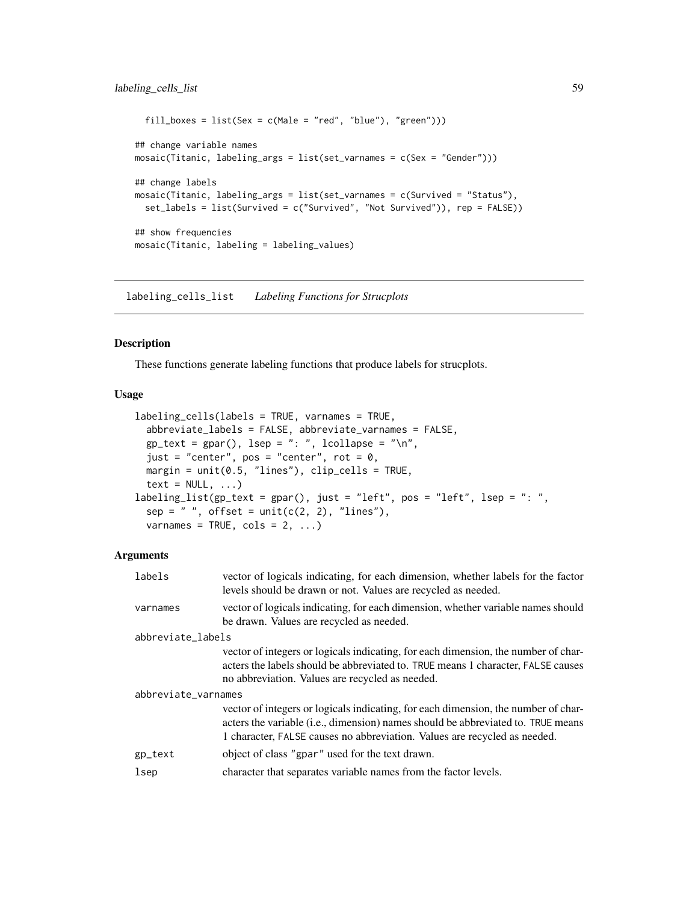```
fill_boxes = list(Sex = c(Male = "red", "blue"), "green")))
## change variable names
mosaic(Titanic, labeling_args = list(set_varnames = c(Sex = "Gender")))
## change labels
mosaic(Titanic, labeling_args = list(set_varnames = c(Survived = "Status"),
  set_labels = list(Survived = c("Survived", "Not Survived")), rep = FALSE))
## show frequencies
mosaic(Titanic, labeling = labeling_values)
```
labeling\_cells\_list *Labeling Functions for Strucplots*

#### <span id="page-58-0"></span>Description

These functions generate labeling functions that produce labels for strucplots.

# Usage

```
labeling_cells(labels = TRUE, varnames = TRUE,
  abbreviate_labels = FALSE, abbreviate_varnames = FALSE,
  gp\_text = gpar(), lsep = ": ", lcollapse = "\\n",just = "center", pos = "center", rot = 0,
 margin = unit(0.5, 'lines''), clip_cells = TRUE,
  text = NULL, ...labeling_list(gp_text = gpar(), just = "left", pos = "left", lsep = ": ",
  sep = " ", offset = unit(c(2, 2), "lines"),
  varnames = TRUE, cols = 2, ...)
```

| labels              | vector of logicals indicating, for each dimension, whether labels for the factor<br>levels should be drawn or not. Values are recycled as needed.                                                                                                            |  |
|---------------------|--------------------------------------------------------------------------------------------------------------------------------------------------------------------------------------------------------------------------------------------------------------|--|
| varnames            | vector of logicals indicating, for each dimension, whether variable names should<br>be drawn. Values are recycled as needed.                                                                                                                                 |  |
| abbreviate_labels   |                                                                                                                                                                                                                                                              |  |
|                     | vector of integers or logicals indicating, for each dimension, the number of char-<br>acters the labels should be abbreviated to. TRUE means 1 character, FALSE causes<br>no abbreviation. Values are recycled as needed.                                    |  |
| abbreviate_varnames |                                                                                                                                                                                                                                                              |  |
|                     | vector of integers or logicals indicating, for each dimension, the number of char-<br>acters the variable ( <i>i.e.</i> , dimension) names should be abbreviated to. TRUE means<br>1 character, FALSE causes no abbreviation. Values are recycled as needed. |  |
| gp_text             | object of class "gpar" used for the text drawn.                                                                                                                                                                                                              |  |
| lsep                | character that separates variable names from the factor levels.                                                                                                                                                                                              |  |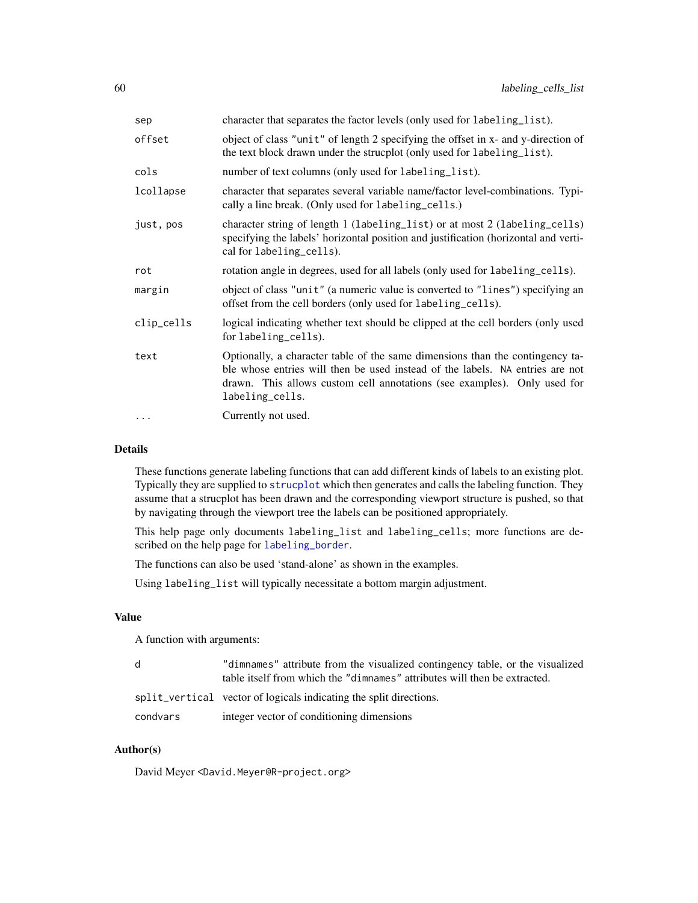| sep        | character that separates the factor levels (only used for labeling_list).                                                                                                                                                                                     |
|------------|---------------------------------------------------------------------------------------------------------------------------------------------------------------------------------------------------------------------------------------------------------------|
| offset     | object of class "unit" of length 2 specifying the offset in x- and y-direction of<br>the text block drawn under the strucplot (only used for labeling_list).                                                                                                  |
| cols       | number of text columns (only used for labeling_list).                                                                                                                                                                                                         |
| lcollapse  | character that separates several variable name/factor level-combinations. Typi-<br>cally a line break. (Only used for labeling_cells.)                                                                                                                        |
| just, pos  | character string of length 1 (labeling_list) or at most 2 (labeling_cells)<br>specifying the labels' horizontal position and justification (horizontal and verti-<br>cal for labeling_cells).                                                                 |
| rot        | rotation angle in degrees, used for all labels (only used for labeling_cells).                                                                                                                                                                                |
| margin     | object of class "unit" (a numeric value is converted to "lines") specifying an<br>offset from the cell borders (only used for labeling_cells).                                                                                                                |
| clip_cells | logical indicating whether text should be clipped at the cell borders (only used<br>for labeling_cells).                                                                                                                                                      |
| text       | Optionally, a character table of the same dimensions than the contingency ta-<br>ble whose entries will then be used instead of the labels. NA entries are not<br>drawn. This allows custom cell annotations (see examples). Only used for<br>labeling_cells. |
| $\ddots$ . | Currently not used.                                                                                                                                                                                                                                           |
|            |                                                                                                                                                                                                                                                               |

## Details

These functions generate labeling functions that can add different kinds of labels to an existing plot. Typically they are supplied to [strucplot](#page-114-0) which then generates and calls the labeling function. They assume that a strucplot has been drawn and the corresponding viewport structure is pushed, so that by navigating through the viewport tree the labels can be positioned appropriately.

This help page only documents labeling\_list and labeling\_cells; more functions are described on the help page for [labeling\\_border](#page-54-0).

The functions can also be used 'stand-alone' as shown in the examples.

Using labeling\_list will typically necessitate a bottom margin adjustment.

#### Value

A function with arguments:

| d        | "dimnames" attribute from the visualized contingency table, or the visualized<br>table itself from which the "dimnames" attributes will then be extracted. |
|----------|------------------------------------------------------------------------------------------------------------------------------------------------------------|
|          | split_vertical vector of logicals indicating the split directions.                                                                                         |
| condvars | integer vector of conditioning dimensions                                                                                                                  |

# Author(s)

David Meyer <David.Meyer@R-project.org>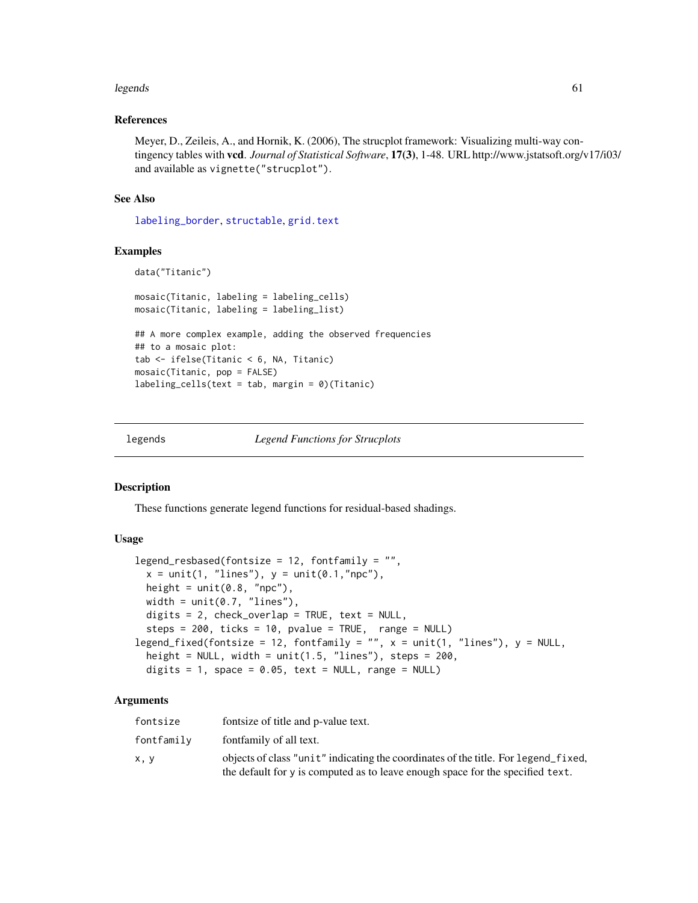#### legends 61

## References

Meyer, D., Zeileis, A., and Hornik, K. (2006), The strucplot framework: Visualizing multi-way contingency tables with vcd. *Journal of Statistical Software*, 17(3), 1-48. URL http://www.jstatsoft.org/v17/i03/ and available as vignette("strucplot").

## See Also

[labeling\\_border](#page-54-0), [structable](#page-118-0), [grid.text](#page-0-0)

## Examples

```
data("Titanic")
mosaic(Titanic, labeling = labeling_cells)
mosaic(Titanic, labeling = labeling_list)
## A more complex example, adding the observed frequencies
## to a mosaic plot:
tab <- ifelse(Titanic < 6, NA, Titanic)
mosaic(Titanic, pop = FALSE)
labeling_cells(text = tab, margin = 0)(Titanic)
```
legends *Legend Functions for Strucplots*

#### Description

These functions generate legend functions for residual-based shadings.

# Usage

```
legend_resbased(fontsize = 12, fontfamily = "",
  x = unit(1, "lines"), y = unit(0.1, "npc"),height = unit(0.8, "npc"),width = unit(0.7, 'lines'),
  digits = 2, check_overlap = TRUE, text = NULL,
  steps = 200, ticks = 10, pvalue = TRUE, range = NULL)
legend_fixed(fontsize = 12, fontfamily = "", x = unit(1, "lines"), y = NULL,height = NULL, width = unit(1.5, 'lines''), steps = 200,
  digits = 1, space = 0.05, text = NULL, range = NULL)
```

| fontsize   | fontsize of title and p-value text.                                                                                                                                  |
|------------|----------------------------------------------------------------------------------------------------------------------------------------------------------------------|
| fontfamily | fontfamily of all text.                                                                                                                                              |
| x, y       | objects of class "unit" indicating the coordinates of the title. For legend fixed,<br>the default for y is computed as to leave enough space for the specified text. |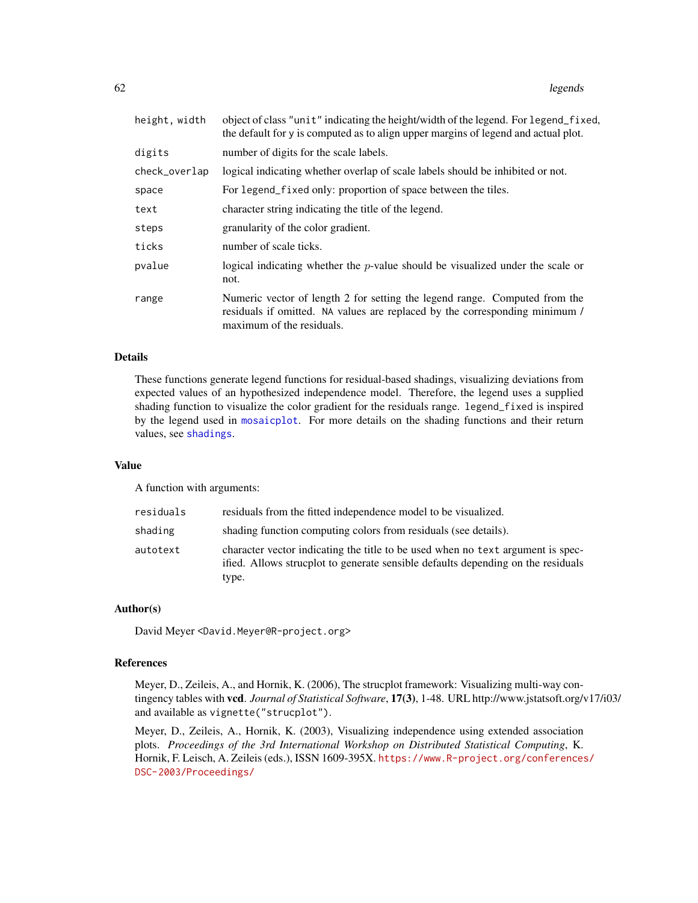| object of class "unit" indicating the height/width of the legend. For legend_fixed,<br>the default for y is computed as to align upper margins of legend and actual plot.              |
|----------------------------------------------------------------------------------------------------------------------------------------------------------------------------------------|
| number of digits for the scale labels.                                                                                                                                                 |
| logical indicating whether overlap of scale labels should be inhibited or not.                                                                                                         |
| For legend_fixed only: proportion of space between the tiles.                                                                                                                          |
| character string indicating the title of the legend.                                                                                                                                   |
| granularity of the color gradient.                                                                                                                                                     |
| number of scale ticks.                                                                                                                                                                 |
| logical indicating whether the $p$ -value should be visualized under the scale or<br>not.                                                                                              |
| Numeric vector of length 2 for setting the legend range. Computed from the<br>residuals if omitted. NA values are replaced by the corresponding minimum /<br>maximum of the residuals. |
|                                                                                                                                                                                        |

# Details

These functions generate legend functions for residual-based shadings, visualizing deviations from expected values of an hypothesized independence model. Therefore, the legend uses a supplied shading function to visualize the color gradient for the residuals range. legend\_fixed is inspired by the legend used in [mosaicplot](#page-0-0). For more details on the shading functions and their return values, see [shadings](#page-102-1).

## Value

A function with arguments:

| residuals | residuals from the fitted independence model to be visualized.                                                                                                               |
|-----------|------------------------------------------------------------------------------------------------------------------------------------------------------------------------------|
| shading   | shading function computing colors from residuals (see details).                                                                                                              |
| autotext  | character vector indicating the title to be used when no text argument is spec-<br>ified. Allows strucplot to generate sensible defaults depending on the residuals<br>type. |

# Author(s)

David Meyer <David.Meyer@R-project.org>

## References

Meyer, D., Zeileis, A., and Hornik, K. (2006), The strucplot framework: Visualizing multi-way contingency tables with vcd. *Journal of Statistical Software*, 17(3), 1-48. URL http://www.jstatsoft.org/v17/i03/ and available as vignette("strucplot").

Meyer, D., Zeileis, A., Hornik, K. (2003), Visualizing independence using extended association plots. *Proceedings of the 3rd International Workshop on Distributed Statistical Computing*, K. Hornik, F. Leisch, A. Zeileis (eds.), ISSN 1609-395X. [https://www.R-project.org/conferences](https://www.R-project.org/conferences/DSC-2003/Proceedings/)/ [DSC-2003/Proceedings/](https://www.R-project.org/conferences/DSC-2003/Proceedings/)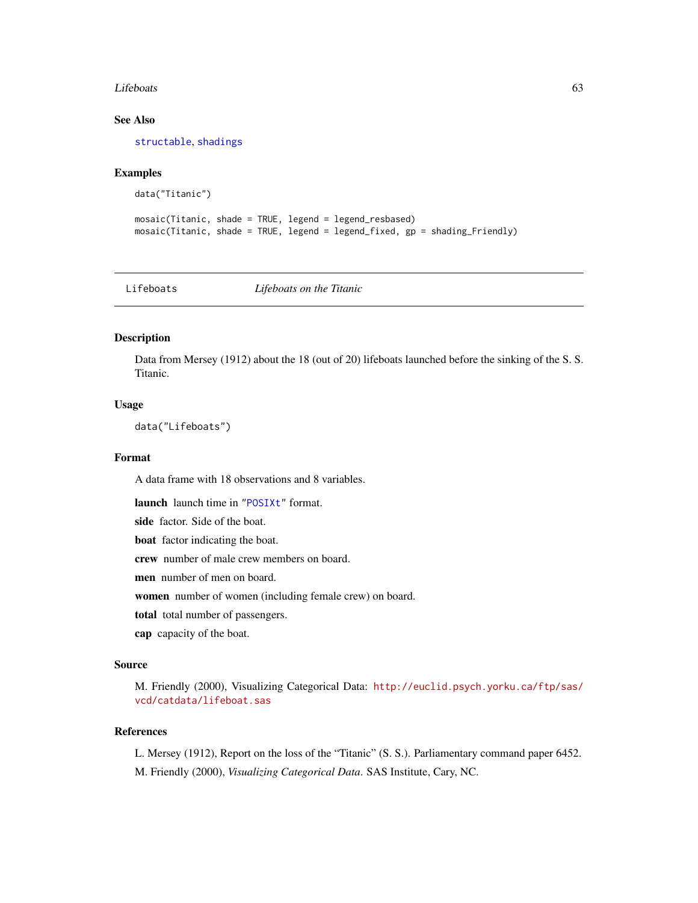#### Lifeboats 63

# See Also

[structable](#page-118-0), [shadings](#page-102-1)

## Examples

```
data("Titanic")
```

```
mosaic(Titanic, shade = TRUE, legend = legend_resbased)
mosaic(Titanic, shade = TRUE, legend = legend_fixed, gp = shading_Friendly)
```
Lifeboats *Lifeboats on the Titanic*

# Description

Data from Mersey (1912) about the 18 (out of 20) lifeboats launched before the sinking of the S. S. Titanic.

## Usage

data("Lifeboats")

## Format

A data frame with 18 observations and 8 variables.

launch launch time in ["POSIXt"](#page-0-0) format.

side factor. Side of the boat.

boat factor indicating the boat.

crew number of male crew members on board.

men number of men on board.

women number of women (including female crew) on board.

total total number of passengers.

cap capacity of the boat.

## Source

M. Friendly (2000), Visualizing Categorical Data: [http://euclid.psych.yorku.ca/ftp/sas/](http://euclid.psych.yorku.ca/ftp/sas/vcd/catdata/lifeboat.sas) [vcd/catdata/lifeboat.sas](http://euclid.psych.yorku.ca/ftp/sas/vcd/catdata/lifeboat.sas)

#### References

L. Mersey (1912), Report on the loss of the "Titanic" (S. S.). Parliamentary command paper 6452. M. Friendly (2000), *Visualizing Categorical Data*. SAS Institute, Cary, NC.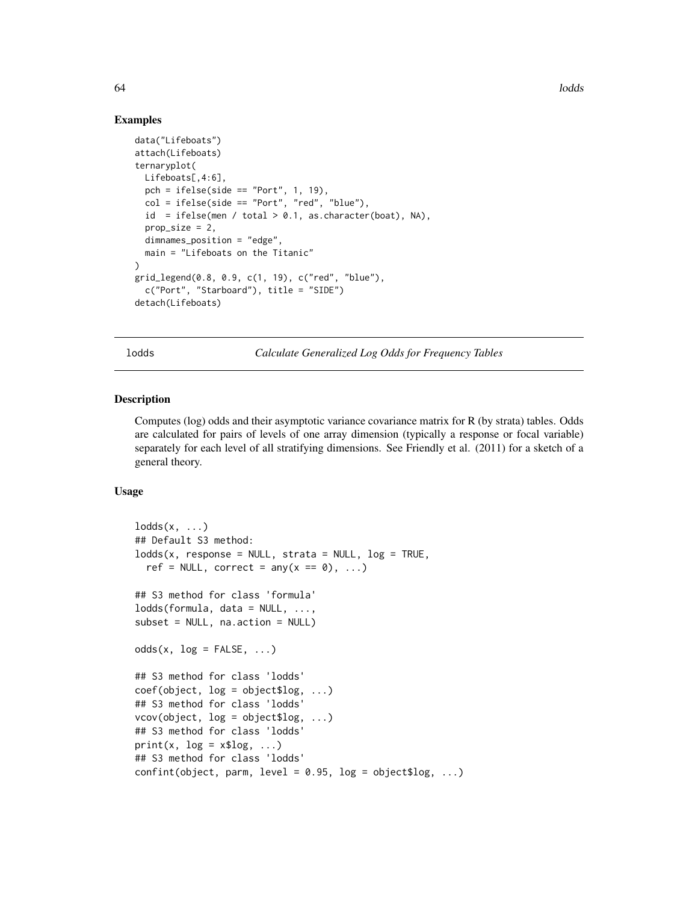## Examples

```
data("Lifeboats")
attach(Lifeboats)
ternaryplot(
 Lifeboats[,4:6],
  pch = ifelse(side == "Port", 1, 19),col = ifelse(side == "Port", "red", "blue"),id = ifelse(men / total > 0.1, as-character(boat), NA),prop\_size = 2,
  dimnames_position = "edge",
  main = "Lifeboats on the Titanic"
)
grid_legend(0.8, 0.9, c(1, 19), c("red", "blue"),
  c("Port", "Starboard"), title = "SIDE")
detach(Lifeboats)
```
lodds *Calculate Generalized Log Odds for Frequency Tables*

## Description

Computes (log) odds and their asymptotic variance covariance matrix for R (by strata) tables. Odds are calculated for pairs of levels of one array dimension (typically a response or focal variable) separately for each level of all stratifying dimensions. See Friendly et al. (2011) for a sketch of a general theory.

## Usage

```
lodds(x, \ldots)## Default S3 method:
lodds(x, response = NULL, strata = NULL, log = TRUE,ref = NULL, correct = any(x == 0), ...)## S3 method for class 'formula'
lodds(formula, data = NULL, ...,subset = NULL, na.action = NULL)
odds(x, log = FALSE, ...)## S3 method for class 'lodds'
coef(object, log = object$log, ...)
## S3 method for class 'lodds'
vcov(object, log = object$log, ...)
## S3 method for class 'lodds'
print(x, log = x$log, ...)## S3 method for class 'lodds'
confint(object, parm, level = 0.95, log = object$log, ...)
```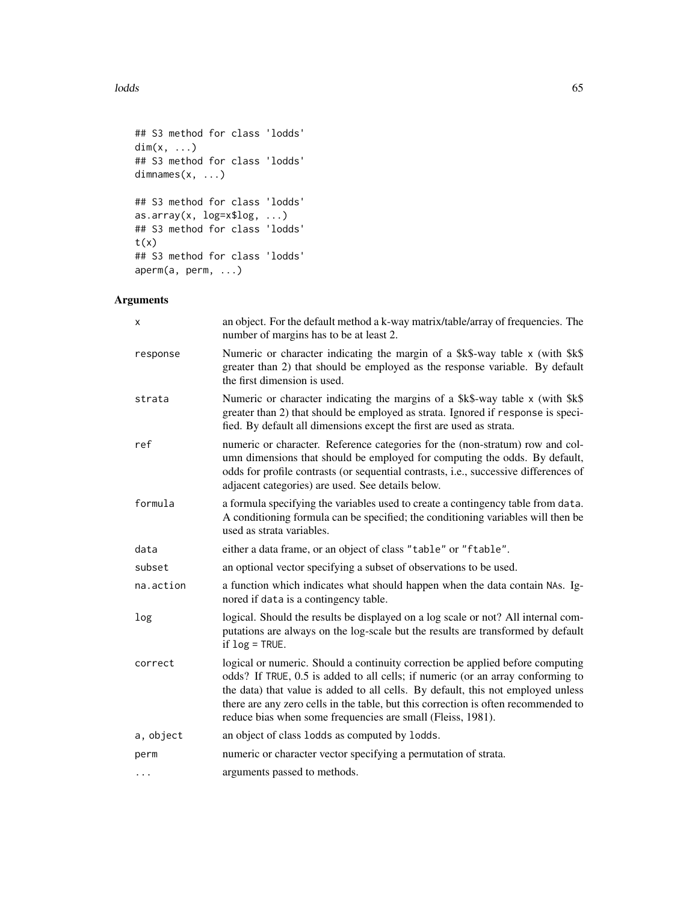## lodds 65

```
## S3 method for class 'lodds'
dim(x, \ldots)## S3 method for class 'lodds'
dimnames(x, ...)
## S3 method for class 'lodds'
as.array(x, log=x$log, ...)
## S3 method for class 'lodds'
t(x)## S3 method for class 'lodds'
aperm(a, perm, ...)
```

| х         | an object. For the default method a k-way matrix/table/array of frequencies. The<br>number of margins has to be at least 2.                                                                                                                                                                                                                                                                                |
|-----------|------------------------------------------------------------------------------------------------------------------------------------------------------------------------------------------------------------------------------------------------------------------------------------------------------------------------------------------------------------------------------------------------------------|
| response  | Numeric or character indicating the margin of a \$k\$-way table x (with \$k\$<br>greater than 2) that should be employed as the response variable. By default<br>the first dimension is used.                                                                                                                                                                                                              |
| strata    | Numeric or character indicating the margins of a \$k\$-way table x (with \$k\$<br>greater than 2) that should be employed as strata. Ignored if response is speci-<br>fied. By default all dimensions except the first are used as strata.                                                                                                                                                                 |
| ref       | numeric or character. Reference categories for the (non-stratum) row and col-<br>umn dimensions that should be employed for computing the odds. By default,<br>odds for profile contrasts (or sequential contrasts, i.e., successive differences of<br>adjacent categories) are used. See details below.                                                                                                   |
| formula   | a formula specifying the variables used to create a contingency table from data.<br>A conditioning formula can be specified; the conditioning variables will then be<br>used as strata variables.                                                                                                                                                                                                          |
| data      | either a data frame, or an object of class "table" or "ftable".                                                                                                                                                                                                                                                                                                                                            |
| subset    | an optional vector specifying a subset of observations to be used.                                                                                                                                                                                                                                                                                                                                         |
| na.action | a function which indicates what should happen when the data contain NAs. Ig-<br>nored if data is a contingency table.                                                                                                                                                                                                                                                                                      |
| log       | logical. Should the results be displayed on a log scale or not? All internal com-<br>putations are always on the log-scale but the results are transformed by default<br>if $log = TRUE$ .                                                                                                                                                                                                                 |
| correct   | logical or numeric. Should a continuity correction be applied before computing<br>odds? If TRUE, 0.5 is added to all cells; if numeric (or an array conforming to<br>the data) that value is added to all cells. By default, this not employed unless<br>there are any zero cells in the table, but this correction is often recommended to<br>reduce bias when some frequencies are small (Fleiss, 1981). |
| a, object | an object of class lodds as computed by lodds.                                                                                                                                                                                                                                                                                                                                                             |
| perm      | numeric or character vector specifying a permutation of strata.                                                                                                                                                                                                                                                                                                                                            |
| $\cdots$  | arguments passed to methods.                                                                                                                                                                                                                                                                                                                                                                               |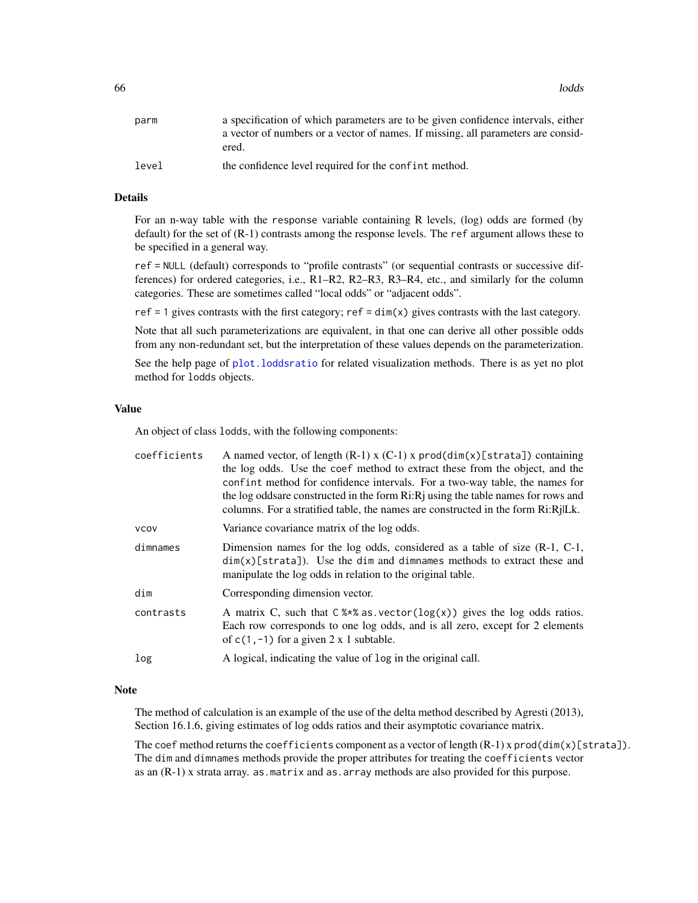| parm  | a specification of which parameters are to be given confidence intervals, either |
|-------|----------------------------------------------------------------------------------|
|       | a vector of numbers or a vector of names. If missing, all parameters are consid- |
|       | ered.                                                                            |
| level | the confidence level required for the confint method.                            |

## Details

For an n-way table with the response variable containing R levels, (log) odds are formed (by default) for the set of (R-1) contrasts among the response levels. The ref argument allows these to be specified in a general way.

ref = NULL (default) corresponds to "profile contrasts" (or sequential contrasts or successive differences) for ordered categories, i.e., R1–R2, R2–R3, R3–R4, etc., and similarly for the column categories. These are sometimes called "local odds" or "adjacent odds".

ref  $= 1$  gives contrasts with the first category; ref  $= \dim(x)$  gives contrasts with the last category.

Note that all such parameterizations are equivalent, in that one can derive all other possible odds from any non-redundant set, but the interpretation of these values depends on the parameterization.

See the help page of [plot.loddsratio](#page-88-0) for related visualization methods. There is as yet no plot method for lodds objects.

#### Value

An object of class lodds, with the following components:

| coefficients | A named vector, of length $(R-1)$ x $(C-1)$ x prod( $dim(x)$ [strata]) containing<br>the log odds. Use the coef method to extract these from the object, and the<br>confint method for confidence intervals. For a two-way table, the names for<br>the log oddsare constructed in the form Ri: Rj using the table names for rows and<br>columns. For a stratified table, the names are constructed in the form Ri:RjlLk. |
|--------------|--------------------------------------------------------------------------------------------------------------------------------------------------------------------------------------------------------------------------------------------------------------------------------------------------------------------------------------------------------------------------------------------------------------------------|
| <b>VCOV</b>  | Variance covariance matrix of the log odds.                                                                                                                                                                                                                                                                                                                                                                              |
| dimnames     | Dimension names for the log odds, considered as a table of size (R-1, C-1,<br>$dim(x)[strata]).$ Use the dim and dimnames methods to extract these and<br>manipulate the log odds in relation to the original table.                                                                                                                                                                                                     |
| dim          | Corresponding dimension vector.                                                                                                                                                                                                                                                                                                                                                                                          |
| contrasts    | A matrix C, such that $C$ %*% as vector( $log(x)$ ) gives the log odds ratios.<br>Each row corresponds to one log odds, and is all zero, except for 2 elements<br>of $c(1, -1)$ for a given 2 x 1 subtable.                                                                                                                                                                                                              |
| log          | A logical, indicating the value of log in the original call.                                                                                                                                                                                                                                                                                                                                                             |

## Note

The method of calculation is an example of the use of the delta method described by Agresti (2013), Section 16.1.6, giving estimates of log odds ratios and their asymptotic covariance matrix.

The coef method returns the coefficients component as a vector of length  $(R-1)$  x prod(dim(x)[strata]). The dim and dimnames methods provide the proper attributes for treating the coefficients vector as an (R-1) x strata array. as.matrix and as.array methods are also provided for this purpose.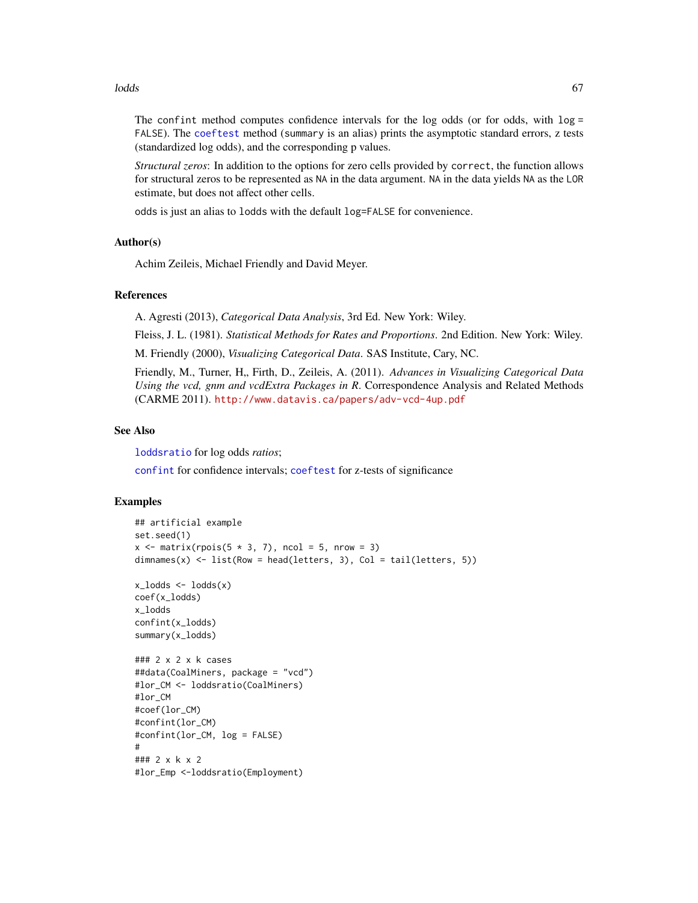#### lodds 67

The confint method computes confidence intervals for the log odds (or for odds, with  $log =$ FALSE). The [coeftest](#page-0-0) method (summary is an alias) prints the asymptotic standard errors, z tests (standardized log odds), and the corresponding p values.

*Structural zeros*: In addition to the options for zero cells provided by correct, the function allows for structural zeros to be represented as NA in the data argument. NA in the data yields NA as the LOR estimate, but does not affect other cells.

odds is just an alias to lodds with the default log=FALSE for convenience.

## Author(s)

Achim Zeileis, Michael Friendly and David Meyer.

## References

A. Agresti (2013), *Categorical Data Analysis*, 3rd Ed. New York: Wiley.

Fleiss, J. L. (1981). *Statistical Methods for Rates and Proportions*. 2nd Edition. New York: Wiley.

M. Friendly (2000), *Visualizing Categorical Data*. SAS Institute, Cary, NC.

Friendly, M., Turner, H., Firth, D., Zeileis, A. (2011). *Advances in Visualizing Categorical Data Using the vcd, gnm and vcdExtra Packages in R*. Correspondence Analysis and Related Methods (CARME 2011). <http://www.datavis.ca/papers/adv-vcd-4up.pdf>

## See Also

[loddsratio](#page-67-0) for log odds *ratios*;

[confint](#page-0-0) for confidence intervals; [coeftest](#page-0-0) for z-tests of significance

```
## artificial example
set.seed(1)
x \le matrix(rpois(5 * 3, 7), ncol = 5, nrow = 3)
dimnames(x) <- list(Row = head(letters, 3), Col = tail(letters, 5))
x_lodds \left\langle -\right\ranglelodds(x)coef(x_lodds)
x_lodds
confint(x_lodds)
summary(x_lodds)
### 2 x 2 x k cases
##data(CoalMiners, package = "vcd")
#lor_CM <- loddsratio(CoalMiners)
#lor_CM
#coef(lor_CM)
#confint(lor_CM)
#confint(lor_CM, log = FALSE)
#
### 2 x k x 2
#lor_Emp <-loddsratio(Employment)
```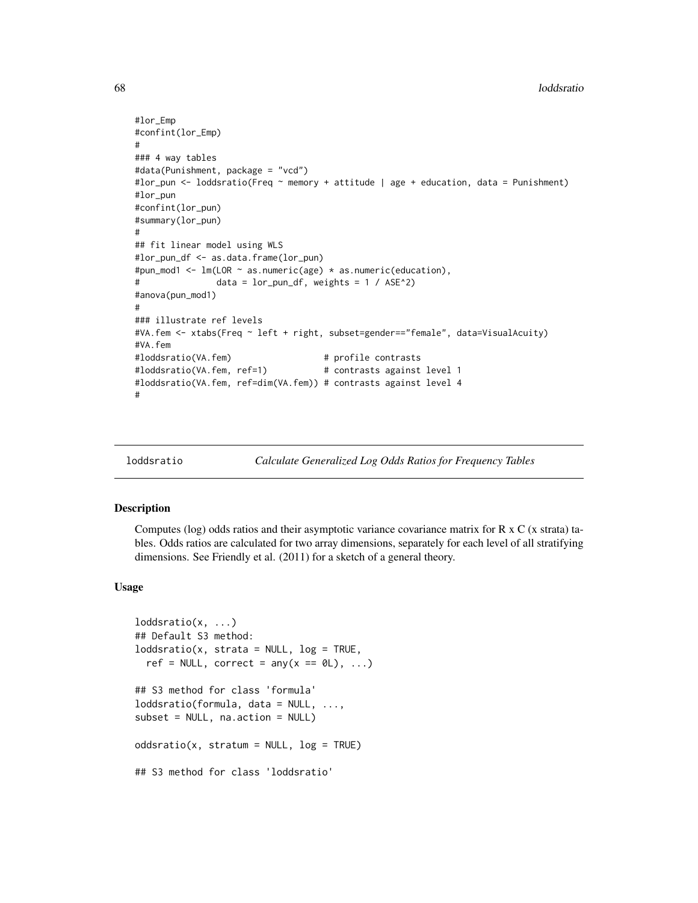```
#lor_Emp
#confint(lor_Emp)
#
### 4 way tables
#data(Punishment, package = "vcd")
#lor_pun <- loddsratio(Freq ~ memory + attitude | age + education, data = Punishment)
#lor_pun
#confint(lor_pun)
#summary(lor_pun)
#
## fit linear model using WLS
#lor_pun_df <- as.data.frame(lor_pun)
#pun_mod1 <- lm(LOR ~ as.numeric(age) * as.numeric(education),
# data = lor_pun_df, weights = 1 / ASE^2)
#anova(pun_mod1)
#
### illustrate ref levels
#VA.fem <- xtabs(Freq ~ left + right, subset=gender=="female", data=VisualAcuity)
#VA.fem
#loddsratio(VA.fem) # profile contrasts
#loddsratio(VA.fem, ref=1) # contrasts against level 1
#loddsratio(VA.fem, ref=dim(VA.fem)) # contrasts against level 4
#
```
<span id="page-67-0"></span>loddsratio *Calculate Generalized Log Odds Ratios for Frequency Tables*

## Description

Computes (log) odds ratios and their asymptotic variance covariance matrix for R x C (x strata) tables. Odds ratios are calculated for two array dimensions, separately for each level of all stratifying dimensions. See Friendly et al. (2011) for a sketch of a general theory.

## Usage

```
loddsratio(x, ...)
## Default S3 method:
loddsratio(x, strata = NULL, log = TRUE,ref = NULL, correct = any(x == 0L), ...## S3 method for class 'formula'
loddsratio(formula, data = NULL, ...,
subset = NULL, na.action = NULL)
oddsratio(x, stratum = NULL, log = TRUE)## S3 method for class 'loddsratio'
```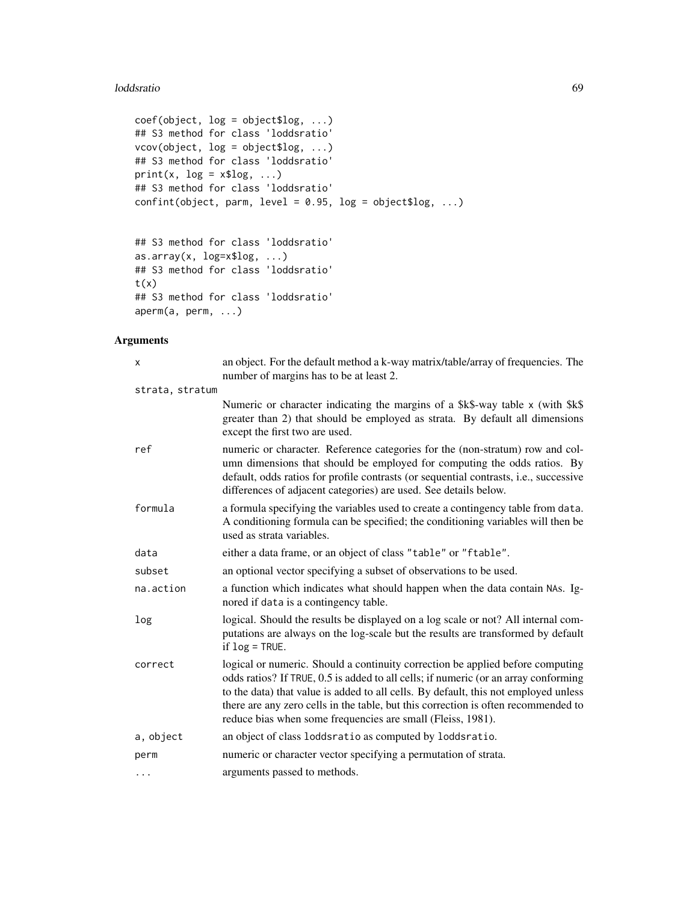## loddsratio 69

```
coef(object, log = object$log, ...)
## S3 method for class 'loddsratio'
vcov(object, log = object$log, ...)
## S3 method for class 'loddsratio'
print(x, log = x$log, ...)## S3 method for class 'loddsratio'
confint(object, parm, level = 0.95, log = object$log, ...)## S3 method for class 'loddsratio'
as.array(x, log=x$log, ...)
## S3 method for class 'loddsratio'
```

```
t(x)## S3 method for class 'loddsratio'
aperm(a, perm, ...)
```

| x               | an object. For the default method a k-way matrix/table/array of frequencies. The<br>number of margins has to be at least 2.                                                                                                                                                                                                                                                                                       |
|-----------------|-------------------------------------------------------------------------------------------------------------------------------------------------------------------------------------------------------------------------------------------------------------------------------------------------------------------------------------------------------------------------------------------------------------------|
| strata, stratum |                                                                                                                                                                                                                                                                                                                                                                                                                   |
|                 | Numeric or character indicating the margins of a \$k\$-way table x (with \$k\$)<br>greater than 2) that should be employed as strata. By default all dimensions<br>except the first two are used.                                                                                                                                                                                                                 |
| ref             | numeric or character. Reference categories for the (non-stratum) row and col-<br>umn dimensions that should be employed for computing the odds ratios. By<br>default, odds ratios for profile contrasts (or sequential contrasts, i.e., successive<br>differences of adjacent categories) are used. See details below.                                                                                            |
| formula         | a formula specifying the variables used to create a contingency table from data.<br>A conditioning formula can be specified; the conditioning variables will then be<br>used as strata variables.                                                                                                                                                                                                                 |
| data            | either a data frame, or an object of class "table" or "ftable".                                                                                                                                                                                                                                                                                                                                                   |
| subset          | an optional vector specifying a subset of observations to be used.                                                                                                                                                                                                                                                                                                                                                |
| na.action       | a function which indicates what should happen when the data contain NAs. Ig-<br>nored if data is a contingency table.                                                                                                                                                                                                                                                                                             |
| log             | logical. Should the results be displayed on a log scale or not? All internal com-<br>putations are always on the log-scale but the results are transformed by default<br>if $log = TRUE$ .                                                                                                                                                                                                                        |
| correct         | logical or numeric. Should a continuity correction be applied before computing<br>odds ratios? If TRUE, 0.5 is added to all cells; if numeric (or an array conforming<br>to the data) that value is added to all cells. By default, this not employed unless<br>there are any zero cells in the table, but this correction is often recommended to<br>reduce bias when some frequencies are small (Fleiss, 1981). |
| a, object       | an object of class loddsratio as computed by loddsratio.                                                                                                                                                                                                                                                                                                                                                          |
| perm            | numeric or character vector specifying a permutation of strata.                                                                                                                                                                                                                                                                                                                                                   |
| $\cdots$        | arguments passed to methods.                                                                                                                                                                                                                                                                                                                                                                                      |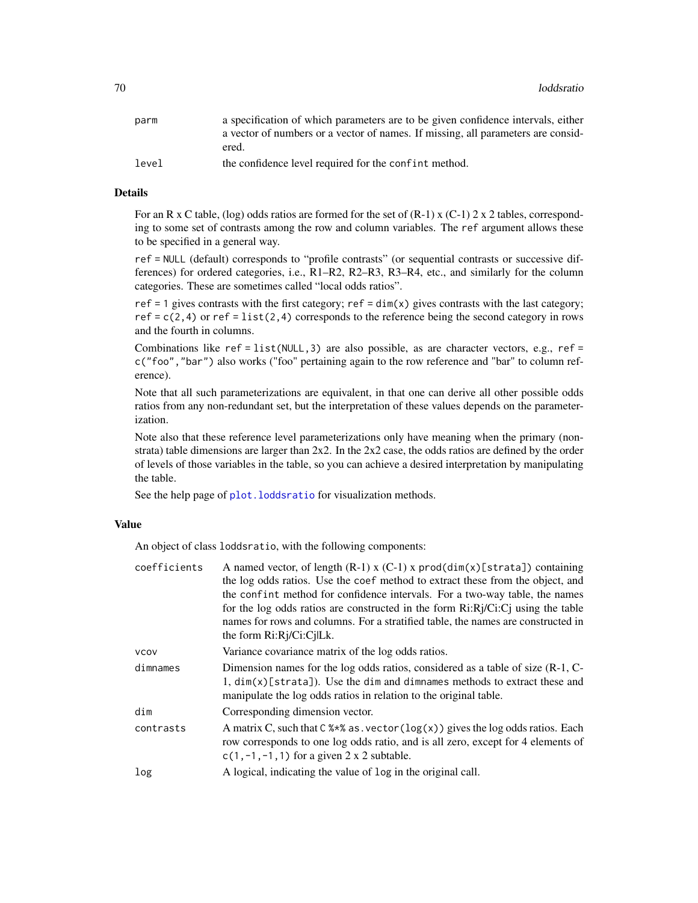| parm  | a specification of which parameters are to be given confidence intervals, either |
|-------|----------------------------------------------------------------------------------|
|       | a vector of numbers or a vector of names. If missing, all parameters are consid- |
|       | ered.                                                                            |
| level | the confidence level required for the confint method.                            |

## Details

For an R x C table, (log) odds ratios are formed for the set of  $(R-1)$  x  $(C-1)$  2 x 2 tables, corresponding to some set of contrasts among the row and column variables. The ref argument allows these to be specified in a general way.

ref = NULL (default) corresponds to "profile contrasts" (or sequential contrasts or successive differences) for ordered categories, i.e., R1–R2, R2–R3, R3–R4, etc., and similarly for the column categories. These are sometimes called "local odds ratios".

ref = 1 gives contrasts with the first category; ref =  $\dim(x)$  gives contrasts with the last category; ref =  $c(2, 4)$  or ref = list(2,4) corresponds to the reference being the second category in rows and the fourth in columns.

Combinations like ref = list( $NULL,3$ ) are also possible, as are character vectors, e.g., ref = c("foo","bar") also works ("foo" pertaining again to the row reference and "bar" to column reference).

Note that all such parameterizations are equivalent, in that one can derive all other possible odds ratios from any non-redundant set, but the interpretation of these values depends on the parameterization.

Note also that these reference level parameterizations only have meaning when the primary (nonstrata) table dimensions are larger than  $2x2$ . In the  $2x2$  case, the odds ratios are defined by the order of levels of those variables in the table, so you can achieve a desired interpretation by manipulating the table.

See the help page of plot. loddsratio for visualization methods.

#### Value

An object of class loddsratio, with the following components:

| coefficients | A named vector, of length $(R-1)$ x $(C-1)$ x prod $(dim(x)[strata])$ containing<br>the log odds ratios. Use the coef method to extract these from the object, and<br>the confirm method for confidence intervals. For a two-way table, the names<br>for the log odds ratios are constructed in the form $Ri:Rj/Ci:Cj$ using the table<br>names for rows and columns. For a stratified table, the names are constructed in<br>the form $Ri:Rj/Ci:CjILk$ . |
|--------------|-----------------------------------------------------------------------------------------------------------------------------------------------------------------------------------------------------------------------------------------------------------------------------------------------------------------------------------------------------------------------------------------------------------------------------------------------------------|
| <b>VCOV</b>  | Variance covariance matrix of the log odds ratios.                                                                                                                                                                                                                                                                                                                                                                                                        |
| dimnames     | Dimension names for the log odds ratios, considered as a table of size (R-1, C-<br>1, $dim(x)$ [strata]). Use the dim and dimnames methods to extract these and<br>manipulate the log odds ratios in relation to the original table.                                                                                                                                                                                                                      |
| dim          | Corresponding dimension vector.                                                                                                                                                                                                                                                                                                                                                                                                                           |
| contrasts    | A matrix C, such that C $\frac{1}{2}$ as vector (log(x)) gives the log odds ratios. Each<br>row corresponds to one log odds ratio, and is all zero, except for 4 elements of<br>$c(1, -1, -1, 1)$ for a given 2 x 2 subtable.                                                                                                                                                                                                                             |
| log          | A logical, indicating the value of log in the original call.                                                                                                                                                                                                                                                                                                                                                                                              |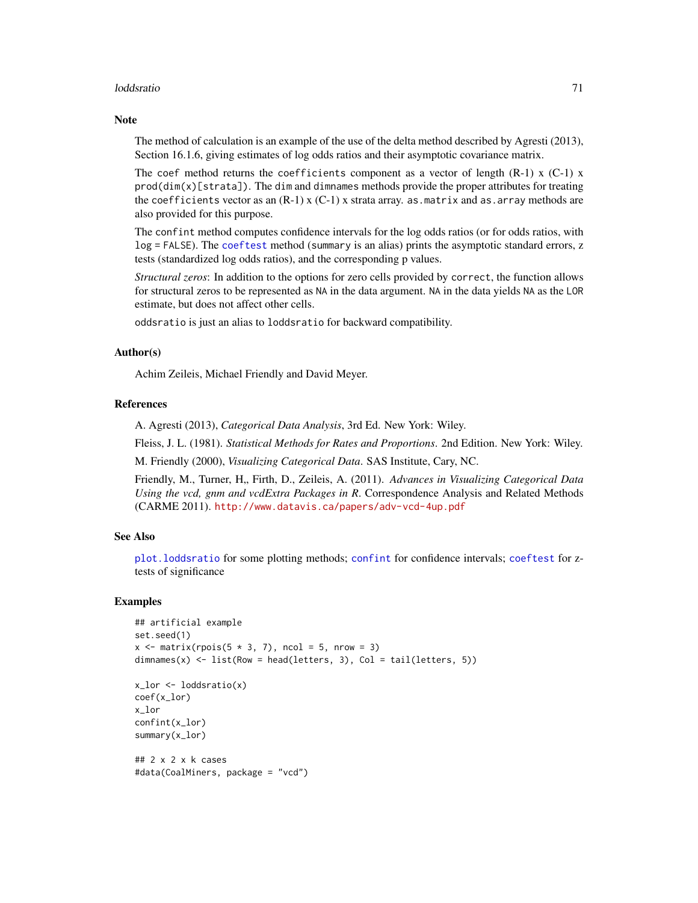## loddsratio 71

## **Note**

The method of calculation is an example of the use of the delta method described by Agresti (2013), Section 16.1.6, giving estimates of log odds ratios and their asymptotic covariance matrix.

The coef method returns the coefficients component as a vector of length  $(R-1)$  x  $(C-1)$  x  $prod(dim(x)[strata])$ . The dim and dimnames methods provide the proper attributes for treating the coefficients vector as an  $(R-1)$  x  $(C-1)$  x strata array. as matrix and as. array methods are also provided for this purpose.

The confint method computes confidence intervals for the log odds ratios (or for odds ratios, with log = FALSE). The [coeftest](#page-0-0) method (summary is an alias) prints the asymptotic standard errors, z tests (standardized log odds ratios), and the corresponding p values.

*Structural zeros*: In addition to the options for zero cells provided by correct, the function allows for structural zeros to be represented as NA in the data argument. NA in the data yields NA as the LOR estimate, but does not affect other cells.

oddsratio is just an alias to loddsratio for backward compatibility.

## Author(s)

Achim Zeileis, Michael Friendly and David Meyer.

## References

A. Agresti (2013), *Categorical Data Analysis*, 3rd Ed. New York: Wiley.

Fleiss, J. L. (1981). *Statistical Methods for Rates and Proportions*. 2nd Edition. New York: Wiley.

M. Friendly (2000), *Visualizing Categorical Data*. SAS Institute, Cary, NC.

Friendly, M., Turner, H., Firth, D., Zeileis, A. (2011). *Advances in Visualizing Categorical Data Using the vcd, gnm and vcdExtra Packages in R*. Correspondence Analysis and Related Methods (CARME 2011). <http://www.datavis.ca/papers/adv-vcd-4up.pdf>

## See Also

[plot.loddsratio](#page-88-0) for some plotting methods; [confint](#page-0-0) for confidence intervals; [coeftest](#page-0-0) for ztests of significance

```
## artificial example
set.seed(1)
x \le matrix(rpois(5 * 3, 7), ncol = 5, nrow = 3)
dimnames(x) <- list(Row = head(letters, 3), Col = tail(letters, 5))
x_l and \leq loddsratio(x)
coef(x_lor)
x_lor
confint(x_lor)
summary(x_lor)
## 2 x 2 x k cases
#data(CoalMiners, package = "vcd")
```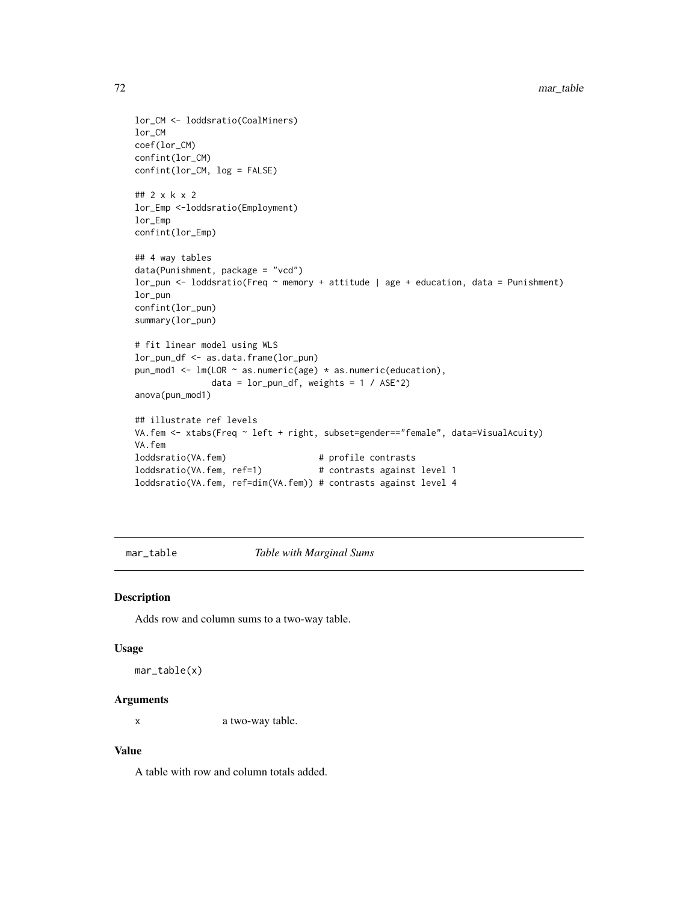```
lor_CM <- loddsratio(CoalMiners)
lor_CM
coef(lor_CM)
confint(lor_CM)
confint(lor_CM, log = FALSE)
## 2 x k x 2
lor_Emp <-loddsratio(Employment)
lor_Emp
confint(lor_Emp)
## 4 way tables
data(Punishment, package = "vcd")
lor_pun <- loddsratio(Freq ~ memory + attitude | age + education, data = Punishment)
lor_pun
confint(lor_pun)
summary(lor_pun)
# fit linear model using WLS
lor_pun_df <- as.data.frame(lor_pun)
pun_mod1 <- lm(LOR \sim as.numeric(age) * as.numeric(education),data = lor\_pun\_df, weights = 1 / ASE^2)
anova(pun_mod1)
## illustrate ref levels
VA.fem <- xtabs(Freq ~ left + right, subset=gender=="female", data=VisualAcuity)
VA.fem
loddsratio(VA.fem) # profile contrasts
loddsratio(VA.fem, ref=1) # contrasts against level 1
loddsratio(VA.fem, ref=dim(VA.fem)) # contrasts against level 4
```
mar\_table *Table with Marginal Sums*

## Description

Adds row and column sums to a two-way table.

#### Usage

mar\_table(x)

#### Arguments

x a two-way table.

#### Value

A table with row and column totals added.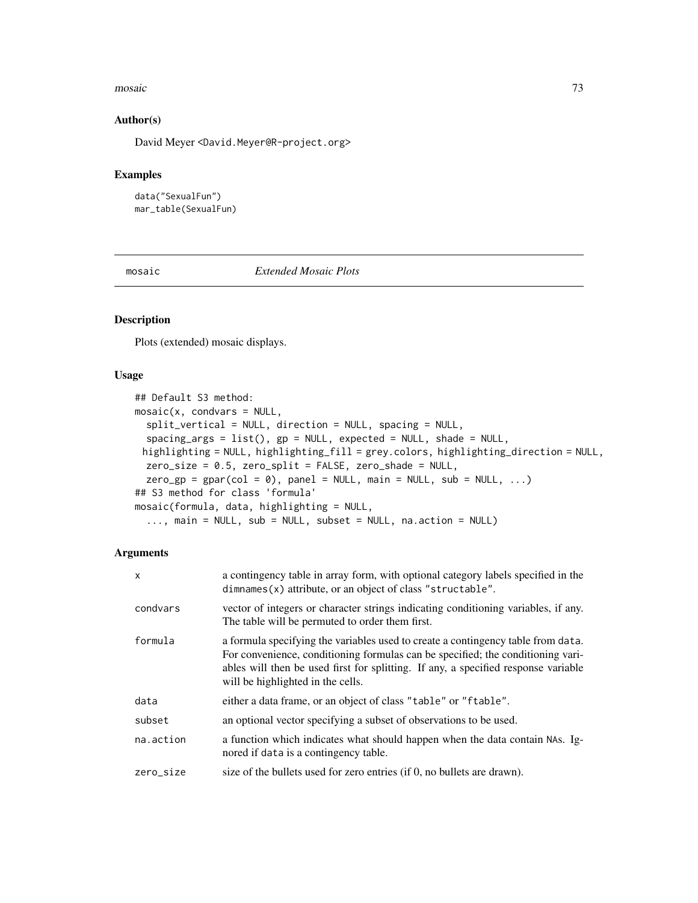#### mosaic 73

## Author(s)

David Meyer <David.Meyer@R-project.org>

## Examples

```
data("SexualFun")
mar_table(SexualFun)
```
<span id="page-72-0"></span>mosaic *Extended Mosaic Plots*

# Description

Plots (extended) mosaic displays.

## Usage

```
## Default S3 method:
mosaic(x, condvars = NULL,split_vertical = NULL, direction = NULL, spacing = NULL,
  spacing_args = list(), gp = NULL, expected = NULL, shade = NULL,
 highlighting = NULL, highlighting_fill = grey.colors, highlighting_direction = NULL,
 zero_size = 0.5, zero_split = FALSE, zero_shade = NULL,
 zero\_gp = gpar(col = 0), panel = NULL, mail = NULL, sub = NULL, ...)
## S3 method for class 'formula'
mosaic(formula, data, highlighting = NULL,
  ..., main = NULL, sub = NULL, subset = NULL, na.action = NULL)
```

| X         | a contingency table in array form, with optional category labels specified in the<br>dimnames(x) attribute, or an object of class "structable".                                                                                                                                                |
|-----------|------------------------------------------------------------------------------------------------------------------------------------------------------------------------------------------------------------------------------------------------------------------------------------------------|
| condvars  | vector of integers or character strings indicating conditioning variables, if any.<br>The table will be permuted to order them first.                                                                                                                                                          |
| formula   | a formula specifying the variables used to create a contingency table from data.<br>For convenience, conditioning formulas can be specified; the conditioning vari-<br>ables will then be used first for splitting. If any, a specified response variable<br>will be highlighted in the cells. |
| data      | either a data frame, or an object of class "table" or "ftable".                                                                                                                                                                                                                                |
| subset    | an optional vector specifying a subset of observations to be used.                                                                                                                                                                                                                             |
| na.action | a function which indicates what should happen when the data contain NAs. Ig-<br>nored if data is a contingency table.                                                                                                                                                                          |
| zero_size | size of the bullets used for zero entries (if 0, no bullets are drawn).                                                                                                                                                                                                                        |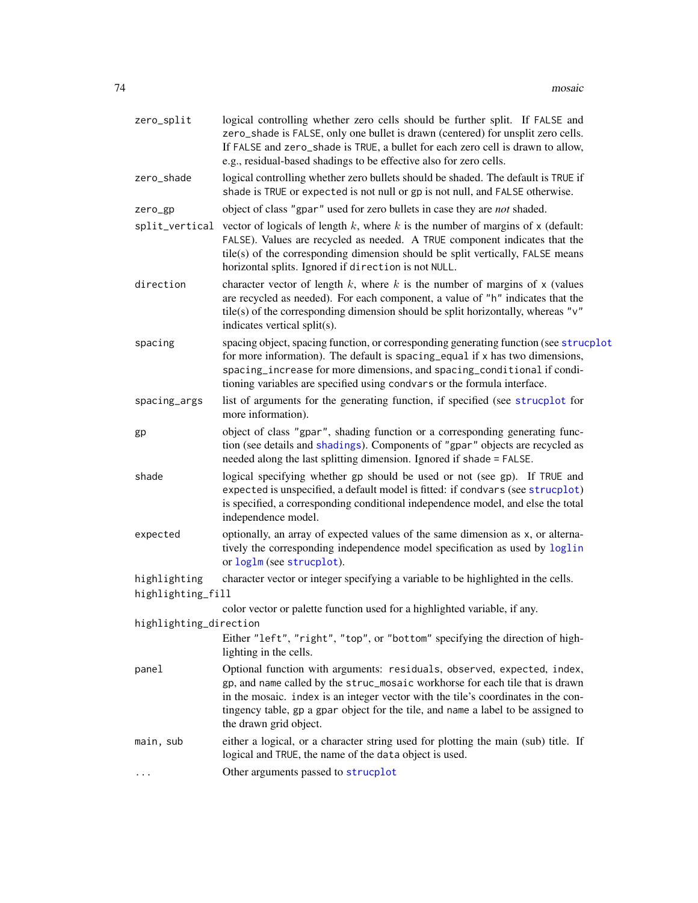| zero_split                        | logical controlling whether zero cells should be further split. If FALSE and<br>zero_shade is FALSE, only one bullet is drawn (centered) for unsplit zero cells.<br>If FALSE and zero_shade is TRUE, a bullet for each zero cell is drawn to allow,<br>e.g., residual-based shadings to be effective also for zero cells.                                    |
|-----------------------------------|--------------------------------------------------------------------------------------------------------------------------------------------------------------------------------------------------------------------------------------------------------------------------------------------------------------------------------------------------------------|
| zero_shade                        | logical controlling whether zero bullets should be shaded. The default is TRUE if<br>shade is TRUE or expected is not null or gp is not null, and FALSE otherwise.                                                                                                                                                                                           |
| zero_gp                           | object of class "gpar" used for zero bullets in case they are <i>not</i> shaded.                                                                                                                                                                                                                                                                             |
|                                   | split_vertical vector of logicals of length $k$ , where $k$ is the number of margins of $x$ (default:<br>FALSE). Values are recycled as needed. A TRUE component indicates that the<br>tile(s) of the corresponding dimension should be split vertically, FALSE means<br>horizontal splits. Ignored if direction is not NULL.                                |
| direction                         | character vector of length $k$ , where $k$ is the number of margins of $x$ (values<br>are recycled as needed). For each component, a value of "h" indicates that the<br>tile(s) of the corresponding dimension should be split horizontally, whereas " $v$ "<br>indicates vertical split(s).                                                                 |
| spacing                           | spacing object, spacing function, or corresponding generating function (see strucplot<br>for more information). The default is spacing equal if $x$ has two dimensions,<br>spacing_increase for more dimensions, and spacing_conditional if condi-<br>tioning variables are specified using condvars or the formula interface.                               |
| spacing_args                      | list of arguments for the generating function, if specified (see strucplot for<br>more information).                                                                                                                                                                                                                                                         |
| gp                                | object of class "gpar", shading function or a corresponding generating func-<br>tion (see details and shadings). Components of "gpar" objects are recycled as<br>needed along the last splitting dimension. Ignored if shade = FALSE.                                                                                                                        |
| shade                             | logical specifying whether gp should be used or not (see gp). If TRUE and<br>expected is unspecified, a default model is fitted: if condvars (see strucplot)<br>is specified, a corresponding conditional independence model, and else the total<br>independence model.                                                                                      |
| expected                          | optionally, an array of expected values of the same dimension as x, or alterna-<br>tively the corresponding independence model specification as used by loglin<br>or loglm (see strucplot).                                                                                                                                                                  |
| highlighting<br>highlighting_fill | character vector or integer specifying a variable to be highlighted in the cells.                                                                                                                                                                                                                                                                            |
|                                   | color vector or palette function used for a highlighted variable, if any.                                                                                                                                                                                                                                                                                    |
| highlighting_direction            |                                                                                                                                                                                                                                                                                                                                                              |
|                                   | Either "left", "right", "top", or "bottom" specifying the direction of high-<br>lighting in the cells.                                                                                                                                                                                                                                                       |
| panel                             | Optional function with arguments: residuals, observed, expected, index,<br>gp, and name called by the struc_mosaic workhorse for each tile that is drawn<br>in the mosaic. index is an integer vector with the tile's coordinates in the con-<br>tingency table, gp a gpar object for the tile, and name a label to be assigned to<br>the drawn grid object. |
| main, sub                         | either a logical, or a character string used for plotting the main (sub) title. If<br>logical and TRUE, the name of the data object is used.                                                                                                                                                                                                                 |
| $\cdots$                          | Other arguments passed to strucplot                                                                                                                                                                                                                                                                                                                          |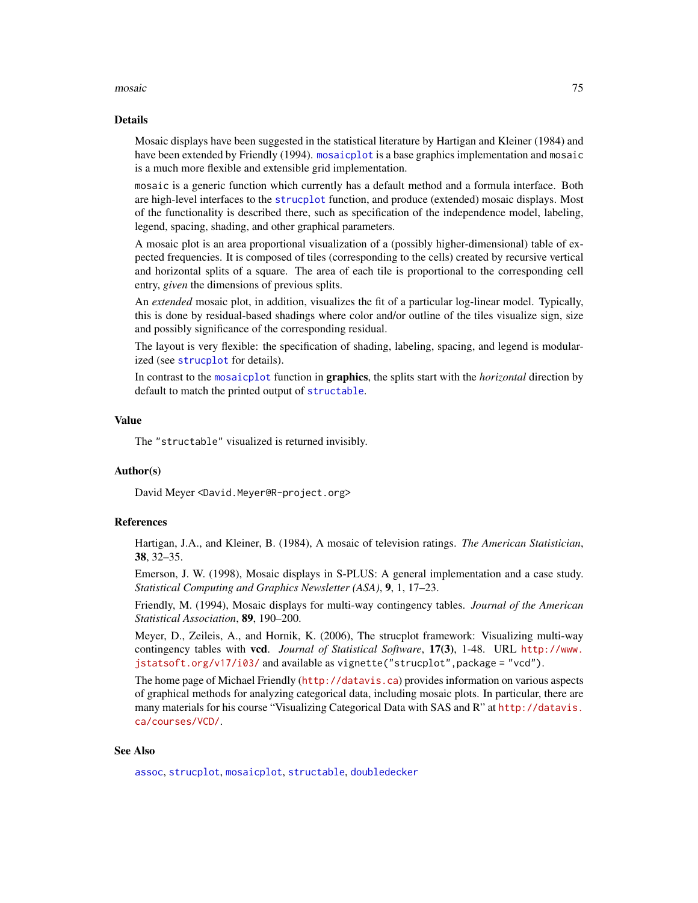#### mosaic 75

#### Details

Mosaic displays have been suggested in the statistical literature by Hartigan and Kleiner (1984) and have been extended by Friendly (1994). [mosaicplot](#page-0-0) is a base graphics implementation and mosaic is a much more flexible and extensible grid implementation.

mosaic is a generic function which currently has a default method and a formula interface. Both are high-level interfaces to the [strucplot](#page-114-0) function, and produce (extended) mosaic displays. Most of the functionality is described there, such as specification of the independence model, labeling, legend, spacing, shading, and other graphical parameters.

A mosaic plot is an area proportional visualization of a (possibly higher-dimensional) table of expected frequencies. It is composed of tiles (corresponding to the cells) created by recursive vertical and horizontal splits of a square. The area of each tile is proportional to the corresponding cell entry, *given* the dimensions of previous splits.

An *extended* mosaic plot, in addition, visualizes the fit of a particular log-linear model. Typically, this is done by residual-based shadings where color and/or outline of the tiles visualize sign, size and possibly significance of the corresponding residual.

The layout is very flexible: the specification of shading, labeling, spacing, and legend is modularized (see [strucplot](#page-114-0) for details).

In contrast to the [mosaicplot](#page-0-0) function in graphics, the splits start with the *horizontal* direction by default to match the printed output of [structable](#page-118-0).

#### Value

The "structable" visualized is returned invisibly.

## Author(s)

David Meyer <David.Meyer@R-project.org>

#### References

Hartigan, J.A., and Kleiner, B. (1984), A mosaic of television ratings. *The American Statistician*, 38, 32–35.

Emerson, J. W. (1998), Mosaic displays in S-PLUS: A general implementation and a case study. *Statistical Computing and Graphics Newsletter (ASA)*, 9, 1, 17–23.

Friendly, M. (1994), Mosaic displays for multi-way contingency tables. *Journal of the American Statistical Association*, 89, 190–200.

Meyer, D., Zeileis, A., and Hornik, K. (2006), The strucplot framework: Visualizing multi-way contingency tables with vcd. *Journal of Statistical Software*, 17(3), 1-48. URL [http://www.](http://www.jstatsoft.org/v17/i03/) [jstatsoft.org/v17/i03/](http://www.jstatsoft.org/v17/i03/) and available as vignette("strucplot",package = "vcd").

The home page of Michael Friendly (<http://datavis.ca>) provides information on various aspects of graphical methods for analyzing categorical data, including mosaic plots. In particular, there are many materials for his course "Visualizing Categorical Data with SAS and R" at [http://datavis.](http://datavis.ca/courses/VCD/) [ca/courses/VCD/](http://datavis.ca/courses/VCD/).

## See Also

[assoc](#page-6-0), [strucplot](#page-114-0), [mosaicplot](#page-0-0), [structable](#page-118-0), [doubledecker](#page-33-0)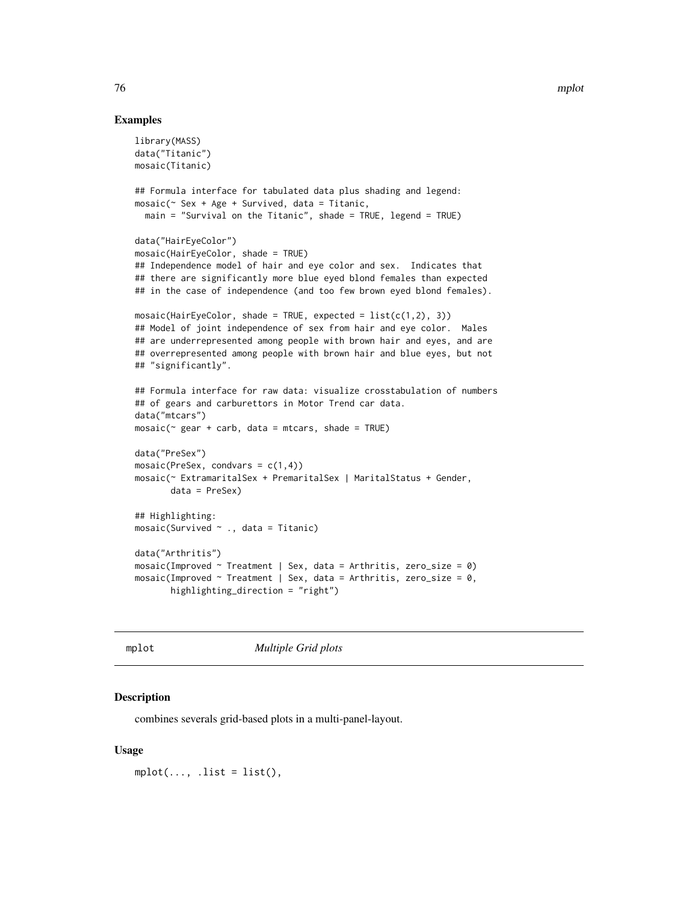## Examples

```
library(MASS)
data("Titanic")
mosaic(Titanic)
## Formula interface for tabulated data plus shading and legend:
mosaic(~ Sex + Age + Survived, data = Titanic,
  main = "Survival on the Titanic", shade = TRUE, legend = TRUE)
data("HairEyeColor")
mosaic(HairEyeColor, shade = TRUE)
## Independence model of hair and eye color and sex. Indicates that
## there are significantly more blue eyed blond females than expected
## in the case of independence (and too few brown eyed blond females).
mosaic(HairEyeColor, shade = TRUE, expected = list(c(1, 2), 3))## Model of joint independence of sex from hair and eye color. Males
## are underrepresented among people with brown hair and eyes, and are
## overrepresented among people with brown hair and blue eyes, but not
## "significantly".
## Formula interface for raw data: visualize crosstabulation of numbers
## of gears and carburettors in Motor Trend car data.
data("mtcars")
mosaic(\sim gear + carb, data = mtcars, shade = TRUE)
data("PreSex")
mosaic(PreSex, condvars = c(1,4))
mosaic(~ ExtramaritalSex + PremaritalSex | MaritalStatus + Gender,
       data = PreSex)
## Highlighting:
mosaic(Survived \sim ., data = Titanic)
data("Arthritis")
mosaic(Improved ~ Treatment ~ Sex, data = Arthritis, zero_size = 0)mosaic(Improved \sim Treatment | Sex, data = Arthritis, zero_size = 0,
       highlighting_direction = "right")
```
mplot *Multiple Grid plots*

#### Description

combines severals grid-based plots in a multi-panel-layout.

## Usage

 $mplot(..., .list = list(),$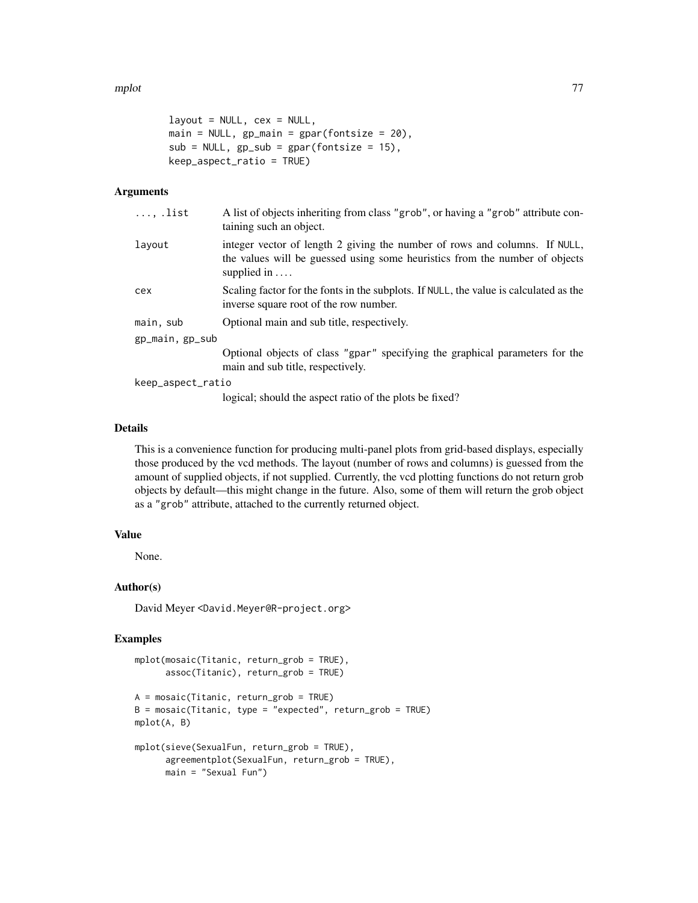#### mplot the contract of the contract of the contract of the contract of the contract of the contract of the contract of the contract of the contract of the contract of the contract of the contract of the contract of the cont

```
layout = NULL, cex = NULL,
main = NULL, gp\_main = gpar(fontsize = 20),
sub = NULL, gp_sub = gpar(fontsize = 15),
keep_aspect_ratio = TRUE)
```
## Arguments

| $\ldots$ , list   | A list of objects inheriting from class "grob", or having a "grob" attribute con-<br>taining such an object.                                                                     |
|-------------------|----------------------------------------------------------------------------------------------------------------------------------------------------------------------------------|
| layout            | integer vector of length 2 giving the number of rows and columns. If NULL,<br>the values will be guessed using some heuristics from the number of objects<br>supplied in $\dots$ |
| cex               | Scaling factor for the fonts in the subplots. If NULL, the value is calculated as the<br>inverse square root of the row number.                                                  |
| main, sub         | Optional main and sub title, respectively.                                                                                                                                       |
| gp_main, gp_sub   |                                                                                                                                                                                  |
|                   | Optional objects of class "gpar" specifying the graphical parameters for the<br>main and sub title, respectively.                                                                |
| keep_aspect_ratio |                                                                                                                                                                                  |
|                   | logicals chand the conset ratio of the plate he fired?                                                                                                                           |

logical; should the aspect ratio of the plots be fixed?

## Details

This is a convenience function for producing multi-panel plots from grid-based displays, especially those produced by the vcd methods. The layout (number of rows and columns) is guessed from the amount of supplied objects, if not supplied. Currently, the vcd plotting functions do not return grob objects by default—this might change in the future. Also, some of them will return the grob object as a "grob" attribute, attached to the currently returned object.

## Value

None.

## Author(s)

David Meyer <David.Meyer@R-project.org>

```
mplot(mosaic(Titanic, return_grob = TRUE),
      assoc(Titanic), return_grob = TRUE)
A = mosaic(Titanic, return_grob = TRUE)
B = \text{mosaic}(Titanic, type = "expected", return\_grob = TRUE)mplot(A, B)
mplot(sieve(SexualFun, return_grob = TRUE),
      agreementplot(SexualFun, return_grob = TRUE),
      main = "Sexual Fun")
```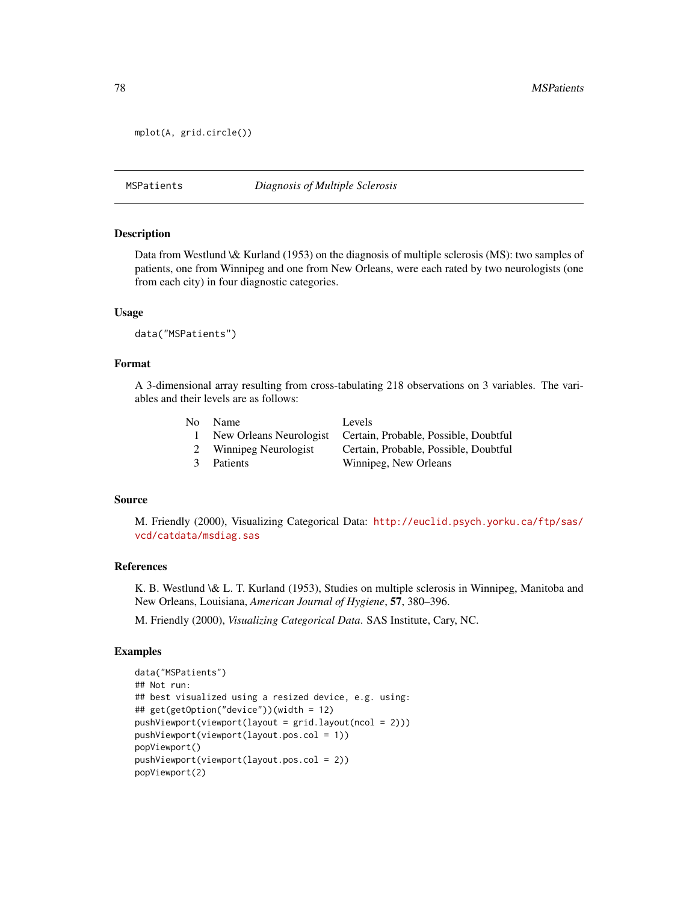```
mplot(A, grid.circle())
```
## MSPatients *Diagnosis of Multiple Sclerosis*

## Description

Data from Westlund \& Kurland (1953) on the diagnosis of multiple sclerosis (MS): two samples of patients, one from Winnipeg and one from New Orleans, were each rated by two neurologists (one from each city) in four diagnostic categories.

#### Usage

```
data("MSPatients")
```
## Format

A 3-dimensional array resulting from cross-tabulating 218 observations on 3 variables. The variables and their levels are as follows:

|               | No Name                 | Levels                                |
|---------------|-------------------------|---------------------------------------|
| $\mathbf{L}$  | New Orleans Neurologist | Certain, Probable, Possible, Doubtful |
| 2             | Winnipeg Neurologist    | Certain, Probable, Possible, Doubtful |
| $\mathcal{R}$ | <b>Patients</b>         | Winnipeg, New Orleans                 |

#### Source

M. Friendly (2000), Visualizing Categorical Data: [http://euclid.psych.yorku.ca/ftp/sas/](http://euclid.psych.yorku.ca/ftp/sas/vcd/catdata/msdiag.sas) [vcd/catdata/msdiag.sas](http://euclid.psych.yorku.ca/ftp/sas/vcd/catdata/msdiag.sas)

## References

K. B. Westlund \& L. T. Kurland (1953), Studies on multiple sclerosis in Winnipeg, Manitoba and New Orleans, Louisiana, *American Journal of Hygiene*, 57, 380–396.

M. Friendly (2000), *Visualizing Categorical Data*. SAS Institute, Cary, NC.

```
data("MSPatients")
## Not run:
## best visualized using a resized device, e.g. using:
## get(getOption("device"))(width = 12)
pushViewport(viewport(layout = grid.layout(ncol = 2)))
pushViewport(viewport(layout.pos.col = 1))
popViewport()
pushViewport(viewport(layout.pos.col = 2))
popViewport(2)
```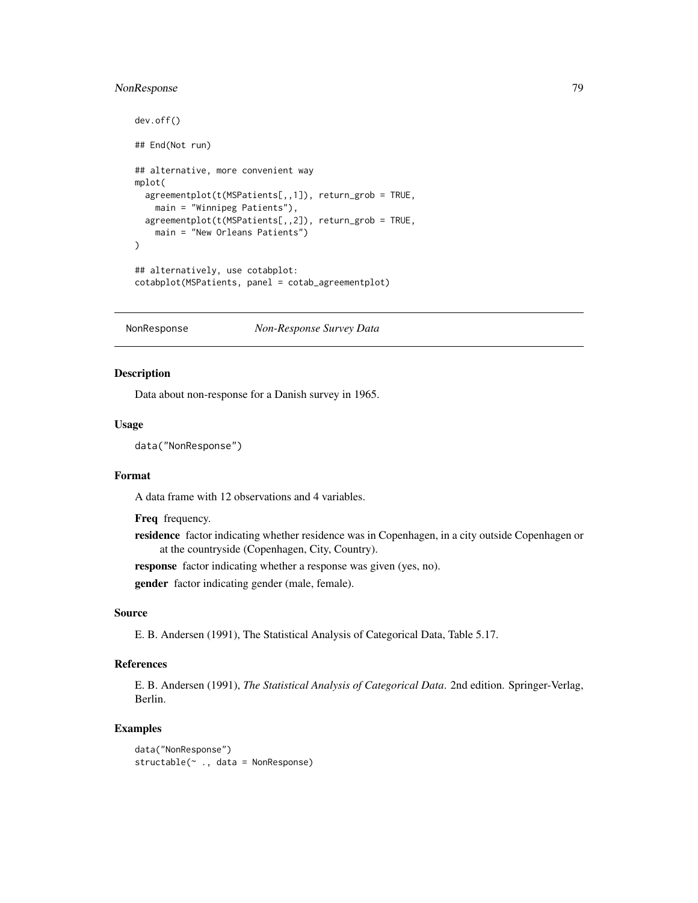## NonResponse 79

```
dev.off()
## End(Not run)
## alternative, more convenient way
mplot(
  agreementplot(t(MSPatients[,,1]), return_grob = TRUE,
   main = "Winnipeg Patients"),
  agreementplot(t(MSPatients[,,2]), return_grob = TRUE,
   main = "New Orleans Patients")
)
## alternatively, use cotabplot:
cotabplot(MSPatients, panel = cotab_agreementplot)
```
NonResponse *Non-Response Survey Data*

## Description

Data about non-response for a Danish survey in 1965.

## Usage

data("NonResponse")

## Format

A data frame with 12 observations and 4 variables.

Freq frequency.

residence factor indicating whether residence was in Copenhagen, in a city outside Copenhagen or at the countryside (Copenhagen, City, Country).

response factor indicating whether a response was given (yes, no).

gender factor indicating gender (male, female).

## Source

E. B. Andersen (1991), The Statistical Analysis of Categorical Data, Table 5.17.

# References

E. B. Andersen (1991), *The Statistical Analysis of Categorical Data*. 2nd edition. Springer-Verlag, Berlin.

```
data("NonResponse")
structable(~ ., data = NonResponse)
```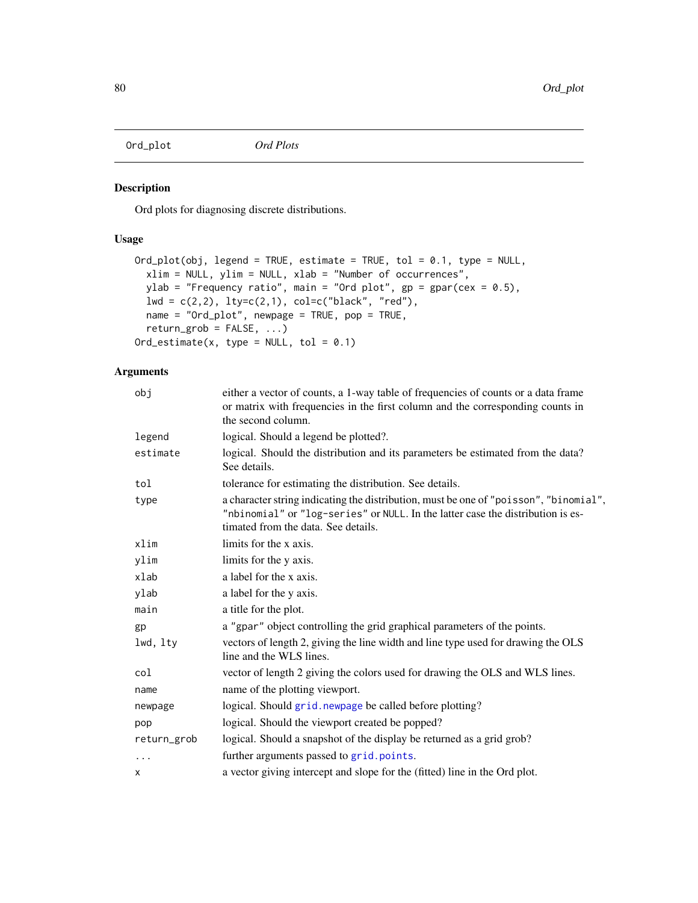# Description

Ord plots for diagnosing discrete distributions.

## Usage

```
Ord_plot(obj, legend = TRUE, estimate = TRUE, tol = 0.1, type = NULL,
 xlim = NULL, ylim = NULL, xlab = "Number of occurrences",
 ylab = "Frequency ratio", main = "Ord plot", gp = gpar(cex = 0.5),
  lwd = c(2,2), lty=c(2,1), col=c("black", "red"),name = "Ord_plot", newpage = TRUE, pop = TRUE,
  return\_grob = FALSE, ...)Ord_estimate(x, type = NULL, tol = 0.1)
```

| obj         | either a vector of counts, a 1-way table of frequencies of counts or a data frame<br>or matrix with frequencies in the first column and the corresponding counts in<br>the second column.                       |
|-------------|-----------------------------------------------------------------------------------------------------------------------------------------------------------------------------------------------------------------|
| legend      | logical. Should a legend be plotted?.                                                                                                                                                                           |
| estimate    | logical. Should the distribution and its parameters be estimated from the data?<br>See details.                                                                                                                 |
| tol         | tolerance for estimating the distribution. See details.                                                                                                                                                         |
| type        | a character string indicating the distribution, must be one of "poisson", "binomial",<br>"nbinomial" or "log-series" or NULL. In the latter case the distribution is es-<br>timated from the data. See details. |
| xlim        | limits for the x axis.                                                                                                                                                                                          |
| ylim        | limits for the y axis.                                                                                                                                                                                          |
| xlab        | a label for the x axis.                                                                                                                                                                                         |
| ylab        | a label for the y axis.                                                                                                                                                                                         |
| main        | a title for the plot.                                                                                                                                                                                           |
| gp          | a "gpar" object controlling the grid graphical parameters of the points.                                                                                                                                        |
| lwd, lty    | vectors of length 2, giving the line width and line type used for drawing the OLS<br>line and the WLS lines.                                                                                                    |
| col         | vector of length 2 giving the colors used for drawing the OLS and WLS lines.                                                                                                                                    |
| name        | name of the plotting viewport.                                                                                                                                                                                  |
| newpage     | logical. Should grid. newpage be called before plotting?                                                                                                                                                        |
| pop         | logical. Should the viewport created be popped?                                                                                                                                                                 |
| return_grob | logical. Should a snapshot of the display be returned as a grid grob?                                                                                                                                           |
| $\ddots$    | further arguments passed to grid.points.                                                                                                                                                                        |
| x           | a vector giving intercept and slope for the (fitted) line in the Ord plot.                                                                                                                                      |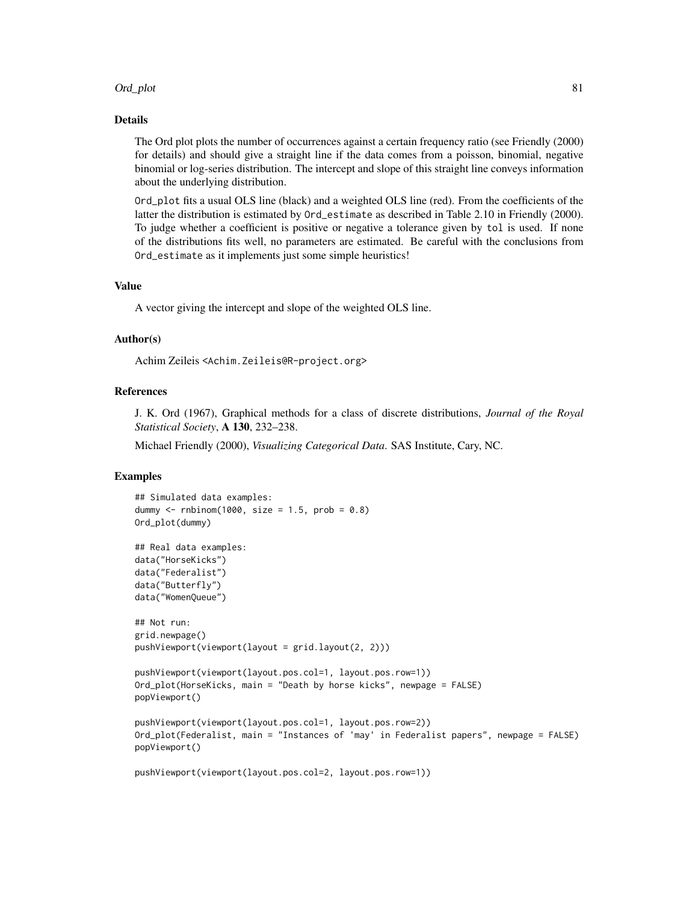## Ord\_plot 81

## Details

The Ord plot plots the number of occurrences against a certain frequency ratio (see Friendly (2000) for details) and should give a straight line if the data comes from a poisson, binomial, negative binomial or log-series distribution. The intercept and slope of this straight line conveys information about the underlying distribution.

Ord\_plot fits a usual OLS line (black) and a weighted OLS line (red). From the coefficients of the latter the distribution is estimated by Ord\_estimate as described in Table 2.10 in Friendly (2000). To judge whether a coefficient is positive or negative a tolerance given by tol is used. If none of the distributions fits well, no parameters are estimated. Be careful with the conclusions from Ord\_estimate as it implements just some simple heuristics!

## Value

A vector giving the intercept and slope of the weighted OLS line.

#### Author(s)

Achim Zeileis <Achim.Zeileis@R-project.org>

## **References**

J. K. Ord (1967), Graphical methods for a class of discrete distributions, *Journal of the Royal Statistical Society*, A 130, 232–238.

Michael Friendly (2000), *Visualizing Categorical Data*. SAS Institute, Cary, NC.

```
## Simulated data examples:
dummy \le rnbinom(1000, size = 1.5, prob = 0.8)
Ord_plot(dummy)
## Real data examples:
data("HorseKicks")
data("Federalist")
data("Butterfly")
data("WomenQueue")
## Not run:
grid.newpage()
pushViewport(viewport(layout = grid.layout(2, 2)))
pushViewport(viewport(layout.pos.col=1, layout.pos.row=1))
Ord_plot(HorseKicks, main = "Death by horse kicks", newpage = FALSE)
popViewport()
pushViewport(viewport(layout.pos.col=1, layout.pos.row=2))
Ord_plot(Federalist, main = "Instances of 'may' in Federalist papers", newpage = FALSE)
popViewport()
pushViewport(viewport(layout.pos.col=2, layout.pos.row=1))
```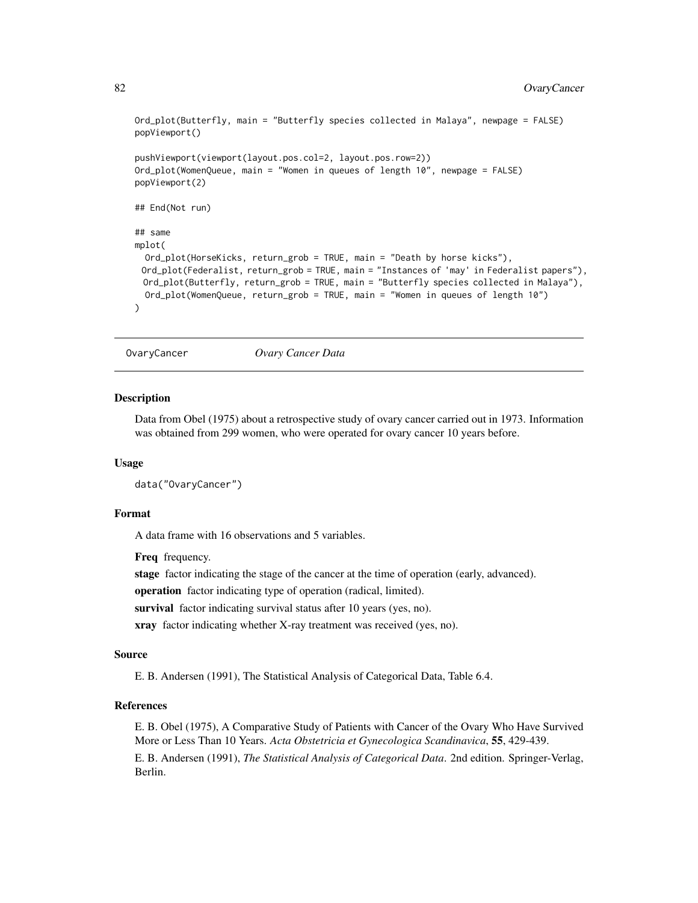```
Ord_plot(Butterfly, main = "Butterfly species collected in Malaya", newpage = FALSE)
popViewport()
pushViewport(viewport(layout.pos.col=2, layout.pos.row=2))
Ord_plot(WomenQueue, main = "Women in queues of length 10", newpage = FALSE)
popViewport(2)
## End(Not run)
## same
mplot(
 Ord_plot(HorseKicks, return_grob = TRUE, main = "Death by horse kicks"),
 Ord_plot(Federalist, return_grob = TRUE, main = "Instances of 'may' in Federalist papers"),
 Ord_plot(Butterfly, return_grob = TRUE, main = "Butterfly species collected in Malaya"),
 Ord_plot(WomenQueue, return_grob = TRUE, main = "Women in queues of length 10")
)
```
OvaryCancer *Ovary Cancer Data*

#### **Description**

Data from Obel (1975) about a retrospective study of ovary cancer carried out in 1973. Information was obtained from 299 women, who were operated for ovary cancer 10 years before.

#### Usage

```
data("OvaryCancer")
```
## Format

A data frame with 16 observations and 5 variables.

Freq frequency.

stage factor indicating the stage of the cancer at the time of operation (early, advanced).

operation factor indicating type of operation (radical, limited).

survival factor indicating survival status after 10 years (yes, no).

xray factor indicating whether X-ray treatment was received (yes, no).

## Source

E. B. Andersen (1991), The Statistical Analysis of Categorical Data, Table 6.4.

## References

E. B. Obel (1975), A Comparative Study of Patients with Cancer of the Ovary Who Have Survived More or Less Than 10 Years. *Acta Obstetricia et Gynecologica Scandinavica*, 55, 429-439. E. B. Andersen (1991), *The Statistical Analysis of Categorical Data*. 2nd edition. Springer-Verlag, Berlin.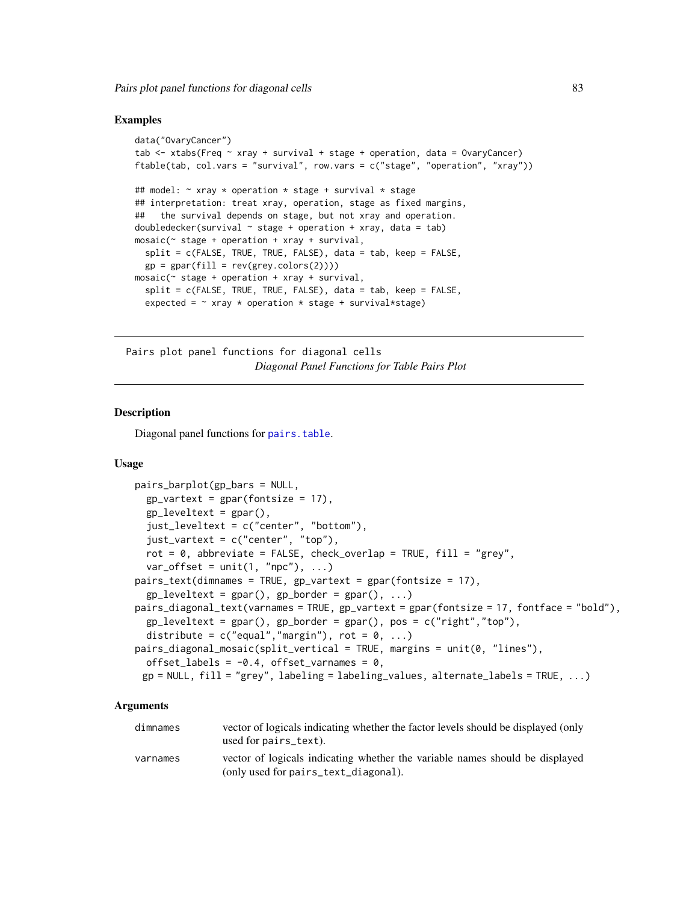## Examples

```
data("OvaryCancer")
tab \le xtabs(Freq \sim xray + survival + stage + operation, data = OvaryCancer)
ftable(tab, col.vars = "survival", row.vars = c("stage", "operation", "xray"))
## model: \sim xray * operation * stage + survival * stage
## interpretation: treat xray, operation, stage as fixed margins,
## the survival depends on stage, but not xray and operation.
doubledecker(survival \sim stage + operation + xray, data = tab)
mosaic(\sim stage + operation + xray + survival,
 split = c(FALSE, TRUE, TRUE, FALSE), data = tab, keep = FALSE,
 gp = gpar(fill = rev(grey.coolors(2))))mosaic(\sim stage + operation + xray + survival,
 split = c(FALSE, TRUE, TRUE, FALSE), data = tab, keep = FALSE,
 expected = \sim xray * operation * stage + survival*stage)
```
Pairs plot panel functions for diagonal cells *Diagonal Panel Functions for Table Pairs Plot*

## <span id="page-82-0"></span>**Description**

Diagonal panel functions for [pairs.table](#page-86-0).

#### Usage

```
pairs_barplot(gp_bars = NULL,
  gp-vartext = gpar(fontsize = 17),
  gp<sup>leveltext = gpar(),</sup>
  just_leveltext = c("center", "bottom"),
  just_vartext = c("center", "top"),
  rot = 0, abbreviate = FALSE, check_overlap = TRUE, fill = "grey",
  var_{offset} = unit(1, "npc"), ...pairs_text(dimnames = TRUE, gp_vartext = gpar(fontsize = 17),
  gp leveltext = gpar(), gp border = gpar(), ...)
pairs_diagonal_text(varnames = TRUE, gp_vartext = gpar(fontsize = 17, fontface = "bold"),
  gp_{\text{leveltext}} = gpar(), gp_{\text{border}} = gpar(), pos = c("right", "top"),distribute = c("equal", "margin"), rot = 0, ...)pairs_diagonal_mosaic(split_vertical = TRUE, margins = unit(0, "lines"),
  offset_labels = -0.4, offset_varnames = 0,
 gp = NULL, fill = "grey", labeling = labeling_values, alternate_labels = TRUE, ...)
```

| dimnames | vector of logicals indicating whether the factor levels should be displayed (only<br>used for pairs text).           |
|----------|----------------------------------------------------------------------------------------------------------------------|
| varnames | vector of logicals indicating whether the variable names should be displayed<br>(only used for pairs_text_diagonal). |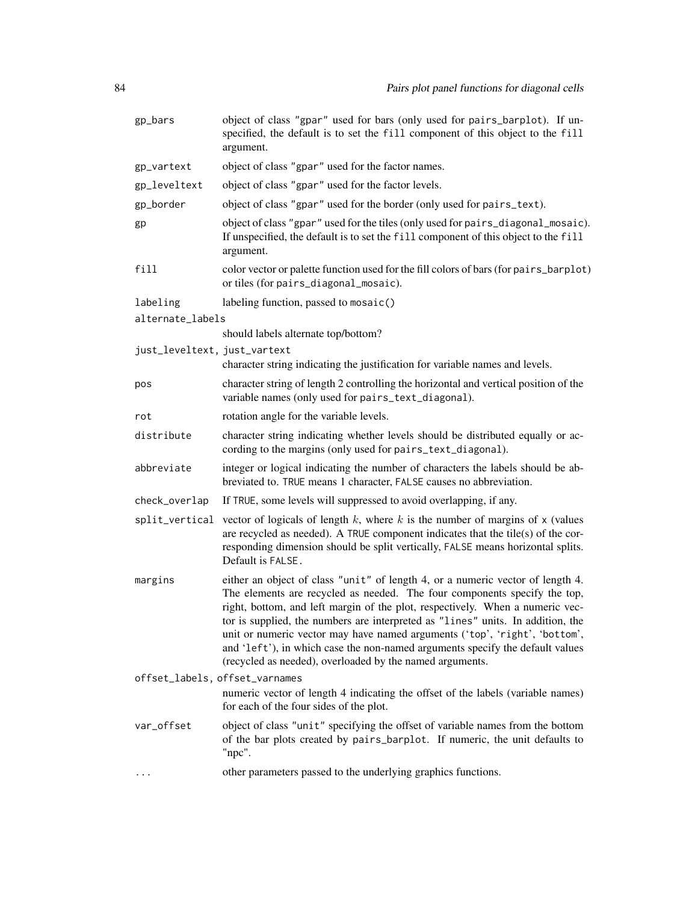| gp_bars                        | object of class "gpar" used for bars (only used for pairs_barplot). If un-<br>specified, the default is to set the fill component of this object to the fill<br>argument.                                                                                                                                                                                                                                                                                                                                                                                  |
|--------------------------------|------------------------------------------------------------------------------------------------------------------------------------------------------------------------------------------------------------------------------------------------------------------------------------------------------------------------------------------------------------------------------------------------------------------------------------------------------------------------------------------------------------------------------------------------------------|
| gp_vartext                     | object of class "gpar" used for the factor names.                                                                                                                                                                                                                                                                                                                                                                                                                                                                                                          |
| gp_leveltext                   | object of class "gpar" used for the factor levels.                                                                                                                                                                                                                                                                                                                                                                                                                                                                                                         |
| gp_border                      | object of class "gpar" used for the border (only used for pairs_text).                                                                                                                                                                                                                                                                                                                                                                                                                                                                                     |
| gp                             | object of class "gpar" used for the tiles (only used for pairs_diagonal_mosaic).<br>If unspecified, the default is to set the fill component of this object to the fill<br>argument.                                                                                                                                                                                                                                                                                                                                                                       |
| fill                           | color vector or palette function used for the fill colors of bars (for pairs_barplot)<br>or tiles (for pairs_diagonal_mosaic).                                                                                                                                                                                                                                                                                                                                                                                                                             |
| labeling                       | labeling function, passed to mosaic()                                                                                                                                                                                                                                                                                                                                                                                                                                                                                                                      |
| alternate_labels               |                                                                                                                                                                                                                                                                                                                                                                                                                                                                                                                                                            |
|                                | should labels alternate top/bottom?                                                                                                                                                                                                                                                                                                                                                                                                                                                                                                                        |
| just_leveltext, just_vartext   | character string indicating the justification for variable names and levels.                                                                                                                                                                                                                                                                                                                                                                                                                                                                               |
| pos                            | character string of length 2 controlling the horizontal and vertical position of the<br>variable names (only used for pairs_text_diagonal).                                                                                                                                                                                                                                                                                                                                                                                                                |
| rot                            | rotation angle for the variable levels.                                                                                                                                                                                                                                                                                                                                                                                                                                                                                                                    |
| distribute                     | character string indicating whether levels should be distributed equally or ac-<br>cording to the margins (only used for pairs_text_diagonal).                                                                                                                                                                                                                                                                                                                                                                                                             |
| abbreviate                     | integer or logical indicating the number of characters the labels should be ab-<br>breviated to. TRUE means 1 character, FALSE causes no abbreviation.                                                                                                                                                                                                                                                                                                                                                                                                     |
| check_overlap                  | If TRUE, some levels will suppressed to avoid overlapping, if any.                                                                                                                                                                                                                                                                                                                                                                                                                                                                                         |
| split_vertical                 | vector of logicals of length $k$ , where $k$ is the number of margins of $x$ (values<br>are recycled as needed). A TRUE component indicates that the tile(s) of the cor-<br>responding dimension should be split vertically, FALSE means horizontal splits.<br>Default is FALSE.                                                                                                                                                                                                                                                                           |
| margins                        | either an object of class "unit" of length 4, or a numeric vector of length 4.<br>The elements are recycled as needed. The four components specify the top,<br>right, bottom, and left margin of the plot, respectively. When a numeric vec-<br>tor is supplied, the numbers are interpreted as "lines" units. In addition, the<br>unit or numeric vector may have named arguments ('top', 'right', 'bottom',<br>and 'left'), in which case the non-named arguments specify the default values<br>(recycled as needed), overloaded by the named arguments. |
| offset_labels, offset_varnames |                                                                                                                                                                                                                                                                                                                                                                                                                                                                                                                                                            |
|                                | numeric vector of length 4 indicating the offset of the labels (variable names)<br>for each of the four sides of the plot.                                                                                                                                                                                                                                                                                                                                                                                                                                 |
| var_offset                     | object of class "unit" specifying the offset of variable names from the bottom<br>of the bar plots created by pairs_barplot. If numeric, the unit defaults to<br>"npc".                                                                                                                                                                                                                                                                                                                                                                                    |
| $\cdots$                       | other parameters passed to the underlying graphics functions.                                                                                                                                                                                                                                                                                                                                                                                                                                                                                              |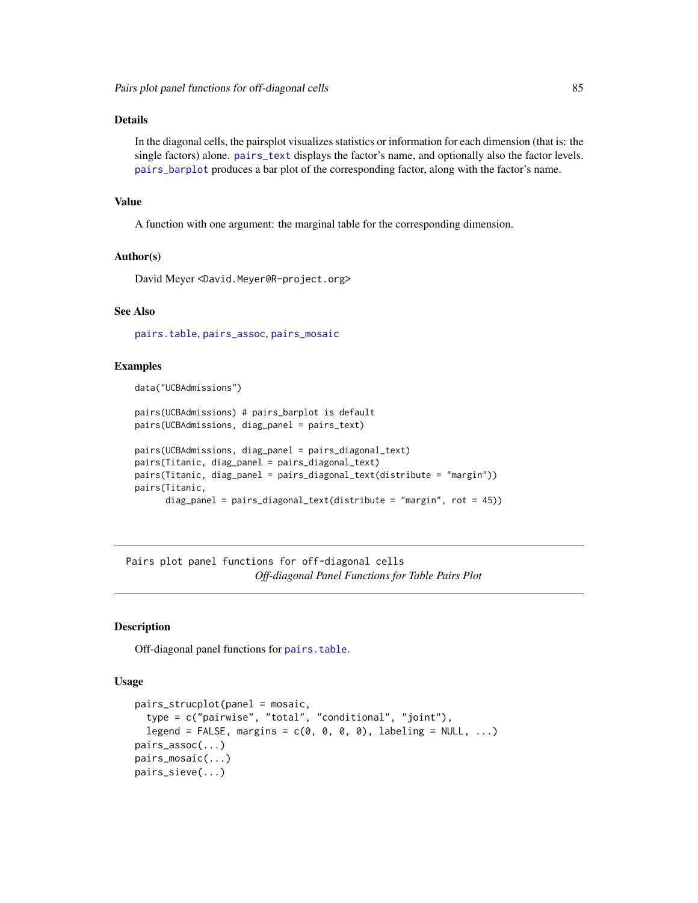## Details

In the diagonal cells, the pairsplot visualizes statistics or information for each dimension (that is: the single factors) alone. [pairs\\_text](#page-82-0) displays the factor's name, and optionally also the factor levels. [pairs\\_barplot](#page-82-0) produces a bar plot of the corresponding factor, along with the factor's name.

## Value

A function with one argument: the marginal table for the corresponding dimension.

## Author(s)

David Meyer <David.Meyer@R-project.org>

## See Also

[pairs.table](#page-86-0), [pairs\\_assoc](#page-84-0), [pairs\\_mosaic](#page-84-0)

#### Examples

data("UCBAdmissions")

```
pairs(UCBAdmissions) # pairs_barplot is default
pairs(UCBAdmissions, diag_panel = pairs_text)
pairs(UCBAdmissions, diag_panel = pairs_diagonal_text)
pairs(Titanic, diag_panel = pairs_diagonal_text)
pairs(Titanic, diag_panel = pairs_diagonal_text(distribute = "margin"))
pairs(Titanic,
      diag_panel = pairs_diagonal_text(distribute = "margin", rot = 45))
```
Pairs plot panel functions for off-diagonal cells *Off-diagonal Panel Functions for Table Pairs Plot*

## <span id="page-84-0"></span>Description

Off-diagonal panel functions for [pairs.table](#page-86-0).

## Usage

```
pairs_strucplot(panel = mosaic,
  type = c("pairwise", "total", "conditional", "joint"),
  legend = FALSE, margins = c(0, 0, 0, 0), labeling = NULL, ...)
pairs_assoc(...)
pairs_mosaic(...)
pairs_sieve(...)
```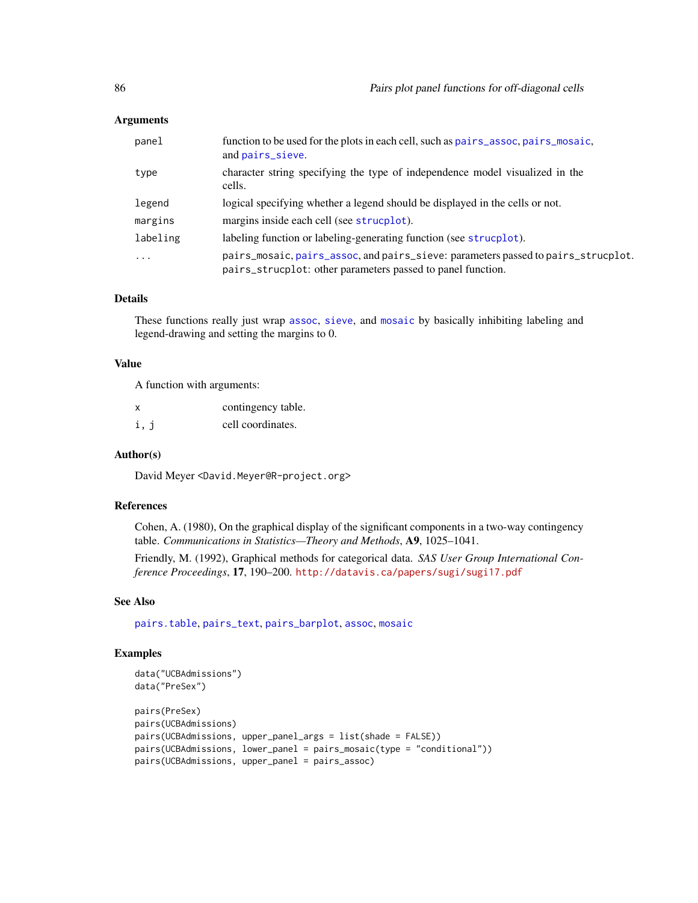## Arguments

| panel    | function to be used for the plots in each cell, such as pairs_assoc, pairs_mosaic,<br>and pairs_sieve.                                           |
|----------|--------------------------------------------------------------------------------------------------------------------------------------------------|
| type     | character string specifying the type of independence model visualized in the<br>cells.                                                           |
| legend   | logical specifying whether a legend should be displayed in the cells or not.                                                                     |
| margins  | margins inside each cell (see strucplot).                                                                                                        |
| labeling | labeling function or labeling-generating function (see strucplot).                                                                               |
| $\cdot$  | pairs_mosaic, pairs_assoc, and pairs_sieve: parameters passed to pairs_strucplot.<br>pairs_strucplot: other parameters passed to panel function. |

## Details

These functions really just wrap [assoc](#page-6-0), [sieve](#page-106-0), and [mosaic](#page-72-0) by basically inhibiting labeling and legend-drawing and setting the margins to 0.

#### Value

A function with arguments:

| x    | contingency table. |
|------|--------------------|
| i, j | cell coordinates.  |

## Author(s)

David Meyer <David.Meyer@R-project.org>

## References

Cohen, A. (1980), On the graphical display of the significant components in a two-way contingency table. *Communications in Statistics—Theory and Methods*, A9, 1025–1041.

Friendly, M. (1992), Graphical methods for categorical data. *SAS User Group International Conference Proceedings*, 17, 190–200. <http://datavis.ca/papers/sugi/sugi17.pdf>

## See Also

[pairs.table](#page-86-0), [pairs\\_text](#page-82-0), [pairs\\_barplot](#page-82-0), [assoc](#page-6-0), [mosaic](#page-72-0)

```
data("UCBAdmissions")
data("PreSex")
pairs(PreSex)
pairs(UCBAdmissions)
pairs(UCBAdmissions, upper_panel_args = list(shade = FALSE))
pairs(UCBAdmissions, lower_panel = pairs_mosaic(type = "conditional"))
pairs(UCBAdmissions, upper_panel = pairs_assoc)
```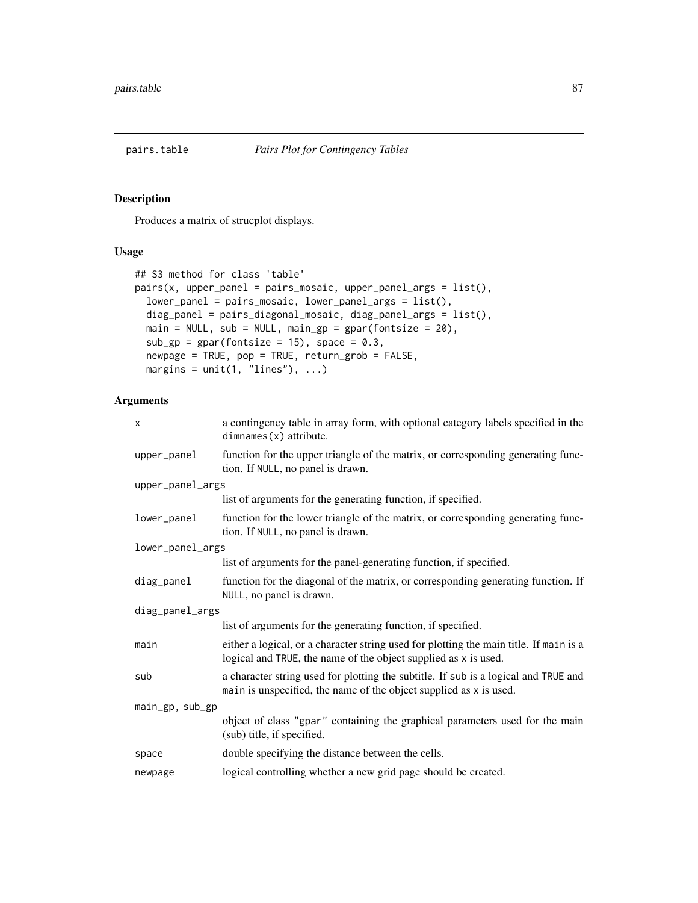<span id="page-86-0"></span>

## Description

Produces a matrix of strucplot displays.

# Usage

```
## S3 method for class 'table'
pairs(x, upper\_panel = pairs\_mosaic, upper\_panel\_args = list(),lower_panel = pairs_mosaic, lower_panel_args = list(),
 diag_panel = pairs_diagonal_mosaic, diag_panel_args = list(),
 main = NULL, sub = NULL, main_gp = gpar(fontsize = 20),
 sub_gp = gpar(fontsize = 15), space = 0.3,
 newpage = TRUE, pop = TRUE, return_grob = FALSE,
 margins = unit(1, 'lines"), ...)
```

| a contingency table in array form, with optional category labels specified in the<br>$dimnames(x)$ attribute.                                             |
|-----------------------------------------------------------------------------------------------------------------------------------------------------------|
| function for the upper triangle of the matrix, or corresponding generating func-<br>tion. If NULL, no panel is drawn.                                     |
| upper_panel_args                                                                                                                                          |
| list of arguments for the generating function, if specified.                                                                                              |
| function for the lower triangle of the matrix, or corresponding generating func-<br>tion. If NULL, no panel is drawn.                                     |
| lower_panel_args                                                                                                                                          |
| list of arguments for the panel-generating function, if specified.                                                                                        |
| function for the diagonal of the matrix, or corresponding generating function. If<br>NULL, no panel is drawn.                                             |
| diag_panel_args                                                                                                                                           |
| list of arguments for the generating function, if specified.                                                                                              |
| either a logical, or a character string used for plotting the main title. If main is a<br>logical and TRUE, the name of the object supplied as x is used. |
| a character string used for plotting the subtitle. If sub is a logical and TRUE and<br>main is unspecified, the name of the object supplied as x is used. |
|                                                                                                                                                           |
| object of class "gpar" containing the graphical parameters used for the main<br>(sub) title, if specified.                                                |
| double specifying the distance between the cells.                                                                                                         |
| logical controlling whether a new grid page should be created.                                                                                            |
|                                                                                                                                                           |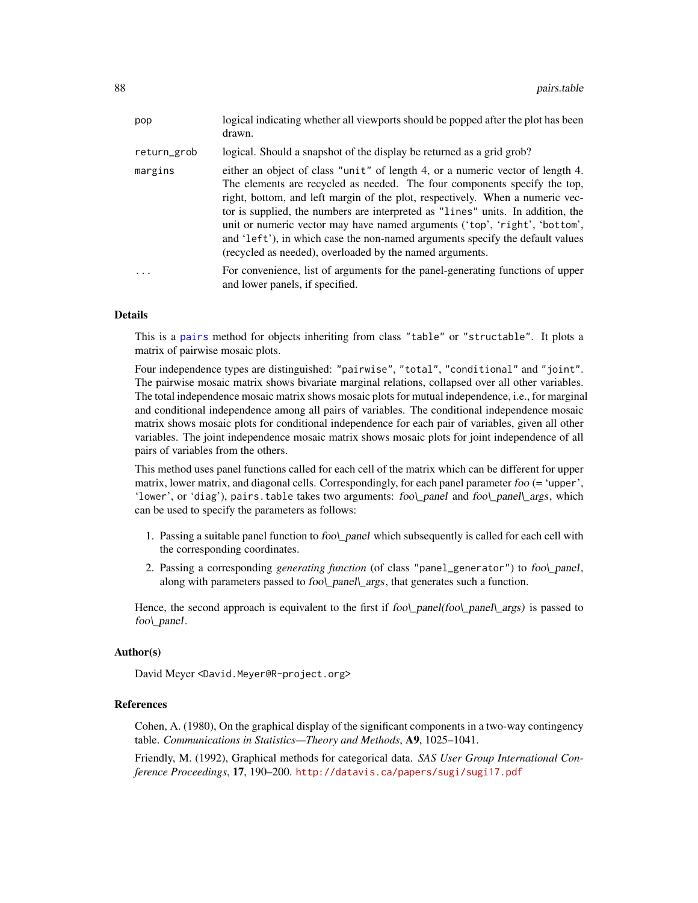| pop         | logical indicating whether all viewports should be popped after the plot has been<br>drawn.                                                                                                                                                                                                                                                                                                                                                                                                                                                                |
|-------------|------------------------------------------------------------------------------------------------------------------------------------------------------------------------------------------------------------------------------------------------------------------------------------------------------------------------------------------------------------------------------------------------------------------------------------------------------------------------------------------------------------------------------------------------------------|
| return_grob | logical. Should a snapshot of the display be returned as a grid grob?                                                                                                                                                                                                                                                                                                                                                                                                                                                                                      |
| margins     | either an object of class "unit" of length 4, or a numeric vector of length 4.<br>The elements are recycled as needed. The four components specify the top,<br>right, bottom, and left margin of the plot, respectively. When a numeric vec-<br>tor is supplied, the numbers are interpreted as "lines" units. In addition, the<br>unit or numeric vector may have named arguments ('top', 'right', 'bottom',<br>and 'left'), in which case the non-named arguments specify the default values<br>(recycled as needed), overloaded by the named arguments. |
| .           | For convenience, list of arguments for the panel-generating functions of upper<br>and lower panels, if specified.                                                                                                                                                                                                                                                                                                                                                                                                                                          |

## Details

This is a [pairs](#page-0-0) method for objects inheriting from class "table" or "structable". It plots a matrix of pairwise mosaic plots.

Four independence types are distinguished: "pairwise", "total", "conditional" and "joint". The pairwise mosaic matrix shows bivariate marginal relations, collapsed over all other variables. The total independence mosaic matrix shows mosaic plots for mutual independence, i.e., for marginal and conditional independence among all pairs of variables. The conditional independence mosaic matrix shows mosaic plots for conditional independence for each pair of variables, given all other variables. The joint independence mosaic matrix shows mosaic plots for joint independence of all pairs of variables from the others.

This method uses panel functions called for each cell of the matrix which can be different for upper matrix, lower matrix, and diagonal cells. Correspondingly, for each panel parameter foo (= 'upper', 'lower', or 'diag'), pairs.table takes two arguments: foo\ panel and foo\ panel\ args, which can be used to specify the parameters as follows:

- 1. Passing a suitable panel function to foo\\_panel which subsequently is called for each cell with the corresponding coordinates.
- 2. Passing a corresponding *generating function* (of class "panel\_generator") to foo\\_panel, along with parameters passed to fool\_panel\\_args, that generates such a function.

Hence, the second approach is equivalent to the first if  $foo\_\text{panel}(\foo\_\text{panel}\_\text{args})$  is passed to foo\\_panel.

## Author(s)

David Meyer <David.Meyer@R-project.org>

#### References

Cohen, A. (1980), On the graphical display of the significant components in a two-way contingency table. *Communications in Statistics—Theory and Methods*, A9, 1025–1041.

Friendly, M. (1992), Graphical methods for categorical data. *SAS User Group International Conference Proceedings*, 17, 190–200. <http://datavis.ca/papers/sugi/sugi17.pdf>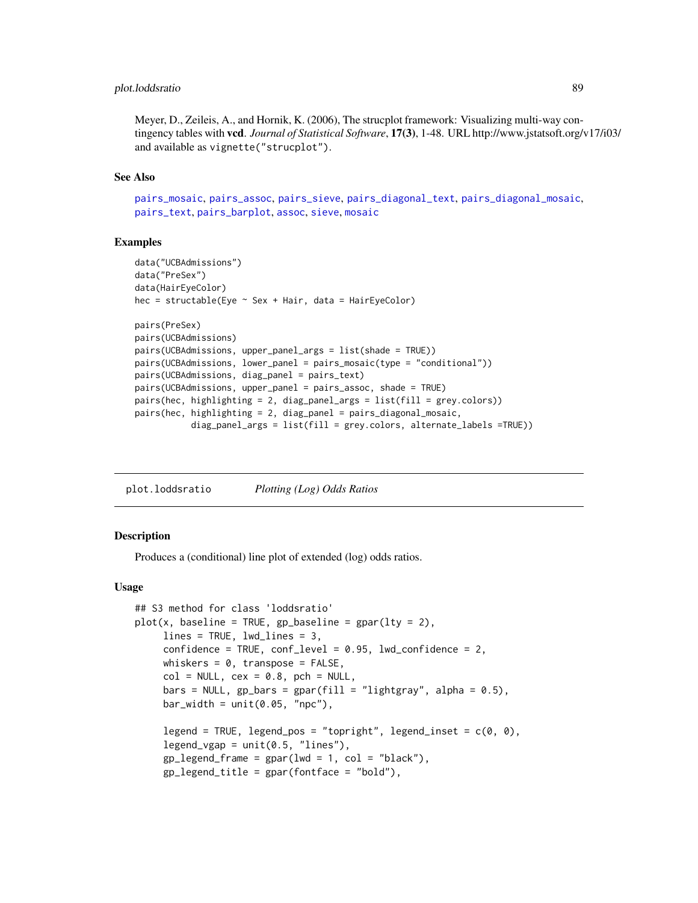## plot.loddsratio 89

Meyer, D., Zeileis, A., and Hornik, K. (2006), The strucplot framework: Visualizing multi-way contingency tables with vcd. *Journal of Statistical Software*, 17(3), 1-48. URL http://www.jstatsoft.org/v17/i03/ and available as vignette("strucplot").

## See Also

```
pairs_mosaic, pairs_assoc, pairs_sieve, pairs_diagonal_text, pairs_diagonal_mosaic,
pairs_text, pairs_barplot, assoc, sieve, mosaic
```
## Examples

```
data("UCBAdmissions")
data("PreSex")
data(HairEyeColor)
hec = structable(Eye \sim Sex + Hair, data = HairEyeColor)
pairs(PreSex)
pairs(UCBAdmissions)
pairs(UCBAdmissions, upper_panel_args = list(shade = TRUE))
pairs(UCBAdmissions, lower_panel = pairs_mosaic(type = "conditional"))
pairs(UCBAdmissions, diag_panel = pairs_text)
pairs(UCBAdmissions, upper_panel = pairs_assoc, shade = TRUE)
pairs(hec, highlighting = 2, diag_panel_args = list(fill = grey.colors))
pairs(hec, highlighting = 2, diag_panel = pairs_diagonal_mosaic,
           diag_panel_args = list(fill = grey.colors, alternate_labels =TRUE))
```
plot.loddsratio *Plotting (Log) Odds Ratios*

## **Description**

Produces a (conditional) line plot of extended (log) odds ratios.

## Usage

```
## S3 method for class 'loddsratio'
plot(x, baseline = TRUE, gp\_baseline = gap)(ly = 2)lines = TRUE, lwd_lines = 3,
     confidence = TRUE, conf_level = 0.95, lwd_confidence = 2,
     whiskers = 0, transpose = FALSE,
     col = NULL, cex = 0.8, pch = NULL,
     bars = NULL, gp\_bars = gpar(fill = "lightgray", alpha = 0.5),
     bar_wwidth = unit(0.05, "npc"),
     legend = TRUE, legend_pos = "topright", legend_inset = c(\theta, \theta),
     legend_vgap = unit(0.5, "lines"),gp_{\text{legend}\_frame} = gpar(\text{lwd} = 1, col = "black"),
     gp legend_title = gpar(fonfface = "bold"),
```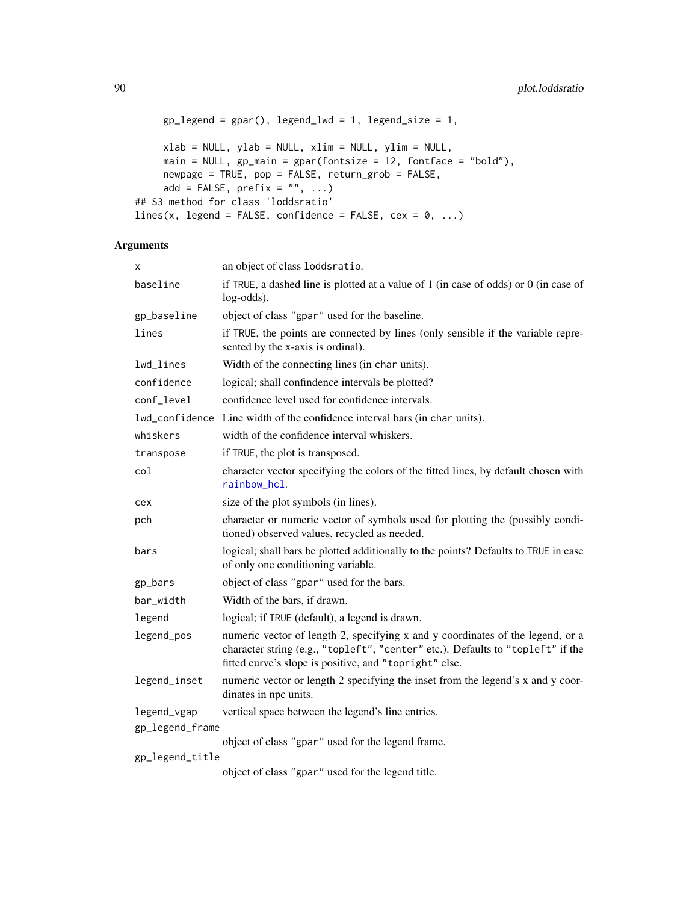```
gp legend = gpar(), legend lwd = 1, legend size = 1,
    xlab = NULL, ylab = NULL, xlim = NULL, ylim = NULL,
    main = NULL, gp_main = gpar(fontsize = 12, fontface = "bold"),
     newpage = TRUE, pop = FALSE, return_grob = FALSE,
     add = FALSE, prefix = "", ...)## S3 method for class 'loddsratio'
lines(x, legend = FALSE, confidence = FALSE, ces = 0, ...)
```

| Χ                              | an object of class loddsratio.                                                                                                                                                                                              |
|--------------------------------|-----------------------------------------------------------------------------------------------------------------------------------------------------------------------------------------------------------------------------|
| baseline                       | if TRUE, a dashed line is plotted at a value of $1$ (in case of odds) or $0$ (in case of<br>$log-odds$ ).                                                                                                                   |
| gp_baseline                    | object of class "gpar" used for the baseline.                                                                                                                                                                               |
| lines                          | if TRUE, the points are connected by lines (only sensible if the variable repre-<br>sented by the x-axis is ordinal).                                                                                                       |
| lwd_lines                      | Width of the connecting lines (in char units).                                                                                                                                                                              |
| confidence                     | logical; shall confindence intervals be plotted?                                                                                                                                                                            |
| conf_level                     | confidence level used for confidence intervals.                                                                                                                                                                             |
|                                | lwd_confidence Line width of the confidence interval bars (in char units).                                                                                                                                                  |
| whiskers                       | width of the confidence interval whiskers.                                                                                                                                                                                  |
| transpose                      | if TRUE, the plot is transposed.                                                                                                                                                                                            |
| col                            | character vector specifying the colors of the fitted lines, by default chosen with<br>rainbow hcl.                                                                                                                          |
| cex                            | size of the plot symbols (in lines).                                                                                                                                                                                        |
| pch                            | character or numeric vector of symbols used for plotting the (possibly condi-<br>tioned) observed values, recycled as needed.                                                                                               |
| bars                           | logical; shall bars be plotted additionally to the points? Defaults to TRUE in case<br>of only one conditioning variable.                                                                                                   |
| gp_bars                        | object of class "gpar" used for the bars.                                                                                                                                                                                   |
| bar_width                      | Width of the bars, if drawn.                                                                                                                                                                                                |
| legend                         | logical; if TRUE (default), a legend is drawn.                                                                                                                                                                              |
| legend_pos                     | numeric vector of length 2, specifying x and y coordinates of the legend, or a<br>character string (e.g., "topleft", "center" etc.). Defaults to "topleft" if the<br>fitted curve's slope is positive, and "topright" else. |
| legend_inset                   | numeric vector or length 2 specifying the inset from the legend's x and y coor-<br>dinates in npc units.                                                                                                                    |
| legend_vgap<br>gp_legend_frame | vertical space between the legend's line entries.                                                                                                                                                                           |
|                                | object of class "gpar" used for the legend frame.                                                                                                                                                                           |
| gp_legend_title                |                                                                                                                                                                                                                             |
|                                | object of class "gpar" used for the legend title.                                                                                                                                                                           |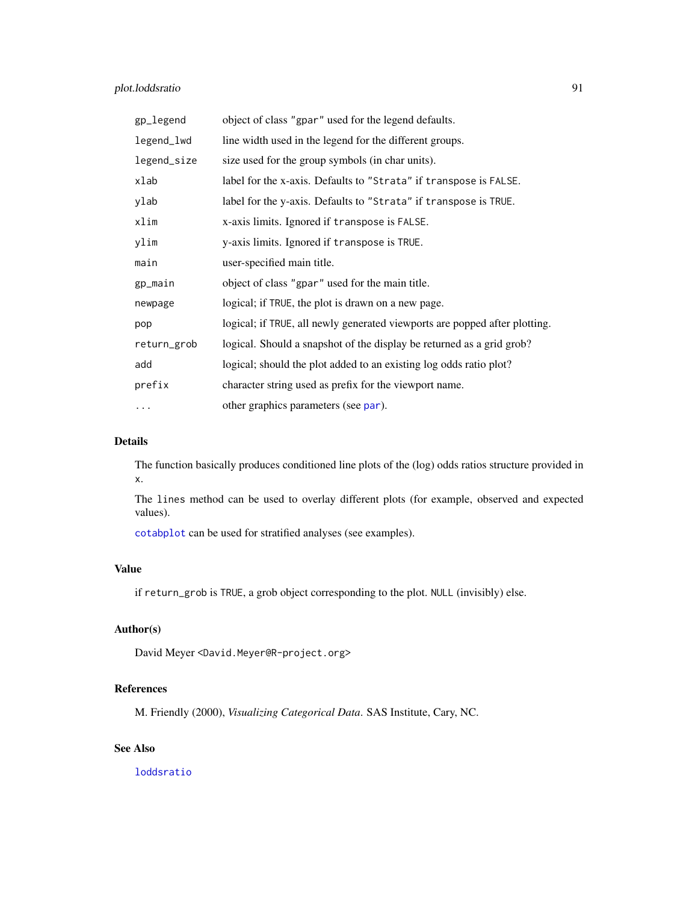## plot.loddsratio 91

| gp_legend   | object of class "gpar" used for the legend defaults.                       |
|-------------|----------------------------------------------------------------------------|
| legend_lwd  | line width used in the legend for the different groups.                    |
| legend_size | size used for the group symbols (in char units).                           |
| xlab        | label for the x-axis. Defaults to "Strata" if transpose is FALSE.          |
| ylab        | label for the y-axis. Defaults to "Strata" if transpose is TRUE.           |
| xlim        | x-axis limits. Ignored if transpose is FALSE.                              |
| ylim        | y-axis limits. Ignored if transpose is TRUE.                               |
| main        | user-specified main title.                                                 |
| gp_main     | object of class "gpar" used for the main title.                            |
| newpage     | logical; if TRUE, the plot is drawn on a new page.                         |
| pop         | logical; if TRUE, all newly generated viewports are popped after plotting. |
| return_grob | logical. Should a snapshot of the display be returned as a grid grob?      |
| add         | logical; should the plot added to an existing log odds ratio plot?         |
| prefix      | character string used as prefix for the viewport name.                     |
| $\cdots$    | other graphics parameters (see par).                                       |

## Details

The function basically produces conditioned line plots of the (log) odds ratios structure provided in x.

The lines method can be used to overlay different plots (for example, observed and expected values).

[cotabplot](#page-25-0) can be used for stratified analyses (see examples).

## Value

if return\_grob is TRUE, a grob object corresponding to the plot. NULL (invisibly) else.

## Author(s)

David Meyer <David.Meyer@R-project.org>

## References

M. Friendly (2000), *Visualizing Categorical Data*. SAS Institute, Cary, NC.

# See Also

[loddsratio](#page-67-0)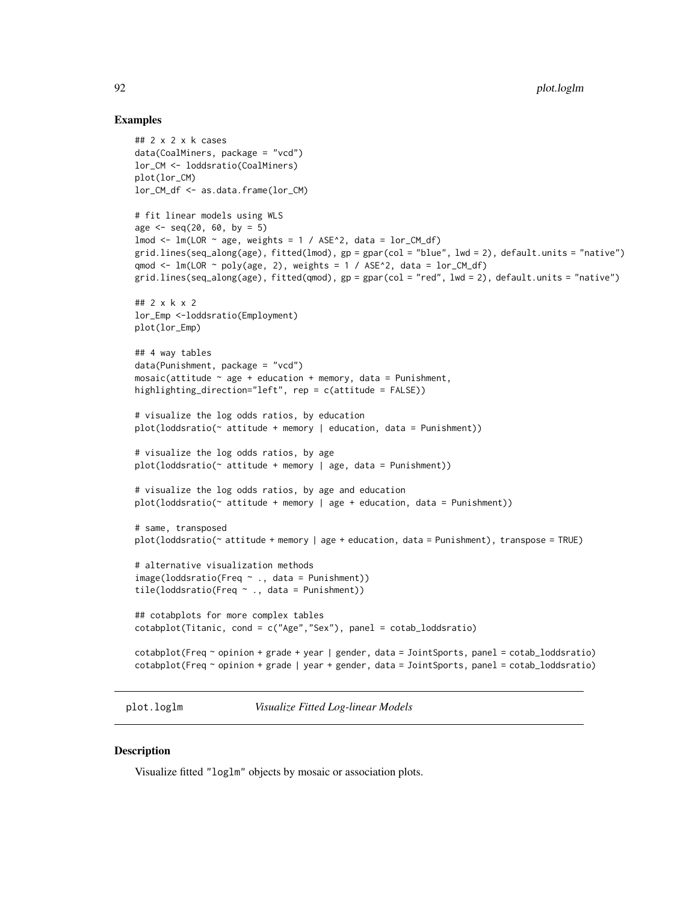#### Examples

```
## 2 x 2 x k cases
data(CoalMiners, package = "vcd")
lor_CM <- loddsratio(CoalMiners)
plot(lor_CM)
lor_CM_df <- as.data.frame(lor_CM)
# fit linear models using WLS
age \leq seq(20, 60, by = 5)
lmod \leq lm(LOR \sim age, weights = 1 / ASE\degree2, data = lor_CM_df)
grid.lines(seq_along(age), fitted(lmod), gp = gpar(col = "blue", lwd = 2), default.units = "native")
qmod <- lm(LOR \sim poly(age, 2), weights = 1 / ASE^22, data = lor\_CM_df)
grid.lines(seq_along(age), fitted(qmod), gp = gpar(col = "red", lwd = 2), default.units = "native")
## 2 x k x 2
lor_Emp <-loddsratio(Employment)
plot(lor_Emp)
## 4 way tables
data(Punishment, package = "vcd")
mosaic(attitude ~ age + education + memory, data = Punishment,
highlighting_direction="left", rep = c(attitude = FALSE))
# visualize the log odds ratios, by education
plot(lodsratio(~ attribute + memory | education, data = Punishment))# visualize the log odds ratios, by age
plot(lodsratio(\sim attribute + memory | age, data = Punishment))# visualize the log odds ratios, by age and education
plot(loddsratio(~ attitude + memory | age + education, data = Punishment))
# same, transposed
plot(loddsratio(~ attitude + memory | age + education, data = Punishment), transpose = TRUE)
# alternative visualization methods
image(loddsratio(Freq ~ ., data = Punishment))
tile(loddsratio(Freq ~ ., data = Punishment))
## cotabplots for more complex tables
cotabplot(Titanic, cond = c("Age","Sex"), panel = cotab_loddsratio)
cotabplot(Freq ~ opinion + grade + year | gender, data = JointSports, panel = cotab_loddsratio)
cotabplot(Freq ~ opinion + grade | year + gender, data = JointSports, panel = cotab_loddsratio)
```
plot.loglm *Visualize Fitted Log-linear Models*

## **Description**

Visualize fitted "loglm" objects by mosaic or association plots.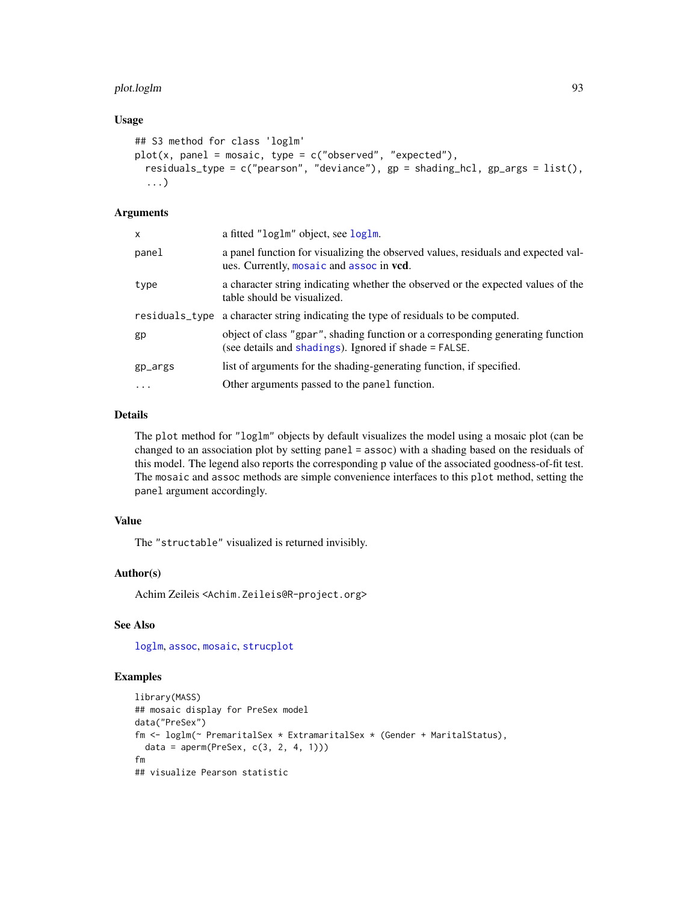## plot.loglm 93

## Usage

```
## S3 method for class 'loglm'
plot(x, panel = mosaic, type = c("observed", "expected"),residuals_type = c("pearson", "deviance"), gp = shading_hcl, gp_args = list(),
  ...)
```
## Arguments

| x        | a fitted "loglm" object, see loglm.                                                                                                      |
|----------|------------------------------------------------------------------------------------------------------------------------------------------|
| panel    | a panel function for visualizing the observed values, residuals and expected val-<br>ues. Currently, mosaic and assoc in vcd.            |
| type     | a character string indicating whether the observed or the expected values of the<br>table should be visualized.                          |
|          | residuals_type a character string indicating the type of residuals to be computed.                                                       |
| gp       | object of class "gpar", shading function or a corresponding generating function<br>(see details and shadings). Ignored if shade = FALSE. |
| gp_args  | list of arguments for the shading-generating function, if specified.                                                                     |
| $\cdots$ | Other arguments passed to the panel function.                                                                                            |

## Details

The plot method for "loglm" objects by default visualizes the model using a mosaic plot (can be changed to an association plot by setting panel = assoc) with a shading based on the residuals of this model. The legend also reports the corresponding p value of the associated goodness-of-fit test. The mosaic and assoc methods are simple convenience interfaces to this plot method, setting the panel argument accordingly.

## Value

The "structable" visualized is returned invisibly.

## Author(s)

Achim Zeileis <Achim.Zeileis@R-project.org>

## See Also

[loglm](#page-0-0), [assoc](#page-6-0), [mosaic](#page-72-0), [strucplot](#page-114-0)

```
library(MASS)
## mosaic display for PreSex model
data("PreSex")
fm <- loglm(~ PremaritalSex * ExtramaritalSex * (Gender + MaritalStatus),
  data = aperm(PreSex, c(3, 2, 4, 1)))
fm
## visualize Pearson statistic
```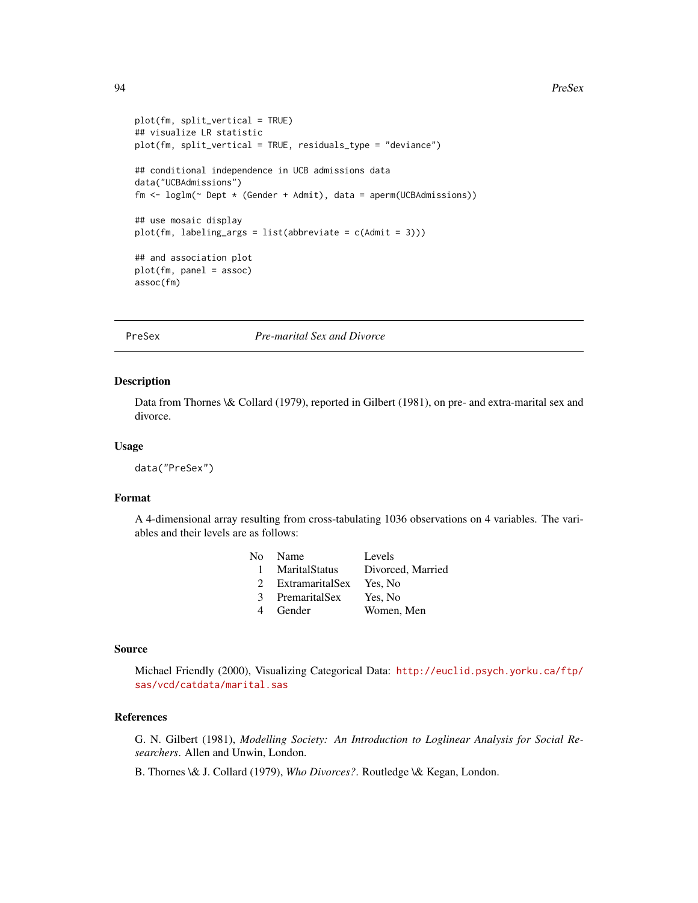#### 94 PreSex

```
plot(fm, split_vertical = TRUE)
## visualize LR statistic
plot(fm, split_vertical = TRUE, residuals_type = "deviance")
## conditional independence in UCB admissions data
data("UCBAdmissions")
fm <- loglm(~ Dept * (Gender + Admit), data = aperm(UCBAdmissions))
## use mosaic display
plot(fm, labeling_{args} = list(abbreviate = c(Admit = 3)))## and association plot
plot(fm, panel = assoc)
assoc(fm)
```
PreSex *Pre-marital Sex and Divorce*

#### Description

Data from Thornes \& Collard (1979), reported in Gilbert (1981), on pre- and extra-marital sex and divorce.

## Usage

data("PreSex")

#### Format

A 4-dimensional array resulting from cross-tabulating 1036 observations on 4 variables. The variables and their levels are as follows:

|               | No Name         | Levels            |
|---------------|-----------------|-------------------|
|               | 1 MaritalStatus | Divorced, Married |
| $\mathcal{D}$ | ExtramaritalSex | Yes, No           |
| 3             | PremaritalSex   | Yes, No           |
| 4             | Gender          | Women, Men        |

#### Source

Michael Friendly (2000), Visualizing Categorical Data: [http://euclid.psych.yorku.ca/ftp/](http://euclid.psych.yorku.ca/ftp/sas/vcd/catdata/marital.sas) [sas/vcd/catdata/marital.sas](http://euclid.psych.yorku.ca/ftp/sas/vcd/catdata/marital.sas)

## References

G. N. Gilbert (1981), *Modelling Society: An Introduction to Loglinear Analysis for Social Researchers*. Allen and Unwin, London.

B. Thornes \& J. Collard (1979), *Who Divorces?*. Routledge \& Kegan, London.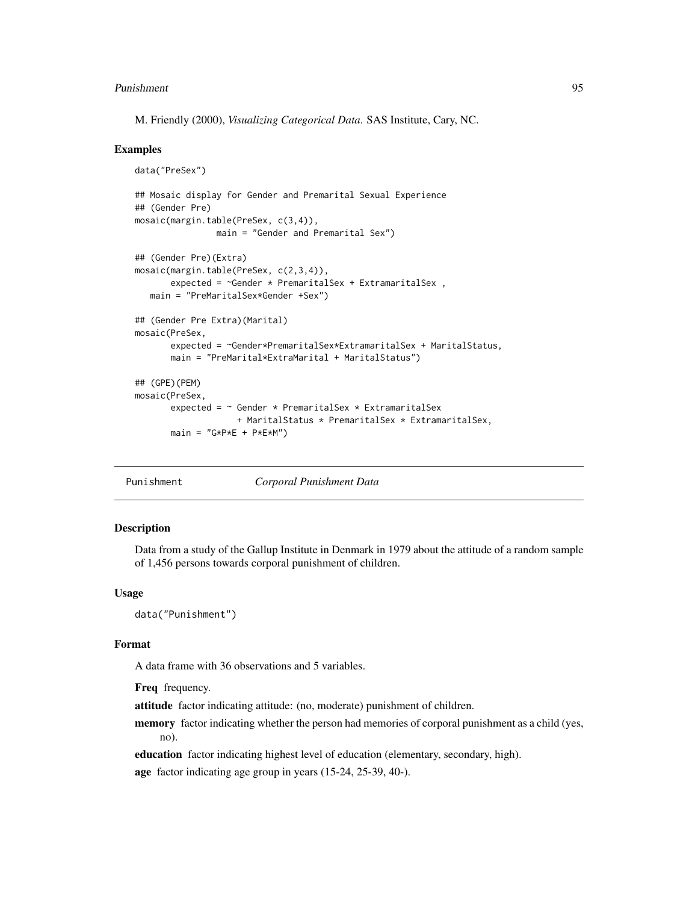#### Punishment 95

M. Friendly (2000), *Visualizing Categorical Data*. SAS Institute, Cary, NC.

## Examples

```
data("PreSex")
## Mosaic display for Gender and Premarital Sexual Experience
## (Gender Pre)
mosaic(margin.table(PreSex, c(3,4)),
               main = "Gender and Premarital Sex")
## (Gender Pre)(Extra)
mosaic(margin.table(PreSex, c(2,3,4)),
      expected = ~Gender * PremaritalSex + ExtramaritalSex ,
  main = "PreMaritalSex*Gender +Sex")
## (Gender Pre Extra)(Marital)
mosaic(PreSex,
      expected = ~Gender*PremaritalSex*ExtramaritalSex + MaritalStatus,
      main = "PreMarital*ExtraMarital + MaritalStatus")
## (GPE)(PEM)
mosaic(PreSex,
      expected = ~ Gender * PremaritalSex * ExtramaritalSex
                   + MaritalStatus * PremaritalSex * ExtramaritalSex,
      main = "G*P*E + P*E*M")
```
Punishment *Corporal Punishment Data*

## **Description**

Data from a study of the Gallup Institute in Denmark in 1979 about the attitude of a random sample of 1,456 persons towards corporal punishment of children.

## Usage

data("Punishment")

#### Format

A data frame with 36 observations and 5 variables.

Freq frequency.

attitude factor indicating attitude: (no, moderate) punishment of children.

memory factor indicating whether the person had memories of corporal punishment as a child (yes, no).

education factor indicating highest level of education (elementary, secondary, high).

age factor indicating age group in years (15-24, 25-39, 40-).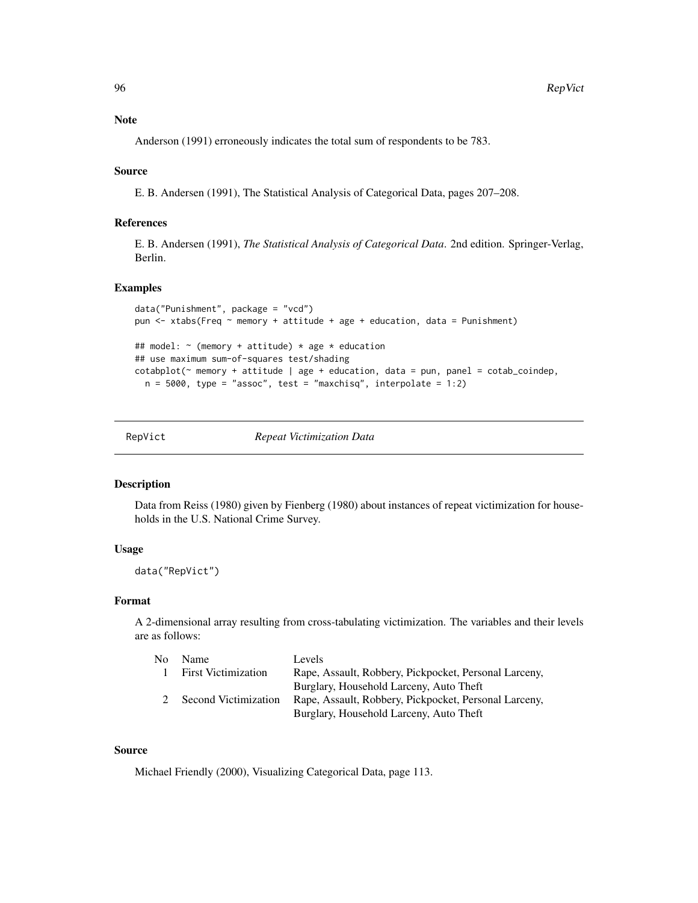Note

Anderson (1991) erroneously indicates the total sum of respondents to be 783.

## Source

E. B. Andersen (1991), The Statistical Analysis of Categorical Data, pages 207–208.

## References

E. B. Andersen (1991), *The Statistical Analysis of Categorical Data*. 2nd edition. Springer-Verlag, Berlin.

## Examples

```
data("Punishment", package = "vcd")
pun <- xtabs(Freq ~ memory + attitude + age + education, data = Punishment)
## model: ~ (memory + attitude) * age * education
## use maximum sum-of-squares test/shading
\cotabplot(\sim memory + attitude | age + education, data = pun, panel = \cotab_{\sim}coindep,
  n = 5000, type = "assoc", test = "maxchisq", interpolate = 1:2)
```

| RepVict | Repeat Victimization Data |
|---------|---------------------------|
|         |                           |

## Description

Data from Reiss (1980) given by Fienberg (1980) about instances of repeat victimization for households in the U.S. National Crime Survey.

#### Usage

data("RepVict")

## Format

A 2-dimensional array resulting from cross-tabulating victimization. The variables and their levels are as follows:

| No. | Name                       | Levels                                                |
|-----|----------------------------|-------------------------------------------------------|
|     | <b>First Victimization</b> | Rape, Assault, Robbery, Pickpocket, Personal Larceny, |
|     |                            | Burglary, Household Larceny, Auto Theft               |
|     | Second Victimization       | Rape, Assault, Robbery, Pickpocket, Personal Larceny, |
|     |                            | Burglary, Household Larceny, Auto Theft               |

## Source

Michael Friendly (2000), Visualizing Categorical Data, page 113.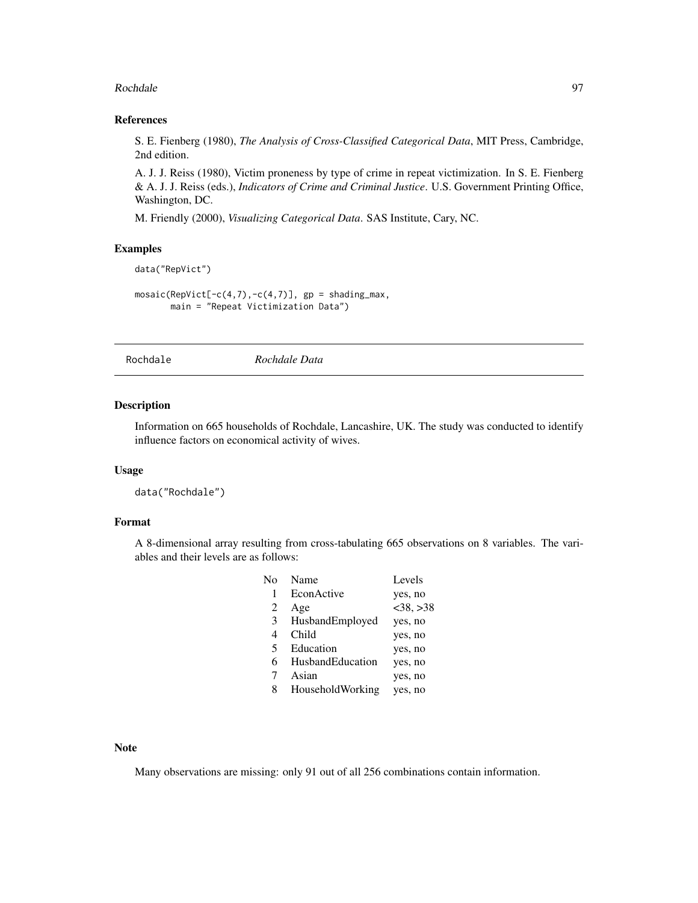#### Rochdale 97 and 2008 12:00 the state of the state of the state of the state of the state of the state of the state of the state of the state of the state of the state of the state of the state of the state of the state of

## References

S. E. Fienberg (1980), *The Analysis of Cross-Classified Categorical Data*, MIT Press, Cambridge, 2nd edition.

A. J. J. Reiss (1980), Victim proneness by type of crime in repeat victimization. In S. E. Fienberg & A. J. J. Reiss (eds.), *Indicators of Crime and Criminal Justice*. U.S. Government Printing Office, Washington, DC.

M. Friendly (2000), *Visualizing Categorical Data*. SAS Institute, Cary, NC.

## Examples

```
data("RepVict")
```

```
mosaic(RepVict[-c(4,7), -c(4,7)], gp = shading_max,main = "Repeat Victimization Data")
```
Rochdale *Rochdale Data*

## Description

Information on 665 households of Rochdale, Lancashire, UK. The study was conducted to identify influence factors on economical activity of wives.

## Usage

```
data("Rochdale")
```
## Format

A 8-dimensional array resulting from cross-tabulating 665 observations on 8 variables. The variables and their levels are as follows:

| N٥ | Name             | Levels         |
|----|------------------|----------------|
| 1  | EconActive       | yes, no        |
| 2  | Age              | $<$ 38, $>$ 38 |
| 3  | HusbandEmployed  | yes, no        |
| 4  | Child            | yes, no        |
| 5  | Education        | yes, no        |
| 6  | HusbandEducation | yes, no        |
| 7  | Asian            | yes, no        |
| 8  | HouseholdWorking | yes, no        |
|    |                  |                |

Note

Many observations are missing: only 91 out of all 256 combinations contain information.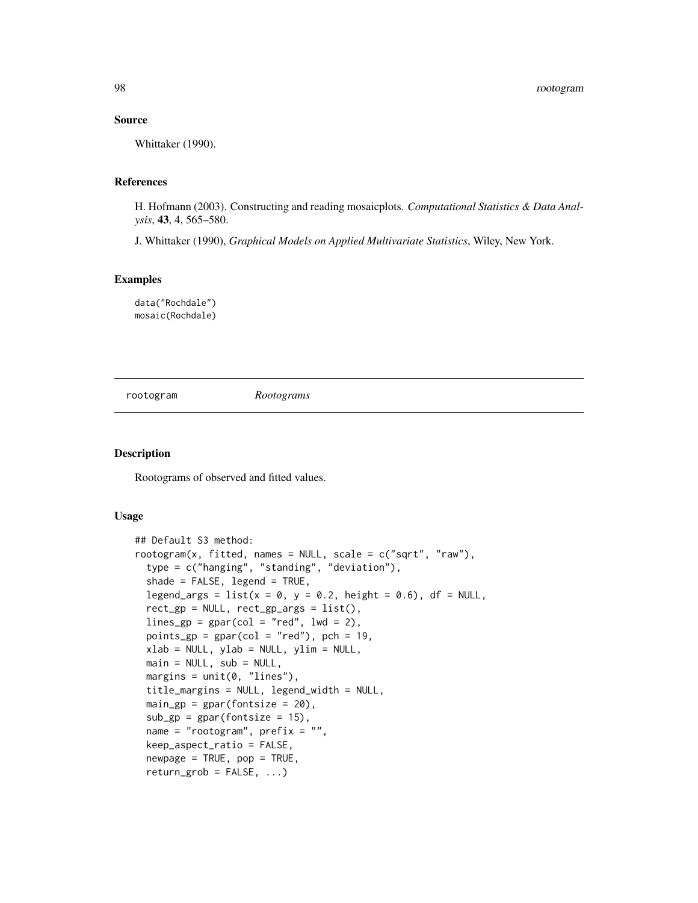## Source

Whittaker (1990).

#### References

H. Hofmann (2003). Constructing and reading mosaicplots. *Computational Statistics & Data Analysis*, 43, 4, 565–580.

J. Whittaker (1990), *Graphical Models on Applied Multivariate Statistics*, Wiley, New York.

## Examples

data("Rochdale") mosaic(Rochdale)

rootogram *Rootograms*

#### Description

Rootograms of observed and fitted values.

#### Usage

```
## Default S3 method:
rootogram(x, fitted, names = NULL, scale = c("sqrt", "raw"),type = c("hanging", "standing", "deviation"),
  shade = FALSE, legend = TRUE,
 legend_args = list(x = 0, y = 0.2, height = 0.6), df = NULL,
  rect\_gp = NULL, rect\_gp\_args = list(),lines_gp = gpar(col = "red", lwd = 2),
 points_gp = gpar(col = "red"), pch = 19,
 xlab = NULL, ylab = NULL, ylim = NULL,
 main = NULL, sub = NULL,
 margins = unit(0, "lines"),title_margins = NULL, legend_width = NULL,
 main\_gp = gpar(fontsize = 20),
  sub\_gp = gpar(fontsize = 15),
 name = "rootogram", prefix = "",
 keep_aspect_ratio = FALSE,
  newpage = TRUE, pop = TRUE,return\_grob = FALSE, ...
```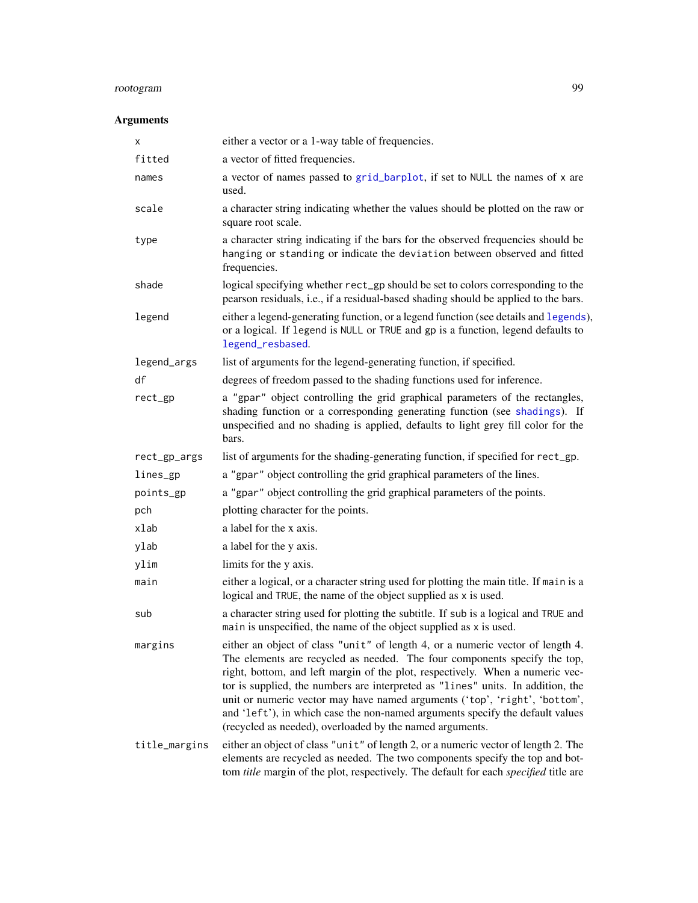# rootogram 99

| x             | either a vector or a 1-way table of frequencies.                                                                                                                                                                                                                                                                                                                                                                                                                                                                                                           |
|---------------|------------------------------------------------------------------------------------------------------------------------------------------------------------------------------------------------------------------------------------------------------------------------------------------------------------------------------------------------------------------------------------------------------------------------------------------------------------------------------------------------------------------------------------------------------------|
| fitted        | a vector of fitted frequencies.                                                                                                                                                                                                                                                                                                                                                                                                                                                                                                                            |
| names         | a vector of names passed to grid_barplot, if set to NULL the names of x are<br>used.                                                                                                                                                                                                                                                                                                                                                                                                                                                                       |
| scale         | a character string indicating whether the values should be plotted on the raw or<br>square root scale.                                                                                                                                                                                                                                                                                                                                                                                                                                                     |
| type          | a character string indicating if the bars for the observed frequencies should be<br>hanging or standing or indicate the deviation between observed and fitted<br>frequencies.                                                                                                                                                                                                                                                                                                                                                                              |
| shade         | logical specifying whether rect_gp should be set to colors corresponding to the<br>pearson residuals, i.e., if a residual-based shading should be applied to the bars.                                                                                                                                                                                                                                                                                                                                                                                     |
| legend        | either a legend-generating function, or a legend function (see details and legends),<br>or a logical. If legend is NULL or TRUE and gp is a function, legend defaults to<br>legend_resbased.                                                                                                                                                                                                                                                                                                                                                               |
| legend_args   | list of arguments for the legend-generating function, if specified.                                                                                                                                                                                                                                                                                                                                                                                                                                                                                        |
| df            | degrees of freedom passed to the shading functions used for inference.                                                                                                                                                                                                                                                                                                                                                                                                                                                                                     |
| rect_gp       | a "gpar" object controlling the grid graphical parameters of the rectangles,<br>shading function or a corresponding generating function (see shadings). If<br>unspecified and no shading is applied, defaults to light grey fill color for the<br>bars.                                                                                                                                                                                                                                                                                                    |
| rect_gp_args  | list of arguments for the shading-generating function, if specified for rect_gp.                                                                                                                                                                                                                                                                                                                                                                                                                                                                           |
| lines_gp      | a "gpar" object controlling the grid graphical parameters of the lines.                                                                                                                                                                                                                                                                                                                                                                                                                                                                                    |
| points_gp     | a "gpar" object controlling the grid graphical parameters of the points.                                                                                                                                                                                                                                                                                                                                                                                                                                                                                   |
| pch           | plotting character for the points.                                                                                                                                                                                                                                                                                                                                                                                                                                                                                                                         |
| xlab          | a label for the x axis.                                                                                                                                                                                                                                                                                                                                                                                                                                                                                                                                    |
| ylab          | a label for the y axis.                                                                                                                                                                                                                                                                                                                                                                                                                                                                                                                                    |
| ylim          | limits for the y axis.                                                                                                                                                                                                                                                                                                                                                                                                                                                                                                                                     |
| main          | either a logical, or a character string used for plotting the main title. If main is a<br>logical and TRUE, the name of the object supplied as x is used.                                                                                                                                                                                                                                                                                                                                                                                                  |
| sub           | a character string used for plotting the subtitle. If sub is a logical and TRUE and<br>main is unspecified, the name of the object supplied as x is used.                                                                                                                                                                                                                                                                                                                                                                                                  |
| margins       | either an object of class "unit" of length 4, or a numeric vector of length 4.<br>The elements are recycled as needed. The four components specify the top,<br>right, bottom, and left margin of the plot, respectively. When a numeric vec-<br>tor is supplied, the numbers are interpreted as "lines" units. In addition, the<br>unit or numeric vector may have named arguments ('top', 'right', 'bottom',<br>and 'left'), in which case the non-named arguments specify the default values<br>(recycled as needed), overloaded by the named arguments. |
| title_margins | either an object of class "unit" of length 2, or a numeric vector of length 2. The<br>elements are recycled as needed. The two components specify the top and bot-<br>tom title margin of the plot, respectively. The default for each specified title are                                                                                                                                                                                                                                                                                                 |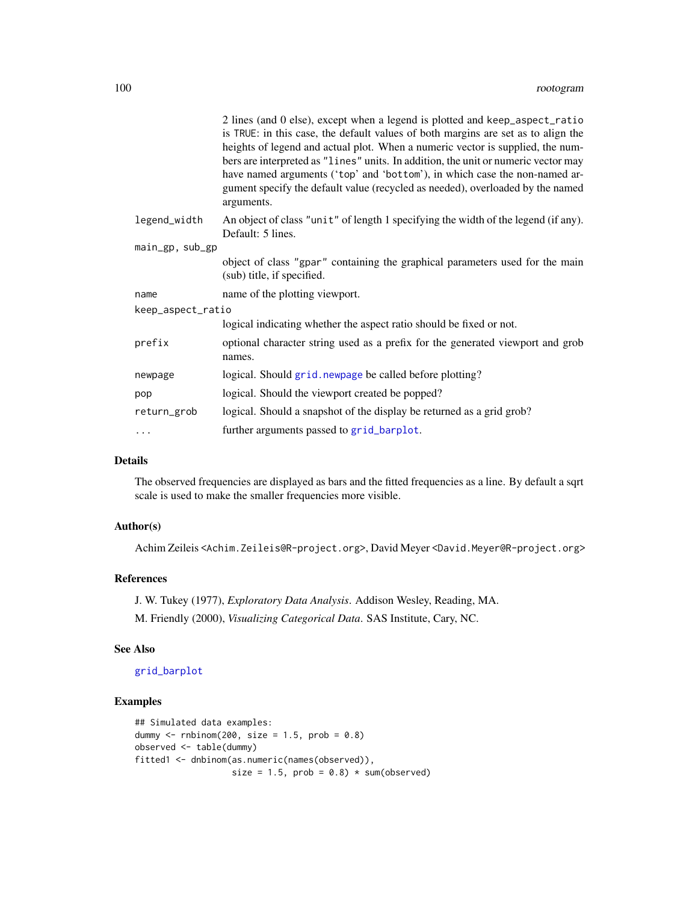|                   | 2 lines (and 0 else), except when a legend is plotted and keep_aspect_ratio<br>is TRUE: in this case, the default values of both margins are set as to align the<br>heights of legend and actual plot. When a numeric vector is supplied, the num-<br>bers are interpreted as "lines" units. In addition, the unit or numeric vector may<br>have named arguments ('top' and 'bottom'), in which case the non-named ar-<br>gument specify the default value (recycled as needed), overloaded by the named<br>arguments. |
|-------------------|------------------------------------------------------------------------------------------------------------------------------------------------------------------------------------------------------------------------------------------------------------------------------------------------------------------------------------------------------------------------------------------------------------------------------------------------------------------------------------------------------------------------|
| legend_width      | An object of class "unit" of length 1 specifying the width of the legend (if any).<br>Default: 5 lines.                                                                                                                                                                                                                                                                                                                                                                                                                |
| main_gp, sub_gp   |                                                                                                                                                                                                                                                                                                                                                                                                                                                                                                                        |
|                   | object of class "gpar" containing the graphical parameters used for the main<br>(sub) title, if specified.                                                                                                                                                                                                                                                                                                                                                                                                             |
| name              | name of the plotting viewport.                                                                                                                                                                                                                                                                                                                                                                                                                                                                                         |
| keep_aspect_ratio |                                                                                                                                                                                                                                                                                                                                                                                                                                                                                                                        |
|                   | logical indicating whether the aspect ratio should be fixed or not.                                                                                                                                                                                                                                                                                                                                                                                                                                                    |
| prefix            | optional character string used as a prefix for the generated viewport and grob<br>names.                                                                                                                                                                                                                                                                                                                                                                                                                               |
| newpage           | logical. Should grid. newpage be called before plotting?                                                                                                                                                                                                                                                                                                                                                                                                                                                               |
| pop               | logical. Should the viewport created be popped?                                                                                                                                                                                                                                                                                                                                                                                                                                                                        |
| return_grob       | logical. Should a snapshot of the display be returned as a grid grob?                                                                                                                                                                                                                                                                                                                                                                                                                                                  |
| .                 | further arguments passed to grid_barplot.                                                                                                                                                                                                                                                                                                                                                                                                                                                                              |

## Details

The observed frequencies are displayed as bars and the fitted frequencies as a line. By default a sqrt scale is used to make the smaller frequencies more visible.

## Author(s)

Achim Zeileis <Achim.Zeileis@R-project.org>, David Meyer <David.Meyer@R-project.org>

## References

J. W. Tukey (1977), *Exploratory Data Analysis*. Addison Wesley, Reading, MA.

M. Friendly (2000), *Visualizing Categorical Data*. SAS Institute, Cary, NC.

#### See Also

[grid\\_barplot](#page-41-0)

```
## Simulated data examples:
dummy \le- rnbinom(200, size = 1.5, prob = 0.8)
observed <- table(dummy)
fitted1 <- dnbinom(as.numeric(names(observed)),
                   size = 1.5, prob = 0.8) * sum(observed)
```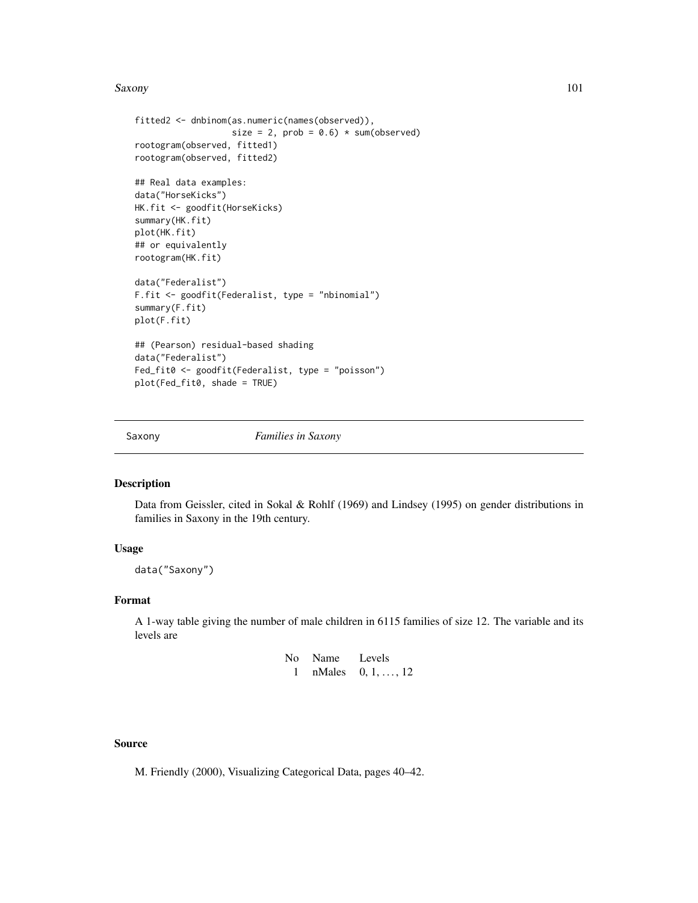#### Saxony 101

```
fitted2 <- dnbinom(as.numeric(names(observed)),
                   size = 2, prob = 0.6) * sum(observed)
rootogram(observed, fitted1)
rootogram(observed, fitted2)
## Real data examples:
data("HorseKicks")
HK.fit <- goodfit(HorseKicks)
summary(HK.fit)
plot(HK.fit)
## or equivalently
rootogram(HK.fit)
data("Federalist")
F.fit <- goodfit(Federalist, type = "nbinomial")
summary(F.fit)
plot(F.fit)
## (Pearson) residual-based shading
data("Federalist")
Fed_fit0 <- goodfit(Federalist, type = "poisson")
plot(Fed_fit0, shade = TRUE)
```
Saxony *Families in Saxony*

## Description

Data from Geissler, cited in Sokal & Rohlf (1969) and Lindsey (1995) on gender distributions in families in Saxony in the 19th century.

## Usage

data("Saxony")

#### Format

A 1-way table giving the number of male children in 6115 families of size 12. The variable and its levels are

```
No Name Levels
 1 nMales 0, 1, ..., 12
```
## Source

M. Friendly (2000), Visualizing Categorical Data, pages 40–42.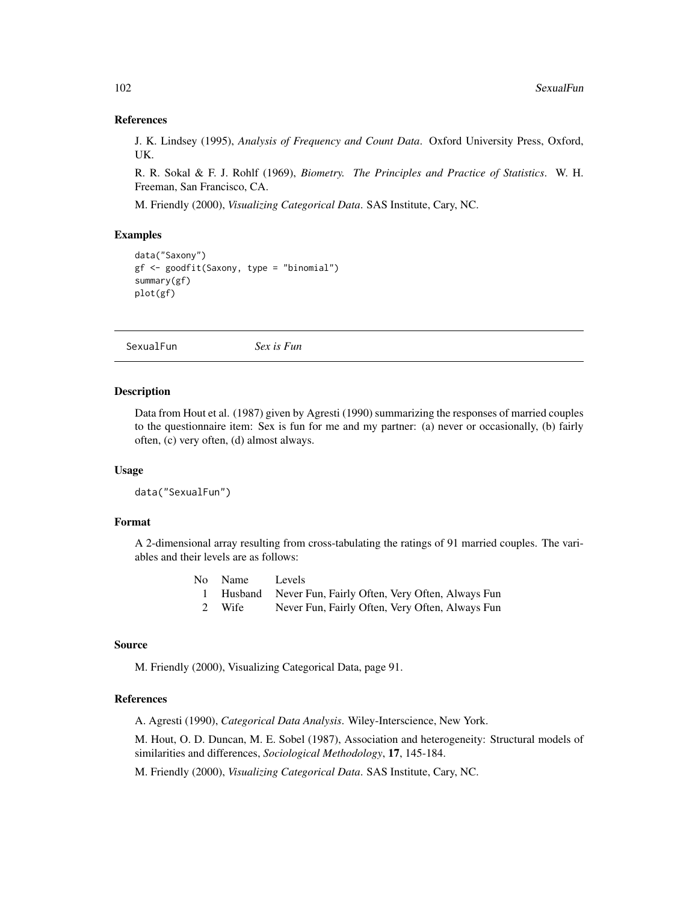## References

J. K. Lindsey (1995), *Analysis of Frequency and Count Data*. Oxford University Press, Oxford, UK.

R. R. Sokal & F. J. Rohlf (1969), *Biometry. The Principles and Practice of Statistics*. W. H. Freeman, San Francisco, CA.

M. Friendly (2000), *Visualizing Categorical Data*. SAS Institute, Cary, NC.

## Examples

```
data("Saxony")
gf <- goodfit(Saxony, type = "binomial")
summary(gf)
plot(gf)
```
SexualFun *Sex is Fun*

#### **Description**

Data from Hout et al. (1987) given by Agresti (1990) summarizing the responses of married couples to the questionnaire item: Sex is fun for me and my partner: (a) never or occasionally, (b) fairly often, (c) very often, (d) almost always.

## Usage

```
data("SexualFun")
```
#### Format

A 2-dimensional array resulting from cross-tabulating the ratings of 91 married couples. The variables and their levels are as follows:

|  | No | Name | Levels |  |
|--|----|------|--------|--|
|  |    |      |        |  |
|  |    |      |        |  |
|  |    |      |        |  |
|  |    |      |        |  |
|  |    |      |        |  |
|  |    |      |        |  |
|  |    |      |        |  |
|  |    |      |        |  |
|  |    |      |        |  |
|  |    |      |        |  |
|  |    |      |        |  |
|  |    |      |        |  |
|  |    |      |        |  |
|  |    |      |        |  |
|  |    |      |        |  |
|  |    |      |        |  |
|  |    |      |        |  |
|  |    |      |        |  |
|  |    |      |        |  |
|  |    |      |        |  |
|  |    |      |        |  |
|  |    |      |        |  |
|  |    |      |        |  |
|  |    |      |        |  |

- 1 Husband Never Fun, Fairly Often, Very Often, Always Fun
- 2 Wife Never Fun, Fairly Often, Very Often, Always Fun

## Source

M. Friendly (2000), Visualizing Categorical Data, page 91.

## References

A. Agresti (1990), *Categorical Data Analysis*. Wiley-Interscience, New York.

M. Hout, O. D. Duncan, M. E. Sobel (1987), Association and heterogeneity: Structural models of similarities and differences, *Sociological Methodology*, 17, 145-184.

M. Friendly (2000), *Visualizing Categorical Data*. SAS Institute, Cary, NC.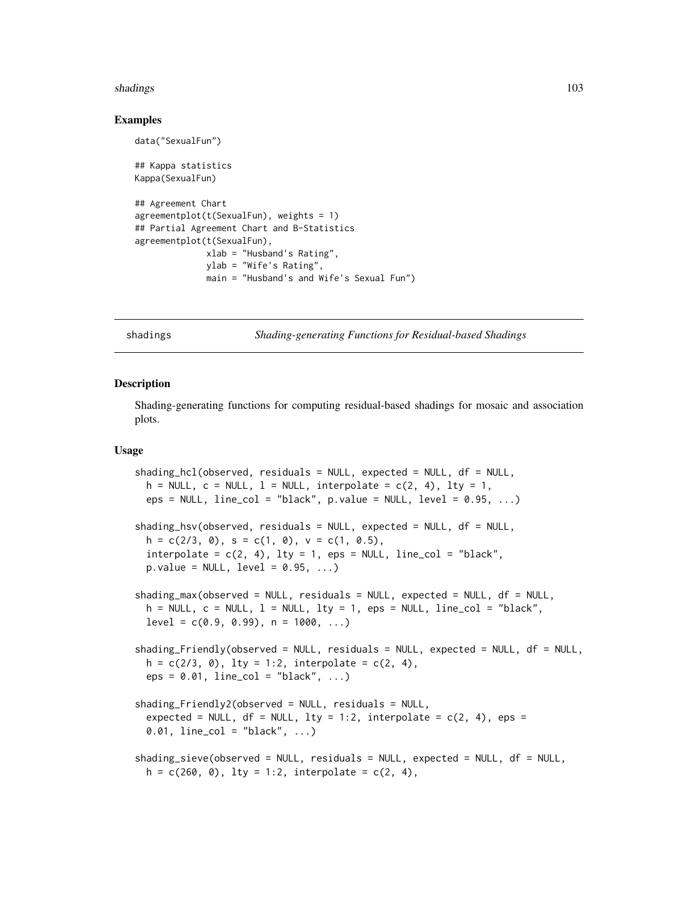#### shadings the contract of the contract of the contract of the contract of the contract of the contract of the contract of the contract of the contract of the contract of the contract of the contract of the contract of the c

## Examples

data("SexualFun")

```
## Kappa statistics
Kappa(SexualFun)
## Agreement Chart
agreementplot(t(SexualFun), weights = 1)
## Partial Agreement Chart and B-Statistics
agreementplot(t(SexualFun),
              xlab = "Husband's Rating",
              ylab = "Wife's Rating",
              main = "Husband's and Wife's Sexual Fun")
```

```
shadings Shading-generating Functions for Residual-based Shadings
```
#### <span id="page-102-1"></span>**Description**

Shading-generating functions for computing residual-based shadings for mosaic and association plots.

## Usage

```
shading_hcl(observed, residuals = NULL, expected = NULL, df = NULL,
 h = NULL, c = NULL, l = NULL, interpolate = c(2, 4), lty = 1,
 eps = NULL, line_col = "black", p.value = NULL, level = 0.95, ...)shading_hsv(observed, residuals = NULL, expected = NULL, df = NULL,
 h = c(2/3, 0), s = c(1, 0), v = c(1, 0.5),interpolate = c(2, 4), lty = 1, eps = NULL, line_col = "black",p.value = NULL, level = 0.95, ...)shading_max(observed = NULL, residuals = NULL, expected = NULL, df = NULL,
 h = NULL, c = NULL, l = NULL, lty = 1, eps = NULL, line_col = "black",level = c(0.9, 0.99), n = 1000, ...shading_Friendly(observed = NULL, residuals = NULL, expected = NULL, df = NULL,
 h = c(2/3, 0), lty = 1:2, interpolate = c(2, 4),eps = 0.01, line_col = "black", ...)
shading_Friendly2(observed = NULL, residuals = NULL,expected = NULL, df = NULL, lty = 1:2, interpolate = c(2, 4), eps =
 0.01, line_col = "black", ...)
shading_sieve(observed = NULL, residuals = NULL, expected = NULL, df = NULL,
 h = c(260, 0), lty = 1:2, interpolate = c(2, 4),
```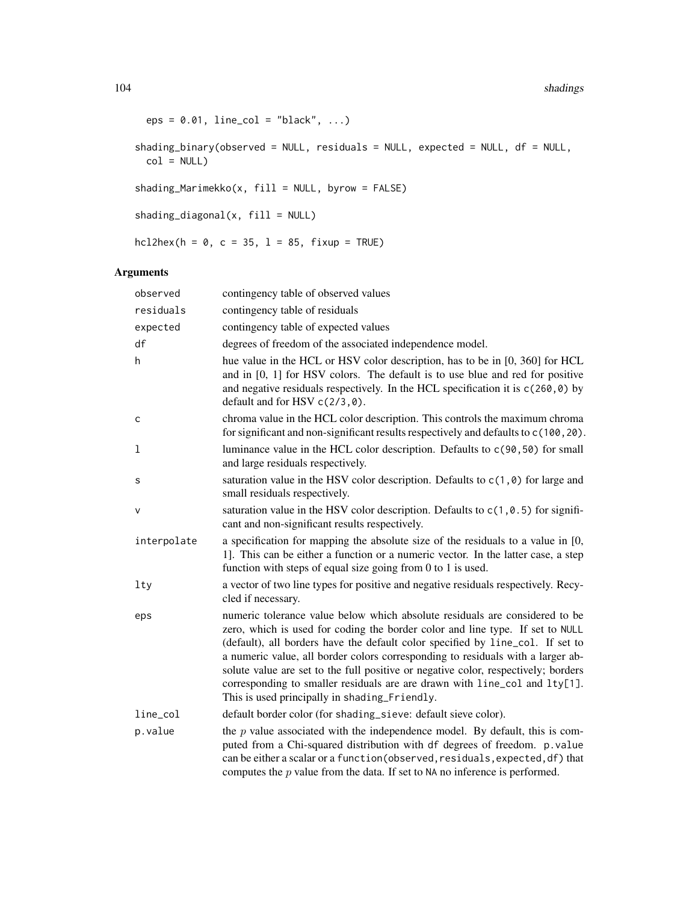```
eps = 0.01, line_col = "black", ...)
shading_binary(observed = NULL, residuals = NULL, expected = NULL, df = NULL,
 col = NULLshading_Marimekko(x, fill = NULL, byrow = FALSE)shading_diagonal(x, fill = NULL)
hcl2hex(h = 0, c = 35, l = 85, fixup = TRUE)
```

| observed    | contingency table of observed values                                                                                                                                                                                                                                                                                                                                                                                                                                                                                                                   |
|-------------|--------------------------------------------------------------------------------------------------------------------------------------------------------------------------------------------------------------------------------------------------------------------------------------------------------------------------------------------------------------------------------------------------------------------------------------------------------------------------------------------------------------------------------------------------------|
| residuals   | contingency table of residuals                                                                                                                                                                                                                                                                                                                                                                                                                                                                                                                         |
| expected    | contingency table of expected values                                                                                                                                                                                                                                                                                                                                                                                                                                                                                                                   |
| df          | degrees of freedom of the associated independence model.                                                                                                                                                                                                                                                                                                                                                                                                                                                                                               |
| h           | hue value in the HCL or HSV color description, has to be in [0, 360] for HCL<br>and in $[0, 1]$ for HSV colors. The default is to use blue and red for positive<br>and negative residuals respectively. In the HCL specification it is $c(260, 0)$ by<br>default and for HSV $c(2/3, \emptyset)$ .                                                                                                                                                                                                                                                     |
| C           | chroma value in the HCL color description. This controls the maximum chroma<br>for significant and non-significant results respectively and defaults to c(100,20).                                                                                                                                                                                                                                                                                                                                                                                     |
| 1           | luminance value in the HCL color description. Defaults to c(90,50) for small<br>and large residuals respectively.                                                                                                                                                                                                                                                                                                                                                                                                                                      |
| s           | saturation value in the HSV color description. Defaults to $c(1, \theta)$ for large and<br>small residuals respectively.                                                                                                                                                                                                                                                                                                                                                                                                                               |
| V           | saturation value in the HSV color description. Defaults to $c(1, 0.5)$ for signifi-<br>cant and non-significant results respectively.                                                                                                                                                                                                                                                                                                                                                                                                                  |
| interpolate | a specification for mapping the absolute size of the residuals to a value in [0,<br>1]. This can be either a function or a numeric vector. In the latter case, a step<br>function with steps of equal size going from $0$ to $1$ is used.                                                                                                                                                                                                                                                                                                              |
| lty         | a vector of two line types for positive and negative residuals respectively. Recy-<br>cled if necessary.                                                                                                                                                                                                                                                                                                                                                                                                                                               |
| eps         | numeric tolerance value below which absolute residuals are considered to be<br>zero, which is used for coding the border color and line type. If set to NULL<br>(default), all borders have the default color specified by line_col. If set to<br>a numeric value, all border colors corresponding to residuals with a larger ab-<br>solute value are set to the full positive or negative color, respectively; borders<br>corresponding to smaller residuals are are drawn with line_col and lty[1].<br>This is used principally in shading_Friendly. |
| line_col    | default border color (for shading_sieve: default sieve color).                                                                                                                                                                                                                                                                                                                                                                                                                                                                                         |
| p.value     | the $p$ value associated with the independence model. By default, this is com-<br>puted from a Chi-squared distribution with df degrees of freedom. p.value<br>can be either a scalar or a function (observed, residuals, expected, df) that<br>computes the $p$ value from the data. If set to NA no inference is performed.                                                                                                                                                                                                                          |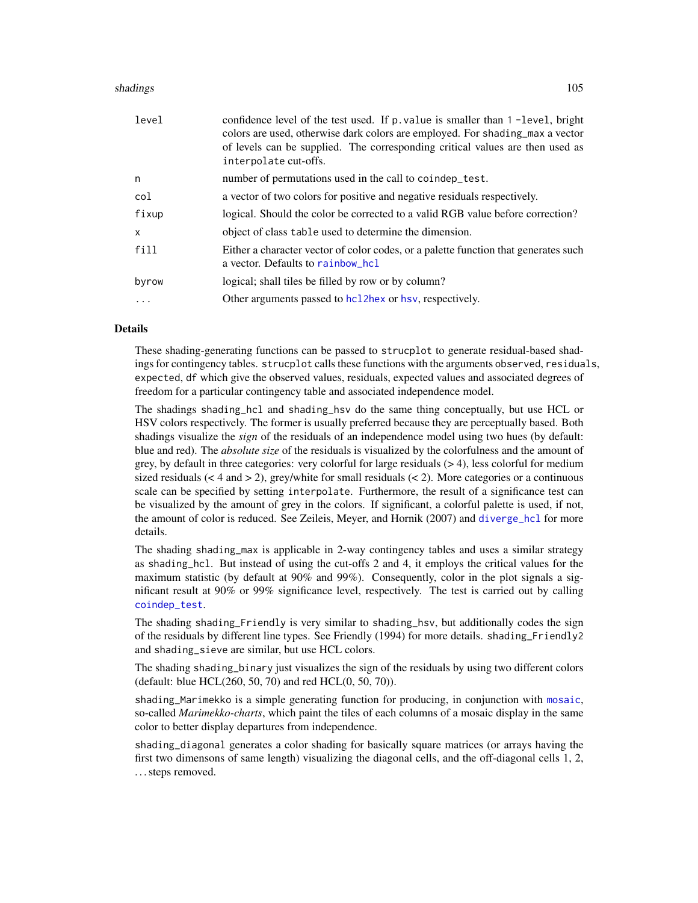#### shadings the control of the control of the control of the control of the control of the control of the control of the control of the control of the control of the control of the control of the control of the control of the

| level | confidence level of the test used. If p. value is smaller than 1-level, bright<br>colors are used, otherwise dark colors are employed. For shading_max a vector<br>of levels can be supplied. The corresponding critical values are then used as<br>interpolate cut-offs. |
|-------|---------------------------------------------------------------------------------------------------------------------------------------------------------------------------------------------------------------------------------------------------------------------------|
| n     | number of permutations used in the call to coindep_test.                                                                                                                                                                                                                  |
| col   | a vector of two colors for positive and negative residuals respectively.                                                                                                                                                                                                  |
| fixup | logical. Should the color be corrected to a valid RGB value before correction?                                                                                                                                                                                            |
| X     | object of class table used to determine the dimension.                                                                                                                                                                                                                    |
| fill  | Either a character vector of color codes, or a palette function that generates such<br>a vector. Defaults to rainbow_hcl                                                                                                                                                  |
| byrow | logical; shall tiles be filled by row or by column?                                                                                                                                                                                                                       |
| .     | Other arguments passed to hcl2hex or hsv, respectively.                                                                                                                                                                                                                   |

## **Details**

These shading-generating functions can be passed to strucplot to generate residual-based shadings for contingency tables. strucplot calls these functions with the arguments observed, residuals, expected, df which give the observed values, residuals, expected values and associated degrees of freedom for a particular contingency table and associated independence model.

The shadings shading\_hcl and shading\_hsv do the same thing conceptually, but use HCL or HSV colors respectively. The former is usually preferred because they are perceptually based. Both shadings visualize the *sign* of the residuals of an independence model using two hues (by default: blue and red). The *absolute size* of the residuals is visualized by the colorfulness and the amount of grey, by default in three categories: very colorful for large residuals (> 4), less colorful for medium sized residuals ( $\lt 4$  and  $\gt 2$ ), grey/white for small residuals ( $\lt 2$ ). More categories or a continuous scale can be specified by setting interpolate. Furthermore, the result of a significance test can be visualized by the amount of grey in the colors. If significant, a colorful palette is used, if not, the amount of color is reduced. See Zeileis, Meyer, and Hornik (2007) and [diverge\\_hcl](#page-0-0) for more details.

The shading shading\_max is applicable in 2-way contingency tables and uses a similar strategy as shading\_hcl. But instead of using the cut-offs 2 and 4, it employs the critical values for the maximum statistic (by default at 90% and 99%). Consequently, color in the plot signals a significant result at 90% or 99% significance level, respectively. The test is carried out by calling [coindep\\_test](#page-23-0).

The shading shading\_Friendly is very similar to shading\_hsv, but additionally codes the sign of the residuals by different line types. See Friendly (1994) for more details. shading\_Friendly2 and shading\_sieve are similar, but use HCL colors.

The shading shading\_binary just visualizes the sign of the residuals by using two different colors (default: blue HCL(260, 50, 70) and red HCL(0, 50, 70)).

shading\_Marimekko is a simple generating function for producing, in conjunction with [mosaic](#page-72-0), so-called *Marimekko-charts*, which paint the tiles of each columns of a mosaic display in the same color to better display departures from independence.

shading\_diagonal generates a color shading for basically square matrices (or arrays having the first two dimensons of same length) visualizing the diagonal cells, and the off-diagonal cells 1, 2, . . . steps removed.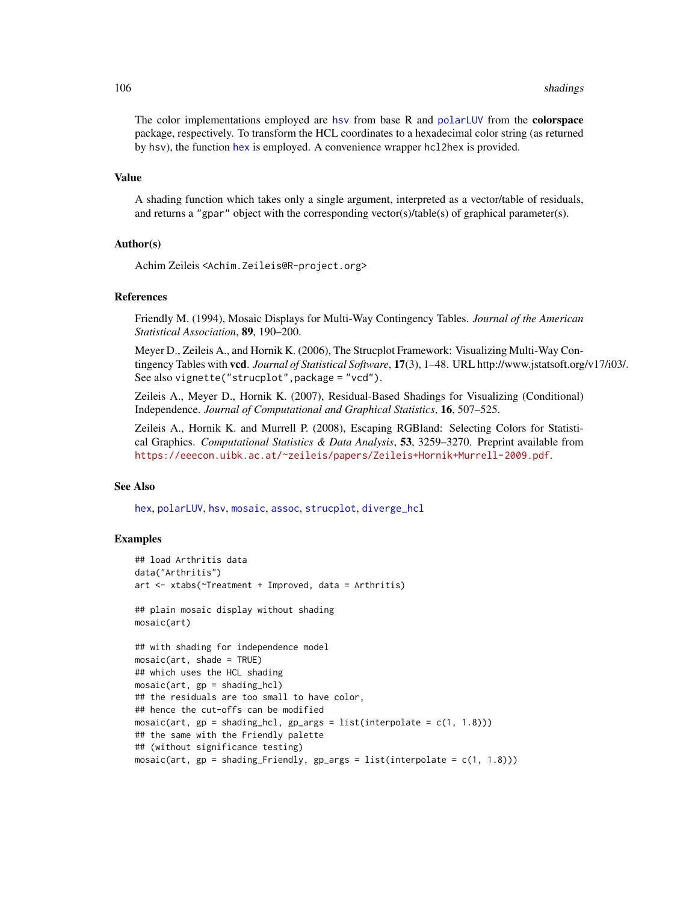The color implementations employed are [hsv](#page-0-0) from base R and [polarLUV](#page-0-0) from the **colorspace** package, respectively. To transform the HCL coordinates to a hexadecimal color string (as returned by hsv), the function [hex](#page-0-0) is employed. A convenience wrapper hcl2hex is provided.

## Value

A shading function which takes only a single argument, interpreted as a vector/table of residuals, and returns a "gpar" object with the corresponding vector(s)/table(s) of graphical parameter(s).

## Author(s)

Achim Zeileis <Achim.Zeileis@R-project.org>

## References

Friendly M. (1994), Mosaic Displays for Multi-Way Contingency Tables. *Journal of the American Statistical Association*, 89, 190–200.

Meyer D., Zeileis A., and Hornik K. (2006), The Strucplot Framework: Visualizing Multi-Way Contingency Tables with vcd. *Journal of Statistical Software*, 17(3), 1–48. URL http://www.jstatsoft.org/v17/i03/. See also vignette("strucplot",package = "vcd").

Zeileis A., Meyer D., Hornik K. (2007), Residual-Based Shadings for Visualizing (Conditional) Independence. *Journal of Computational and Graphical Statistics*, 16, 507–525.

Zeileis A., Hornik K. and Murrell P. (2008), Escaping RGBland: Selecting Colors for Statistical Graphics. *Computational Statistics & Data Analysis*, 53, 3259–3270. Preprint available from <https://eeecon.uibk.ac.at/~zeileis/papers/Zeileis+Hornik+Murrell-2009.pdf>.

## See Also

[hex](#page-0-0), [polarLUV](#page-0-0), [hsv](#page-0-0), [mosaic](#page-72-0), [assoc](#page-6-0), [strucplot](#page-114-0), [diverge\\_hcl](#page-0-0)

```
## load Arthritis data
data("Arthritis")
art <- xtabs(~Treatment + Improved, data = Arthritis)
## plain mosaic display without shading
mosaic(art)
## with shading for independence model
mosaic(art, shade = TRUE)
## which uses the HCL shading
mosaic(art, gp = shading_hcl)## the residuals are too small to have color,
## hence the cut-offs can be modified
mosaic(art, gp = shading_hcl, gp_args = list(interpolate = c(1, 1.8)))
## the same with the Friendly palette
## (without significance testing)
mosaic(art, gp = shading_Friendly, gp_qrgs = list(interpolate = c(1, 1.8)))
```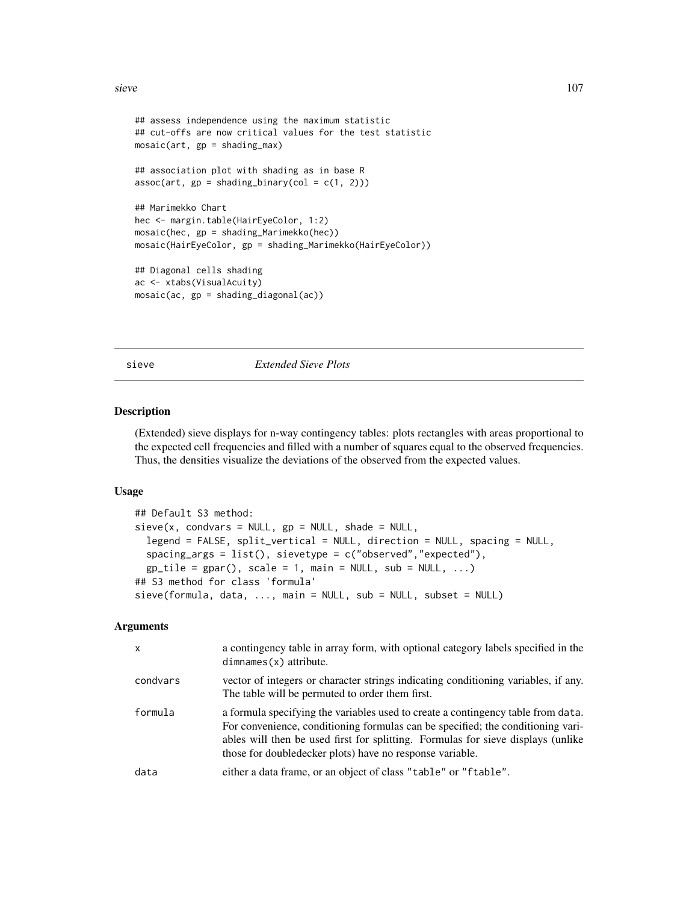sieve 107

```
## assess independence using the maximum statistic
## cut-offs are now critical values for the test statistic
mosaic(art, gp = shading_max)
## association plot with shading as in base R
assoc(art, gp = shading\_binary(col = c(1, 2)))## Marimekko Chart
hec <- margin.table(HairEyeColor, 1:2)
mosaic(hec, gp = shading_Marimekko(hec))
mosaic(HairEyeColor, gp = shading_Marimekko(HairEyeColor))
## Diagonal cells shading
ac <- xtabs(VisualAcuity)
mosaic(ac, gp = shading_diagonal(ac))
```
<span id="page-106-0"></span>

sieve *Extended Sieve Plots*

#### Description

(Extended) sieve displays for n-way contingency tables: plots rectangles with areas proportional to the expected cell frequencies and filled with a number of squares equal to the observed frequencies. Thus, the densities visualize the deviations of the observed from the expected values.

#### Usage

```
## Default S3 method:
sieve(x, condvars = NULL, gp = NULL, shade = NULL,legend = FALSE, split_vertical = NULL, direction = NULL, spacing = NULL,
  spacing_args = list(), sievetype = c("observed","expected"),
  gp<sub>tile</sub> = gpar(), scale = 1, main = NULL, sub = NULL, ...)
## S3 method for class 'formula'
sieve(formula, data, ..., main = NULL, sub = NULL, subset = NULL)
```

| x        | a contingency table in array form, with optional category labels specified in the<br>$dimnames(x)$ attribute.                                                                                                                                                                                                        |
|----------|----------------------------------------------------------------------------------------------------------------------------------------------------------------------------------------------------------------------------------------------------------------------------------------------------------------------|
| condvars | vector of integers or character strings indicating conditioning variables, if any.<br>The table will be permuted to order them first.                                                                                                                                                                                |
| formula  | a formula specifying the variables used to create a contingency table from data.<br>For convenience, conditioning formulas can be specified; the conditioning vari-<br>ables will then be used first for splitting. Formulas for sieve displays (unlike<br>those for doubled ecker plots) have no response variable. |
| data     | either a data frame, or an object of class "table" or "ftable".                                                                                                                                                                                                                                                      |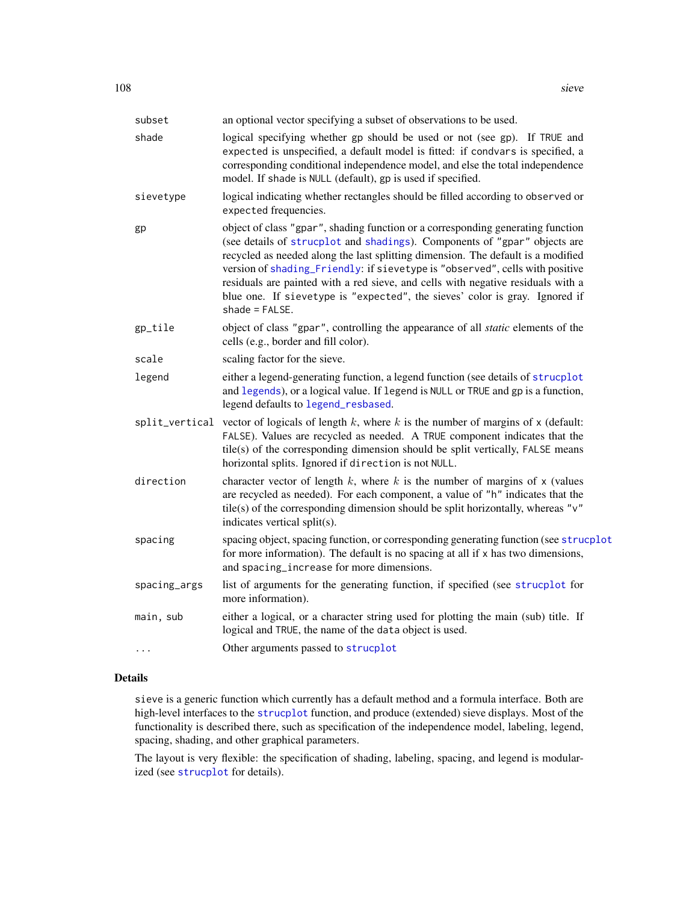| subset         | an optional vector specifying a subset of observations to be used.                                                                                                                                                                                                                                                                                                                                                                                                                                                      |
|----------------|-------------------------------------------------------------------------------------------------------------------------------------------------------------------------------------------------------------------------------------------------------------------------------------------------------------------------------------------------------------------------------------------------------------------------------------------------------------------------------------------------------------------------|
| shade          | logical specifying whether gp should be used or not (see gp). If TRUE and<br>expected is unspecified, a default model is fitted: if condvars is specified, a<br>corresponding conditional independence model, and else the total independence<br>model. If shade is NULL (default), gp is used if specified.                                                                                                                                                                                                            |
| sievetype      | logical indicating whether rectangles should be filled according to observed or<br>expected frequencies.                                                                                                                                                                                                                                                                                                                                                                                                                |
| gp             | object of class "gpar", shading function or a corresponding generating function<br>(see details of strucplot and shadings). Components of "gpar" objects are<br>recycled as needed along the last splitting dimension. The default is a modified<br>version of shading_Friendly: if sievetype is "observed", cells with positive<br>residuals are painted with a red sieve, and cells with negative residuals with a<br>blue one. If sievetype is "expected", the sieves' color is gray. Ignored if<br>$shade = FALSE.$ |
| gp_tile        | object of class "gpar", controlling the appearance of all static elements of the<br>cells (e.g., border and fill color).                                                                                                                                                                                                                                                                                                                                                                                                |
| scale          | scaling factor for the sieve.                                                                                                                                                                                                                                                                                                                                                                                                                                                                                           |
| legend         | either a legend-generating function, a legend function (see details of strucplot<br>and legends), or a logical value. If legend is NULL or TRUE and gp is a function,<br>legend defaults to legend_resbased.                                                                                                                                                                                                                                                                                                            |
| split_vertical | vector of logicals of length $k$ , where $k$ is the number of margins of $x$ (default:<br>FALSE). Values are recycled as needed. A TRUE component indicates that the<br>tile(s) of the corresponding dimension should be split vertically, FALSE means<br>horizontal splits. Ignored if direction is not NULL.                                                                                                                                                                                                          |
| direction      | character vector of length $k$ , where $k$ is the number of margins of $x$ (values<br>are recycled as needed). For each component, a value of "h" indicates that the<br>tile(s) of the corresponding dimension should be split horizontally, whereas " $v$ "<br>indicates vertical split(s).                                                                                                                                                                                                                            |
| spacing        | spacing object, spacing function, or corresponding generating function (see strucplot<br>for more information). The default is no spacing at all if x has two dimensions,<br>and spacing_increase for more dimensions.                                                                                                                                                                                                                                                                                                  |
| spacing_args   | list of arguments for the generating function, if specified (see strucplot for<br>more information).                                                                                                                                                                                                                                                                                                                                                                                                                    |
| main, sub      | either a logical, or a character string used for plotting the main (sub) title. If<br>logical and TRUE, the name of the data object is used.                                                                                                                                                                                                                                                                                                                                                                            |
| .              | Other arguments passed to strucplot                                                                                                                                                                                                                                                                                                                                                                                                                                                                                     |

# Details

sieve is a generic function which currently has a default method and a formula interface. Both are high-level interfaces to the [strucplot](#page-114-0) function, and produce (extended) sieve displays. Most of the functionality is described there, such as specification of the independence model, labeling, legend, spacing, shading, and other graphical parameters.

The layout is very flexible: the specification of shading, labeling, spacing, and legend is modularized (see [strucplot](#page-114-0) for details).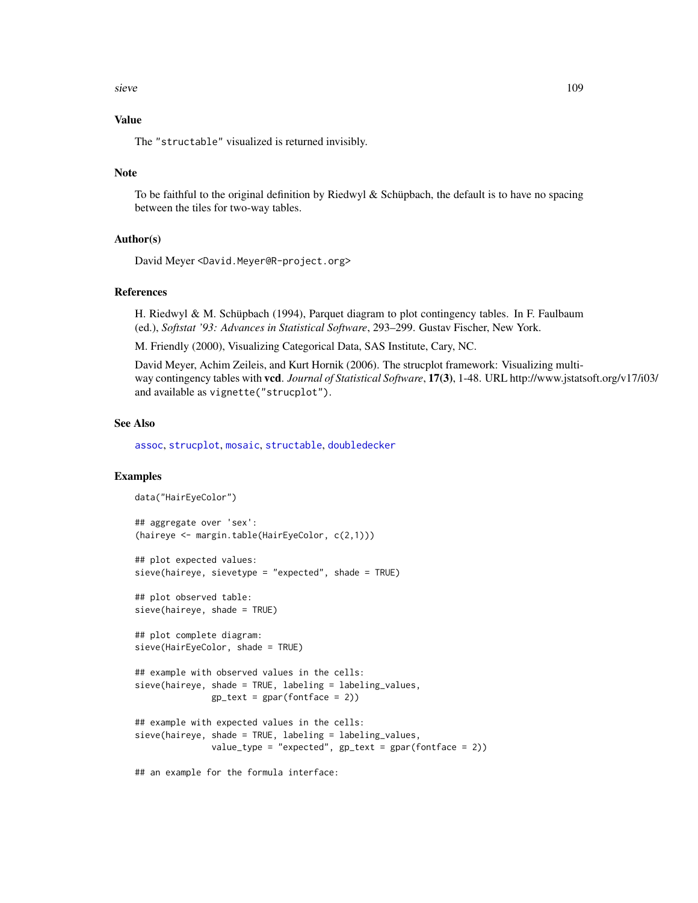<span id="page-108-0"></span>sieve the state of the state of the state of the state of the state of the state of the state of the state of the state of the state of the state of the state of the state of the state of the state of the state of the stat

# Value

The "structable" visualized is returned invisibly.

## Note

To be faithful to the original definition by Riedwyl & Schüpbach, the default is to have no spacing between the tiles for two-way tables.

## Author(s)

David Meyer <David.Meyer@R-project.org>

## References

H. Riedwyl & M. Schüpbach (1994), Parquet diagram to plot contingency tables. In F. Faulbaum (ed.), *Softstat '93: Advances in Statistical Software*, 293–299. Gustav Fischer, New York.

M. Friendly (2000), Visualizing Categorical Data, SAS Institute, Cary, NC.

David Meyer, Achim Zeileis, and Kurt Hornik (2006). The strucplot framework: Visualizing multiway contingency tables with vcd. *Journal of Statistical Software*, 17(3), 1-48. URL http://www.jstatsoft.org/v17/i03/ and available as vignette("strucplot").

#### See Also

[assoc](#page-6-0), [strucplot](#page-114-0), [mosaic](#page-72-0), [structable](#page-118-0), [doubledecker](#page-33-0)

## Examples

```
data("HairEyeColor")
## aggregate over 'sex':
(haireye <- margin.table(HairEyeColor, c(2,1)))
```
## plot expected values: sieve(haireye, sievetype = "expected", shade = TRUE)

## plot observed table: sieve(haireye, shade = TRUE)

```
## plot complete diagram:
sieve(HairEyeColor, shade = TRUE)
```

```
## example with observed values in the cells:
sieve(haireye, shade = TRUE, labeling = labeling_values,
              gp_{text} = gpar(fontface = 2)
```

```
## example with expected values in the cells:
sieve(haireye, shade = TRUE, labeling = labeling_values,
               value_type = "expected", gp_{text} = gpar(fontface = 2))
```
## an example for the formula interface: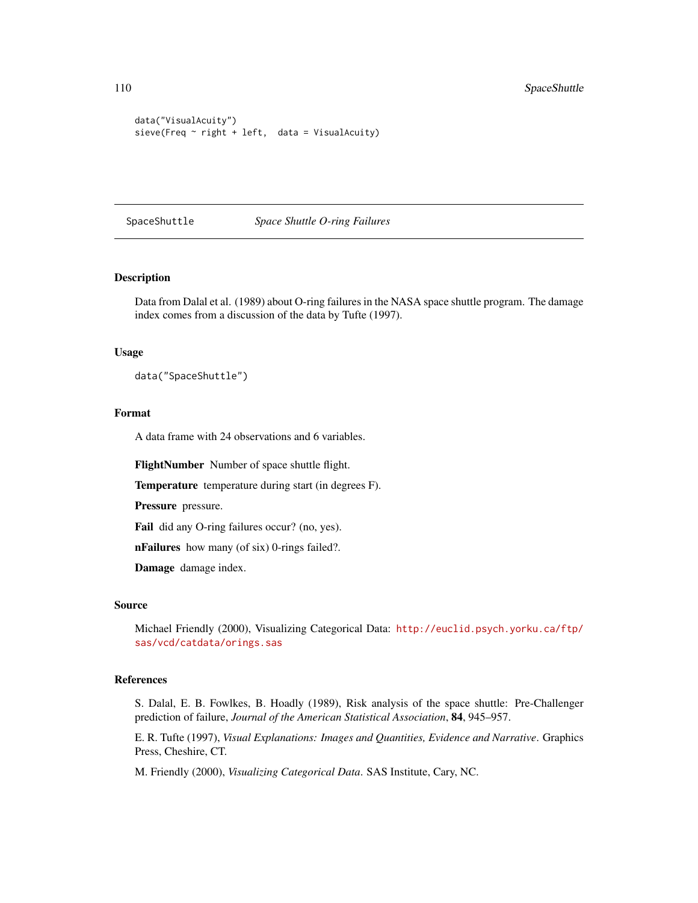```
data("VisualAcuity")
sieve(Freq \sim right + left, data = VisualAcuity)
```
#### SpaceShuttle *Space Shuttle O-ring Failures*

# Description

Data from Dalal et al. (1989) about O-ring failures in the NASA space shuttle program. The damage index comes from a discussion of the data by Tufte (1997).

#### Usage

data("SpaceShuttle")

# Format

A data frame with 24 observations and 6 variables.

FlightNumber Number of space shuttle flight.

Temperature temperature during start (in degrees F).

Pressure pressure.

Fail did any O-ring failures occur? (no, yes).

nFailures how many (of six) 0-rings failed?.

Damage damage index.

#### Source

Michael Friendly (2000), Visualizing Categorical Data: [http://euclid.psych.yorku.ca/ftp/](http://euclid.psych.yorku.ca/ftp/sas/vcd/catdata/orings.sas) [sas/vcd/catdata/orings.sas](http://euclid.psych.yorku.ca/ftp/sas/vcd/catdata/orings.sas)

#### References

S. Dalal, E. B. Fowlkes, B. Hoadly (1989), Risk analysis of the space shuttle: Pre-Challenger prediction of failure, *Journal of the American Statistical Association*, 84, 945–957.

E. R. Tufte (1997), *Visual Explanations: Images and Quantities, Evidence and Narrative*. Graphics Press, Cheshire, CT.

M. Friendly (2000), *Visualizing Categorical Data*. SAS Institute, Cary, NC.

<span id="page-109-0"></span>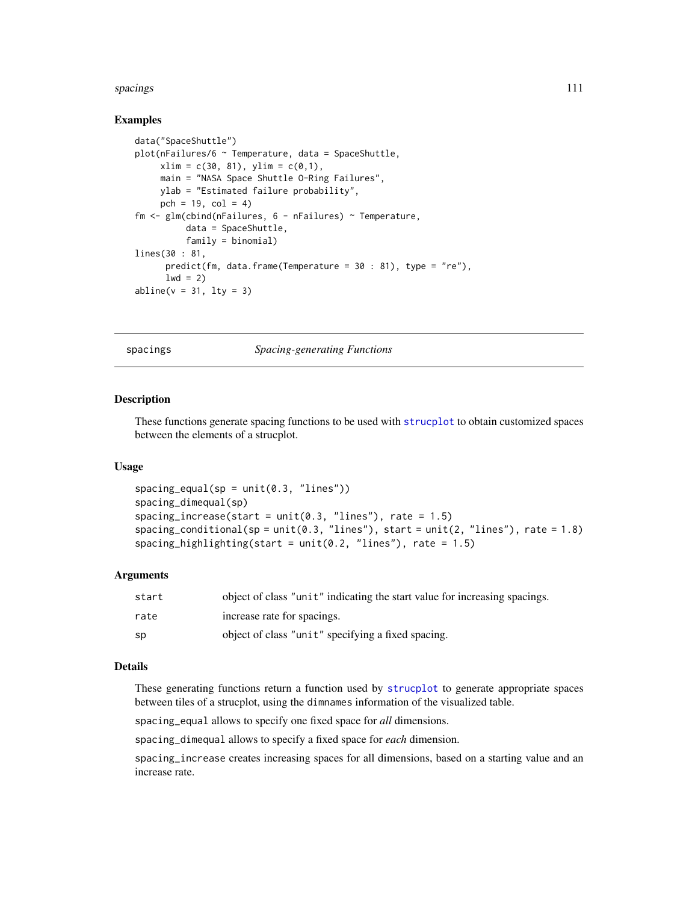#### <span id="page-110-1"></span>spacings and the spacing spacing spacing spacing spacing spacing spacing spacing spacing spacing spacing spacing spacing spacing spacing spacing spacing spacing spacing spacing spacing spacing spacing spacing spacing spaci

## Examples

```
data("SpaceShuttle")
plot(nFailures/6 ~ Temperature, data = SpaceShuttle,
    xlim = c(30, 81), ylim = c(0,1),main = "NASA Space Shuttle O-Ring Failures",
    ylab = "Estimated failure probability",
    pch = 19, col = 4)
fm <- glm(cbind(nFailures, 6 - nFailures) ~ Temperature,
         data = SpaceShuttle,
         family = binomial)
lines(30 : 81,
      predict(fm, data.frame(Temperature = 30 : 81), type = "re"),
      1wd = 2abline(v = 31, lty = 3)
```
<span id="page-110-0"></span>spacings *Spacing-generating Functions*

#### Description

These functions generate spacing functions to be used with [strucplot](#page-114-0) to obtain customized spaces between the elements of a strucplot.

#### Usage

```
spacing\_equal(sp = unit(0.3, 'lines'))spacing_dimequal(sp)
spacing_increase(start = unit(0.3, "lines"), rate = 1.5)
spacing_conditional(sp = unit(0.3, "lines"), start = unit(2, "lines"), rate = 1.8)
spacing_highlighting(start = unit(0.2, "lines"), rate = 1.5)
```
#### Arguments

| start | object of class "unit" indicating the start value for increasing spacings. |
|-------|----------------------------------------------------------------------------|
| rate  | increase rate for spacings.                                                |
| - SD  | object of class "unit" specifying a fixed spacing.                         |

# Details

These generating functions return a function used by [strucplot](#page-114-0) to generate appropriate spaces between tiles of a strucplot, using the dimnames information of the visualized table.

spacing\_equal allows to specify one fixed space for *all* dimensions.

spacing\_dimequal allows to specify a fixed space for *each* dimension.

spacing\_increase creates increasing spaces for all dimensions, based on a starting value and an increase rate.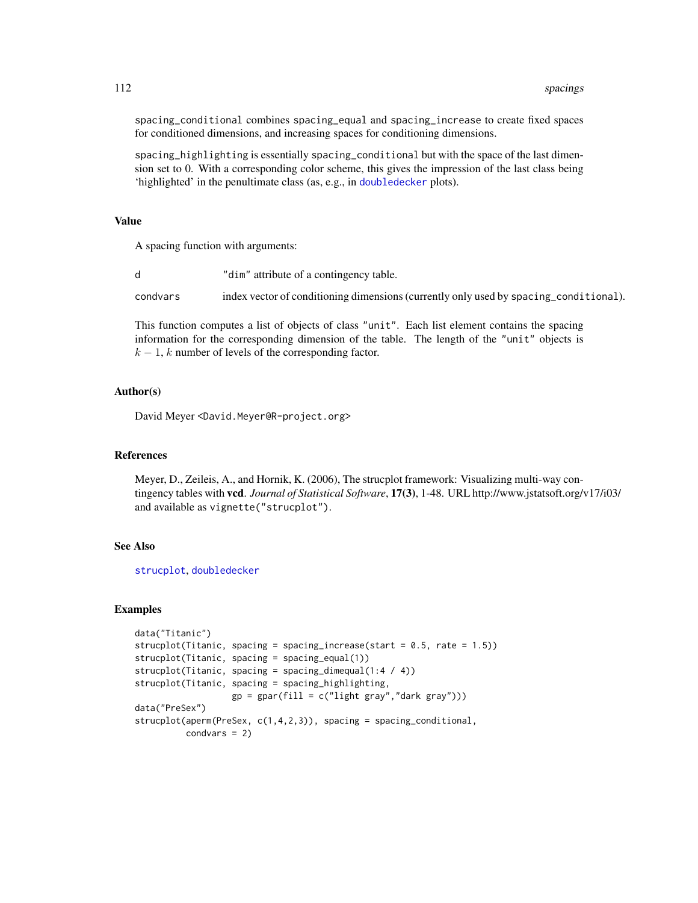spacing\_conditional combines spacing\_equal and spacing\_increase to create fixed spaces for conditioned dimensions, and increasing spaces for conditioning dimensions.

spacing\_highlighting is essentially spacing\_conditional but with the space of the last dimension set to 0. With a corresponding color scheme, this gives the impression of the last class being 'highlighted' in the penultimate class (as, e.g., in [doubledecker](#page-33-0) plots).

## Value

A spacing function with arguments:

|          | "dim" attribute of a contingency table.                                               |
|----------|---------------------------------------------------------------------------------------|
| condvars | index vector of conditioning dimensions (currently only used by spacing_conditional). |

This function computes a list of objects of class "unit". Each list element contains the spacing information for the corresponding dimension of the table. The length of the "unit" objects is  $k - 1$ , k number of levels of the corresponding factor.

#### Author(s)

David Meyer <David.Meyer@R-project.org>

#### References

Meyer, D., Zeileis, A., and Hornik, K. (2006), The strucplot framework: Visualizing multi-way contingency tables with vcd. *Journal of Statistical Software*, 17(3), 1-48. URL http://www.jstatsoft.org/v17/i03/ and available as vignette("strucplot").

## See Also

[strucplot](#page-114-0), [doubledecker](#page-33-0)

```
data("Titanic")
strucplot(Titanic, spacing = spacing_increase(start = 0.5, rate = 1.5))
strucplot(Titanic, spacing = spacing_equal(1))
strucplot(Titanic, spacing = spacing_dimequal(1:4 / 4))
strucplot(Titanic, spacing = spacing_highlighting,
                   gp = gpar(fill = c("light gray", "dark gray"))data("PreSex")
strucplot(aperm(PreSex, c(1,4,2,3)), spacing = spacing_conditional,
         condvars = 2)
```
<span id="page-111-0"></span>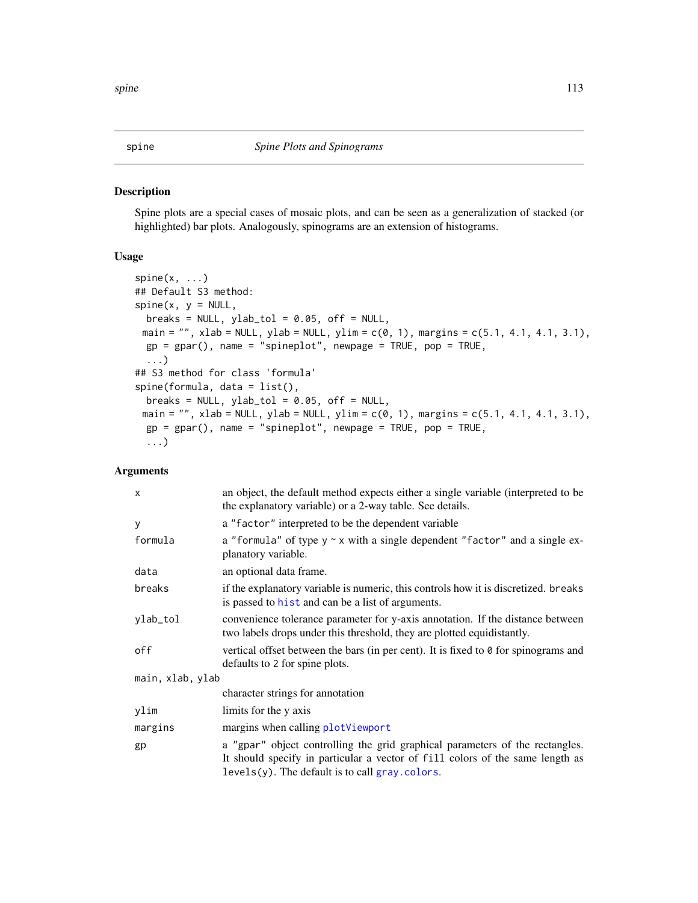Spine plots are a special cases of mosaic plots, and can be seen as a generalization of stacked (or highlighted) bar plots. Analogously, spinograms are an extension of histograms.

## Usage

```
spine(x, ...)
## Default S3 method:
spine(x, y = NULL,breaks = NULL, ylab_to1 = 0.05, off = NULL,main = "", xlab = NULL, ylab = NULL, ylim = c(0, 1), margins = c(5.1, 4.1, 4.1, 3.1),gp = gpar(), name = "spineplot", newpage = TRUE, pop = TRUE,
  ...)
## S3 method for class 'formula'
spine(formula, data = list(),
 breaks = NULL, ylab_to1 = 0.05, off = NULL,main = "", xlab = NULL, ylab = NULL, ylim = c(0, 1), margins = c(5.1, 4.1, 4.1, 3.1),gp = gpar(), name = "spineplot", newpage = TRUE, pop = TRUE,
  ...)
```
# Arguments

| $\times$         | an object, the default method expects either a single variable (interpreted to be<br>the explanatory variable) or a 2-way table. See details.                                                                       |  |
|------------------|---------------------------------------------------------------------------------------------------------------------------------------------------------------------------------------------------------------------|--|
| У                | a "factor" interpreted to be the dependent variable                                                                                                                                                                 |  |
| formula          | a "formula" of type $y \sim x$ with a single dependent "factor" and a single ex-<br>planatory variable.                                                                                                             |  |
| data             | an optional data frame.                                                                                                                                                                                             |  |
| breaks           | if the explanatory variable is numeric, this controls how it is discretized. breaks<br>is passed to hist and can be a list of arguments.                                                                            |  |
| ylab_tol         | convenience tolerance parameter for y-axis annotation. If the distance between<br>two labels drops under this threshold, they are plotted equidistantly.                                                            |  |
| off              | vertical offset between the bars (in per cent). It is fixed to $\theta$ for spinograms and<br>defaults to 2 for spine plots.                                                                                        |  |
| main, xlab, ylab |                                                                                                                                                                                                                     |  |
|                  | character strings for annotation                                                                                                                                                                                    |  |
| ylim             | limits for the y axis                                                                                                                                                                                               |  |
| margins          | margins when calling plotViewport                                                                                                                                                                                   |  |
| gp               | a "gpar" object controlling the grid graphical parameters of the rectangles.<br>It should specify in particular a vector of fill colors of the same length as<br>$levels(y)$ . The default is to call gray. colors. |  |

<span id="page-112-0"></span>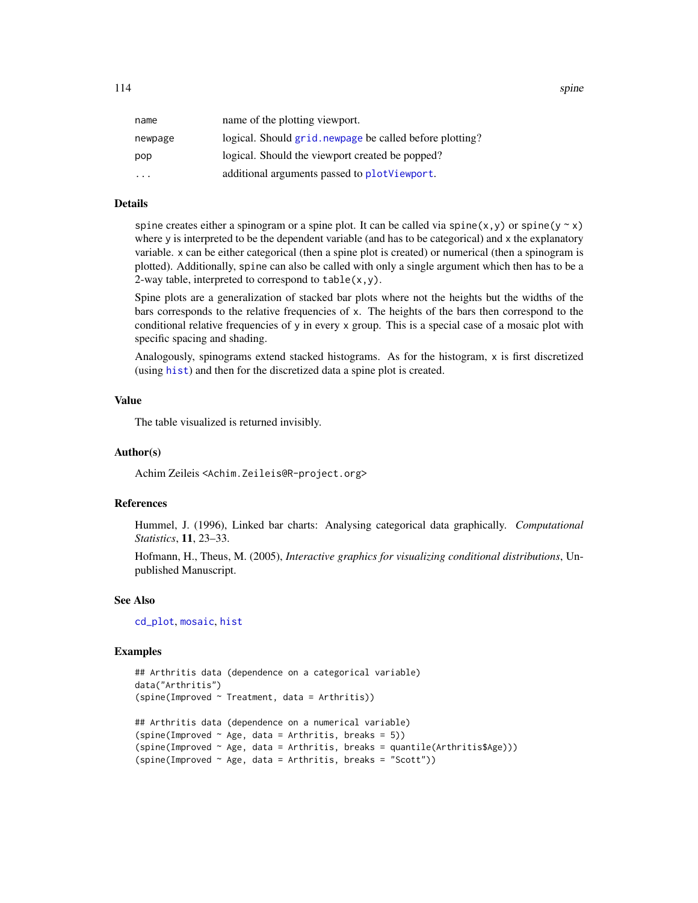<span id="page-113-0"></span>

| name      | name of the plotting viewport.                           |
|-----------|----------------------------------------------------------|
| newpage   | logical. Should grid. newpage be called before plotting? |
| pop       | logical. Should the viewport created be popped?          |
| $\ddotsc$ | additional arguments passed to plotViewport.             |
|           |                                                          |

#### Details

spine creates either a spinogram or a spine plot. It can be called via spine(x,y) or spine(y  $\sim$  x) where y is interpreted to be the dependent variable (and has to be categorical) and x the explanatory variable. x can be either categorical (then a spine plot is created) or numerical (then a spinogram is plotted). Additionally, spine can also be called with only a single argument which then has to be a 2-way table, interpreted to correspond to  $table(x, y)$ .

Spine plots are a generalization of stacked bar plots where not the heights but the widths of the bars corresponds to the relative frequencies of x. The heights of the bars then correspond to the conditional relative frequencies of y in every x group. This is a special case of a mosaic plot with specific spacing and shading.

Analogously, spinograms extend stacked histograms. As for the histogram, x is first discretized (using [hist](#page-0-0)) and then for the discretized data a spine plot is created.

# Value

The table visualized is returned invisibly.

## Author(s)

Achim Zeileis <Achim.Zeileis@R-project.org>

#### References

Hummel, J. (1996), Linked bar charts: Analysing categorical data graphically. *Computational Statistics*, 11, 23–33.

Hofmann, H., Theus, M. (2005), *Interactive graphics for visualizing conditional distributions*, Unpublished Manuscript.

## See Also

[cd\\_plot](#page-20-0), [mosaic](#page-72-0), [hist](#page-0-0)

```
## Arthritis data (dependence on a categorical variable)
data("Arthritis")
(spine(Improved ~ Treatment, data = Arthritis))
## Arthritis data (dependence on a numerical variable)
(spine(Improved ~ Age, data = Arthuritis, breaks = 5))(spine(Improved ~ Age, data = Arthritis, breaks = quantile(Arthritis$Age)))
(spine(Improved ~ Age, data = Arthritis, breaks = "Scott"))
```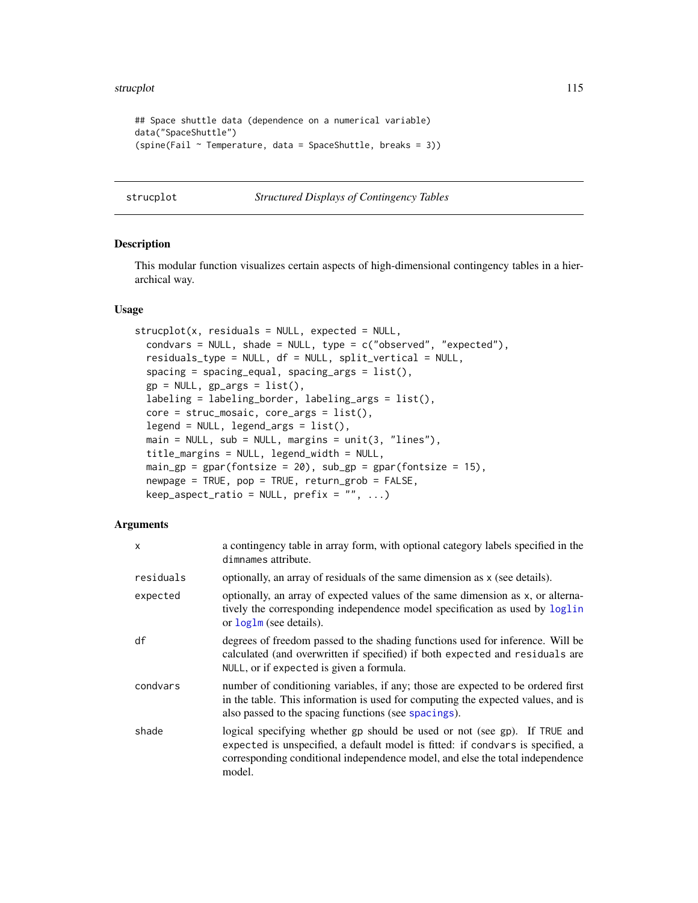#### <span id="page-114-1"></span>strucplot the contract of the contract of the contract of the contract of the contract of the contract of the contract of the contract of the contract of the contract of the contract of the contract of the contract of the

```
## Space shuttle data (dependence on a numerical variable)
data("SpaceShuttle")
(spine(Fail ~ Temperature, data = SpaceShuttle, breaks = 3))
```
#### <span id="page-114-0"></span>strucplot *Structured Displays of Contingency Tables*

# Description

This modular function visualizes certain aspects of high-dimensional contingency tables in a hierarchical way.

#### Usage

```
struct(x, residuals = NULL, expected = NULL,condvars = NULL, shade = NULL, type = c("observed", "expected"),
  residuals_type = NULL, df = NULL, split_vertical = NULL,
  spacing = spacing_equal, spacing_args = list(),
  gp = NULL, gp\text{-}args = list(),labeling = labeling_border, labeling_args = list(),
  core = struc_mosaic, core_args = list(),
  legend = NULL, legend_args = list(),
 main = NULL, sub = NULL, margins = unit(3, 'lines''),
  title_margins = NULL, legend_width = NULL,
 main\_gp = gpar(fontsize = 20), sub\_gp = gpar(fontsize = 15),
  newpage = TRUE, pop = TRUE, return_grob = FALSE,
  keep\_aspect\_ratio = NULL, prefix = "", ...)
```
## Arguments

| x         | a contingency table in array form, with optional category labels specified in the<br>dimnames attribute.                                                                                                                                                |
|-----------|---------------------------------------------------------------------------------------------------------------------------------------------------------------------------------------------------------------------------------------------------------|
| residuals | optionally, an array of residuals of the same dimension as x (see details).                                                                                                                                                                             |
| expected  | optionally, an array of expected values of the same dimension as x, or alterna-<br>tively the corresponding independence model specification as used by loglin<br>or loglm (see details).                                                               |
| df        | degrees of freedom passed to the shading functions used for inference. Will be<br>calculated (and overwritten if specified) if both expected and residuals are<br>NULL, or if expected is given a formula.                                              |
| condvars  | number of conditioning variables, if any; those are expected to be ordered first<br>in the table. This information is used for computing the expected values, and is<br>also passed to the spacing functions (see spacings).                            |
| shade     | logical specifying whether gp should be used or not (see gp). If TRUE and<br>expected is unspecified, a default model is fitted: if condvars is specified, a<br>corresponding conditional independence model, and else the total independence<br>model. |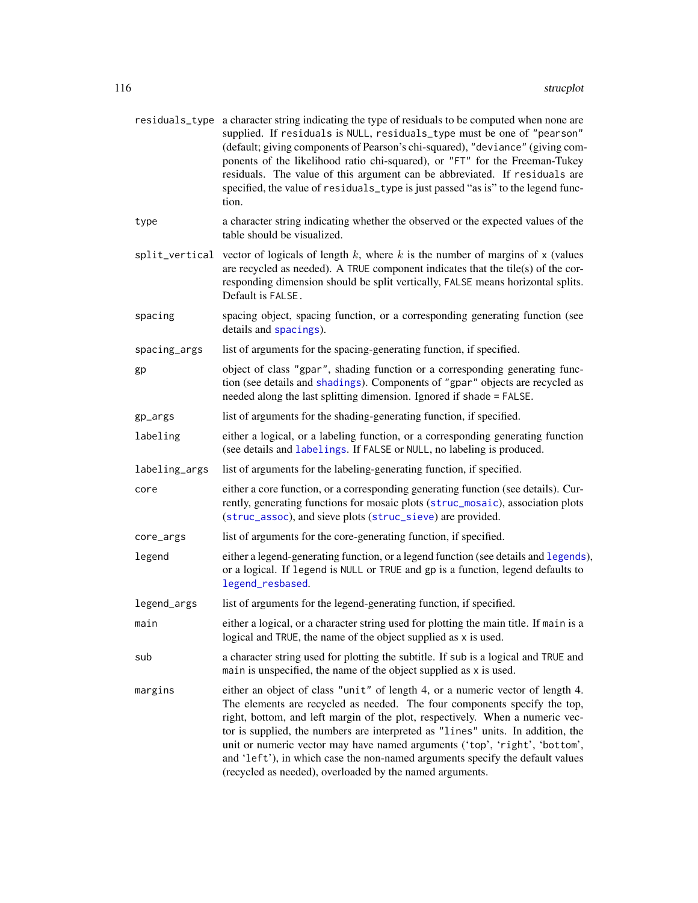<span id="page-115-0"></span>

|               | residuals_type a character string indicating the type of residuals to be computed when none are<br>supplied. If residuals is NULL, residuals_type must be one of "pearson"<br>(default; giving components of Pearson's chi-squared), "deviance" (giving com-<br>ponents of the likelihood ratio chi-squared), or "FT" for the Freeman-Tukey<br>residuals. The value of this argument can be abbreviated. If residuals are<br>specified, the value of residuals_type is just passed "as is" to the legend func-<br>tion.                                    |
|---------------|------------------------------------------------------------------------------------------------------------------------------------------------------------------------------------------------------------------------------------------------------------------------------------------------------------------------------------------------------------------------------------------------------------------------------------------------------------------------------------------------------------------------------------------------------------|
| type          | a character string indicating whether the observed or the expected values of the<br>table should be visualized.                                                                                                                                                                                                                                                                                                                                                                                                                                            |
|               | split_vertical vector of logicals of length $k$ , where $k$ is the number of margins of $x$ (values<br>are recycled as needed). A TRUE component indicates that the tile(s) of the cor-<br>responding dimension should be split vertically, FALSE means horizontal splits.<br>Default is FALSE.                                                                                                                                                                                                                                                            |
| spacing       | spacing object, spacing function, or a corresponding generating function (see<br>details and spacings).                                                                                                                                                                                                                                                                                                                                                                                                                                                    |
| spacing_args  | list of arguments for the spacing-generating function, if specified.                                                                                                                                                                                                                                                                                                                                                                                                                                                                                       |
| gp            | object of class "gpar", shading function or a corresponding generating func-<br>tion (see details and shadings). Components of "gpar" objects are recycled as<br>needed along the last splitting dimension. Ignored if shade = FALSE.                                                                                                                                                                                                                                                                                                                      |
| gp_args       | list of arguments for the shading-generating function, if specified.                                                                                                                                                                                                                                                                                                                                                                                                                                                                                       |
| labeling      | either a logical, or a labeling function, or a corresponding generating function<br>(see details and labelings. If FALSE or NULL, no labeling is produced.                                                                                                                                                                                                                                                                                                                                                                                                 |
| labeling_args | list of arguments for the labeling-generating function, if specified.                                                                                                                                                                                                                                                                                                                                                                                                                                                                                      |
| core          | either a core function, or a corresponding generating function (see details). Cur-<br>rently, generating functions for mosaic plots (struc_mosaic), association plots<br>(struc_assoc), and sieve plots (struc_sieve) are provided.                                                                                                                                                                                                                                                                                                                        |
| core_args     | list of arguments for the core-generating function, if specified.                                                                                                                                                                                                                                                                                                                                                                                                                                                                                          |
| legend        | either a legend-generating function, or a legend function (see details and legends),<br>or a logical. If legend is NULL or TRUE and gp is a function, legend defaults to<br>legend_resbased.                                                                                                                                                                                                                                                                                                                                                               |
| legend_args   | list of arguments for the legend-generating function, if specified.                                                                                                                                                                                                                                                                                                                                                                                                                                                                                        |
| main          | either a logical, or a character string used for plotting the main title. If main is a<br>logical and TRUE, the name of the object supplied as x is used.                                                                                                                                                                                                                                                                                                                                                                                                  |
| sub           | a character string used for plotting the subtitle. If sub is a logical and TRUE and<br>main is unspecified, the name of the object supplied as x is used.                                                                                                                                                                                                                                                                                                                                                                                                  |
| margins       | either an object of class "unit" of length 4, or a numeric vector of length 4.<br>The elements are recycled as needed. The four components specify the top,<br>right, bottom, and left margin of the plot, respectively. When a numeric vec-<br>tor is supplied, the numbers are interpreted as "lines" units. In addition, the<br>unit or numeric vector may have named arguments ('top', 'right', 'bottom',<br>and 'left'), in which case the non-named arguments specify the default values<br>(recycled as needed), overloaded by the named arguments. |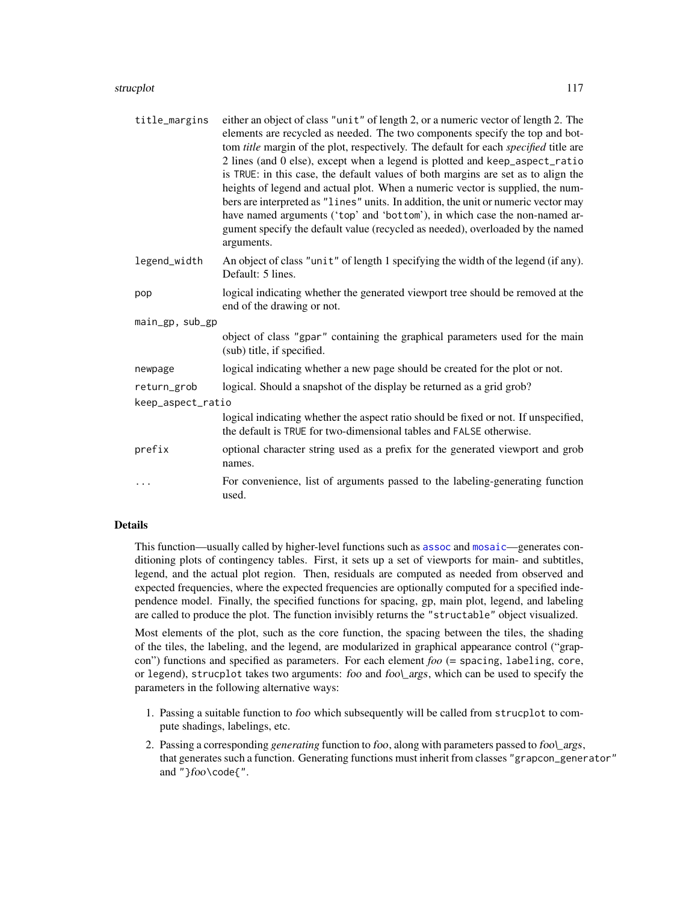#### <span id="page-116-0"></span>strucplot the contract of the contract of the contract of the contract of the contract of the contract of the contract of the contract of the contract of the contract of the contract of the contract of the contract of the

| title_margins     | either an object of class "unit" of length 2, or a numeric vector of length 2. The<br>elements are recycled as needed. The two components specify the top and bot-<br>tom title margin of the plot, respectively. The default for each specified title are<br>2 lines (and 0 else), except when a legend is plotted and keep_aspect_ratio<br>is TRUE: in this case, the default values of both margins are set as to align the<br>heights of legend and actual plot. When a numeric vector is supplied, the num-<br>bers are interpreted as "lines" units. In addition, the unit or numeric vector may<br>have named arguments ('top' and 'bottom'), in which case the non-named ar-<br>gument specify the default value (recycled as needed), overloaded by the named<br>arguments. |  |
|-------------------|--------------------------------------------------------------------------------------------------------------------------------------------------------------------------------------------------------------------------------------------------------------------------------------------------------------------------------------------------------------------------------------------------------------------------------------------------------------------------------------------------------------------------------------------------------------------------------------------------------------------------------------------------------------------------------------------------------------------------------------------------------------------------------------|--|
| legend_width      | An object of class "unit" of length 1 specifying the width of the legend (if any).<br>Default: 5 lines.                                                                                                                                                                                                                                                                                                                                                                                                                                                                                                                                                                                                                                                                              |  |
| pop               | logical indicating whether the generated viewport tree should be removed at the<br>end of the drawing or not.                                                                                                                                                                                                                                                                                                                                                                                                                                                                                                                                                                                                                                                                        |  |
| main_gp, sub_gp   |                                                                                                                                                                                                                                                                                                                                                                                                                                                                                                                                                                                                                                                                                                                                                                                      |  |
|                   | object of class "gpar" containing the graphical parameters used for the main<br>(sub) title, if specified.                                                                                                                                                                                                                                                                                                                                                                                                                                                                                                                                                                                                                                                                           |  |
| newpage           | logical indicating whether a new page should be created for the plot or not.                                                                                                                                                                                                                                                                                                                                                                                                                                                                                                                                                                                                                                                                                                         |  |
| return_grob       | logical. Should a snapshot of the display be returned as a grid grob?                                                                                                                                                                                                                                                                                                                                                                                                                                                                                                                                                                                                                                                                                                                |  |
| keep_aspect_ratio |                                                                                                                                                                                                                                                                                                                                                                                                                                                                                                                                                                                                                                                                                                                                                                                      |  |
|                   | logical indicating whether the aspect ratio should be fixed or not. If unspecified,<br>the default is TRUE for two-dimensional tables and FALSE otherwise.                                                                                                                                                                                                                                                                                                                                                                                                                                                                                                                                                                                                                           |  |
| prefix            | optional character string used as a prefix for the generated viewport and grob<br>names.                                                                                                                                                                                                                                                                                                                                                                                                                                                                                                                                                                                                                                                                                             |  |
| .                 | For convenience, list of arguments passed to the labeling-generating function<br>used.                                                                                                                                                                                                                                                                                                                                                                                                                                                                                                                                                                                                                                                                                               |  |

## Details

This function—usually called by higher-level functions such as [assoc](#page-6-0) and [mosaic](#page-72-0)—generates conditioning plots of contingency tables. First, it sets up a set of viewports for main- and subtitles, legend, and the actual plot region. Then, residuals are computed as needed from observed and expected frequencies, where the expected frequencies are optionally computed for a specified independence model. Finally, the specified functions for spacing, gp, main plot, legend, and labeling are called to produce the plot. The function invisibly returns the "structable" object visualized.

Most elements of the plot, such as the core function, the spacing between the tiles, the shading of the tiles, the labeling, and the legend, are modularized in graphical appearance control ("grapcon") functions and specified as parameters. For each element *foo* (= spacing, labeling, core, or legend), strucplot takes two arguments: foo and fool\_args, which can be used to specify the parameters in the following alternative ways:

- 1. Passing a suitable function to foo which subsequently will be called from strucplot to compute shadings, labelings, etc.
- 2. Passing a corresponding *generating* function to foo, along with parameters passed to foo\\_args, that generates such a function. Generating functions must inherit from classes "grapcon\_generator" and "}foo\code{".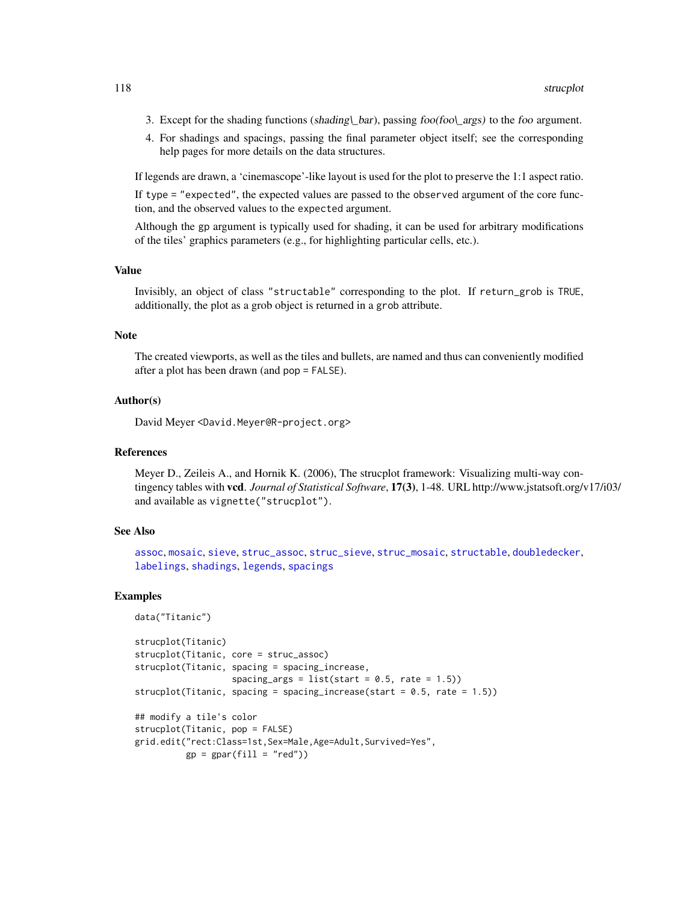- <span id="page-117-0"></span>3. Except for the shading functions (shading\\_bar), passing foo(foo\\_args) to the foo argument.
- 4. For shadings and spacings, passing the final parameter object itself; see the corresponding help pages for more details on the data structures.

If legends are drawn, a 'cinemascope'-like layout is used for the plot to preserve the 1:1 aspect ratio. If type = "expected", the expected values are passed to the observed argument of the core function, and the observed values to the expected argument.

Although the gp argument is typically used for shading, it can be used for arbitrary modifications of the tiles' graphics parameters (e.g., for highlighting particular cells, etc.).

#### Value

Invisibly, an object of class "structable" corresponding to the plot. If return\_grob is TRUE, additionally, the plot as a grob object is returned in a grob attribute.

#### Note

The created viewports, as well as the tiles and bullets, are named and thus can conveniently modified after a plot has been drawn (and pop = FALSE).

## Author(s)

David Meyer <David.Meyer@R-project.org>

## References

Meyer D., Zeileis A., and Hornik K. (2006), The strucplot framework: Visualizing multi-way contingency tables with vcd. *Journal of Statistical Software*, 17(3), 1-48. URL http://www.jstatsoft.org/v17/i03/ and available as vignette("strucplot").

## See Also

[assoc](#page-6-0), [mosaic](#page-72-0), [sieve](#page-106-0), [struc\\_assoc](#page-120-0), [struc\\_sieve](#page-123-0), [struc\\_mosaic](#page-122-0), [structable](#page-118-0), [doubledecker](#page-33-0), [labelings](#page-54-0), [shadings](#page-102-0), [legends](#page-60-0), [spacings](#page-110-0)

```
data("Titanic")
strucplot(Titanic)
strucplot(Titanic, core = struc_assoc)
strucplot(Titanic, spacing = spacing_increase,
                   spacing_args = list(start = 0.5, rate = 1.5))strucplot(Titanic, spacing = spacing_increase(start = 0.5, rate = 1.5))
## modify a tile's color
strucplot(Titanic, pop = FALSE)
grid.edit("rect:Class=1st,Sex=Male,Age=Adult,Survived=Yes",
          gp = gpar(fill = "red")
```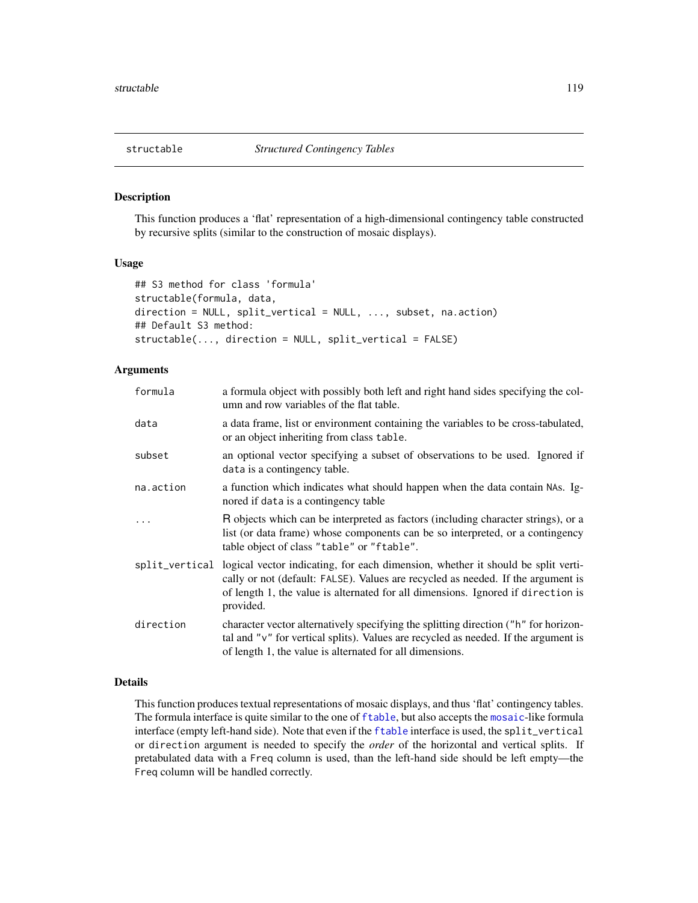<span id="page-118-1"></span><span id="page-118-0"></span>

This function produces a 'flat' representation of a high-dimensional contingency table constructed by recursive splits (similar to the construction of mosaic displays).

# Usage

```
## S3 method for class 'formula'
structable(formula, data,
direction = NULL, split_vertical = NULL, ..., subset, na.action)
## Default S3 method:
structable(..., direction = NULL, split_vertical = FALSE)
```
# Arguments

| formula   | a formula object with possibly both left and right hand sides specifying the col-<br>umn and row variables of the flat table.                                                                                                                                                        |
|-----------|--------------------------------------------------------------------------------------------------------------------------------------------------------------------------------------------------------------------------------------------------------------------------------------|
| data      | a data frame, list or environment containing the variables to be cross-tabulated,<br>or an object inheriting from class table.                                                                                                                                                       |
| subset    | an optional vector specifying a subset of observations to be used. Ignored if<br>data is a contingency table.                                                                                                                                                                        |
| na.action | a function which indicates what should happen when the data contain NAs. Ig-<br>nored if data is a contingency table                                                                                                                                                                 |
| $\ddots$  | R objects which can be interpreted as factors (including character strings), or a<br>list (or data frame) whose components can be so interpreted, or a contingency<br>table object of class "table" or "ftable".                                                                     |
|           | split_vertical logical vector indicating, for each dimension, whether it should be split verti-<br>cally or not (default: FALSE). Values are recycled as needed. If the argument is<br>of length 1, the value is alternated for all dimensions. Ignored if direction is<br>provided. |
| direction | character vector alternatively specifying the splitting direction ("h" for horizon-<br>tal and "v" for vertical splits). Values are recycled as needed. If the argument is<br>of length 1, the value is alternated for all dimensions.                                               |

# Details

This function produces textual representations of mosaic displays, and thus 'flat' contingency tables. The formula interface is quite similar to the one of [ftable](#page-0-0), but also accepts the [mosaic](#page-72-0)-like formula interface (empty left-hand side). Note that even if the [ftable](#page-0-0) interface is used, the split\_vertical or direction argument is needed to specify the *order* of the horizontal and vertical splits. If pretabulated data with a Freq column is used, than the left-hand side should be left empty—the Freq column will be handled correctly.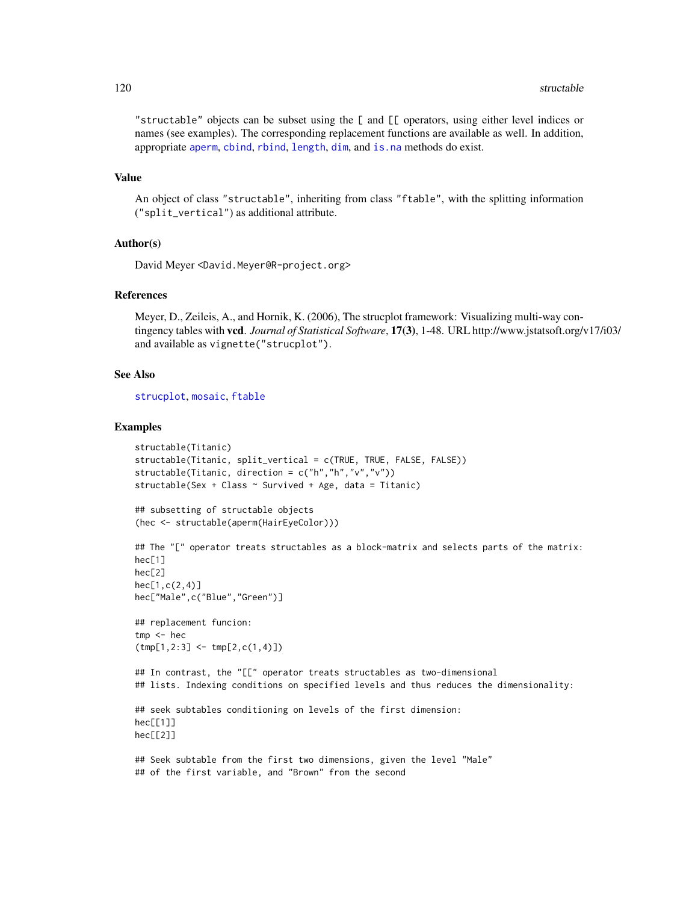<span id="page-119-0"></span>"structable" objects can be subset using the [ and [[ operators, using either level indices or names (see examples). The corresponding replacement functions are available as well. In addition, appropriate [aperm](#page-0-0), [cbind](#page-0-0), [rbind](#page-0-0), [length](#page-0-0), [dim](#page-0-0), and [is.na](#page-0-0) methods do exist.

#### Value

An object of class "structable", inheriting from class "ftable", with the splitting information ("split\_vertical") as additional attribute.

#### Author(s)

David Meyer <David.Meyer@R-project.org>

# References

Meyer, D., Zeileis, A., and Hornik, K. (2006), The strucplot framework: Visualizing multi-way contingency tables with vcd. *Journal of Statistical Software*, 17(3), 1-48. URL http://www.jstatsoft.org/v17/i03/ and available as vignette("strucplot").

## See Also

[strucplot](#page-114-0), [mosaic](#page-72-0), [ftable](#page-0-0)

```
structable(Titanic)
structable(Titanic, split_vertical = c(TRUE, TRUE, FALSE, FALSE))
structable(Titanic, direction = c("h","h","v","v"))
structable(Sex + Class ~ Survived + Age, data = Titanic)
## subsetting of structable objects
(hec <- structable(aperm(HairEyeColor)))
## The "[" operator treats structables as a block-matrix and selects parts of the matrix:
hec[1]
hec[2]
hec[1,c(2,4)]hec["Male",c("Blue","Green")]
## replacement funcion:
tmp <- hec
(tmp[1,2:3] <- tmp[2,c(1,4)])
## In contrast, the "[[" operator treats structables as two-dimensional
## lists. Indexing conditions on specified levels and thus reduces the dimensionality:
## seek subtables conditioning on levels of the first dimension:
hec[[1]]
hec[[2]]
## Seek subtable from the first two dimensions, given the level "Male"
## of the first variable, and "Brown" from the second
```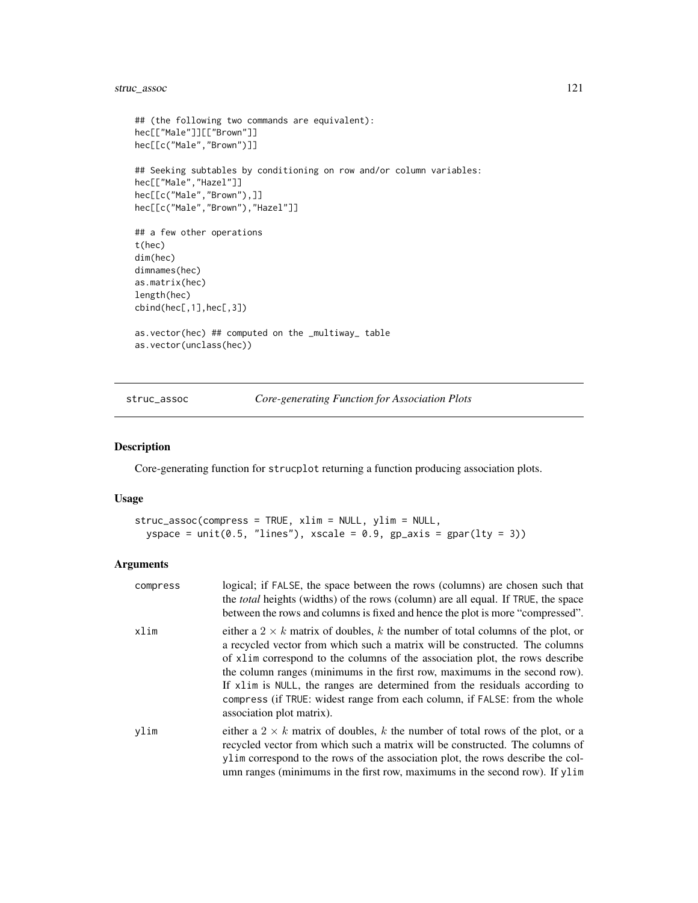# <span id="page-120-1"></span>struc\_assoc 121

```
## (the following two commands are equivalent):
hec[["Male"]][["Brown"]]
hec[[c("Male","Brown")]]
## Seeking subtables by conditioning on row and/or column variables:
hec[["Male","Hazel"]]
hec[[c("Male","Brown"),]]
hec[[c("Male","Brown"),"Hazel"]]
## a few other operations
t(hec)
dim(hec)
dimnames(hec)
as.matrix(hec)
length(hec)
cbind(hec[,1],hec[,3])
as.vector(hec) ## computed on the _multiway_ table
as.vector(unclass(hec))
```
<span id="page-120-0"></span>struc\_assoc *Core-generating Function for Association Plots*

## Description

Core-generating function for strucplot returning a function producing association plots.

#### Usage

```
struc_assoc(compress = TRUE, xlim = NULL, ylim = NULL,
 yspace = unit(0.5, "lines"), xscale = 0.9, gp_axis = gpar(lty = 3))
```
# Arguments

| compress | logical; if FALSE, the space between the rows (columns) are chosen such that<br>the <i>total</i> heights (widths) of the rows (column) are all equal. If TRUE, the space<br>between the rows and columns is fixed and hence the plot is more "compressed".                                                                                                                                                                                                                                                                   |
|----------|------------------------------------------------------------------------------------------------------------------------------------------------------------------------------------------------------------------------------------------------------------------------------------------------------------------------------------------------------------------------------------------------------------------------------------------------------------------------------------------------------------------------------|
| xlim     | either a 2 $\times$ k matrix of doubles, k the number of total columns of the plot, or<br>a recycled vector from which such a matrix will be constructed. The columns<br>of x1im correspond to the columns of the association plot, the rows describe<br>the column ranges (minimums in the first row, maximums in the second row).<br>If x1im is NULL, the ranges are determined from the residuals according to<br>compress (if TRUE: widest range from each column, if FALSE: from the whole<br>association plot matrix). |
| vlim     | either a 2 $\times$ k matrix of doubles, k the number of total rows of the plot, or a<br>recycled vector from which such a matrix will be constructed. The columns of<br>ylim correspond to the rows of the association plot, the rows describe the col-<br>umn ranges (minimums in the first row, maximums in the second row). If ylim                                                                                                                                                                                      |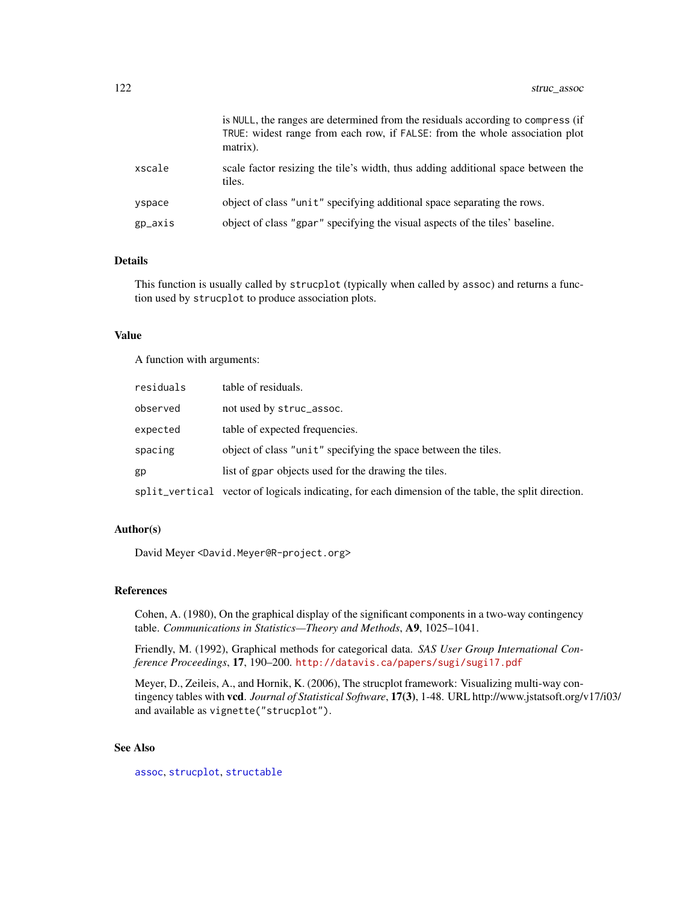<span id="page-121-0"></span>

|         | is NULL, the ranges are determined from the residuals according to compress (if<br>TRUE: widest range from each row, if FALSE: from the whole association plot<br>matrix). |
|---------|----------------------------------------------------------------------------------------------------------------------------------------------------------------------------|
| xscale  | scale factor resizing the tile's width, thus adding additional space between the<br>tiles.                                                                                 |
| yspace  | object of class "unit" specifying additional space separating the rows.                                                                                                    |
| gp_axis | object of class "gpar" specifying the visual aspects of the tiles' baseline.                                                                                               |

## Details

This function is usually called by strucplot (typically when called by assoc) and returns a function used by strucplot to produce association plots.

## Value

A function with arguments:

| residuals | table of residuals.                                                                                 |
|-----------|-----------------------------------------------------------------------------------------------------|
| observed  | not used by struc_assoc.                                                                            |
| expected  | table of expected frequencies.                                                                      |
| spacing   | object of class "unit" specifying the space between the tiles.                                      |
| gp        | list of gpar objects used for the drawing the tiles.                                                |
|           | split_vertical vector of logicals indicating, for each dimension of the table, the split direction. |

## Author(s)

David Meyer <David.Meyer@R-project.org>

## References

Cohen, A. (1980), On the graphical display of the significant components in a two-way contingency table. *Communications in Statistics—Theory and Methods*, A9, 1025–1041.

Friendly, M. (1992), Graphical methods for categorical data. *SAS User Group International Conference Proceedings*, 17, 190–200. <http://datavis.ca/papers/sugi/sugi17.pdf>

Meyer, D., Zeileis, A., and Hornik, K. (2006), The strucplot framework: Visualizing multi-way contingency tables with vcd. *Journal of Statistical Software*, 17(3), 1-48. URL http://www.jstatsoft.org/v17/i03/ and available as vignette("strucplot").

# See Also

[assoc](#page-6-0), [strucplot](#page-114-0), [structable](#page-118-0)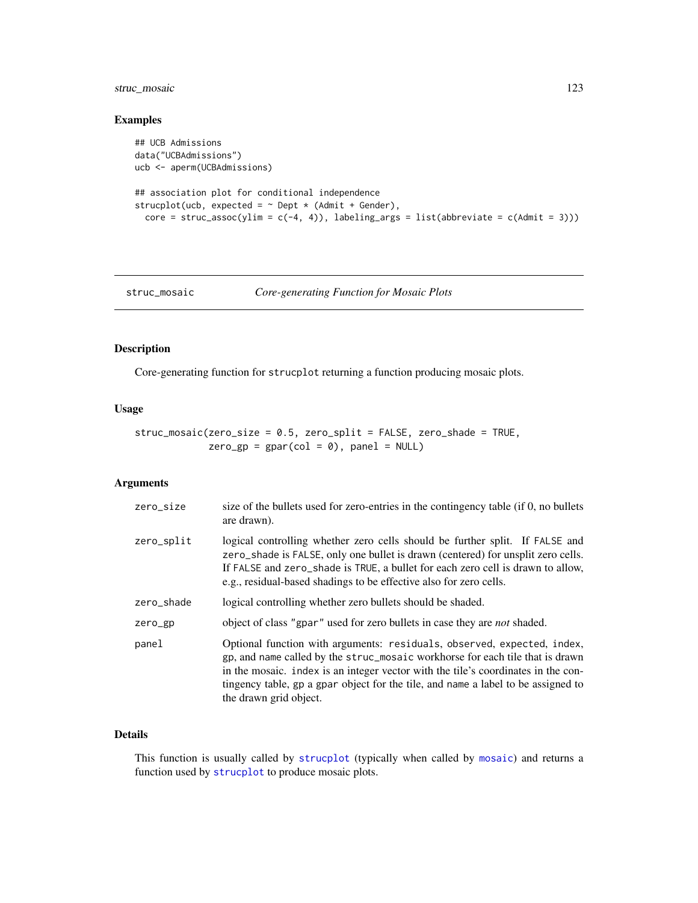# <span id="page-122-1"></span>struc\_mosaic 123

# Examples

```
## UCB Admissions
data("UCBAdmissions")
ucb <- aperm(UCBAdmissions)
## association plot for conditional independence
strucplot(ucb, expected = \sim Dept \star (Admit + Gender),
  core = struc_assoc(ylim = c(-4, 4)), labeling_args = list(abbreviate = c(Admit = 3)))
```
<span id="page-122-0"></span>struc\_mosaic *Core-generating Function for Mosaic Plots*

## Description

Core-generating function for strucplot returning a function producing mosaic plots.

#### Usage

struc\_mosaic(zero\_size = 0.5, zero\_split = FALSE, zero\_shade = TRUE,  $zero\_gp = gpar(col = 0)$ ,  $panel = NULL$ 

# Arguments

| zero_size  | size of the bullets used for zero-entries in the contingency table (if 0, no bullets<br>are drawn).                                                                                                                                                                                                                                                          |
|------------|--------------------------------------------------------------------------------------------------------------------------------------------------------------------------------------------------------------------------------------------------------------------------------------------------------------------------------------------------------------|
| zero_split | logical controlling whether zero cells should be further split. If FALSE and<br>zero_shade is FALSE, only one bullet is drawn (centered) for unsplit zero cells.<br>If FALSE and zero_shade is TRUE, a bullet for each zero cell is drawn to allow,<br>e.g., residual-based shadings to be effective also for zero cells.                                    |
| zero_shade | logical controlling whether zero bullets should be shaded.                                                                                                                                                                                                                                                                                                   |
| zero_gp    | object of class "gpar" used for zero bullets in case they are <i>not</i> shaded.                                                                                                                                                                                                                                                                             |
| panel      | Optional function with arguments: residuals, observed, expected, index,<br>gp, and name called by the struc_mosaic workhorse for each tile that is drawn<br>in the mosaic. index is an integer vector with the tile's coordinates in the con-<br>tingency table, gp a gpar object for the tile, and name a label to be assigned to<br>the drawn grid object. |

## Details

This function is usually called by [strucplot](#page-114-0) (typically when called by [mosaic](#page-72-0)) and returns a function used by [strucplot](#page-114-0) to produce mosaic plots.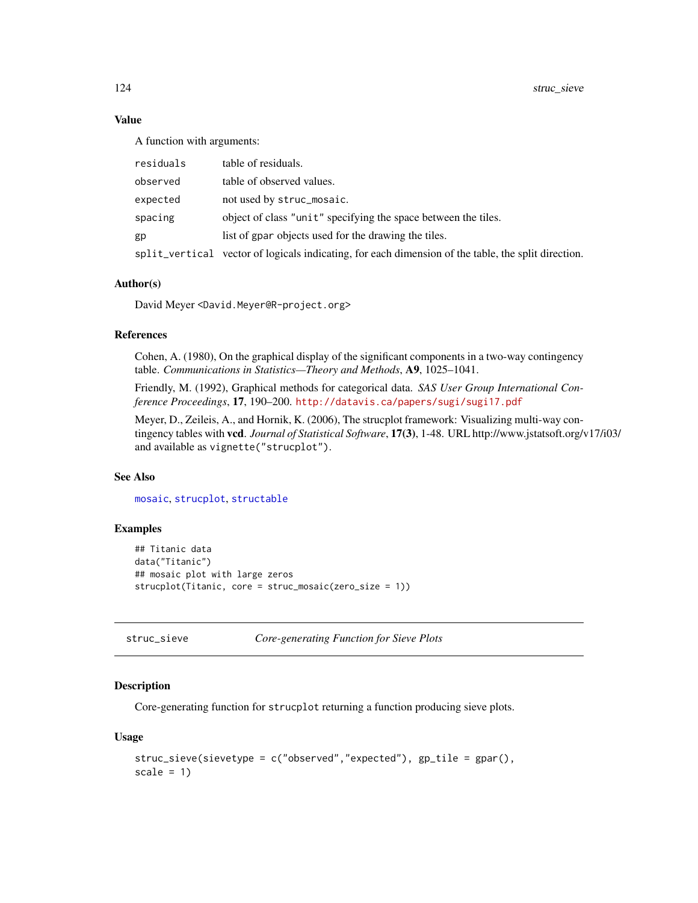## Value

A function with arguments:

| residuals | table of residuals.                                                                                 |
|-----------|-----------------------------------------------------------------------------------------------------|
| observed  | table of observed values.                                                                           |
| expected  | not used by struc_mosaic.                                                                           |
| spacing   | object of class "unit" specifying the space between the tiles.                                      |
| gp        | list of gpar objects used for the drawing the tiles.                                                |
|           | split_vertical vector of logicals indicating, for each dimension of the table, the split direction. |

# Author(s)

David Meyer <David.Meyer@R-project.org>

## References

Cohen, A. (1980), On the graphical display of the significant components in a two-way contingency table. *Communications in Statistics—Theory and Methods*, A9, 1025–1041.

Friendly, M. (1992), Graphical methods for categorical data. *SAS User Group International Conference Proceedings*, 17, 190–200. <http://datavis.ca/papers/sugi/sugi17.pdf>

Meyer, D., Zeileis, A., and Hornik, K. (2006), The strucplot framework: Visualizing multi-way contingency tables with vcd. *Journal of Statistical Software*, 17(3), 1-48. URL http://www.jstatsoft.org/v17/i03/ and available as vignette("strucplot").

# See Also

[mosaic](#page-72-0), [strucplot](#page-114-0), [structable](#page-118-0)

# Examples

```
## Titanic data
data("Titanic")
## mosaic plot with large zeros
strucplot(Titanic, core = struc_mosaic(zero_size = 1))
```
<span id="page-123-0"></span>struc\_sieve *Core-generating Function for Sieve Plots*

## **Description**

Core-generating function for strucplot returning a function producing sieve plots.

#### Usage

```
struc_sieve(sievetype = c("observed","expected"), gp_tile = gpar(),
scale = 1)
```
<span id="page-123-1"></span>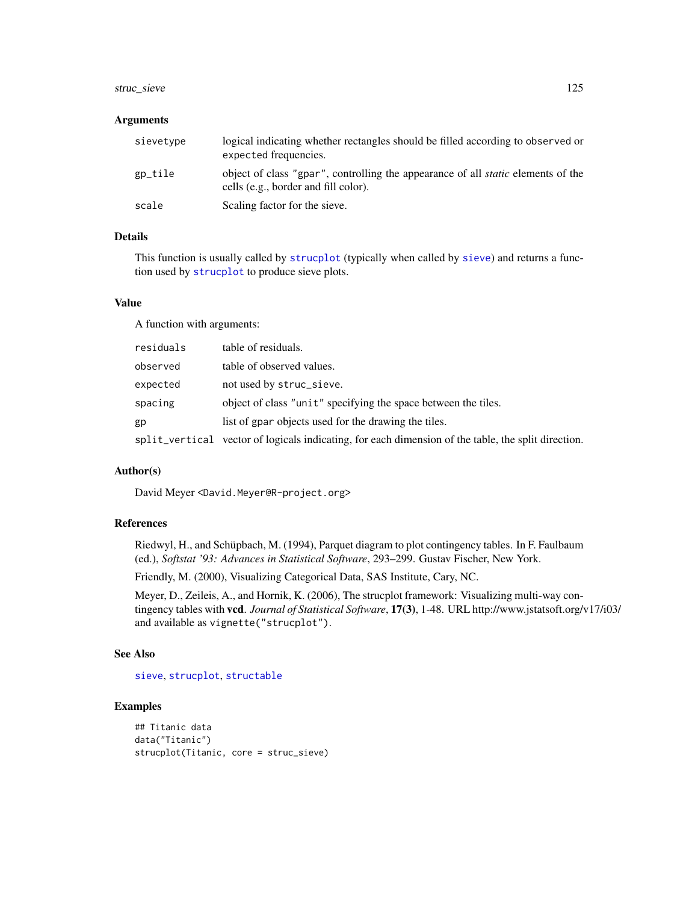# <span id="page-124-0"></span>struc\_sieve 125

#### Arguments

| sievetype | logical indicating whether rectangles should be filled according to observed or<br>expected frequencies.                        |
|-----------|---------------------------------------------------------------------------------------------------------------------------------|
| gp_tile   | object of class "gpar", controlling the appearance of all <i>static</i> elements of the<br>cells (e.g., border and fill color). |
| scale     | Scaling factor for the sieve.                                                                                                   |

# Details

This function is usually called by [strucplot](#page-114-0) (typically when called by [sieve](#page-106-0)) and returns a function used by [strucplot](#page-114-0) to produce sieve plots.

## Value

A function with arguments:

| residuals | table of residuals.                                                                                 |
|-----------|-----------------------------------------------------------------------------------------------------|
| observed  | table of observed values.                                                                           |
| expected  | not used by struc_sieve.                                                                            |
| spacing   | object of class "unit" specifying the space between the tiles.                                      |
| gp        | list of gpar objects used for the drawing the tiles.                                                |
|           | split_vertical vector of logicals indicating, for each dimension of the table, the split direction. |

# Author(s)

David Meyer <David.Meyer@R-project.org>

#### References

Riedwyl, H., and Schüpbach, M. (1994), Parquet diagram to plot contingency tables. In F. Faulbaum (ed.), *Softstat '93: Advances in Statistical Software*, 293–299. Gustav Fischer, New York.

Friendly, M. (2000), Visualizing Categorical Data, SAS Institute, Cary, NC.

Meyer, D., Zeileis, A., and Hornik, K. (2006), The strucplot framework: Visualizing multi-way contingency tables with vcd. *Journal of Statistical Software*, 17(3), 1-48. URL http://www.jstatsoft.org/v17/i03/ and available as vignette("strucplot").

# See Also

[sieve](#page-106-0), [strucplot](#page-114-0), [structable](#page-118-0)

```
## Titanic data
data("Titanic")
strucplot(Titanic, core = struc_sieve)
```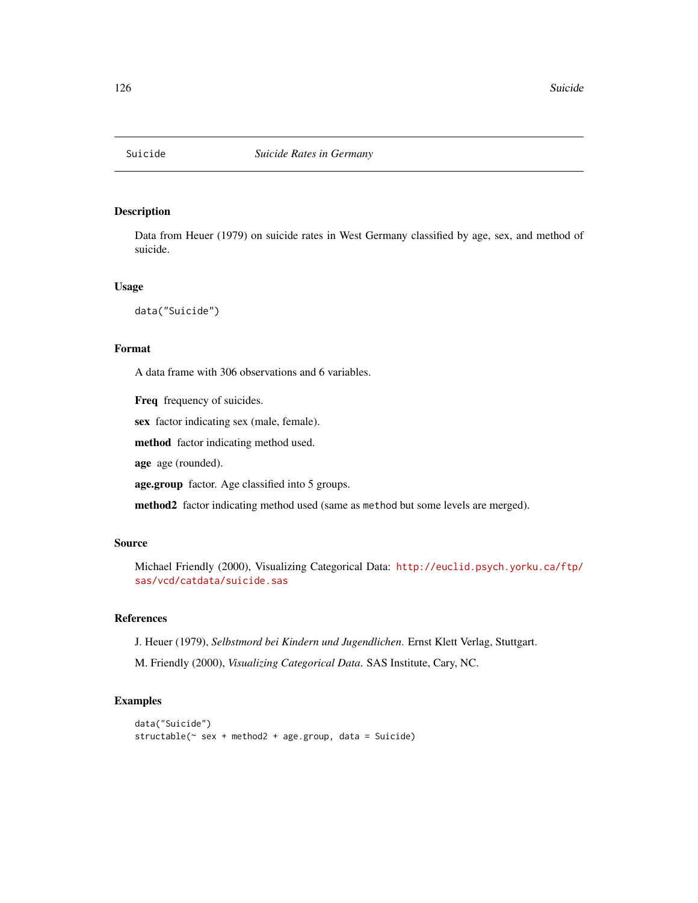<span id="page-125-0"></span>

Data from Heuer (1979) on suicide rates in West Germany classified by age, sex, and method of suicide.

## Usage

data("Suicide")

#### Format

A data frame with 306 observations and 6 variables.

Freq frequency of suicides.

sex factor indicating sex (male, female).

method factor indicating method used.

age age (rounded).

age.group factor. Age classified into 5 groups.

method2 factor indicating method used (same as method but some levels are merged).

# Source

Michael Friendly (2000), Visualizing Categorical Data: [http://euclid.psych.yorku.ca/ftp/](http://euclid.psych.yorku.ca/ftp/sas/vcd/catdata/suicide.sas) [sas/vcd/catdata/suicide.sas](http://euclid.psych.yorku.ca/ftp/sas/vcd/catdata/suicide.sas)

# References

J. Heuer (1979), *Selbstmord bei Kindern und Jugendlichen*. Ernst Klett Verlag, Stuttgart.

M. Friendly (2000), *Visualizing Categorical Data*. SAS Institute, Cary, NC.

```
data("Suicide")
structable(~ sex + method2 + age.group, data = Suicide)
```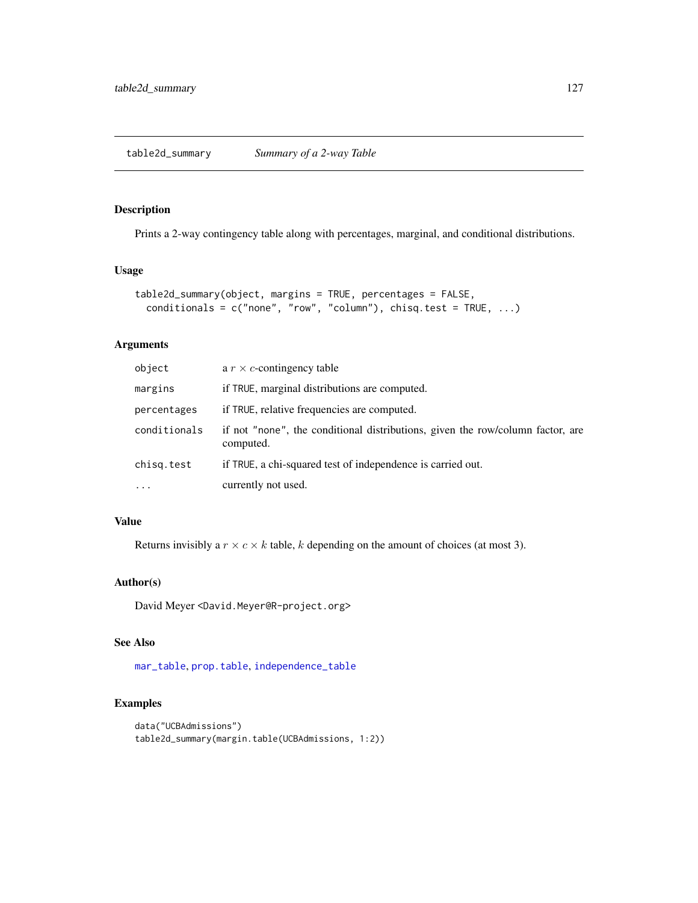<span id="page-126-0"></span>Prints a 2-way contingency table along with percentages, marginal, and conditional distributions.

## Usage

```
table2d_summary(object, margins = TRUE, percentages = FALSE,
 conditionals = c("none", "row", "column"), chisq.test = TRUE, ...)
```
# Arguments

| object       | a $r \times c$ -contingency table                                                           |
|--------------|---------------------------------------------------------------------------------------------|
| margins      | if TRUE, marginal distributions are computed.                                               |
| percentages  | if TRUE, relative frequencies are computed.                                                 |
| conditionals | if not "none", the conditional distributions, given the row/column factor, are<br>computed. |
| chisg.test   | if TRUE, a chi-squared test of independence is carried out.                                 |
| $\cdots$     | currently not used.                                                                         |

# Value

Returns invisibly a  $r \times c \times k$  table, k depending on the amount of choices (at most 3).

# Author(s)

David Meyer <David.Meyer@R-project.org>

## See Also

[mar\\_table](#page-71-0), [prop.table](#page-0-0), [independence\\_table](#page-49-0)

```
data("UCBAdmissions")
table2d_summary(margin.table(UCBAdmissions, 1:2))
```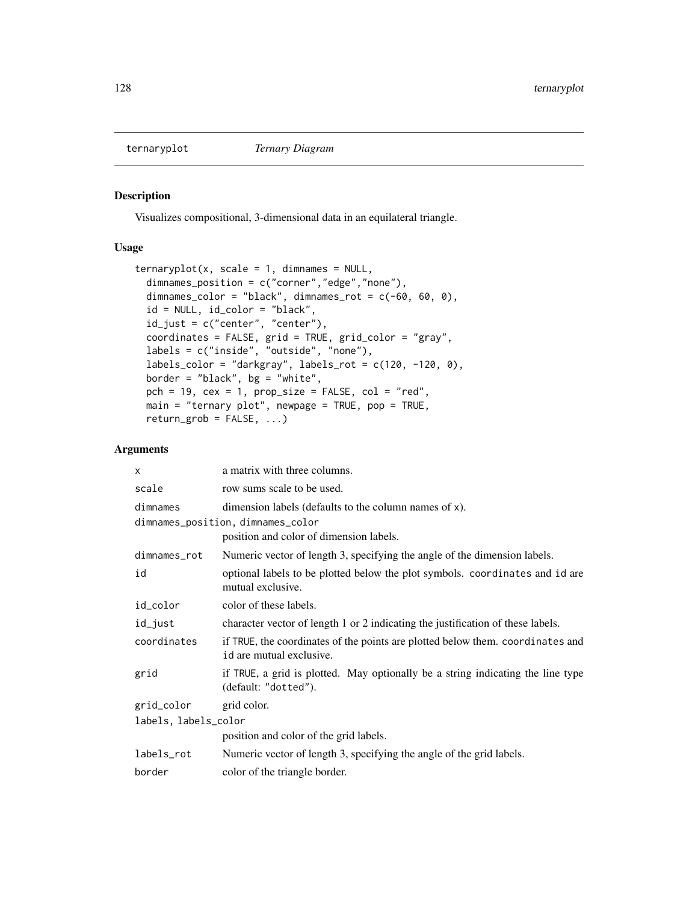<span id="page-127-0"></span>

Visualizes compositional, 3-dimensional data in an equilateral triangle.

## Usage

```
ternaryplot(x, scale = 1, dimnames = NULL,dimnames_position = c("corner","edge","none"),
 dimnames_color = "black", dimnames_rot = c(-60, 60, 0),
  id = NULL, id_color = "black",
 id_just = c("center", "center"),
 coordinates = FALSE, grid = TRUE, grid_color = "gray",
  labels = c("inside", "outside", "none"),
  labels\_color = "darkgray", labels\_rot = c(120, -120, 0),border = "black", bg = "white",pch = 19, cex = 1, prop\_size = FALSE, col = "red",main = "ternary plot", newpage = TRUE, pop = TRUE,return\_grob = FALSE, ...)
```
## Arguments

| X                    | a matrix with three columns.                                                                               |  |
|----------------------|------------------------------------------------------------------------------------------------------------|--|
| scale                | row sums scale to be used.                                                                                 |  |
| dimnames             | dimension labels (defaults to the column names of x).                                                      |  |
|                      | dimnames_position, dimnames_color                                                                          |  |
|                      | position and color of dimension labels.                                                                    |  |
| dimnames_rot         | Numeric vector of length 3, specifying the angle of the dimension labels.                                  |  |
| id                   | optional labels to be plotted below the plot symbols. coordinates and id are<br>mutual exclusive.          |  |
| id_color             | color of these labels.                                                                                     |  |
| id_just              | character vector of length 1 or 2 indicating the justification of these labels.                            |  |
| coordinates          | if TRUE, the coordinates of the points are plotted below them. coordinates and<br>id are mutual exclusive. |  |
| grid                 | if TRUE, a grid is plotted. May optionally be a string indicating the line type<br>(default: "dotted").    |  |
| grid_color           | grid color.                                                                                                |  |
| labels, labels_color |                                                                                                            |  |
|                      | position and color of the grid labels.                                                                     |  |
| labels_rot           | Numeric vector of length 3, specifying the angle of the grid labels.                                       |  |
| border               | color of the triangle border.                                                                              |  |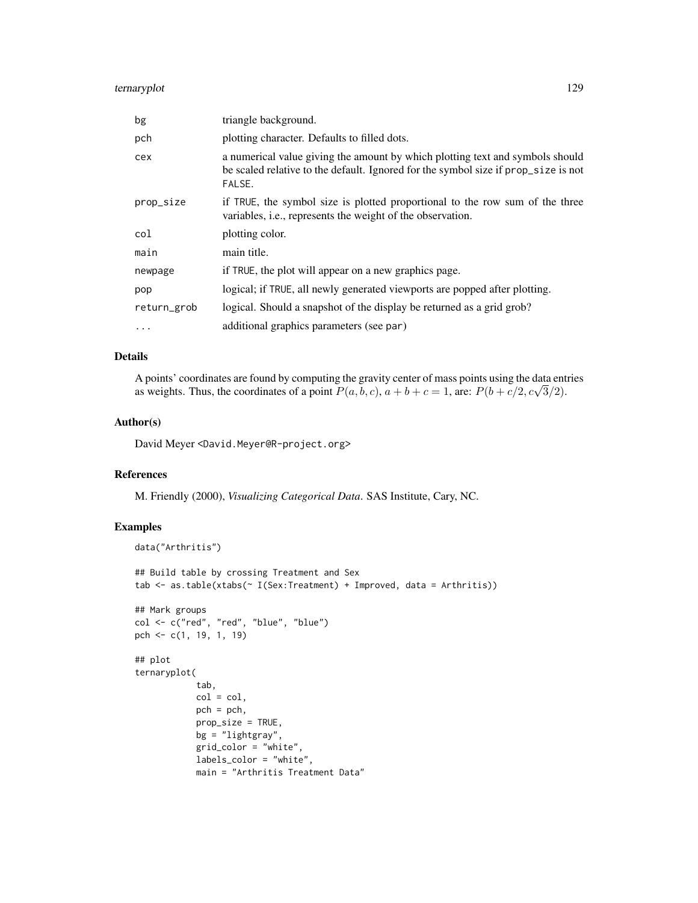# ternaryplot 129

| bg          | triangle background.                                                                                                                                                          |
|-------------|-------------------------------------------------------------------------------------------------------------------------------------------------------------------------------|
| pch         | plotting character. Defaults to filled dots.                                                                                                                                  |
| cex         | a numerical value giving the amount by which plotting text and symbols should<br>be scaled relative to the default. Ignored for the symbol size if prop_size is not<br>FALSE. |
| prop_size   | if TRUE, the symbol size is plotted proportional to the row sum of the three<br>variables, <i>i.e.</i> , represents the weight of the observation.                            |
| col         | plotting color.                                                                                                                                                               |
| main        | main title.                                                                                                                                                                   |
| newpage     | if TRUE, the plot will appear on a new graphics page.                                                                                                                         |
| pop         | logical; if TRUE, all newly generated viewports are popped after plotting.                                                                                                    |
| return_grob | logical. Should a snapshot of the display be returned as a grid grob?                                                                                                         |
| .           | additional graphics parameters (see par)                                                                                                                                      |

## Details

A points' coordinates are found by computing the gravity center of mass points using the data entries A points coordinates are found by computing the gravity center of mass points using the data ent<br>as weights. Thus, the coordinates of a point  $P(a, b, c)$ ,  $a + b + c = 1$ , are:  $P(b + c/2, c\sqrt{3}/2)$ .

# Author(s)

David Meyer <David.Meyer@R-project.org>

#### References

M. Friendly (2000), *Visualizing Categorical Data*. SAS Institute, Cary, NC.

```
data("Arthritis")
## Build table by crossing Treatment and Sex
tab <- as.table(xtabs(~ I(Sex:Treatment) + Improved, data = Arthritis))
## Mark groups
col <- c("red", "red", "blue", "blue")
pch <- c(1, 19, 1, 19)
## plot
ternaryplot(
            tab,
            col = col,pch = pch,
            prop_size = TRUE,
            bg = "lightgray",
            grid_color = "white",
            labels_color = "white",
            main = "Arthritis Treatment Data"
```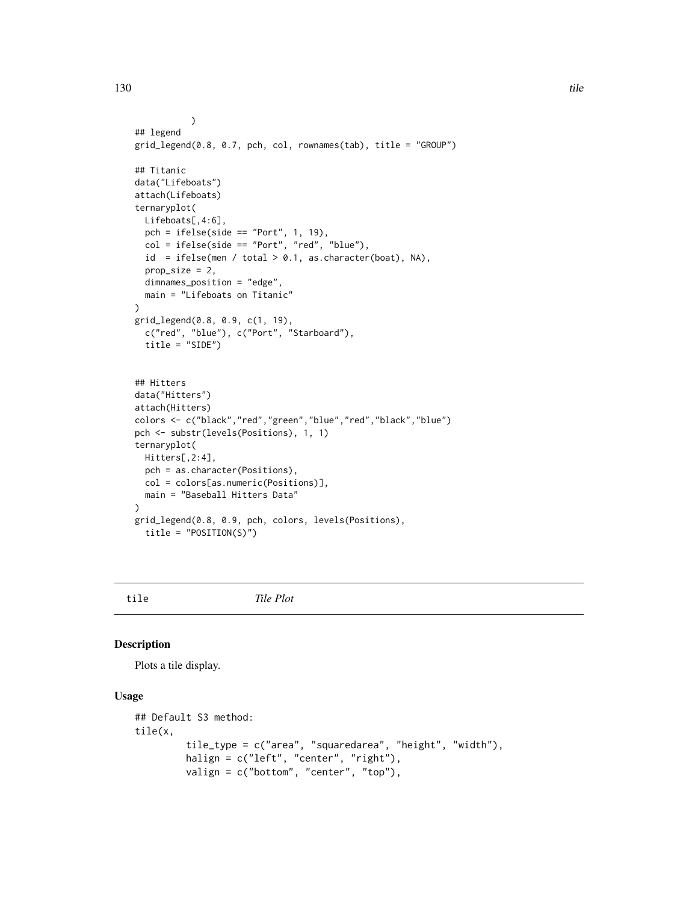```
)
## legend
grid_legend(0.8, 0.7, pch, col, rownames(tab), title = "GROUP")
## Titanic
data("Lifeboats")
attach(Lifeboats)
ternaryplot(
 Lifeboats[,4:6],
  pch = ifelse(side == "Port", 1, 19),
  col = ifelse(side == "Port", "red", "blue"),id = ifelse(men / total > 0.1, as. character(boat), NA),prop\_size = 2,
  dimnames_position = "edge",
  main = "Lifeboats on Titanic"
)
grid_legend(0.8, 0.9, c(1, 19),
  c("red", "blue"), c("Port", "Starboard"),
  title = "SIDE")
## Hitters
data("Hitters")
attach(Hitters)
colors <- c("black","red","green","blue","red","black","blue")
pch <- substr(levels(Positions), 1, 1)
ternaryplot(
 Hitters[,2:4],
  pch = as.character(Positions),
 col = colors[as.numeric(Positions)],
  main = "Baseball Hitters Data"
\mathcal{L}grid_legend(0.8, 0.9, pch, colors, levels(Positions),
  title = "POSITION(S)")
```
## tile *Tile Plot*

#### Description

Plots a tile display.

# Usage

```
## Default S3 method:
tile(x,
         tile_type = c("area", "squaredarea", "height", "width"),
         halign = c("left", "center", "right"),
        valign = c("bottom", "center", "top"),
```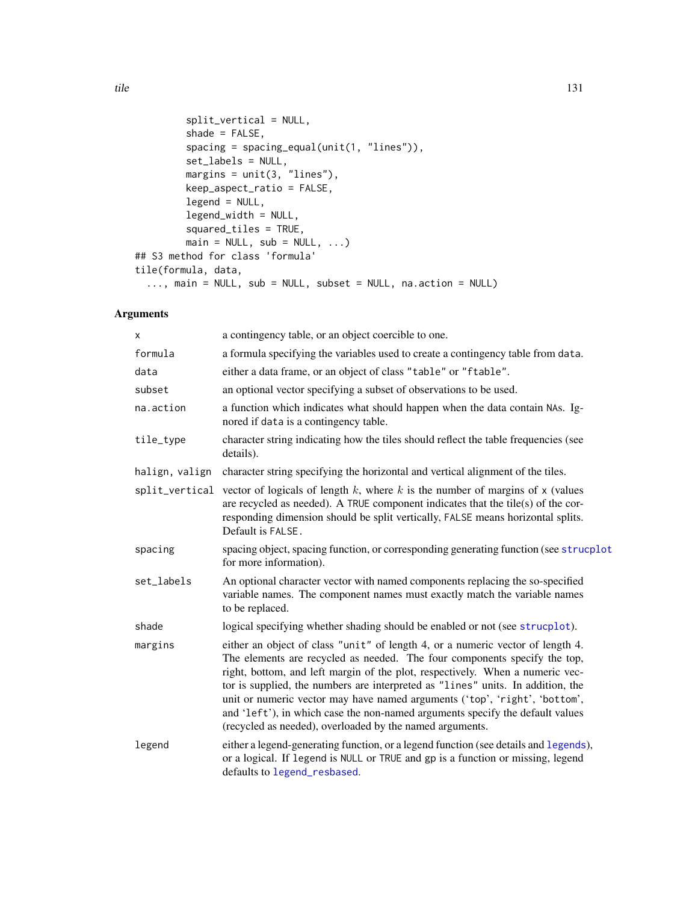```
split_vertical = NULL,
         shade = FALSE,
         spacing = spacing_equal(unit(1, "lines")),
         set_labels = NULL,
        margins = unit(3, '''lines''),
         keep_aspect_ratio = FALSE,
         legend = NULL,
         legend_width = NULL,
         squared_tiles = TRUE,
         main = NULL, sub = NULL, ...)## S3 method for class 'formula'
tile(formula, data,
  ..., main = NULL, sub = NULL, subset = NULL, na.action = NULL)
```
# Arguments

| X              | a contingency table, or an object coercible to one.                                                                                                                                                                                                                                                                                                                                                                                                                                                                                                        |
|----------------|------------------------------------------------------------------------------------------------------------------------------------------------------------------------------------------------------------------------------------------------------------------------------------------------------------------------------------------------------------------------------------------------------------------------------------------------------------------------------------------------------------------------------------------------------------|
| formula        | a formula specifying the variables used to create a contingency table from data.                                                                                                                                                                                                                                                                                                                                                                                                                                                                           |
| data           | either a data frame, or an object of class "table" or "ftable".                                                                                                                                                                                                                                                                                                                                                                                                                                                                                            |
| subset         | an optional vector specifying a subset of observations to be used.                                                                                                                                                                                                                                                                                                                                                                                                                                                                                         |
| na.action      | a function which indicates what should happen when the data contain NAs. Ig-<br>nored if data is a contingency table.                                                                                                                                                                                                                                                                                                                                                                                                                                      |
| tile_type      | character string indicating how the tiles should reflect the table frequencies (see<br>details).                                                                                                                                                                                                                                                                                                                                                                                                                                                           |
| halign, valign | character string specifying the horizontal and vertical alignment of the tiles.                                                                                                                                                                                                                                                                                                                                                                                                                                                                            |
|                | split_vertical vector of logicals of length $k$ , where $k$ is the number of margins of $x$ (values<br>are recycled as needed). A TRUE component indicates that the tile(s) of the cor-<br>responding dimension should be split vertically, FALSE means horizontal splits.<br>Default is FALSE.                                                                                                                                                                                                                                                            |
| spacing        | spacing object, spacing function, or corresponding generating function (see strucplot<br>for more information).                                                                                                                                                                                                                                                                                                                                                                                                                                            |
| set_labels     | An optional character vector with named components replacing the so-specified<br>variable names. The component names must exactly match the variable names<br>to be replaced.                                                                                                                                                                                                                                                                                                                                                                              |
| shade          | logical specifying whether shading should be enabled or not (see strucplot).                                                                                                                                                                                                                                                                                                                                                                                                                                                                               |
| margins        | either an object of class "unit" of length 4, or a numeric vector of length 4.<br>The elements are recycled as needed. The four components specify the top,<br>right, bottom, and left margin of the plot, respectively. When a numeric vec-<br>tor is supplied, the numbers are interpreted as "lines" units. In addition, the<br>unit or numeric vector may have named arguments ('top', 'right', 'bottom',<br>and 'left'), in which case the non-named arguments specify the default values<br>(recycled as needed), overloaded by the named arguments. |
| legend         | either a legend-generating function, or a legend function (see details and legends),<br>or a logical. If legend is NULL or TRUE and gp is a function or missing, legend<br>defaults to legend_resbased.                                                                                                                                                                                                                                                                                                                                                    |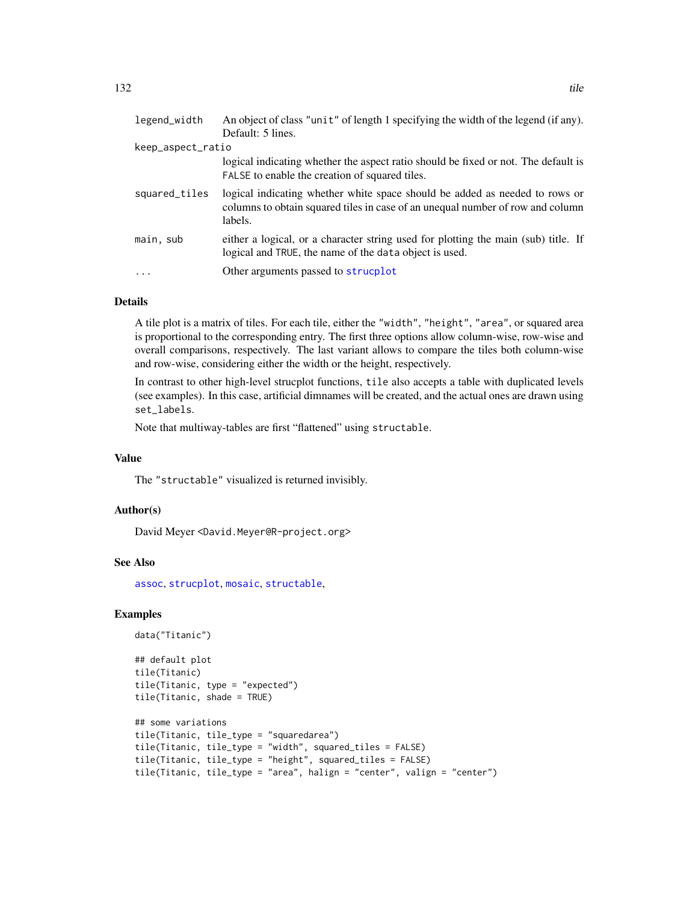<span id="page-131-0"></span>

| legend_width      | An object of class "unit" of length 1 specifying the width of the legend (if any).<br>Default: 5 lines.                                                                  |
|-------------------|--------------------------------------------------------------------------------------------------------------------------------------------------------------------------|
| keep_aspect_ratio |                                                                                                                                                                          |
|                   | logical indicating whether the aspect ratio should be fixed or not. The default is<br>FALSE to enable the creation of squared tiles.                                     |
| squared_tiles     | logical indicating whether white space should be added as needed to rows or<br>columns to obtain squared tiles in case of an unequal number of row and column<br>labels. |
| main, sub         | either a logical, or a character string used for plotting the main (sub) title. If<br>logical and TRUE, the name of the data object is used.                             |
| $\ddots$ .        | Other arguments passed to strucplot                                                                                                                                      |

# Details

A tile plot is a matrix of tiles. For each tile, either the "width", "height", "area", or squared area is proportional to the corresponding entry. The first three options allow column-wise, row-wise and overall comparisons, respectively. The last variant allows to compare the tiles both column-wise and row-wise, considering either the width or the height, respectively.

In contrast to other high-level strucplot functions, tile also accepts a table with duplicated levels (see examples). In this case, artificial dimnames will be created, and the actual ones are drawn using set\_labels.

Note that multiway-tables are first "flattened" using structable.

## Value

The "structable" visualized is returned invisibly.

#### Author(s)

David Meyer <David.Meyer@R-project.org>

#### See Also

[assoc](#page-6-0), [strucplot](#page-114-0), [mosaic](#page-72-0), [structable](#page-118-0),

```
data("Titanic")
```

```
## default plot
tile(Titanic)
tile(Titanic, type = "expected")
tile(Titanic, shade = TRUE)
## some variations
tile(Titanic, tile_type = "squaredarea")
tile(Titanic, tile_type = "width", squared_tiles = FALSE)
tile(Titanic, tile_type = "height", squared_tiles = FALSE)
tile(Titanic, tile_type = "area", halign = "center", valign = "center")
```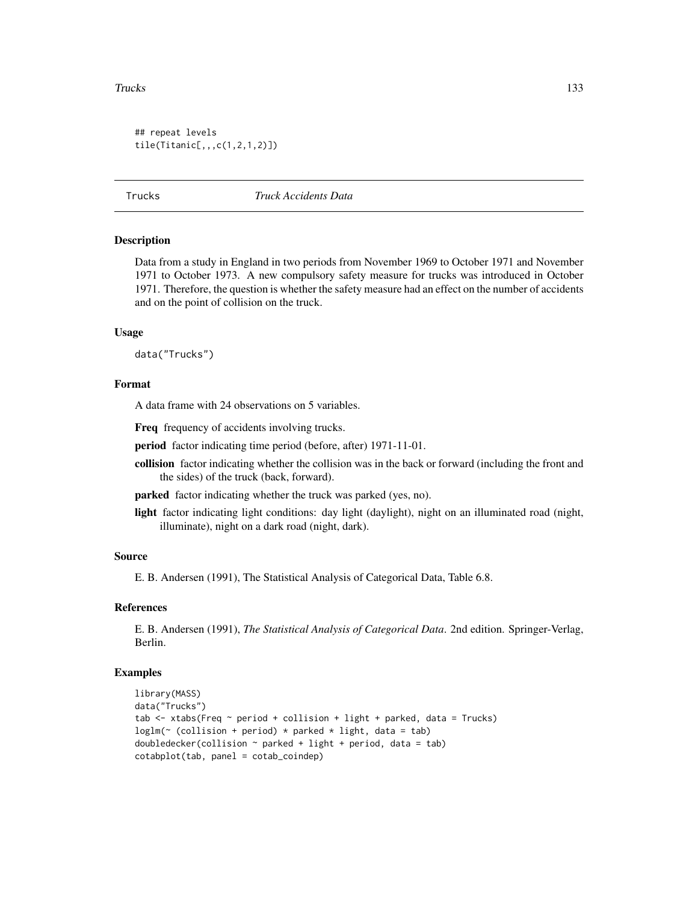#### <span id="page-132-0"></span>Trucks and the contract of the contract of the contract of the contract of the contract of the contract of the contract of the contract of the contract of the contract of the contract of the contract of the contract of the

```
## repeat levels
tile(Titanic[,,,c(1,2,1,2)])
```
Trucks *Truck Accidents Data*

#### Description

Data from a study in England in two periods from November 1969 to October 1971 and November 1971 to October 1973. A new compulsory safety measure for trucks was introduced in October 1971. Therefore, the question is whether the safety measure had an effect on the number of accidents and on the point of collision on the truck.

#### Usage

data("Trucks")

#### Format

A data frame with 24 observations on 5 variables.

Freq frequency of accidents involving trucks.

period factor indicating time period (before, after) 1971-11-01.

collision factor indicating whether the collision was in the back or forward (including the front and the sides) of the truck (back, forward).

parked factor indicating whether the truck was parked (yes, no).

light factor indicating light conditions: day light (daylight), night on an illuminated road (night, illuminate), night on a dark road (night, dark).

#### Source

E. B. Andersen (1991), The Statistical Analysis of Categorical Data, Table 6.8.

#### References

E. B. Andersen (1991), *The Statistical Analysis of Categorical Data*. 2nd edition. Springer-Verlag, Berlin.

```
library(MASS)
data("Trucks")
tab \le xtabs(Freq \sim period + collision + light + parked, data = Trucks)
loglm(\sim (collision + period) * parked * light, data = tab)
doubledecker(collision \sim parked + light + period, data = tab)
cotabplot(tab, panel = cotab_coindep)
```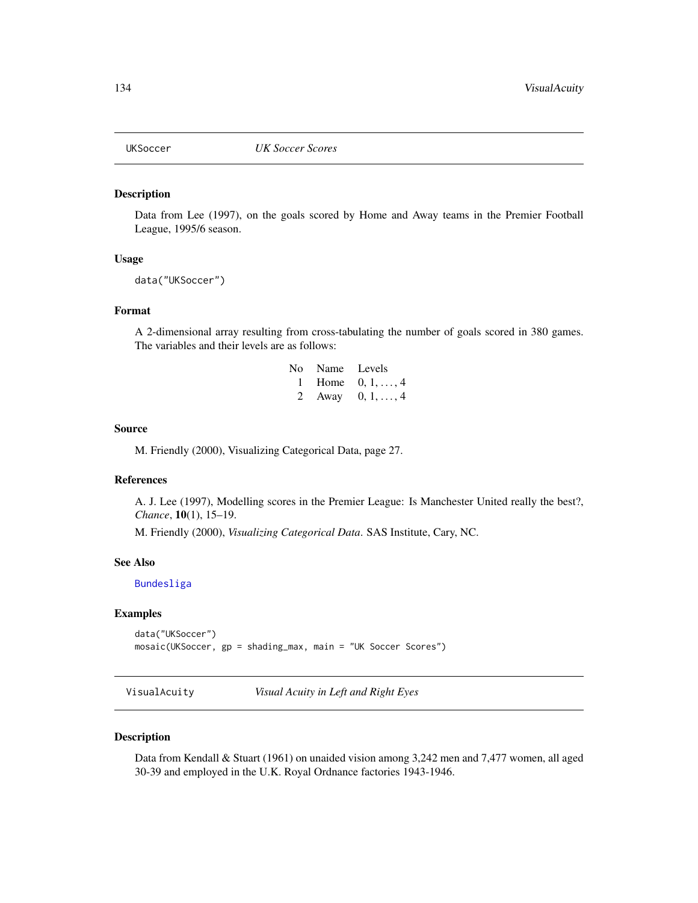<span id="page-133-0"></span>

Data from Lee (1997), on the goals scored by Home and Away teams in the Premier Football League, 1995/6 season.

#### Usage

```
data("UKSoccer")
```
## Format

A 2-dimensional array resulting from cross-tabulating the number of goals scored in 380 games. The variables and their levels are as follows:

| No Name Levels |                    |
|----------------|--------------------|
|                | 1 Home $0, 1, , 4$ |
|                | 2 Away $0, 1, , 4$ |

#### Source

M. Friendly (2000), Visualizing Categorical Data, page 27.

## References

A. J. Lee (1997), Modelling scores in the Premier League: Is Manchester United really the best?, *Chance*, 10(1), 15–19.

M. Friendly (2000), *Visualizing Categorical Data*. SAS Institute, Cary, NC.

#### See Also

[Bundesliga](#page-16-0)

## Examples

```
data("UKSoccer")
mosaic(UKSoccer, gp = shading_max, main = "UK Soccer Scores")
```
VisualAcuity *Visual Acuity in Left and Right Eyes*

#### Description

Data from Kendall & Stuart (1961) on unaided vision among 3,242 men and 7,477 women, all aged 30-39 and employed in the U.K. Royal Ordnance factories 1943-1946.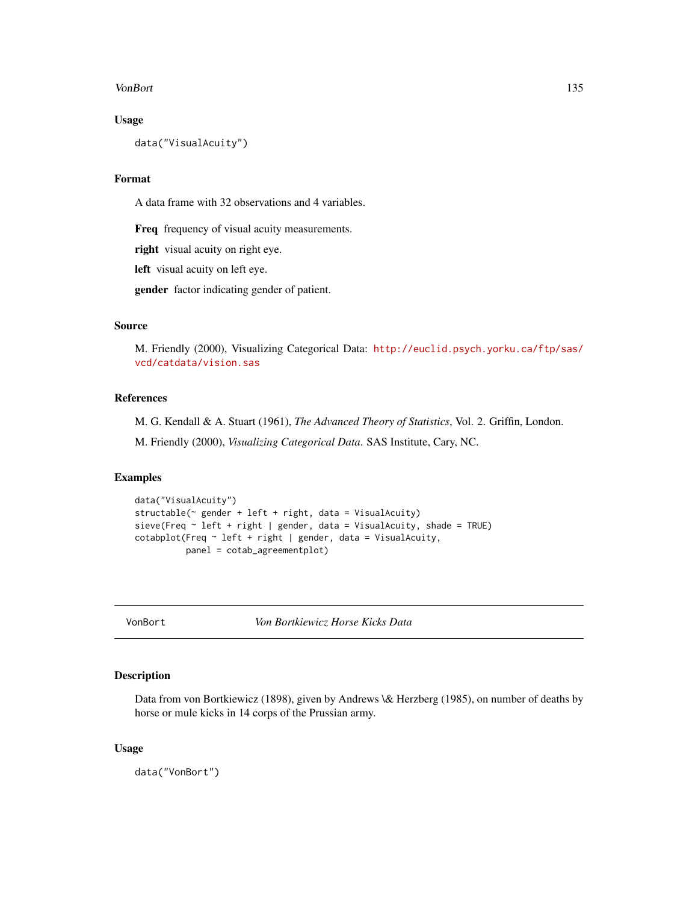#### <span id="page-134-0"></span>VonBort 135

# Usage

data("VisualAcuity")

## Format

A data frame with 32 observations and 4 variables.

Freq frequency of visual acuity measurements.

right visual acuity on right eye.

left visual acuity on left eye.

gender factor indicating gender of patient.

# Source

M. Friendly (2000), Visualizing Categorical Data: [http://euclid.psych.yorku.ca/ftp/sas/](http://euclid.psych.yorku.ca/ftp/sas/vcd/catdata/vision.sas) [vcd/catdata/vision.sas](http://euclid.psych.yorku.ca/ftp/sas/vcd/catdata/vision.sas)

# References

M. G. Kendall & A. Stuart (1961), *The Advanced Theory of Statistics*, Vol. 2. Griffin, London.

M. Friendly (2000), *Visualizing Categorical Data*. SAS Institute, Cary, NC.

# Examples

```
data("VisualAcuity")
structable(~ gender + left + right, data = VisualAcuity)
sieve(Freq ~ left + right | gender, data = VisualAcuity, shade = TRUE)
cotabplot(Freq \sim left + right | gender, data = VisualAcuity,
          panel = cotab_agreementplot)
```
VonBort *Von Bortkiewicz Horse Kicks Data*

# Description

Data from von Bortkiewicz (1898), given by Andrews \& Herzberg (1985), on number of deaths by horse or mule kicks in 14 corps of the Prussian army.

#### Usage

data("VonBort")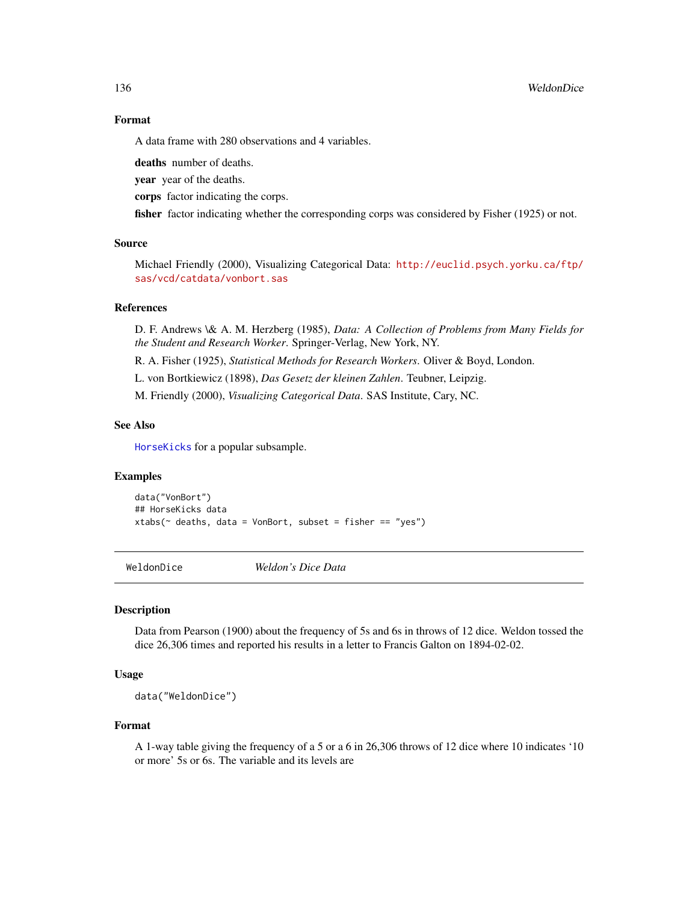#### 136 WeldonDice

# Format

A data frame with 280 observations and 4 variables.

deaths number of deaths.

year year of the deaths.

corps factor indicating the corps.

fisher factor indicating whether the corresponding corps was considered by Fisher (1925) or not.

## Source

Michael Friendly (2000), Visualizing Categorical Data: [http://euclid.psych.yorku.ca/ftp/](http://euclid.psych.yorku.ca/ftp/sas/vcd/catdata/vonbort.sas) [sas/vcd/catdata/vonbort.sas](http://euclid.psych.yorku.ca/ftp/sas/vcd/catdata/vonbort.sas)

# References

D. F. Andrews \& A. M. Herzberg (1985), *Data: A Collection of Problems from Many Fields for the Student and Research Worker*. Springer-Verlag, New York, NY.

R. A. Fisher (1925), *Statistical Methods for Research Workers*. Oliver & Boyd, London.

L. von Bortkiewicz (1898), *Das Gesetz der kleinen Zahlen*. Teubner, Leipzig.

M. Friendly (2000), *Visualizing Categorical Data*. SAS Institute, Cary, NC.

## See Also

[HorseKicks](#page-47-0) for a popular subsample.

# Examples

data("VonBort") ## HorseKicks data xtabs( $\sim$  deaths, data = VonBort, subset = fisher == "yes")

WeldonDice *Weldon's Dice Data*

#### Description

Data from Pearson (1900) about the frequency of 5s and 6s in throws of 12 dice. Weldon tossed the dice 26,306 times and reported his results in a letter to Francis Galton on 1894-02-02.

## Usage

data("WeldonDice")

#### Format

A 1-way table giving the frequency of a 5 or a 6 in 26,306 throws of 12 dice where 10 indicates '10 or more' 5s or 6s. The variable and its levels are

<span id="page-135-0"></span>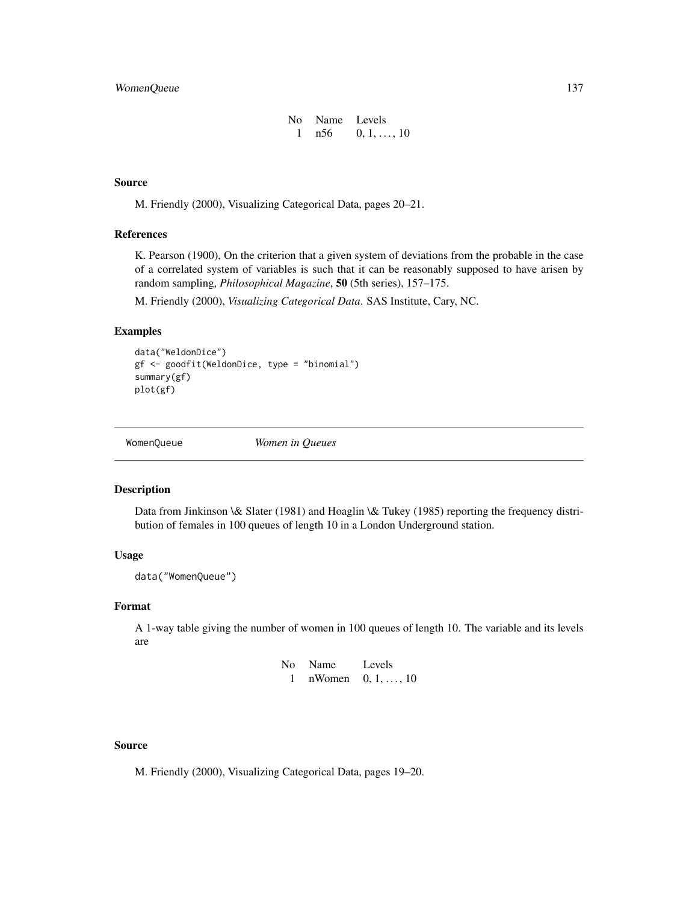# <span id="page-136-0"></span>WomenQueue 137

| No Name Levels |                    |
|----------------|--------------------|
| n 56           | $0, 1, \ldots, 10$ |

#### Source

M. Friendly (2000), Visualizing Categorical Data, pages 20–21.

## References

K. Pearson (1900), On the criterion that a given system of deviations from the probable in the case of a correlated system of variables is such that it can be reasonably supposed to have arisen by random sampling, *Philosophical Magazine*, 50 (5th series), 157–175.

M. Friendly (2000), *Visualizing Categorical Data*. SAS Institute, Cary, NC.

# Examples

```
data("WeldonDice")
gf <- goodfit(WeldonDice, type = "binomial")
summary(gf)
plot(gf)
```
WomenQueue *Women in Queues*

## Description

Data from Jinkinson \& Slater (1981) and Hoaglin \& Tukey (1985) reporting the frequency distribution of females in 100 queues of length 10 in a London Underground station.

## Usage

data("WomenQueue")

#### Format

A 1-way table giving the number of women in 100 queues of length 10. The variable and its levels are

| No – | <b>Name</b> | Levels              |
|------|-------------|---------------------|
|      |             | nWomen $0, 1, , 10$ |

#### Source

M. Friendly (2000), Visualizing Categorical Data, pages 19–20.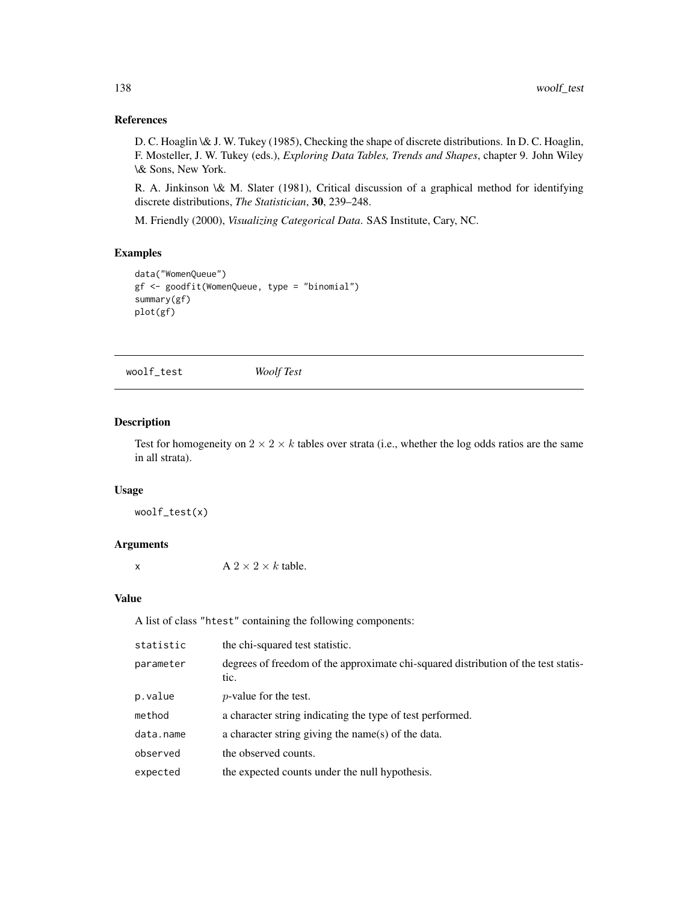# References

D. C. Hoaglin \& J. W. Tukey (1985), Checking the shape of discrete distributions. In D. C. Hoaglin, F. Mosteller, J. W. Tukey (eds.), *Exploring Data Tables, Trends and Shapes*, chapter 9. John Wiley \& Sons, New York.

R. A. Jinkinson \& M. Slater (1981), Critical discussion of a graphical method for identifying discrete distributions, *The Statistician*, 30, 239–248.

M. Friendly (2000), *Visualizing Categorical Data*. SAS Institute, Cary, NC.

# Examples

```
data("WomenQueue")
gf <- goodfit(WomenQueue, type = "binomial")
summary(gf)
plot(gf)
```
woolf\_test *Woolf Test*

## Description

Test for homogeneity on  $2 \times 2 \times k$  tables over strata (i.e., whether the log odds ratios are the same in all strata).

## Usage

woolf\_test(x)

# Arguments

x  $A 2 \times 2 \times k$  table.

#### Value

A list of class "htest" containing the following components:

| statistic | the chi-squared test statistic.                                                            |
|-----------|--------------------------------------------------------------------------------------------|
| parameter | degrees of freedom of the approximate chi-squared distribution of the test statis-<br>tic. |
| p.value   | <i>p</i> -value for the test.                                                              |
| method    | a character string indicating the type of test performed.                                  |
| data.name | a character string giving the name(s) of the data.                                         |
| observed  | the observed counts.                                                                       |
| expected  | the expected counts under the null hypothesis.                                             |
|           |                                                                                            |

<span id="page-137-0"></span>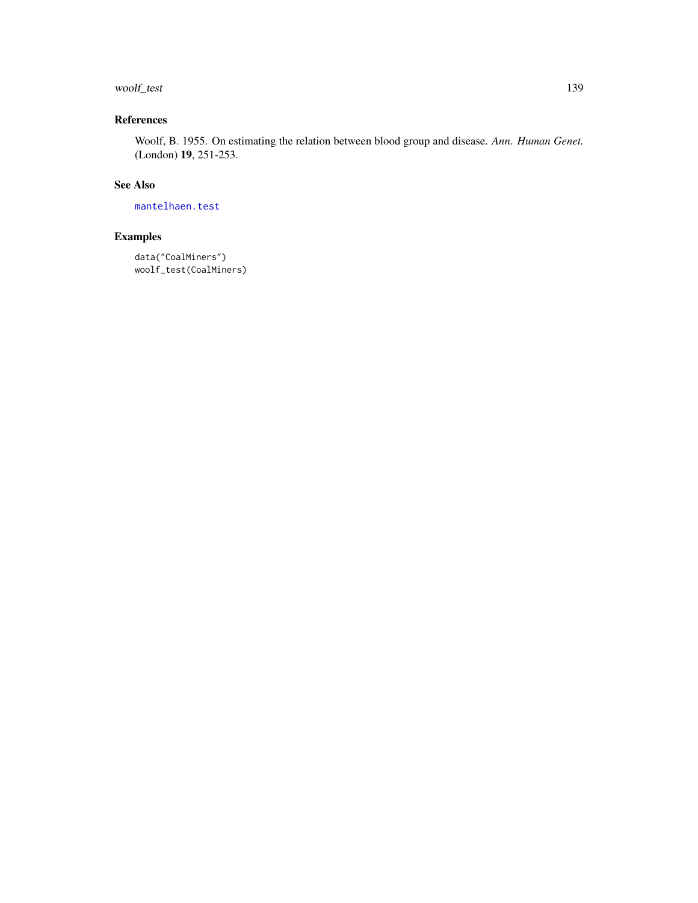# <span id="page-138-0"></span>woolf\_test 139

# References

Woolf, B. 1955. On estimating the relation between blood group and disease. *Ann. Human Genet.* (London) 19, 251-253.

# See Also

[mantelhaen.test](#page-0-0)

```
data("CoalMiners")
woolf_test(CoalMiners)
```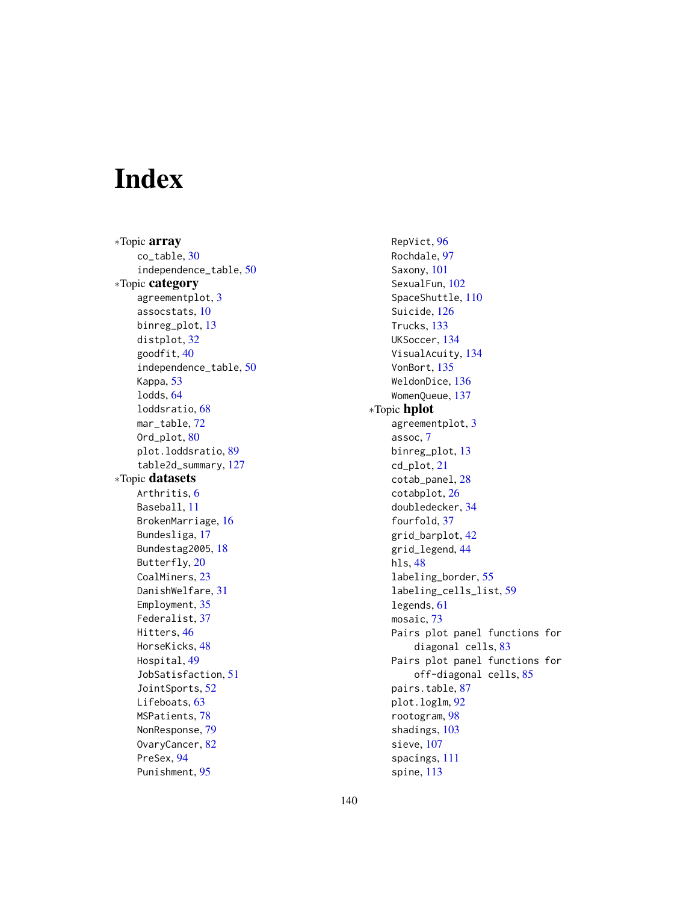# Index

∗Topic array co\_table, [30](#page-29-0) independence\_table, [50](#page-49-1) ∗Topic category agreementplot, [3](#page-2-0) assocstats, [10](#page-9-0) binreg\_plot, [13](#page-12-0) distplot, [32](#page-31-0) goodfit, [40](#page-39-0) independence\_table, [50](#page-49-1) Kappa, [53](#page-52-0) lodds, [64](#page-63-0) loddsratio, [68](#page-67-0) mar\_table, [72](#page-71-1) Ord\_plot, [80](#page-79-0) plot.loddsratio, [89](#page-88-0) table2d\_summary, [127](#page-126-0) ∗Topic datasets Arthritis, [6](#page-5-0) Baseball, [11](#page-10-0) BrokenMarriage, [16](#page-15-0) Bundesliga, [17](#page-16-1) Bundestag2005, [18](#page-17-0) Butterfly, [20](#page-19-0) CoalMiners, [23](#page-22-0) DanishWelfare, [31](#page-30-0) Employment, [35](#page-34-0) Federalist, [37](#page-36-0) Hitters, [46](#page-45-0) HorseKicks, [48](#page-47-1) Hospital, [49](#page-48-0) JobSatisfaction, [51](#page-50-0) JointSports, [52](#page-51-0) Lifeboats, [63](#page-62-0) MSPatients, [78](#page-77-0) NonResponse, [79](#page-78-0) OvaryCancer, [82](#page-81-0) PreSex, [94](#page-93-0) Punishment, [95](#page-94-0)

RepVict, [96](#page-95-0) Rochdale, [97](#page-96-0) Saxony, [101](#page-100-0) SexualFun, [102](#page-101-0) SpaceShuttle, [110](#page-109-0) Suicide, [126](#page-125-0) Trucks, [133](#page-132-0) UKSoccer, [134](#page-133-0) VisualAcuity, [134](#page-133-0) VonBort, [135](#page-134-0) WeldonDice, [136](#page-135-0) WomenQueue, [137](#page-136-0) ∗Topic hplot agreementplot, [3](#page-2-0) assoc, [7](#page-6-1) binreg\_plot, [13](#page-12-0) cd\_plot, [21](#page-20-1) cotab\_panel, [28](#page-27-0) cotabplot, [26](#page-25-0) doubledecker, [34](#page-33-1) fourfold, [37](#page-36-0) grid\_barplot, [42](#page-41-0) grid\_legend, [44](#page-43-0) hls, [48](#page-47-1) labeling\_border, [55](#page-54-1) labeling\_cells\_list, [59](#page-58-0) legends, [61](#page-60-2) mosaic, [73](#page-72-1) Pairs plot panel functions for diagonal cells, [83](#page-82-0) Pairs plot panel functions for off-diagonal cells, [85](#page-84-0) pairs.table, [87](#page-86-0) plot.loglm, [92](#page-91-0) rootogram, [98](#page-97-0) shadings, [103](#page-102-1) sieve, [107](#page-106-1) spacings, [111](#page-110-1) spine, [113](#page-112-0)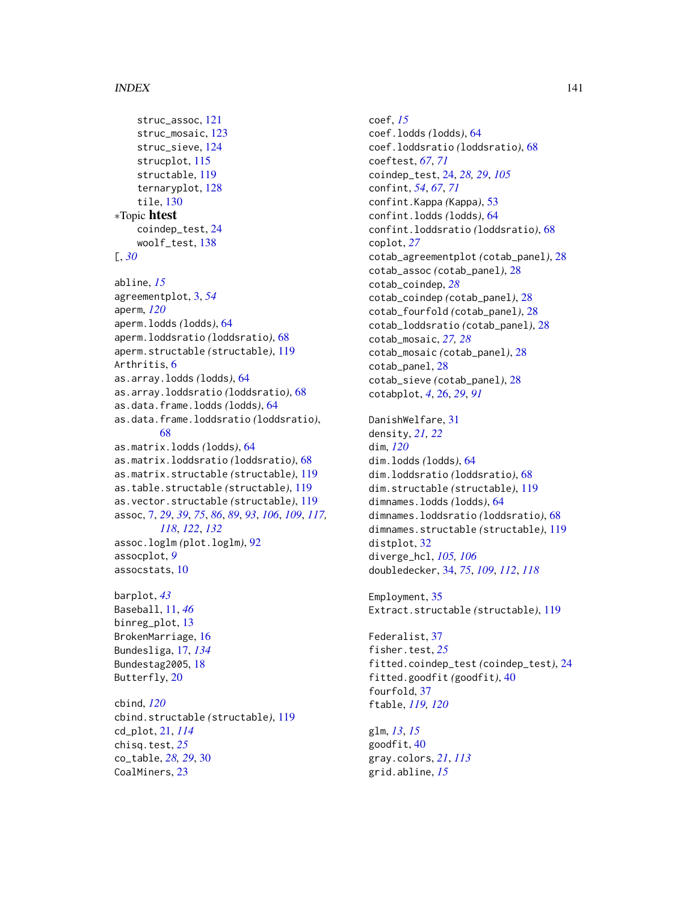#### INDEX 141

```
struc_assoc, 121
    struc_mosaic, 123
    struc_sieve, 124
    strucplot, 115
    structable, 119
    ternaryplot, 128
    tile, 130
∗Topic htest
    coindep_test, 24
    woolf_test, 138
[, 30
abline, 15
agreementplot, 3, 54
aperm, 120
aperm.lodds (lodds), 64
aperm.loddsratio (loddsratio), 68
aperm.structable (structable), 119
Arthritis, 6
as.array.lodds (lodds), 64
as.array.loddsratio (loddsratio), 68
as.data.frame.lodds (lodds), 64
as.data.frame.loddsratio (loddsratio),
        68
as.matrix.lodds (lodds), 64
as.matrix.loddsratio (loddsratio), 68
as.matrix.structable (structable), 119
as.table.structable (structable), 119
as.vector.structable (structable), 119
assoc, 7, 29, 39, 75, 86, 89, 93, 106, 109, 117,
         118, 122, 132
assoc.loglm (plot.loglm), 92
assocplot, 9
assocstats, 10
barplot, 43
Baseball, 11, 46
binreg_plot, 13
BrokenMarriage, 16
Bundesliga, 17, 134
Bundestag2005, 18
Butterfly, 20
cbind, 120
cbind.structable (structable), 119
cd_plot, 21, 114
chisq.test, 25
co_table, 28, 29, 30
CoalMiners, 23
```
coef, *[15](#page-14-0)* coef.lodds *(*lodds*)*, [64](#page-63-0) coef.loddsratio *(*loddsratio*)*, [68](#page-67-0) coeftest, *[67](#page-66-0)*, *[71](#page-70-0)* coindep\_test, [24,](#page-23-0) *[28,](#page-27-0) [29](#page-28-0)*, *[105](#page-104-0)* confint, *[54](#page-53-0)*, *[67](#page-66-0)*, *[71](#page-70-0)* confint.Kappa *(*Kappa*)*, [53](#page-52-0) confint.lodds *(*lodds*)*, [64](#page-63-0) confint.loddsratio *(*loddsratio*)*, [68](#page-67-0) coplot, *[27](#page-26-0)* cotab\_agreementplot *(*cotab\_panel*)*, [28](#page-27-0) cotab\_assoc *(*cotab\_panel*)*, [28](#page-27-0) cotab\_coindep, *[28](#page-27-0)* cotab\_coindep *(*cotab\_panel*)*, [28](#page-27-0) cotab\_fourfold *(*cotab\_panel*)*, [28](#page-27-0) cotab\_loddsratio *(*cotab\_panel*)*, [28](#page-27-0) cotab\_mosaic, *[27,](#page-26-0) [28](#page-27-0)* cotab\_mosaic *(*cotab\_panel*)*, [28](#page-27-0) cotab\_panel, [28](#page-27-0) cotab\_sieve *(*cotab\_panel*)*, [28](#page-27-0) cotabplot, *[4](#page-3-0)*, [26,](#page-25-0) *[29](#page-28-0)*, *[91](#page-90-0)*

DanishWelfare, [31](#page-30-0) density, *[21,](#page-20-1) [22](#page-21-0)* dim, *[120](#page-119-0)* dim.lodds *(*lodds*)*, [64](#page-63-0) dim.loddsratio *(*loddsratio*)*, [68](#page-67-0) dim.structable *(*structable*)*, [119](#page-118-1) dimnames.lodds *(*lodds*)*, [64](#page-63-0) dimnames.loddsratio *(*loddsratio*)*, [68](#page-67-0) dimnames.structable *(*structable*)*, [119](#page-118-1) distplot, [32](#page-31-0) diverge\_hcl, *[105,](#page-104-0) [106](#page-105-0)* doubledecker, [34,](#page-33-1) *[75](#page-74-0)*, *[109](#page-108-0)*, *[112](#page-111-0)*, *[118](#page-117-0)*

Employment, [35](#page-34-0) Extract.structable *(*structable*)*, [119](#page-118-1)

Federalist, [37](#page-36-0) fisher.test, *[25](#page-24-0)* fitted.coindep\_test *(*coindep\_test*)*, [24](#page-23-0) fitted.goodfit *(*goodfit*)*, [40](#page-39-0) fourfold, [37](#page-36-0) ftable, *[119,](#page-118-1) [120](#page-119-0)*

glm, *[13](#page-12-0)*, *[15](#page-14-0)* goodfit, [40](#page-39-0) gray.colors, *[21](#page-20-1)*, *[113](#page-112-0)* grid.abline, *[15](#page-14-0)*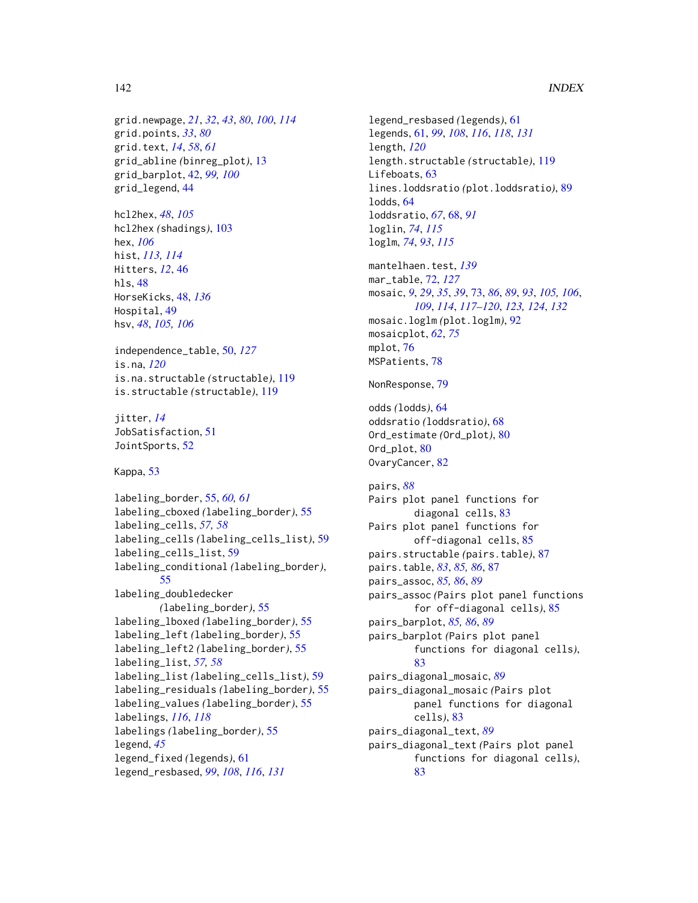```
grid.newpage, 21, 32, 43, 80, 100, 114
grid.points, 33, 80
grid.text, 14, 58, 61
grid_abline (binreg_plot), 13
grid_barplot, 42, 99, 100
grid_legend, 44
```
hcl2hex, *[48](#page-47-1)*, *[105](#page-104-0)* hcl2hex *(*shadings*)*, [103](#page-102-1) hex, *[106](#page-105-0)* hist, *[113,](#page-112-0) [114](#page-113-0)* Hitters, *[12](#page-11-0)*, [46](#page-45-0) hls, [48](#page-47-1) HorseKicks, [48,](#page-47-1) *[136](#page-135-0)* Hospital, [49](#page-48-0) hsv, *[48](#page-47-1)*, *[105,](#page-104-0) [106](#page-105-0)*

independence\_table, [50,](#page-49-1) *[127](#page-126-0)* is.na, *[120](#page-119-0)* is.na.structable *(*structable*)*, [119](#page-118-1) is.structable *(*structable*)*, [119](#page-118-1)

jitter, *[14](#page-13-0)* JobSatisfaction, [51](#page-50-0) JointSports, [52](#page-51-0)

Kappa, [53](#page-52-0)

```
labeling_border, 55, 60, 61
labeling_cboxed (labeling_border), 55
labeling_cells, 57, 58
labeling_cells (labeling_cells_list), 59
labeling_cells_list, 59
labeling_conditional (labeling_border),
        55
labeling_doubledecker
        (labeling_border), 55
labeling_lboxed (labeling_border), 55
labeling_left (labeling_border), 55
labeling_left2 (labeling_border), 55
labeling_list, 57, 58
labeling_list (labeling_cells_list), 59
labeling_residuals (labeling_border), 55
labeling_values (labeling_border), 55
labelings, 116, 118
labelings (labeling_border), 55
legend, 45
legend_fixed (legends), 61
legend_resbased, 99, 108, 116, 131
```
legend\_resbased *(*legends*)*, [61](#page-60-2) legends, [61,](#page-60-2) *[99](#page-98-0)*, *[108](#page-107-0)*, *[116](#page-115-0)*, *[118](#page-117-0)*, *[131](#page-130-0)* length, *[120](#page-119-0)* length.structable *(*structable*)*, [119](#page-118-1) Lifeboats, [63](#page-62-0) lines.loddsratio *(*plot.loddsratio*)*, [89](#page-88-0) lodds, [64](#page-63-0) loddsratio, *[67](#page-66-0)*, [68,](#page-67-0) *[91](#page-90-0)* loglin, *[74](#page-73-0)*, *[115](#page-114-1)* loglm, *[74](#page-73-0)*, *[93](#page-92-0)*, *[115](#page-114-1)* mantelhaen.test, *[139](#page-138-0)* mar\_table, [72,](#page-71-1) *[127](#page-126-0)* mosaic, *[9](#page-8-0)*, *[29](#page-28-0)*, *[35](#page-34-0)*, *[39](#page-38-0)*, [73,](#page-72-1) *[86](#page-85-0)*, *[89](#page-88-0)*, *[93](#page-92-0)*, *[105,](#page-104-0) [106](#page-105-0)*, *[109](#page-108-0)*, *[114](#page-113-0)*, *[117](#page-116-0)[–120](#page-119-0)*, *[123,](#page-122-1) [124](#page-123-1)*, *[132](#page-131-0)* mosaic.loglm *(*plot.loglm*)*, [92](#page-91-0) mosaicplot, *[62](#page-61-0)*, *[75](#page-74-0)* mplot, [76](#page-75-0) MSPatients, [78](#page-77-0) NonResponse, [79](#page-78-0) odds *(*lodds*)*, [64](#page-63-0) oddsratio *(*loddsratio*)*, [68](#page-67-0) Ord\_estimate *(*Ord\_plot*)*, [80](#page-79-0) Ord\_plot, [80](#page-79-0) OvaryCancer, [82](#page-81-0) pairs, *[88](#page-87-0)* Pairs plot panel functions for diagonal cells, [83](#page-82-0) Pairs plot panel functions for off-diagonal cells, [85](#page-84-0) pairs.structable *(*pairs.table*)*, [87](#page-86-0) pairs.table, *[83](#page-82-0)*, *[85,](#page-84-0) [86](#page-85-0)*, [87](#page-86-0) pairs\_assoc, *[85,](#page-84-0) [86](#page-85-0)*, *[89](#page-88-0)* pairs\_assoc *(*Pairs plot panel functions for off-diagonal cells*)*, [85](#page-84-0) pairs\_barplot, *[85,](#page-84-0) [86](#page-85-0)*, *[89](#page-88-0)* pairs\_barplot *(*Pairs plot panel functions for diagonal cells*)*, [83](#page-82-0) pairs\_diagonal\_mosaic, *[89](#page-88-0)* pairs\_diagonal\_mosaic *(*Pairs plot panel functions for diagonal cells*)*, [83](#page-82-0) pairs\_diagonal\_text, *[89](#page-88-0)* pairs\_diagonal\_text *(*Pairs plot panel functions for diagonal cells*)*, [83](#page-82-0)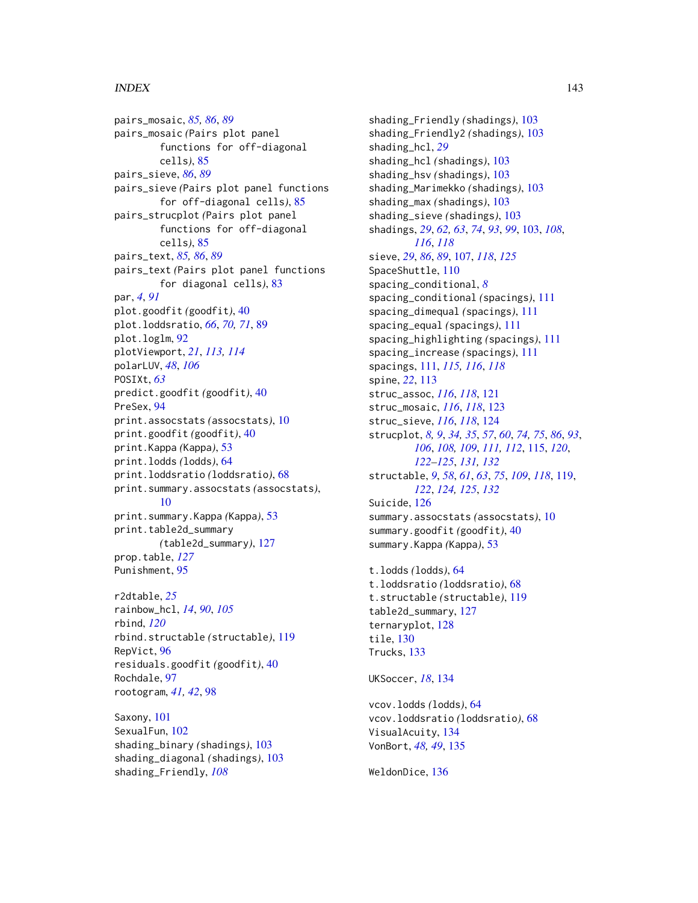## INDEX 143

pairs\_mosaic, *[85,](#page-84-0) [86](#page-85-0)*, *[89](#page-88-0)* pairs\_mosaic *(*Pairs plot panel functions for off-diagonal cells*)*, [85](#page-84-0) pairs\_sieve, *[86](#page-85-0)*, *[89](#page-88-0)* pairs\_sieve *(*Pairs plot panel functions for off-diagonal cells*)*, [85](#page-84-0) pairs\_strucplot *(*Pairs plot panel functions for off-diagonal cells*)*, [85](#page-84-0) pairs\_text, *[85,](#page-84-0) [86](#page-85-0)*, *[89](#page-88-0)* pairs\_text *(*Pairs plot panel functions for diagonal cells*)*, [83](#page-82-0) par, *[4](#page-3-0)*, *[91](#page-90-0)* plot.goodfit *(*goodfit*)*, [40](#page-39-0) plot.loddsratio, *[66](#page-65-0)*, *[70,](#page-69-0) [71](#page-70-0)*, [89](#page-88-0) plot.loglm, [92](#page-91-0) plotViewport, *[21](#page-20-1)*, *[113,](#page-112-0) [114](#page-113-0)* polarLUV, *[48](#page-47-1)*, *[106](#page-105-0)* POSIXt, *[63](#page-62-0)* predict.goodfit *(*goodfit*)*, [40](#page-39-0) PreSex, [94](#page-93-0) print.assocstats *(*assocstats*)*, [10](#page-9-0) print.goodfit *(*goodfit*)*, [40](#page-39-0) print.Kappa *(*Kappa*)*, [53](#page-52-0) print.lodds *(*lodds*)*, [64](#page-63-0) print.loddsratio *(*loddsratio*)*, [68](#page-67-0) print.summary.assocstats *(*assocstats*)*, [10](#page-9-0) print.summary.Kappa *(*Kappa*)*, [53](#page-52-0) print.table2d\_summary *(*table2d\_summary*)*, [127](#page-126-0) prop.table, *[127](#page-126-0)* Punishment, [95](#page-94-0)

r2dtable, *[25](#page-24-0)* rainbow\_hcl, *[14](#page-13-0)*, *[90](#page-89-0)*, *[105](#page-104-0)* rbind, *[120](#page-119-0)* rbind.structable *(*structable*)*, [119](#page-118-1) RepVict, [96](#page-95-0) residuals.goodfit *(*goodfit*)*, [40](#page-39-0) Rochdale, [97](#page-96-0) rootogram, *[41,](#page-40-0) [42](#page-41-0)*, [98](#page-97-0)

Saxony, [101](#page-100-0) SexualFun, [102](#page-101-0) shading\_binary *(*shadings*)*, [103](#page-102-1) shading\_diagonal *(*shadings*)*, [103](#page-102-1) shading\_Friendly, *[108](#page-107-0)*

shading\_Friendly *(*shadings*)*, [103](#page-102-1) shading\_Friendly2 *(*shadings*)*, [103](#page-102-1) shading\_hcl, *[29](#page-28-0)* shading\_hcl *(*shadings*)*, [103](#page-102-1) shading\_hsv *(*shadings*)*, [103](#page-102-1) shading\_Marimekko *(*shadings*)*, [103](#page-102-1) shading\_max *(*shadings*)*, [103](#page-102-1) shading\_sieve *(*shadings*)*, [103](#page-102-1) shadings, *[29](#page-28-0)*, *[62,](#page-61-0) [63](#page-62-0)*, *[74](#page-73-0)*, *[93](#page-92-0)*, *[99](#page-98-0)*, [103,](#page-102-1) *[108](#page-107-0)*, *[116](#page-115-0)*, *[118](#page-117-0)* sieve, *[29](#page-28-0)*, *[86](#page-85-0)*, *[89](#page-88-0)*, [107,](#page-106-1) *[118](#page-117-0)*, *[125](#page-124-0)* SpaceShuttle, [110](#page-109-0) spacing\_conditional, *[8](#page-7-0)* spacing\_conditional *(*spacings*)*, [111](#page-110-1) spacing\_dimequal *(*spacings*)*, [111](#page-110-1) spacing\_equal *(*spacings*)*, [111](#page-110-1) spacing\_highlighting *(*spacings*)*, [111](#page-110-1) spacing\_increase *(*spacings*)*, [111](#page-110-1) spacings, [111,](#page-110-1) *[115,](#page-114-1) [116](#page-115-0)*, *[118](#page-117-0)* spine, *[22](#page-21-0)*, [113](#page-112-0) struc\_assoc, *[116](#page-115-0)*, *[118](#page-117-0)*, [121](#page-120-1) struc\_mosaic, *[116](#page-115-0)*, *[118](#page-117-0)*, [123](#page-122-1) struc\_sieve, *[116](#page-115-0)*, *[118](#page-117-0)*, [124](#page-123-1) strucplot, *[8,](#page-7-0) [9](#page-8-0)*, *[34,](#page-33-1) [35](#page-34-0)*, *[57](#page-56-0)*, *[60](#page-59-0)*, *[74,](#page-73-0) [75](#page-74-0)*, *[86](#page-85-0)*, *[93](#page-92-0)*, *[106](#page-105-0)*, *[108,](#page-107-0) [109](#page-108-0)*, *[111,](#page-110-1) [112](#page-111-0)*, [115,](#page-114-1) *[120](#page-119-0)*, *[122](#page-121-0)[–125](#page-124-0)*, *[131,](#page-130-0) [132](#page-131-0)* structable, *[9](#page-8-0)*, *[58](#page-57-0)*, *[61](#page-60-2)*, *[63](#page-62-0)*, *[75](#page-74-0)*, *[109](#page-108-0)*, *[118](#page-117-0)*, [119,](#page-118-1) *[122](#page-121-0)*, *[124,](#page-123-1) [125](#page-124-0)*, *[132](#page-131-0)* Suicide, [126](#page-125-0) summary.assocstats *(*assocstats*)*, [10](#page-9-0) summary.goodfit *(*goodfit*)*, [40](#page-39-0) summary.Kappa *(*Kappa*)*, [53](#page-52-0)

t.lodds *(*lodds*)*, [64](#page-63-0) t.loddsratio *(*loddsratio*)*, [68](#page-67-0) t.structable *(*structable*)*, [119](#page-118-1) table2d\_summary, [127](#page-126-0) ternaryplot, [128](#page-127-0) tile, [130](#page-129-0) Trucks, [133](#page-132-0)

UKSoccer, *[18](#page-17-0)*, [134](#page-133-0)

vcov.lodds *(*lodds*)*, [64](#page-63-0) vcov.loddsratio *(*loddsratio*)*, [68](#page-67-0) VisualAcuity, [134](#page-133-0) VonBort, *[48,](#page-47-1) [49](#page-48-0)*, [135](#page-134-0)

WeldonDice, [136](#page-135-0)